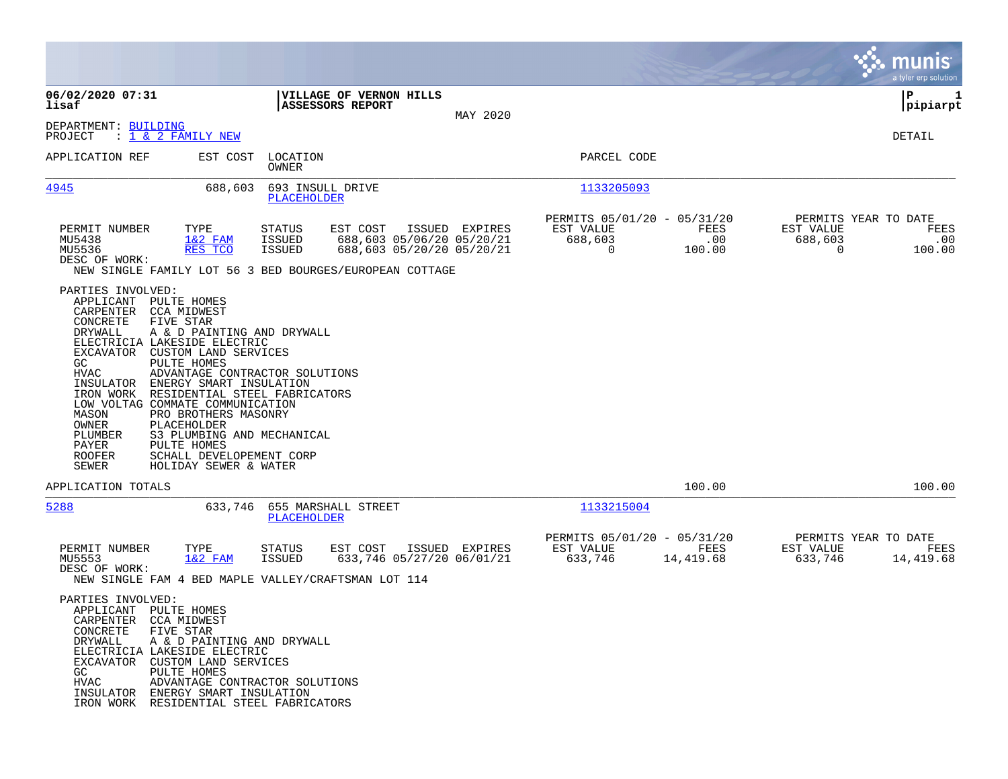|                                                                                                                                                                                                                                                                                                                                                                                                                                                                                                                                              |                                                                                                                                                                                                    |                                                                                                    | munis<br>a tyler erp solution                                                        |
|----------------------------------------------------------------------------------------------------------------------------------------------------------------------------------------------------------------------------------------------------------------------------------------------------------------------------------------------------------------------------------------------------------------------------------------------------------------------------------------------------------------------------------------------|----------------------------------------------------------------------------------------------------------------------------------------------------------------------------------------------------|----------------------------------------------------------------------------------------------------|--------------------------------------------------------------------------------------|
| 06/02/2020 07:31<br>lisaf                                                                                                                                                                                                                                                                                                                                                                                                                                                                                                                    | VILLAGE OF VERNON HILLS<br>ASSESSORS REPORT<br>MAY 2020                                                                                                                                            |                                                                                                    | P<br>1<br> pipiarpt                                                                  |
| DEPARTMENT: BUILDING<br>: <u>1 &amp; 2 FAMILY NEW</u><br>PROJECT                                                                                                                                                                                                                                                                                                                                                                                                                                                                             |                                                                                                                                                                                                    |                                                                                                    | <b>DETAIL</b>                                                                        |
| APPLICATION REF<br>EST COST                                                                                                                                                                                                                                                                                                                                                                                                                                                                                                                  | LOCATION<br>OWNER                                                                                                                                                                                  | PARCEL CODE                                                                                        |                                                                                      |
| 4945<br>688,603                                                                                                                                                                                                                                                                                                                                                                                                                                                                                                                              | 693 INSULL DRIVE<br>PLACEHOLDER                                                                                                                                                                    | 1133205093                                                                                         |                                                                                      |
| PERMIT NUMBER<br>TYPE<br>MU5438<br>$1&2$ FAM<br>MU5536<br>RES TCO<br>DESC OF WORK:                                                                                                                                                                                                                                                                                                                                                                                                                                                           | EST COST<br>ISSUED EXPIRES<br><b>STATUS</b><br>688,603 05/06/20 05/20/21<br><b>ISSUED</b><br><b>ISSUED</b><br>688,603 05/20/20 05/20/21<br>NEW SINGLE FAMILY LOT 56 3 BED BOURGES/EUROPEAN COTTAGE | PERMITS 05/01/20 - 05/31/20<br><b>FEES</b><br>EST VALUE<br>688,603<br>.00<br>100.00<br>$\mathbf 0$ | PERMITS YEAR TO DATE<br>EST VALUE<br>FEES<br>688,603<br>.00<br>$\mathbf 0$<br>100.00 |
| PARTIES INVOLVED:<br>APPLICANT PULTE HOMES<br>CARPENTER<br>CCA MIDWEST<br>CONCRETE<br>FIVE STAR<br>A & D PAINTING AND DRYWALL<br>DRYWALL<br>ELECTRICIA LAKESIDE ELECTRIC<br>EXCAVATOR<br>CUSTOM LAND SERVICES<br>GC<br>PULTE HOMES<br><b>HVAC</b><br>INSULATOR<br>ENERGY SMART INSULATION<br>IRON WORK<br>LOW VOLTAG COMMATE COMMUNICATION<br>MASON<br>PRO BROTHERS MASONRY<br>OWNER<br>PLACEHOLDER<br>PLUMBER<br>S3 PLUMBING AND MECHANICAL<br>PAYER<br>PULTE HOMES<br>SCHALL DEVELOPEMENT CORP<br>ROOFER<br>SEWER<br>HOLIDAY SEWER & WATER | ADVANTAGE CONTRACTOR SOLUTIONS<br>RESIDENTIAL STEEL FABRICATORS                                                                                                                                    |                                                                                                    |                                                                                      |
| APPLICATION TOTALS                                                                                                                                                                                                                                                                                                                                                                                                                                                                                                                           |                                                                                                                                                                                                    | 100.00                                                                                             | 100.00                                                                               |
| 5288<br>633,746                                                                                                                                                                                                                                                                                                                                                                                                                                                                                                                              | 655 MARSHALL STREET<br>PLACEHOLDER                                                                                                                                                                 | 1133215004                                                                                         |                                                                                      |
| PERMIT NUMBER<br>TYPE<br>$1&2$ FAM<br>MU5553<br>DESC OF WORK:                                                                                                                                                                                                                                                                                                                                                                                                                                                                                | <b>STATUS</b><br>EST COST<br>ISSUED EXPIRES<br><b>ISSUED</b><br>633,746 05/27/20 06/01/21<br>NEW SINGLE FAM 4 BED MAPLE VALLEY/CRAFTSMAN LOT 114                                                   | PERMITS 05/01/20 - 05/31/20<br>EST VALUE<br>FEES<br>633,746<br>14,419.68                           | PERMITS YEAR TO DATE<br>EST VALUE<br>FEES<br>633,746<br>14,419.68                    |
| PARTIES INVOLVED:<br>APPLICANT<br>PULTE HOMES<br>CARPENTER<br><b>CCA MIDWEST</b><br>CONCRETE<br>FIVE STAR<br>DRYWALL<br>A & D PAINTING AND DRYWALL<br>ELECTRICIA LAKESIDE ELECTRIC<br>EXCAVATOR<br>CUSTOM LAND SERVICES<br>GC<br>PULTE HOMES<br>HVAC<br>INSULATOR ENERGY SMART INSULATION<br>IRON WORK RESIDENTIAL STEEL FABRICATORS                                                                                                                                                                                                         | ADVANTAGE CONTRACTOR SOLUTIONS                                                                                                                                                                     |                                                                                                    |                                                                                      |

**Contract**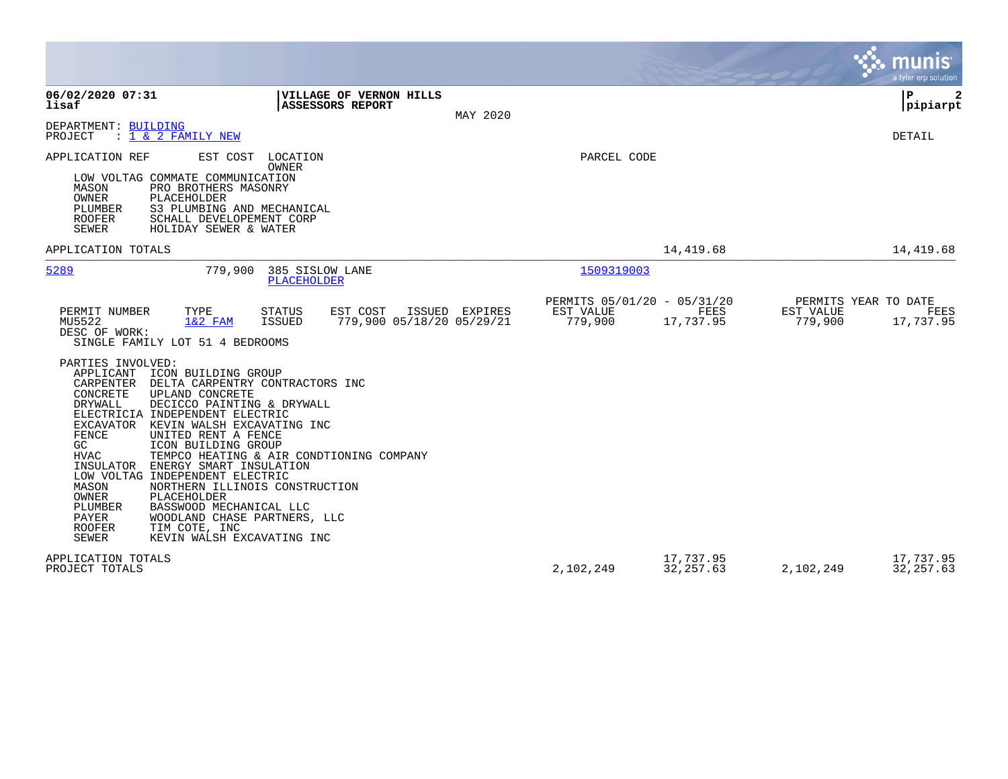|                                                                                                                                                                                                                                                                                                                                                                                                                                                                                                                                                                                                                                                                                                                |                                                                  | munis<br>a tyler erp solution                                             |
|----------------------------------------------------------------------------------------------------------------------------------------------------------------------------------------------------------------------------------------------------------------------------------------------------------------------------------------------------------------------------------------------------------------------------------------------------------------------------------------------------------------------------------------------------------------------------------------------------------------------------------------------------------------------------------------------------------------|------------------------------------------------------------------|---------------------------------------------------------------------------|
| 06/02/2020 07:31<br>VILLAGE OF VERNON HILLS<br>lisaf<br><b>ASSESSORS REPORT</b>                                                                                                                                                                                                                                                                                                                                                                                                                                                                                                                                                                                                                                |                                                                  | $\mathbf{P}$<br> pipiarpt                                                 |
| MAY 2020<br>DEPARTMENT: BUILDING<br>: 1 & 2 FAMILY NEW<br>PROJECT                                                                                                                                                                                                                                                                                                                                                                                                                                                                                                                                                                                                                                              |                                                                  | DETAIL                                                                    |
| EST COST<br>APPLICATION REF<br>LOCATION<br>OWNER<br>LOW VOLTAG COMMATE COMMUNICATION<br>MASON<br>PRO BROTHERS MASONRY<br>OWNER<br>PLACEHOLDER<br>PLUMBER<br>S3 PLUMBING AND MECHANICAL<br><b>ROOFER</b><br>SCHALL DEVELOPEMENT CORP<br>SEWER<br>HOLIDAY SEWER & WATER                                                                                                                                                                                                                                                                                                                                                                                                                                          | PARCEL CODE                                                      |                                                                           |
| APPLICATION TOTALS                                                                                                                                                                                                                                                                                                                                                                                                                                                                                                                                                                                                                                                                                             | 14,419.68                                                        | 14,419.68                                                                 |
| 5289<br>779,900<br>385 SISLOW LANE<br>PLACEHOLDER                                                                                                                                                                                                                                                                                                                                                                                                                                                                                                                                                                                                                                                              | 1509319003                                                       |                                                                           |
| EST COST<br>PERMIT NUMBER<br>TYPE<br>STATUS<br>ISSUED EXPIRES<br>MU5522<br>779,900 05/18/20 05/29/21<br>$1&2$ FAM<br>ISSUED<br>DESC OF WORK:<br>SINGLE FAMILY LOT 51 4 BEDROOMS                                                                                                                                                                                                                                                                                                                                                                                                                                                                                                                                | PERMITS 05/01/20 - 05/31/20<br>EST VALUE<br>779,900<br>17,737.95 | PERMITS YEAR TO DATE<br>FEES<br>EST VALUE<br>FEES<br>779,900<br>17,737.95 |
| PARTIES INVOLVED:<br>APPLICANT<br>ICON BUILDING GROUP<br>CARPENTER<br>DELTA CARPENTRY CONTRACTORS INC<br>CONCRETE<br>UPLAND CONCRETE<br><b>DRYWALL</b><br>DECICCO PAINTING & DRYWALL<br>ELECTRICIA INDEPENDENT ELECTRIC<br>EXCAVATOR<br>KEVIN WALSH EXCAVATING INC<br>FENCE<br>UNITED RENT A FENCE<br>ICON BUILDING GROUP<br>GC<br><b>HVAC</b><br>TEMPCO HEATING & AIR CONDTIONING COMPANY<br>INSULATOR<br>ENERGY SMART INSULATION<br>LOW VOLTAG INDEPENDENT ELECTRIC<br>MASON<br>NORTHERN ILLINOIS CONSTRUCTION<br><b>OWNER</b><br>PLACEHOLDER<br>BASSWOOD MECHANICAL LLC<br>PLUMBER<br>WOODLAND CHASE PARTNERS, LLC<br>PAYER<br><b>ROOFER</b><br>TIM COTE, INC<br><b>SEWER</b><br>KEVIN WALSH EXCAVATING INC |                                                                  |                                                                           |
| APPLICATION TOTALS<br>PROJECT TOTALS                                                                                                                                                                                                                                                                                                                                                                                                                                                                                                                                                                                                                                                                           | 17,737.95<br>2,102,249<br>32, 257.63                             | 17,737.95<br>2,102,249<br>32, 257.63                                      |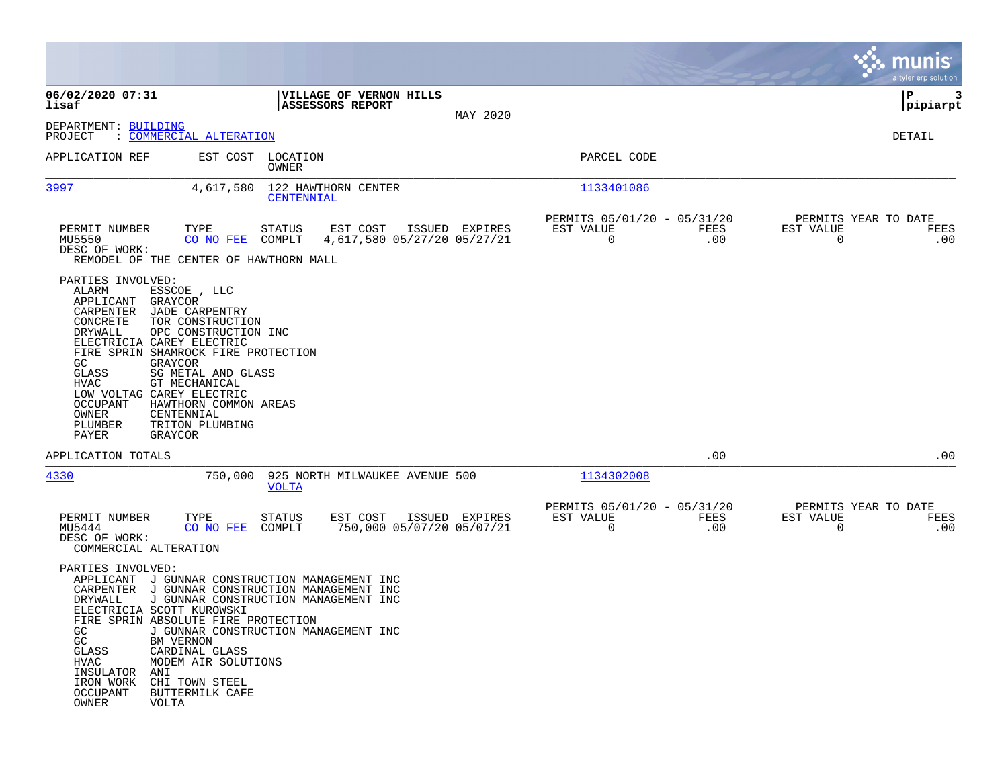|                                                                                                                                                                                                                                                                                                                                                                                                                                                                     |                                                                                                                      |                |                                               |             | munis<br>a tyler erp solution                    |             |
|---------------------------------------------------------------------------------------------------------------------------------------------------------------------------------------------------------------------------------------------------------------------------------------------------------------------------------------------------------------------------------------------------------------------------------------------------------------------|----------------------------------------------------------------------------------------------------------------------|----------------|-----------------------------------------------|-------------|--------------------------------------------------|-------------|
| 06/02/2020 07:31<br>lisaf                                                                                                                                                                                                                                                                                                                                                                                                                                           | VILLAGE OF VERNON HILLS<br><b>ASSESSORS REPORT</b>                                                                   | MAY 2020       |                                               |             | IΡ<br> pipiarpt                                  | 3           |
| DEPARTMENT: BUILDING<br>PROJECT<br>: COMMERCIAL ALTERATION                                                                                                                                                                                                                                                                                                                                                                                                          |                                                                                                                      |                |                                               |             | DETAIL                                           |             |
| APPLICATION REF                                                                                                                                                                                                                                                                                                                                                                                                                                                     | EST COST LOCATION<br>OWNER                                                                                           |                | PARCEL CODE                                   |             |                                                  |             |
| 3997<br>4,617,580                                                                                                                                                                                                                                                                                                                                                                                                                                                   | 122 HAWTHORN CENTER<br>CENTENNIAL                                                                                    |                | 1133401086                                    |             |                                                  |             |
| PERMIT NUMBER<br>TYPE<br>MU5550<br>CO NO FEE<br>DESC OF WORK:<br>REMODEL OF THE CENTER OF HAWTHORN MALL                                                                                                                                                                                                                                                                                                                                                             | <b>STATUS</b><br>EST COST<br>4,617,580 05/27/20 05/27/21<br>COMPLT                                                   | ISSUED EXPIRES | PERMITS 05/01/20 - 05/31/20<br>EST VALUE<br>0 | FEES<br>.00 | PERMITS YEAR TO DATE<br>EST VALUE<br>$\mathbf 0$ | FEES<br>.00 |
| PARTIES INVOLVED:<br>ALARM<br>ESSCOE , LLC<br>APPLICANT<br>GRAYCOR<br>CARPENTER<br><b>JADE CARPENTRY</b><br>CONCRETE<br>TOR CONSTRUCTION<br>DRYWALL<br>OPC CONSTRUCTION INC<br>ELECTRICIA CAREY ELECTRIC<br>FIRE SPRIN SHAMROCK FIRE PROTECTION<br>GC<br>GRAYCOR<br>GLASS<br>SG METAL AND GLASS<br>HVAC<br>GT MECHANICAL<br>LOW VOLTAG CAREY ELECTRIC<br>OCCUPANT<br>HAWTHORN COMMON AREAS<br>OWNER<br>CENTENNIAL<br>PLUMBER<br>TRITON PLUMBING<br>PAYER<br>GRAYCOR |                                                                                                                      |                |                                               |             |                                                  |             |
| APPLICATION TOTALS                                                                                                                                                                                                                                                                                                                                                                                                                                                  |                                                                                                                      |                |                                               | .00         |                                                  | .00         |
| 4330<br>750,000                                                                                                                                                                                                                                                                                                                                                                                                                                                     | 925 NORTH MILWAUKEE AVENUE 500<br><b>VOLTA</b>                                                                       |                | 1134302008                                    |             |                                                  |             |
| PERMIT NUMBER<br>TYPE<br>MU5444<br>CO NO FEE<br>DESC OF WORK:<br>COMMERCIAL ALTERATION                                                                                                                                                                                                                                                                                                                                                                              | EST COST<br><b>STATUS</b><br>750,000 05/07/20 05/07/21<br>COMPLT                                                     | ISSUED EXPIRES | PERMITS 05/01/20 - 05/31/20<br>EST VALUE<br>0 | FEES<br>.00 | PERMITS YEAR TO DATE<br>EST VALUE<br>0           | FEES<br>.00 |
| PARTIES INVOLVED:<br>APPLICANT<br>CARPENTER J GUNNAR CONSTRUCTION MANAGEMENT INC<br>DRYWALL<br>ELECTRICIA SCOTT KUROWSKI<br>FIRE SPRIN ABSOLUTE FIRE PROTECTION<br>GC<br>GC<br>BM VERNON<br>GLASS<br>CARDINAL GLASS<br>HVAC<br>MODEM AIR SOLUTIONS<br>INSULATOR ANI<br>IRON WORK<br>CHI TOWN STEEL<br>OCCUPANT<br>BUTTERMILK CAFE<br>OWNER<br>VOLTA                                                                                                                 | J GUNNAR CONSTRUCTION MANAGEMENT INC<br>J GUNNAR CONSTRUCTION MANAGEMENT INC<br>J GUNNAR CONSTRUCTION MANAGEMENT INC |                |                                               |             |                                                  |             |

**Contract**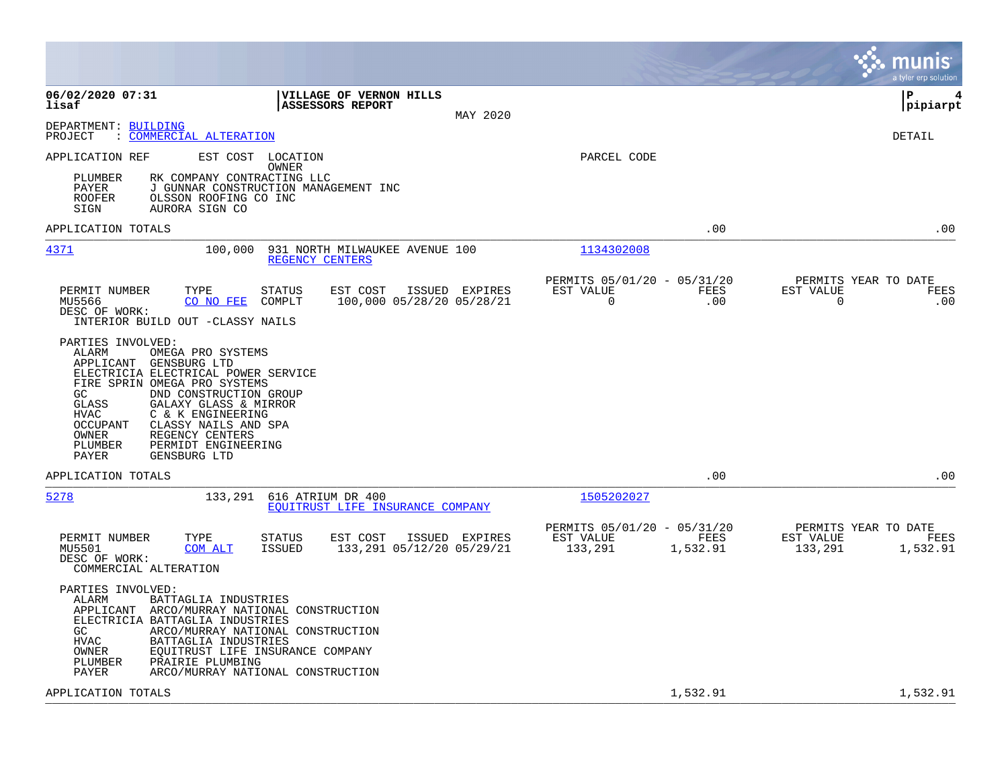|                                                                                                                                                                                                                                                                                                                                                                             |                                                                         | munis<br>a tyler erp solution                                    |
|-----------------------------------------------------------------------------------------------------------------------------------------------------------------------------------------------------------------------------------------------------------------------------------------------------------------------------------------------------------------------------|-------------------------------------------------------------------------|------------------------------------------------------------------|
| 06/02/2020 07:31<br>VILLAGE OF VERNON HILLS<br>lisaf<br><b>ASSESSORS REPORT</b><br>MAY 2020                                                                                                                                                                                                                                                                                 |                                                                         | l P<br>4<br> pipiarpt                                            |
| DEPARTMENT: BUILDING<br><u>COMMERCIAL ALTERATION</u><br>PROJECT                                                                                                                                                                                                                                                                                                             |                                                                         | <b>DETAIL</b>                                                    |
| APPLICATION REF<br>EST COST LOCATION<br>OWNER<br>PLUMBER<br>RK COMPANY CONTRACTING LLC<br>PAYER<br>J GUNNAR CONSTRUCTION MANAGEMENT INC<br><b>ROOFER</b><br>OLSSON ROOFING CO INC<br>SIGN<br>AURORA SIGN CO                                                                                                                                                                 | PARCEL CODE                                                             |                                                                  |
| APPLICATION TOTALS                                                                                                                                                                                                                                                                                                                                                          | .00                                                                     | .00                                                              |
| 4371<br>100,000<br>931 NORTH MILWAUKEE AVENUE 100<br>REGENCY CENTERS                                                                                                                                                                                                                                                                                                        | 1134302008                                                              |                                                                  |
| PERMIT NUMBER<br>TYPE<br>STATUS<br>EST COST<br>ISSUED EXPIRES<br>MU5566<br>CO NO FEE<br>COMPLT<br>100,000 05/28/20 05/28/21<br>DESC OF WORK:<br>INTERIOR BUILD OUT -CLASSY NAILS                                                                                                                                                                                            | PERMITS 05/01/20 - 05/31/20<br><b>FEES</b><br>EST VALUE<br>0<br>.00     | PERMITS YEAR TO DATE<br>EST VALUE<br>FEES<br>0<br>.00            |
| PARTIES INVOLVED:<br>ALARM<br>OMEGA PRO SYSTEMS<br>APPLICANT GENSBURG LTD<br>ELECTRICIA ELECTRICAL POWER SERVICE<br>FIRE SPRIN OMEGA PRO SYSTEMS<br>GC.<br>DND CONSTRUCTION GROUP<br>GLASS<br>GALAXY GLASS & MIRROR<br>C & K ENGINEERING<br>HVAC<br>OCCUPANT<br>CLASSY NAILS AND SPA<br>REGENCY CENTERS<br>OWNER<br>PERMIDT ENGINEERING<br>PLUMBER<br>GENSBURG LTD<br>PAYER |                                                                         |                                                                  |
| APPLICATION TOTALS                                                                                                                                                                                                                                                                                                                                                          | .00                                                                     | .00                                                              |
| 5278<br>133,291<br>616 ATRIUM DR 400<br>EQUITRUST LIFE INSURANCE COMPANY                                                                                                                                                                                                                                                                                                    | 1505202027                                                              |                                                                  |
| PERMIT NUMBER<br>TYPE<br>STATUS<br>EST COST<br>ISSUED EXPIRES<br><b>ISSUED</b><br>133,291 05/12/20 05/29/21<br>MU5501<br><b>COM ALT</b><br>DESC OF WORK:<br>COMMERCIAL ALTERATION                                                                                                                                                                                           | PERMITS 05/01/20 - 05/31/20<br>EST VALUE<br>FEES<br>133,291<br>1,532.91 | PERMITS YEAR TO DATE<br>EST VALUE<br>FEES<br>133,291<br>1,532.91 |
| PARTIES INVOLVED:<br>ALARM<br>BATTAGLIA INDUSTRIES<br>APPLICANT<br>ARCO/MURRAY NATIONAL CONSTRUCTION<br>ELECTRICIA BATTAGLIA INDUSTRIES<br>GC<br>ARCO/MURRAY NATIONAL CONSTRUCTION<br>HVAC<br>BATTAGLIA INDUSTRIES<br>OWNER<br>EQUITRUST LIFE INSURANCE COMPANY<br>PLUMBER<br>PRAIRIE PLUMBING<br>PAYER<br>ARCO/MURRAY NATIONAL CONSTRUCTION                                |                                                                         |                                                                  |
| APPLICATION TOTALS                                                                                                                                                                                                                                                                                                                                                          | 1,532.91                                                                | 1,532.91                                                         |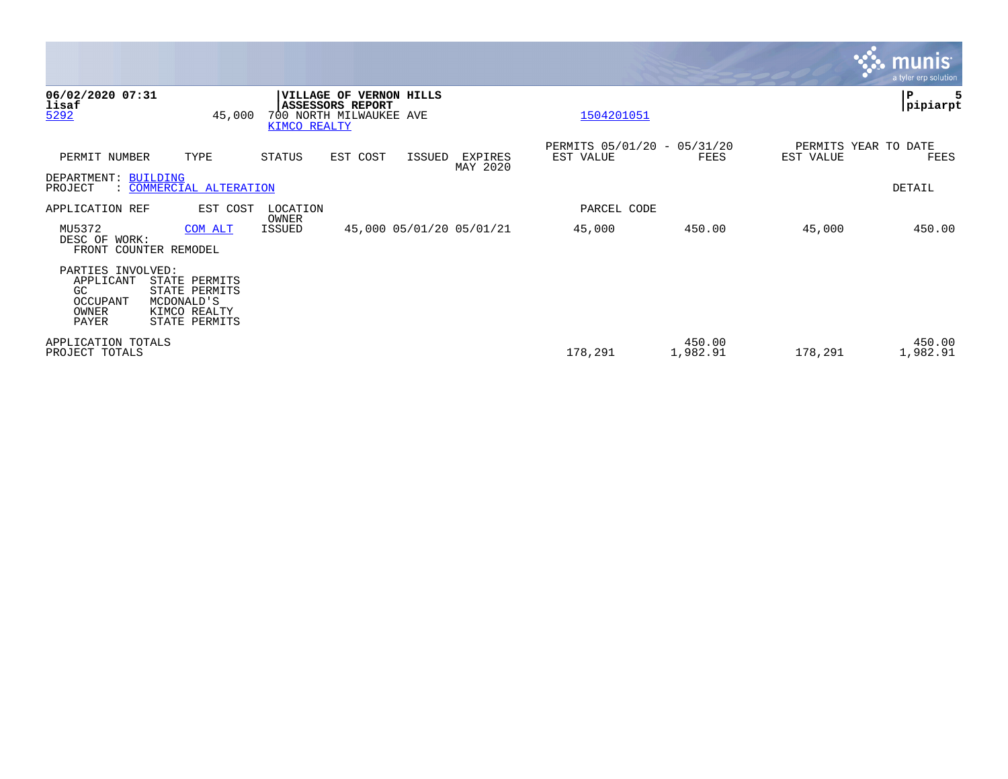|                                                                     |                                                                               |                                   |                                                    |                     |                          |                                          |                    |           | <u>munis</u><br>a tyler erp solution |
|---------------------------------------------------------------------|-------------------------------------------------------------------------------|-----------------------------------|----------------------------------------------------|---------------------|--------------------------|------------------------------------------|--------------------|-----------|--------------------------------------|
| 06/02/2020 07:31<br>lisaf<br>5292                                   | 45,000                                                                        | <b>VILLAGE OF</b><br>KIMCO REALTY | <b>ASSESSORS REPORT</b><br>700 NORTH MILWAUKEE AVE | <b>VERNON HILLS</b> |                          | 1504201051                               |                    |           | P<br> pipiarpt                       |
| PERMIT NUMBER                                                       | TYPE                                                                          | STATUS                            | EST COST                                           | ISSUED              | EXPIRES<br>MAY 2020      | PERMITS 05/01/20 - 05/31/20<br>EST VALUE | FEES               | EST VALUE | PERMITS YEAR TO DATE<br>FEES         |
| DEPARTMENT: BUILDING<br>PROJECT                                     | : COMMERCIAL ALTERATION                                                       |                                   |                                                    |                     |                          |                                          |                    |           | DETAIL                               |
| APPLICATION REF                                                     | EST COST                                                                      | LOCATION<br>OWNER                 |                                                    |                     |                          | PARCEL CODE                              |                    |           |                                      |
| MU5372<br>DESC OF WORK:                                             | COM ALT<br>FRONT COUNTER REMODEL                                              | ISSUED                            |                                                    |                     | 45,000 05/01/20 05/01/21 | 45,000                                   | 450.00             | 45,000    | 450.00                               |
| PARTIES INVOLVED:<br>APPLICANT<br>GC.<br>OCCUPANT<br>OWNER<br>PAYER | STATE PERMITS<br>STATE PERMITS<br>MCDONALD'S<br>KIMCO REALTY<br>STATE PERMITS |                                   |                                                    |                     |                          |                                          |                    |           |                                      |
| APPLICATION TOTALS<br>PROJECT TOTALS                                |                                                                               |                                   |                                                    |                     |                          | 178,291                                  | 450.00<br>1,982.91 | 178,291   | 450.00<br>1,982.91                   |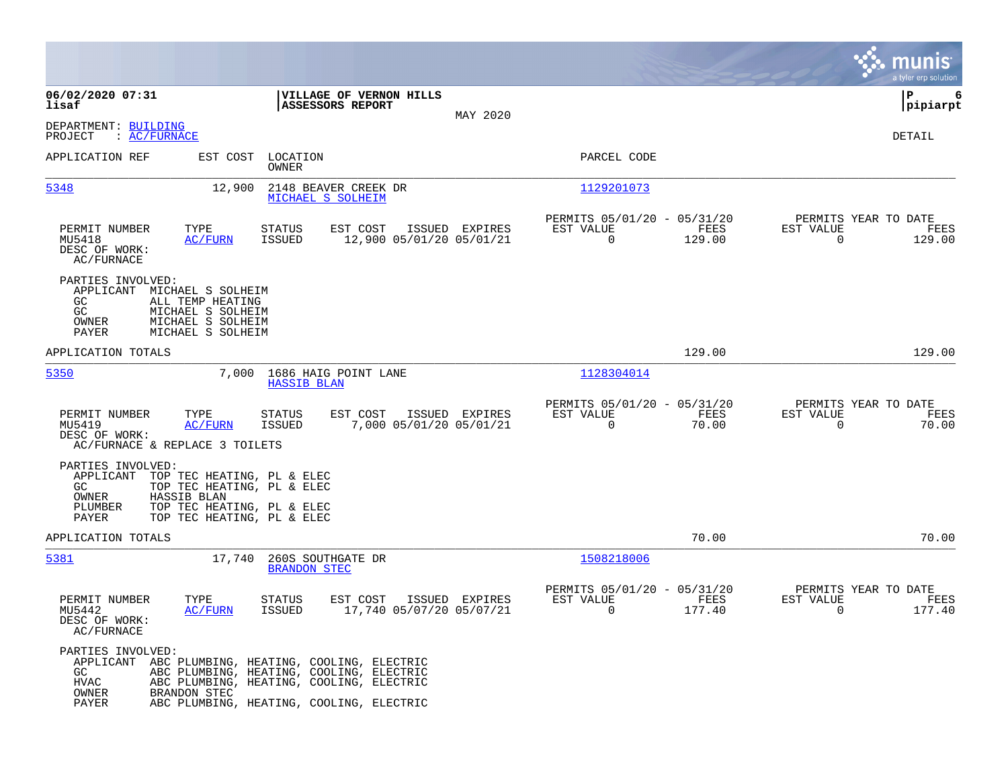|                                                                                                                                                                    |                                                                                                                                                                                        |                                                                           | munis<br>a tyler erp solution                                      |
|--------------------------------------------------------------------------------------------------------------------------------------------------------------------|----------------------------------------------------------------------------------------------------------------------------------------------------------------------------------------|---------------------------------------------------------------------------|--------------------------------------------------------------------|
| 06/02/2020 07:31<br>lisaf                                                                                                                                          | VILLAGE OF VERNON HILLS<br>ASSESSORS REPORT<br>MAY 2020                                                                                                                                |                                                                           | P<br>6<br> pipiarpt                                                |
| DEPARTMENT: BUILDING<br>: AC/FURNACE<br>PROJECT                                                                                                                    |                                                                                                                                                                                        |                                                                           | DETAIL                                                             |
| APPLICATION REF                                                                                                                                                    | EST COST LOCATION<br>OWNER                                                                                                                                                             | PARCEL CODE                                                               |                                                                    |
| 5348                                                                                                                                                               | 12,900<br>2148 BEAVER CREEK DR<br>MICHAEL S SOLHEIM                                                                                                                                    | 1129201073                                                                |                                                                    |
| TYPE<br>PERMIT NUMBER<br>MU5418<br><b>AC/FURN</b><br>DESC OF WORK:<br>AC/FURNACE                                                                                   | EST COST<br>ISSUED EXPIRES<br><b>STATUS</b><br><b>ISSUED</b><br>12,900 05/01/20 05/01/21                                                                                               | PERMITS 05/01/20 - 05/31/20<br>EST VALUE<br>FEES<br>0<br>129.00           | PERMITS YEAR TO DATE<br>EST VALUE<br>FEES<br>$\mathbf 0$<br>129.00 |
| PARTIES INVOLVED:<br>APPLICANT MICHAEL S SOLHEIM<br>GC.<br>ALL TEMP HEATING<br>GC<br>MICHAEL S SOLHEIM<br>OWNER<br>MICHAEL S SOLHEIM<br>PAYER<br>MICHAEL S SOLHEIM |                                                                                                                                                                                        |                                                                           |                                                                    |
| APPLICATION TOTALS                                                                                                                                                 |                                                                                                                                                                                        | 129.00                                                                    | 129.00                                                             |
| 5350                                                                                                                                                               | 7,000<br>1686 HAIG POINT LANE<br><b>HASSIB BLAN</b>                                                                                                                                    | 1128304014                                                                |                                                                    |
| PERMIT NUMBER<br>TYPE<br>MU5419<br>AC/FURN<br>DESC OF WORK:<br>AC/FURNACE & REPLACE 3 TOILETS                                                                      | <b>STATUS</b><br>EST COST<br>ISSUED EXPIRES<br>7,000 05/01/20 05/01/21<br>ISSUED                                                                                                       | PERMITS 05/01/20 - 05/31/20<br>EST VALUE<br>FEES<br>$\mathbf 0$<br>70.00  | PERMITS YEAR TO DATE<br>EST VALUE<br>FEES<br>$\mathbf 0$<br>70.00  |
| PARTIES INVOLVED:<br>APPLICANT<br>GC.<br>HASSIB BLAN<br>OWNER<br>PLUMBER<br>PAYER                                                                                  | TOP TEC HEATING, PL & ELEC<br>TOP TEC HEATING, PL & ELEC<br>TOP TEC HEATING, PL & ELEC<br>TOP TEC HEATING, PL & ELEC                                                                   |                                                                           |                                                                    |
| APPLICATION TOTALS                                                                                                                                                 |                                                                                                                                                                                        | 70.00                                                                     | 70.00                                                              |
| 5381                                                                                                                                                               | 17,740<br>260S SOUTHGATE DR<br><b>BRANDON STEC</b>                                                                                                                                     | 1508218006                                                                |                                                                    |
| PERMIT NUMBER<br>TYPE<br>MU5442<br>AC/FURN<br>DESC OF WORK:<br>AC/FURNACE                                                                                          | <b>STATUS</b><br>EST COST<br>ISSUED EXPIRES<br>ISSUED<br>17,740 05/07/20 05/07/21                                                                                                      | PERMITS 05/01/20 - 05/31/20<br>EST VALUE<br>FEES<br>$\mathbf 0$<br>177.40 | PERMITS YEAR TO DATE<br>EST VALUE<br>FEES<br>177.40<br>$\mathbf 0$ |
| PARTIES INVOLVED:<br>GC<br><b>HVAC</b><br>OWNER<br>BRANDON STEC<br>PAYER                                                                                           | APPLICANT ABC PLUMBING, HEATING, COOLING, ELECTRIC<br>ABC PLUMBING, HEATING, COOLING, ELECTRIC<br>ABC PLUMBING, HEATING, COOLING, ELECTRIC<br>ABC PLUMBING, HEATING, COOLING, ELECTRIC |                                                                           |                                                                    |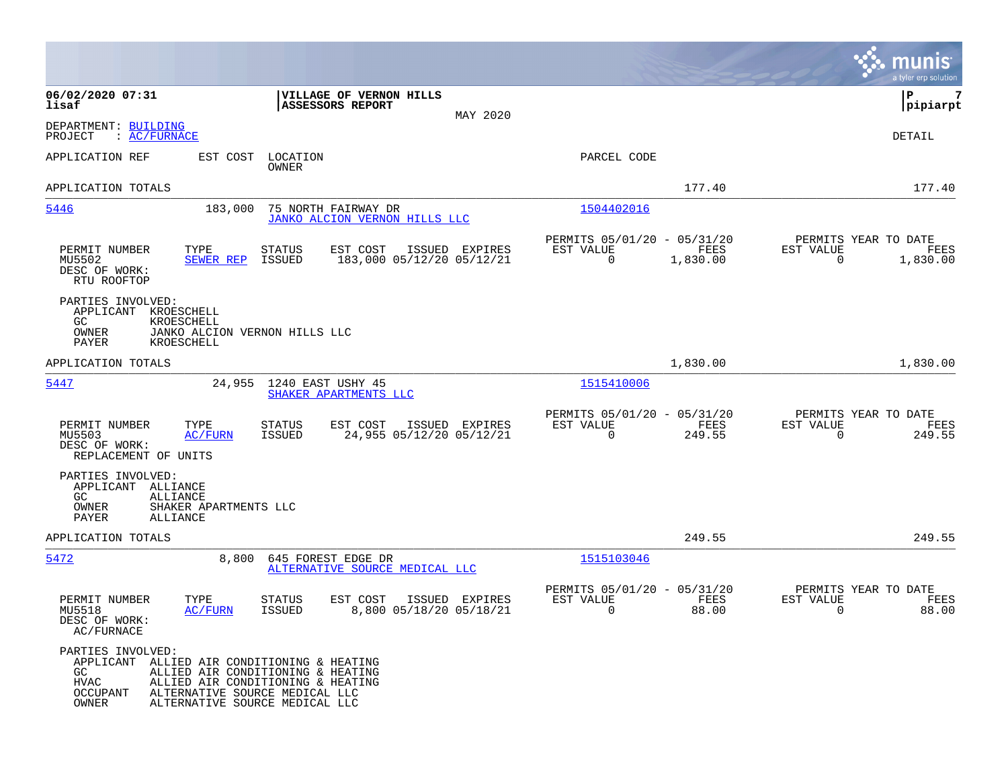|                                                                                                                    |                                                                                                                                            |                         |                                                             |                |                                               |                      |                                                     | munis<br>a tyler erp solution |
|--------------------------------------------------------------------------------------------------------------------|--------------------------------------------------------------------------------------------------------------------------------------------|-------------------------|-------------------------------------------------------------|----------------|-----------------------------------------------|----------------------|-----------------------------------------------------|-------------------------------|
| 06/02/2020 07:31<br>lisaf                                                                                          |                                                                                                                                            |                         | VILLAGE OF VERNON HILLS<br>ASSESSORS REPORT                 | MAY 2020       |                                               |                      |                                                     | IΡ<br> pipiarpt               |
| DEPARTMENT: BUILDING<br>PROJECT<br>: AC/FURNACE                                                                    |                                                                                                                                            |                         |                                                             |                |                                               |                      |                                                     | DETAIL                        |
| APPLICATION REF                                                                                                    | EST COST                                                                                                                                   | LOCATION<br>OWNER       |                                                             |                | PARCEL CODE                                   |                      |                                                     |                               |
| APPLICATION TOTALS                                                                                                 |                                                                                                                                            |                         |                                                             |                |                                               | 177.40               |                                                     | 177.40                        |
| 5446                                                                                                               | 183,000                                                                                                                                    |                         | 75 NORTH FAIRWAY DR<br><b>JANKO ALCION VERNON HILLS LLC</b> |                | 1504402016                                    |                      |                                                     |                               |
| PERMIT NUMBER<br>MU5502<br>DESC OF WORK:<br>RTU ROOFTOP                                                            | TYPE<br>SEWER REP                                                                                                                          | STATUS<br>ISSUED        | EST COST<br>ISSUED<br>183,000 05/12/20 05/12/21             | EXPIRES        | PERMITS 05/01/20 - 05/31/20<br>EST VALUE<br>0 | FEES<br>1,830.00     | PERMITS YEAR TO DATE<br>EST VALUE<br>0              | FEES<br>1,830.00              |
| PARTIES INVOLVED:<br>APPLICANT<br>GC<br>OWNER<br>PAYER                                                             | KROESCHELL<br>KROESCHELL<br>JANKO ALCION VERNON HILLS LLC<br>KROESCHELL                                                                    |                         |                                                             |                |                                               |                      |                                                     |                               |
| APPLICATION TOTALS                                                                                                 |                                                                                                                                            |                         |                                                             |                |                                               | 1,830.00             |                                                     | 1,830.00                      |
| <u>5447</u>                                                                                                        | 24,955                                                                                                                                     |                         | 1240 EAST USHY 45<br>SHAKER APARTMENTS LLC                  |                | 1515410006                                    |                      |                                                     |                               |
| PERMIT NUMBER<br>MU5503<br>DESC OF WORK:<br>REPLACEMENT OF UNITS                                                   | TYPE<br>AC/FURN                                                                                                                            | STATUS<br><b>ISSUED</b> | EST COST<br>24,955 05/12/20 05/12/21                        | ISSUED EXPIRES | PERMITS 05/01/20 - 05/31/20<br>EST VALUE<br>0 | FEES<br>249.55       | PERMITS YEAR TO DATE<br>EST VALUE<br>$\overline{0}$ | FEES<br>249.55                |
| PARTIES INVOLVED:<br>APPLICANT<br>ALLIANCE<br>GC.<br>ALLIANCE<br>OWNER<br>PAYER<br>ALLIANCE                        | SHAKER APARTMENTS LLC                                                                                                                      |                         |                                                             |                |                                               |                      |                                                     |                               |
| APPLICATION TOTALS                                                                                                 |                                                                                                                                            |                         |                                                             |                |                                               | 249.55               |                                                     | 249.55                        |
| 5472                                                                                                               | 8,800                                                                                                                                      |                         | 645 FOREST EDGE DR<br>ALTERNATIVE SOURCE MEDICAL LLC        |                | 1515103046                                    |                      |                                                     |                               |
| PERMIT NUMBER<br>MU5518<br>DESC OF WORK:<br>AC/FURNACE                                                             | TYPE<br>AC/FURN                                                                                                                            | <b>STATUS</b><br>ISSUED | EST COST<br>8,800 05/18/20 05/18/21                         | ISSUED EXPIRES | PERMITS 05/01/20 - 05/31/20<br>EST VALUE<br>0 | <b>FEES</b><br>88.00 | PERMITS YEAR TO DATE<br>EST VALUE<br>0              | FEES<br>88.00                 |
| PARTIES INVOLVED:<br>APPLICANT ALLIED AIR CONDITIONING & HEATING<br>GC.<br><b>HVAC</b><br><b>OCCUPANT</b><br>OWNER | ALLIED AIR CONDITIONING & HEATING<br>ALLIED AIR CONDITIONING & HEATING<br>ALTERNATIVE SOURCE MEDICAL LLC<br>ALTERNATIVE SOURCE MEDICAL LLC |                         |                                                             |                |                                               |                      |                                                     |                               |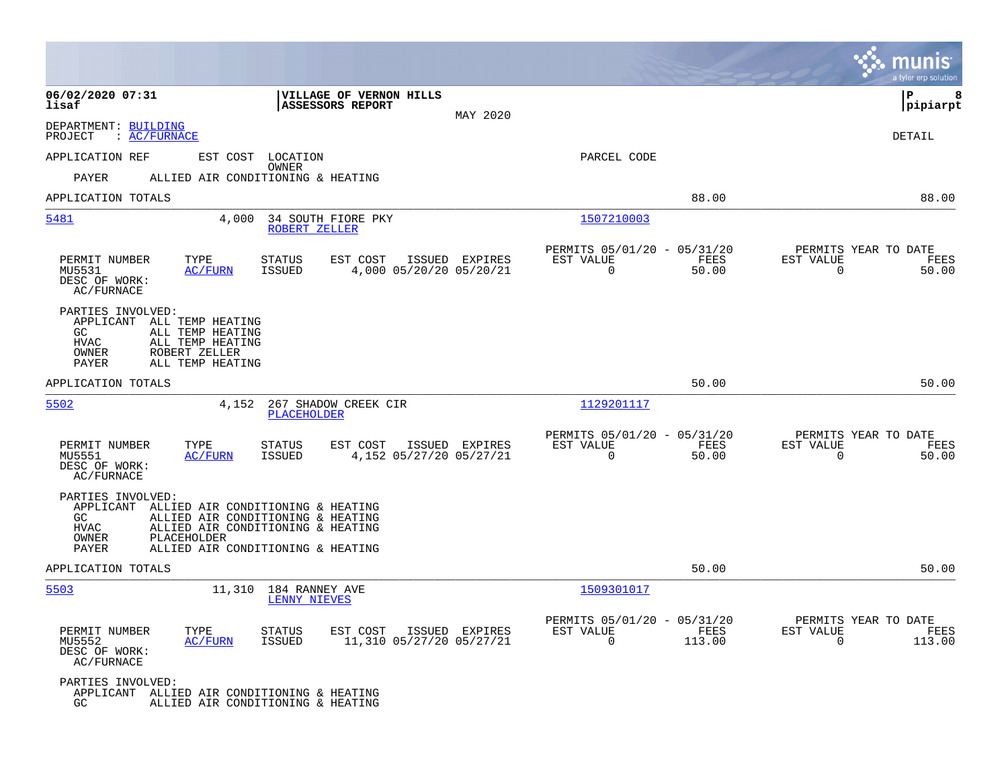|                                                                                                                                                                                                                                        |                                                                                         |                                                                           | munis<br>a tyler erp solution                                      |
|----------------------------------------------------------------------------------------------------------------------------------------------------------------------------------------------------------------------------------------|-----------------------------------------------------------------------------------------|---------------------------------------------------------------------------|--------------------------------------------------------------------|
| 06/02/2020 07:31<br>lisaf                                                                                                                                                                                                              | VILLAGE OF VERNON HILLS<br><b>ASSESSORS REPORT</b><br>MAY 2020                          |                                                                           | l P<br>8<br> pipiarpt                                              |
| DEPARTMENT: BUILDING<br>PROJECT<br>: AC/FURNACE                                                                                                                                                                                        |                                                                                         |                                                                           | DETAIL                                                             |
| APPLICATION REF<br>EST COST LOCATION                                                                                                                                                                                                   |                                                                                         | PARCEL CODE                                                               |                                                                    |
| PAYER<br>ALLIED AIR CONDITIONING & HEATING                                                                                                                                                                                             | OWNER                                                                                   |                                                                           |                                                                    |
| APPLICATION TOTALS                                                                                                                                                                                                                     |                                                                                         | 88.00                                                                     | 88.00                                                              |
| 5481<br>4,000                                                                                                                                                                                                                          | 34 SOUTH FIORE PKY<br>ROBERT ZELLER                                                     | 1507210003                                                                |                                                                    |
| TYPE<br>PERMIT NUMBER<br><b>AC/FURN</b><br>MU5531<br>DESC OF WORK:<br>AC/FURNACE                                                                                                                                                       | <b>STATUS</b><br>EST COST<br>ISSUED EXPIRES<br><b>ISSUED</b><br>4,000 05/20/20 05/20/21 | PERMITS 05/01/20 - 05/31/20<br>EST VALUE<br>FEES<br>$\mathbf 0$<br>50.00  | PERMITS YEAR TO DATE<br>EST VALUE<br>FEES<br>$\mathbf 0$<br>50.00  |
| PARTIES INVOLVED:<br>APPLICANT<br>ALL TEMP HEATING<br>GC.<br>ALL TEMP HEATING<br><b>HVAC</b><br>ALL TEMP HEATING<br>OWNER<br>ROBERT ZELLER<br>PAYER<br>ALL TEMP HEATING                                                                |                                                                                         |                                                                           |                                                                    |
| APPLICATION TOTALS                                                                                                                                                                                                                     |                                                                                         | 50.00                                                                     | 50.00                                                              |
| 5502<br>4,152                                                                                                                                                                                                                          | 267 SHADOW CREEK CIR<br>PLACEHOLDER                                                     | 1129201117                                                                |                                                                    |
| PERMIT NUMBER<br>TYPE<br>MU5551<br>AC/FURN<br>DESC OF WORK:<br>AC/FURNACE                                                                                                                                                              | EST COST<br>ISSUED EXPIRES<br><b>STATUS</b><br>4,152 05/27/20 05/27/21<br>ISSUED        | PERMITS 05/01/20 - 05/31/20<br>EST VALUE<br>FEES<br>$\mathbf 0$<br>50.00  | PERMITS YEAR TO DATE<br>EST VALUE<br>FEES<br>$\mathbf 0$<br>50.00  |
| PARTIES INVOLVED:<br>APPLICANT ALLIED AIR CONDITIONING & HEATING<br>GC.<br>ALLIED AIR CONDITIONING & HEATING<br><b>HVAC</b><br>ALLIED AIR CONDITIONING & HEATING<br>OWNER<br>PLACEHOLDER<br>PAYER<br>ALLIED AIR CONDITIONING & HEATING |                                                                                         |                                                                           |                                                                    |
| APPLICATION TOTALS                                                                                                                                                                                                                     |                                                                                         | 50.00                                                                     | 50.00                                                              |
| 5503<br>11,310                                                                                                                                                                                                                         | 184 RANNEY AVE<br>LENNY NIEVES                                                          | 1509301017                                                                |                                                                    |
| PERMIT NUMBER<br>TYPE<br>MU5552<br><b>AC/FURN</b><br>DESC OF WORK:<br>AC/FURNACE                                                                                                                                                       | EST COST<br>ISSUED EXPIRES<br><b>STATUS</b><br>ISSUED<br>11,310 05/27/20 05/27/21       | PERMITS 05/01/20 - 05/31/20<br>EST VALUE<br>FEES<br>$\mathbf 0$<br>113.00 | PERMITS YEAR TO DATE<br>EST VALUE<br>FEES<br>$\mathbf 0$<br>113.00 |
| PARTIES INVOLVED:<br>APPLICANT ALLIED AIR CONDITIONING & HEATING<br>GC.<br>ALLIED AIR CONDITIONING & HEATING                                                                                                                           |                                                                                         |                                                                           |                                                                    |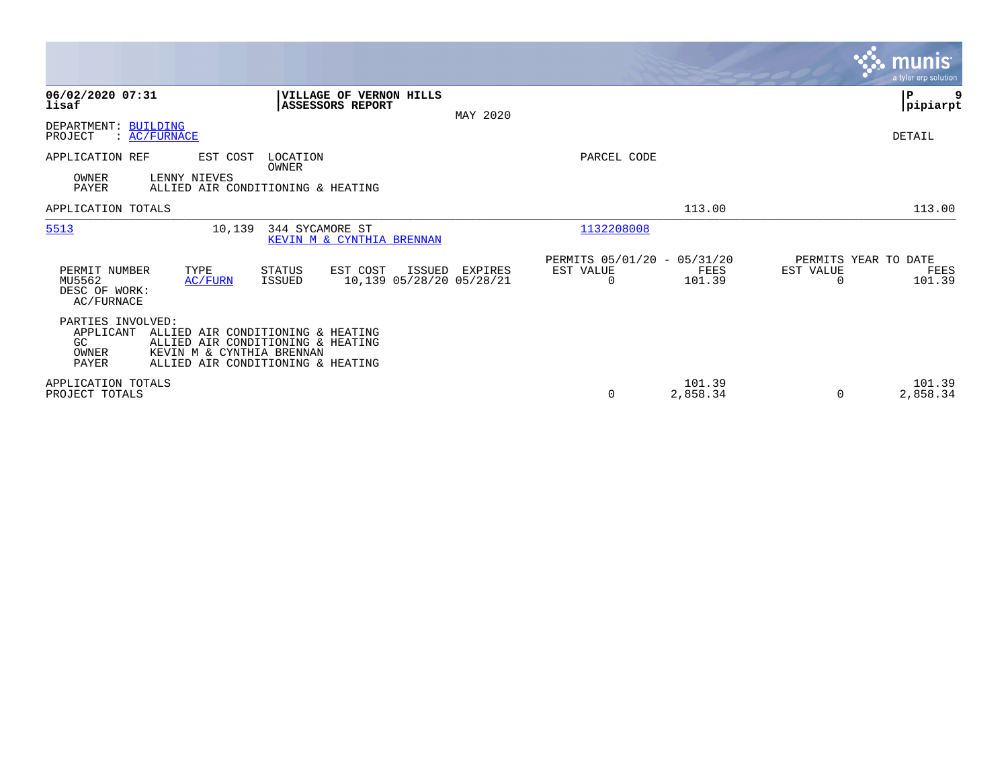|                                                        |                           |                                                                                                             |                                    |          |                                               |                    |                                   | <b>munis</b><br>a tyler erp solution |
|--------------------------------------------------------|---------------------------|-------------------------------------------------------------------------------------------------------------|------------------------------------|----------|-----------------------------------------------|--------------------|-----------------------------------|--------------------------------------|
| 06/02/2020 07:31<br>lisaf                              |                           | VILLAGE OF VERNON HILLS<br>ASSESSORS REPORT                                                                 |                                    | MAY 2020 |                                               |                    |                                   | ${\bf P}$<br> pipiarpt               |
| DEPARTMENT: BUILDING<br>PROJECT                        | : AC/FURNACE              |                                                                                                             |                                    |          |                                               |                    |                                   | <b>DETAIL</b>                        |
| APPLICATION REF<br>OWNER<br>PAYER                      | EST COST<br>LENNY NIEVES  | LOCATION<br>OWNER<br>ALLIED AIR CONDITIONING & HEATING                                                      |                                    |          | PARCEL CODE                                   |                    |                                   |                                      |
| APPLICATION TOTALS                                     |                           |                                                                                                             |                                    |          |                                               | 113.00             |                                   | 113.00                               |
| 5513                                                   | 10,139                    | 344 SYCAMORE ST<br>KEVIN M & CYNTHIA BRENNAN                                                                |                                    |          | 1132208008                                    |                    |                                   |                                      |
| PERMIT NUMBER<br>MU5562<br>DESC OF WORK:<br>AC/FURNACE | TYPE<br><b>AC/FURN</b>    | EST COST<br><b>STATUS</b><br><b>ISSUED</b>                                                                  | ISSUED<br>10,139 05/28/20 05/28/21 | EXPIRES  | PERMITS 05/01/20 - 05/31/20<br>EST VALUE<br>0 | FEES<br>101.39     | PERMITS YEAR TO DATE<br>EST VALUE | FEES<br>101.39                       |
| PARTIES INVOLVED:<br>APPLICANT<br>GC<br>OWNER<br>PAYER | KEVIN M & CYNTHIA BRENNAN | ALLIED AIR CONDITIONING & HEATING<br>ALLIED AIR CONDITIONING & HEATING<br>ALLIED AIR CONDITIONING & HEATING |                                    |          |                                               |                    |                                   |                                      |
| APPLICATION TOTALS<br>PROJECT TOTALS                   |                           |                                                                                                             |                                    |          | 0                                             | 101.39<br>2,858.34 | 0                                 | 101.39<br>2,858.34                   |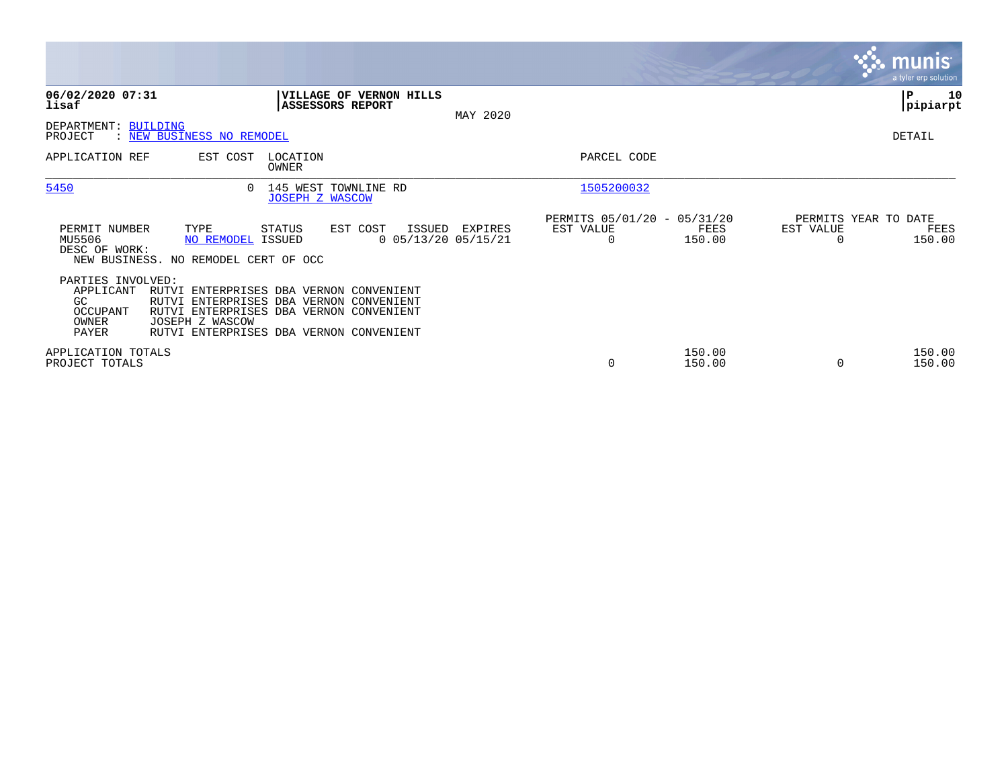|                                                                    |                                                                                                                                                                                             |                                                |                                             |          |                                                      |                  |                                   | <b>munis</b><br>a tyler erp solution |
|--------------------------------------------------------------------|---------------------------------------------------------------------------------------------------------------------------------------------------------------------------------------------|------------------------------------------------|---------------------------------------------|----------|------------------------------------------------------|------------------|-----------------------------------|--------------------------------------|
| 06/02/2020 07:31<br>lisaf                                          |                                                                                                                                                                                             | ASSESSORS REPORT                               | VILLAGE OF VERNON HILLS                     | MAY 2020 |                                                      |                  |                                   | ∣P<br>10<br> pipiarpt                |
| DEPARTMENT: BUILDING<br>PROJECT                                    | : NEW BUSINESS NO REMODEL                                                                                                                                                                   |                                                |                                             |          |                                                      |                  |                                   | DETAIL                               |
| APPLICATION REF                                                    | EST COST                                                                                                                                                                                    | LOCATION<br>OWNER                              |                                             |          | PARCEL CODE                                          |                  |                                   |                                      |
| 5450                                                               | $\Omega$                                                                                                                                                                                    | 145 WEST TOWNLINE RD<br><b>JOSEPH Z WASCOW</b> |                                             |          | 1505200032                                           |                  |                                   |                                      |
| PERMIT NUMBER<br>MU5506<br>DESC OF WORK:                           | TYPE<br>NO REMODEL ISSUED<br>NEW BUSINESS. NO REMODEL CERT OF OCC                                                                                                                           | STATUS                                         | EST COST<br>ISSUED<br>$0$ 05/13/20 05/15/21 | EXPIRES  | PERMITS 05/01/20 - 05/31/20<br>EST VALUE<br>$\Omega$ | FEES<br>150.00   | PERMITS YEAR TO DATE<br>EST VALUE | FEES<br>150.00                       |
| PARTIES INVOLVED:<br>APPLICANT<br>GC<br>OCCUPANT<br>OWNER<br>PAYER | RUTVI ENTERPRISES DBA VERNON CONVENIENT<br>RUTVI ENTERPRISES DBA VERNON CONVENIENT<br>RUTVI ENTERPRISES DBA VERNON CONVENIENT<br>JOSEPH Z WASCOW<br>RUTVI ENTERPRISES DBA VERNON CONVENIENT |                                                |                                             |          |                                                      |                  |                                   |                                      |
| APPLICATION TOTALS<br>PROJECT TOTALS                               |                                                                                                                                                                                             |                                                |                                             |          | $\mathbf 0$                                          | 150.00<br>150.00 |                                   | 150.00<br>150.00                     |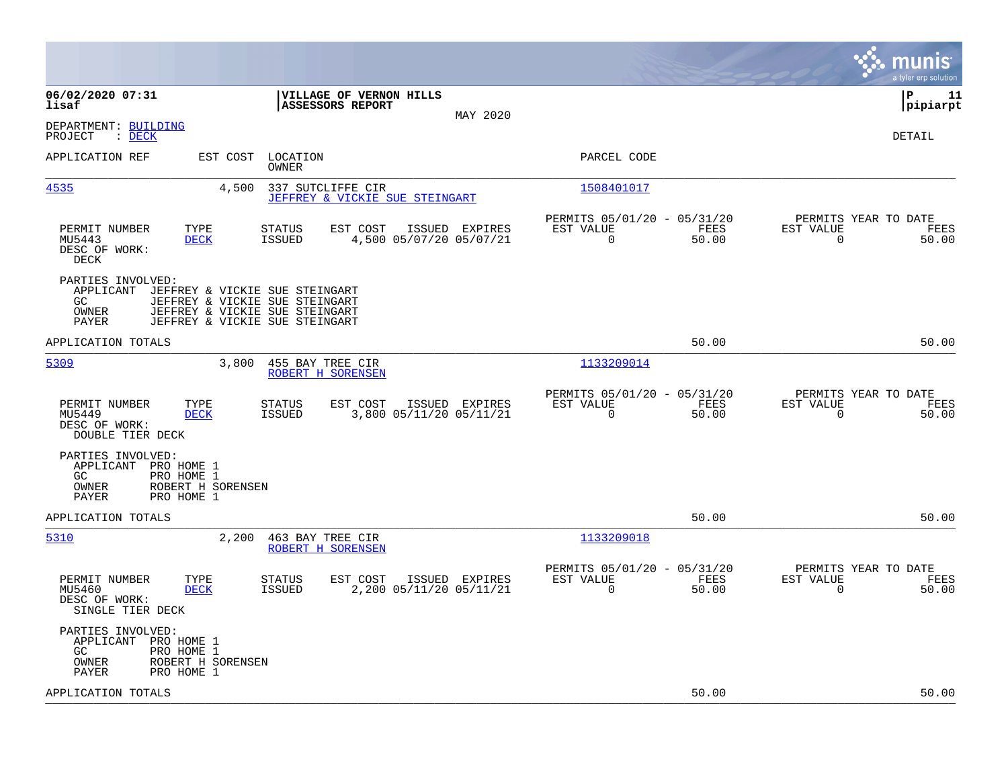|                                                                                                                                                                                                |                                                                       | munis<br>a tyler erp solution                                     |
|------------------------------------------------------------------------------------------------------------------------------------------------------------------------------------------------|-----------------------------------------------------------------------|-------------------------------------------------------------------|
| 06/02/2020 07:31<br>VILLAGE OF VERNON HILLS<br><b>ASSESSORS REPORT</b><br>lisaf<br>MAY 2020                                                                                                    |                                                                       | l P<br>11<br> pipiarpt                                            |
| DEPARTMENT: BUILDING<br>PROJECT<br>$\therefore$ DECK                                                                                                                                           |                                                                       | <b>DETAIL</b>                                                     |
| APPLICATION REF<br>EST COST LOCATION<br>OWNER                                                                                                                                                  | PARCEL CODE                                                           |                                                                   |
| 4535<br>4,500<br>337 SUTCLIFFE CIR<br>JEFFREY & VICKIE SUE STEINGART                                                                                                                           | 1508401017                                                            |                                                                   |
| PERMIT NUMBER<br>TYPE<br>EST COST<br>ISSUED EXPIRES<br>STATUS<br>MU5443<br><b>DECK</b><br><b>ISSUED</b><br>4,500 05/07/20 05/07/21<br>DESC OF WORK:<br>DECK                                    | PERMITS 05/01/20 - 05/31/20<br>EST VALUE<br>FEES<br>$\Omega$<br>50.00 | PERMITS YEAR TO DATE<br>EST VALUE<br>FEES<br>$\Omega$<br>50.00    |
| PARTIES INVOLVED:<br>APPLICANT<br>JEFFREY & VICKIE SUE STEINGART<br>JEFFREY & VICKIE SUE STEINGART<br>GC<br>OWNER<br>JEFFREY & VICKIE SUE STEINGART<br>PAYER<br>JEFFREY & VICKIE SUE STEINGART |                                                                       |                                                                   |
| APPLICATION TOTALS                                                                                                                                                                             | 50.00                                                                 | 50.00                                                             |
| 5309<br>3,800<br>455 BAY TREE CIR<br>ROBERT H SORENSEN                                                                                                                                         | 1133209014                                                            |                                                                   |
| EST COST<br>PERMIT NUMBER<br>TYPE<br><b>STATUS</b><br>ISSUED EXPIRES<br>MU5449<br><b>DECK</b><br>3,800 05/11/20 05/11/21<br>ISSUED<br>DESC OF WORK:<br>DOUBLE TIER DECK                        | PERMITS 05/01/20 - 05/31/20<br>EST VALUE<br>FEES<br>0<br>50.00        | PERMITS YEAR TO DATE<br>EST VALUE<br>FEES<br>$\mathbf 0$<br>50.00 |
| PARTIES INVOLVED:<br>APPLICANT PRO HOME 1<br>PRO HOME 1<br>GC.<br>ROBERT H SORENSEN<br>OWNER<br>PAYER<br>PRO HOME 1                                                                            |                                                                       |                                                                   |
| APPLICATION TOTALS                                                                                                                                                                             | 50.00                                                                 | 50.00                                                             |
| 5310<br>2,200<br>463 BAY TREE CIR<br>ROBERT H SORENSEN                                                                                                                                         | 1133209018                                                            |                                                                   |
| PERMIT NUMBER<br>TYPE<br><b>STATUS</b><br>EST COST<br>ISSUED EXPIRES<br>2,200 05/11/20 05/11/21<br>MU5460<br><b>DECK</b><br><b>ISSUED</b><br>DESC OF WORK:<br>SINGLE TIER DECK                 | PERMITS 05/01/20 - 05/31/20<br>EST VALUE<br>FEES<br>$\Omega$<br>50.00 | PERMITS YEAR TO DATE<br>EST VALUE<br>FEES<br>$\Omega$<br>50.00    |
| PARTIES INVOLVED:<br>APPLICANT PRO HOME 1<br>GC.<br>PRO HOME 1<br>ROBERT H SORENSEN<br>OWNER<br>PAYER<br>PRO HOME 1                                                                            |                                                                       |                                                                   |
| APPLICATION TOTALS                                                                                                                                                                             | 50.00                                                                 | 50.00                                                             |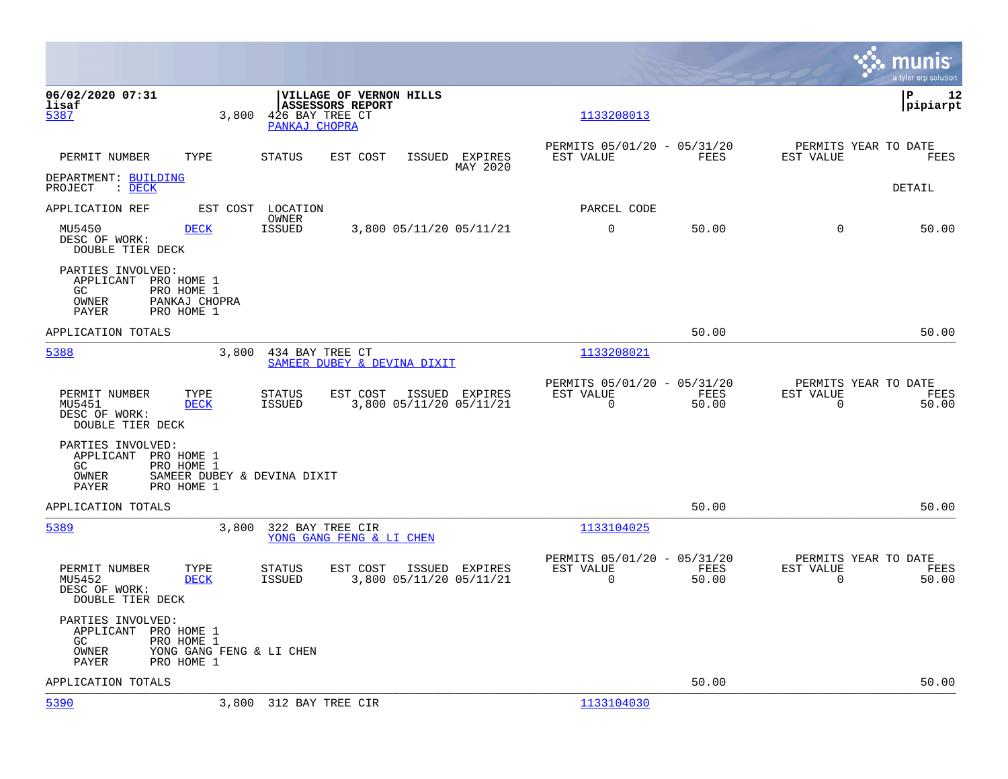|                                                                                                                |       |                                                                                        |                            |                                                          |               |                                               | munis<br>a tyler erp solution |
|----------------------------------------------------------------------------------------------------------------|-------|----------------------------------------------------------------------------------------|----------------------------|----------------------------------------------------------|---------------|-----------------------------------------------|-------------------------------|
| 06/02/2020 07:31<br>lisaf<br>5387                                                                              | 3,800 | <b>VILLAGE OF VERNON HILLS</b><br>ASSESSORS REPORT<br>426 BAY TREE CT<br>PANKAJ CHOPRA |                            | 1133208013                                               |               |                                               | lР<br>12<br> pipiarpt         |
| PERMIT NUMBER<br>TYPE                                                                                          |       | <b>STATUS</b><br>EST COST                                                              | ISSUED EXPIRES<br>MAY 2020 | PERMITS 05/01/20 - 05/31/20<br>EST VALUE                 | <b>FEES</b>   | PERMITS YEAR TO DATE<br>EST VALUE             | FEES                          |
| DEPARTMENT: BUILDING<br>PROJECT<br>$\mathcal{L}$ $\mathcal{L}$ $\mathcal{L}$ $\mathcal{L}$ $\mathcal{L}$       |       |                                                                                        |                            |                                                          |               |                                               | DETAIL                        |
| APPLICATION REF                                                                                                |       | EST COST LOCATION<br>OWNER                                                             |                            | PARCEL CODE                                              |               |                                               |                               |
| MU5450<br><b>DECK</b><br>DESC OF WORK:<br>DOUBLE TIER DECK                                                     |       | <b>ISSUED</b><br>3,800 05/11/20 05/11/21                                               |                            | 0                                                        | 50.00         | $\mathbf 0$                                   | 50.00                         |
| PARTIES INVOLVED:<br>APPLICANT PRO HOME 1<br>GC<br>PRO HOME 1<br>OWNER<br>PANKAJ CHOPRA<br>PRO HOME 1<br>PAYER |       |                                                                                        |                            |                                                          |               |                                               |                               |
| APPLICATION TOTALS                                                                                             |       |                                                                                        |                            |                                                          | 50.00         |                                               | 50.00                         |
| 5388                                                                                                           | 3,800 | 434 BAY TREE CT<br>SAMEER DUBEY & DEVINA DIXIT                                         |                            | 1133208021                                               |               |                                               |                               |
| PERMIT NUMBER<br>TYPE<br>MU5451<br><b>DECK</b><br>DESC OF WORK:<br>DOUBLE TIER DECK                            |       | EST COST<br><b>STATUS</b><br>ISSUED<br>3,800 05/11/20 05/11/21                         | ISSUED EXPIRES             | PERMITS 05/01/20 - 05/31/20<br>EST VALUE<br>$\mathsf{O}$ | FEES<br>50.00 | PERMITS YEAR TO DATE<br>EST VALUE<br>0        | FEES<br>50.00                 |
| PARTIES INVOLVED:<br>APPLICANT PRO HOME 1<br>GC.<br>PRO HOME 1<br>OWNER<br>PAYER<br>PRO HOME 1                 |       | SAMEER DUBEY & DEVINA DIXIT                                                            |                            |                                                          |               |                                               |                               |
| APPLICATION TOTALS                                                                                             |       |                                                                                        |                            |                                                          | 50.00         |                                               | 50.00                         |
| 5389                                                                                                           | 3,800 | 322 BAY TREE CIR<br>YONG GANG FENG & LI CHEN                                           |                            | 1133104025                                               |               |                                               |                               |
| PERMIT NUMBER<br>TYPE<br>MU5452<br><b>DECK</b><br>DESC OF WORK:<br>DOUBLE TIER DECK                            |       | EST COST<br><b>STATUS</b><br><b>ISSUED</b><br>3,800 05/11/20 05/11/21                  | ISSUED EXPIRES             | PERMITS 05/01/20 - 05/31/20<br>EST VALUE<br>$\Omega$     | FEES<br>50.00 | PERMITS YEAR TO DATE<br>EST VALUE<br>$\Omega$ | FEES<br>50.00                 |
| PARTIES INVOLVED:<br>APPLICANT PRO HOME 1<br>GC.<br>PRO HOME 1<br>OWNER<br>PAYER<br>PRO HOME 1                 |       | YONG GANG FENG & LI CHEN                                                               |                            |                                                          |               |                                               |                               |
| APPLICATION TOTALS                                                                                             |       |                                                                                        |                            |                                                          | 50.00         |                                               | 50.00                         |
| 5390                                                                                                           |       | 3,800 312 BAY TREE CIR                                                                 |                            | 1133104030                                               |               |                                               |                               |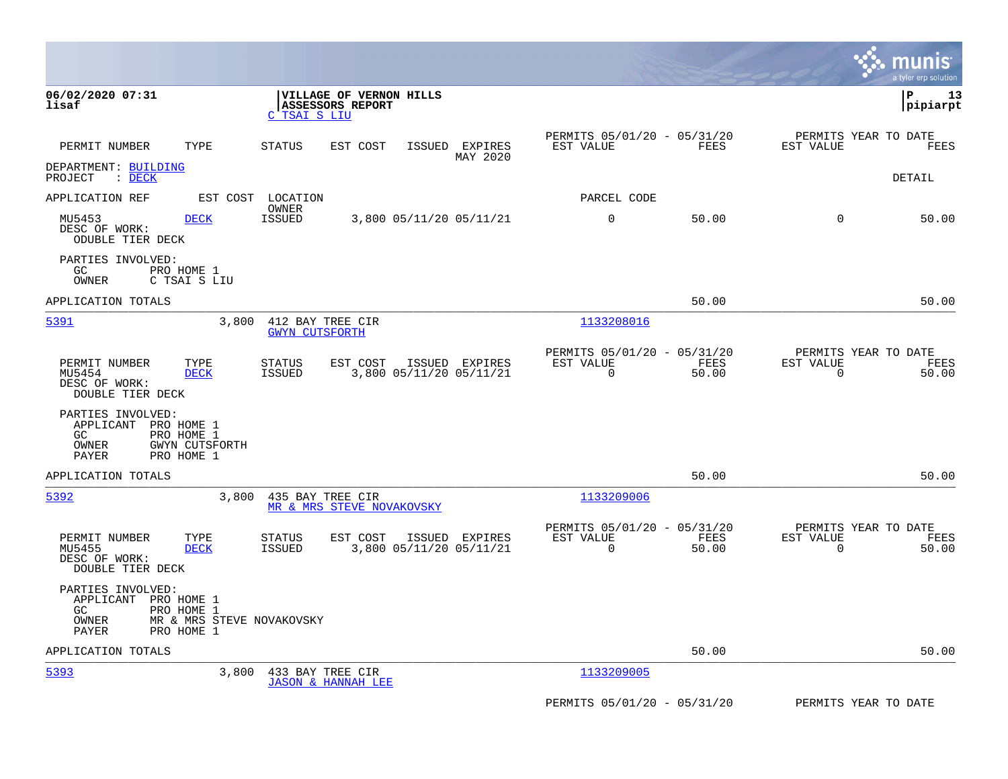|                                                                                                                                                                         |                                                                          | munis<br>a tyler erp solution                                     |
|-------------------------------------------------------------------------------------------------------------------------------------------------------------------------|--------------------------------------------------------------------------|-------------------------------------------------------------------|
| 06/02/2020 07:31<br>VILLAGE OF VERNON HILLS<br>lisaf<br><b>ASSESSORS REPORT</b><br>C TSAI S LIU                                                                         |                                                                          | l P<br>13<br> pipiarpt                                            |
| PERMIT NUMBER<br>TYPE<br>ISSUED EXPIRES<br><b>STATUS</b><br>EST COST<br>MAY 2020                                                                                        | PERMITS 05/01/20 - 05/31/20<br>EST VALUE<br>FEES                         | PERMITS YEAR TO DATE<br>EST VALUE<br>FEES                         |
| DEPARTMENT: BUILDING<br>PROJECT : DECK                                                                                                                                  |                                                                          | <b>DETAIL</b>                                                     |
| APPLICATION REF<br>EST COST LOCATION<br>OWNER                                                                                                                           | PARCEL CODE                                                              |                                                                   |
| <b>DECK</b><br><b>ISSUED</b><br>3,800 05/11/20 05/11/21<br>MU5453<br>DESC OF WORK:<br>ODUBLE TIER DECK                                                                  | 0<br>50.00                                                               | $\Omega$<br>50.00                                                 |
| PARTIES INVOLVED:<br>GC<br>PRO HOME 1<br>OWNER<br>C TSAI S LIU                                                                                                          |                                                                          |                                                                   |
| APPLICATION TOTALS                                                                                                                                                      | 50.00                                                                    | 50.00                                                             |
| 5391<br>3,800<br>412 BAY TREE CIR<br><b>GWYN CUTSFORTH</b>                                                                                                              | 1133208016                                                               |                                                                   |
| PERMIT NUMBER<br>TYPE<br><b>STATUS</b><br>EST COST<br>ISSUED EXPIRES<br>3,800 05/11/20 05/11/21<br>MU5454<br><b>DECK</b><br>ISSUED<br>DESC OF WORK:<br>DOUBLE TIER DECK | PERMITS 05/01/20 - 05/31/20<br>EST VALUE<br>FEES<br>$\mathbf 0$<br>50.00 | PERMITS YEAR TO DATE<br>EST VALUE<br>FEES<br>$\mathbf 0$<br>50.00 |
| PARTIES INVOLVED:<br>APPLICANT PRO HOME 1<br>GC<br>PRO HOME 1<br>OWNER<br><b>GWYN CUTSFORTH</b><br>PRO HOME 1<br>PAYER                                                  |                                                                          |                                                                   |
| APPLICATION TOTALS                                                                                                                                                      | 50.00                                                                    | 50.00                                                             |
| 5392<br>3,800<br>435 BAY TREE CIR<br>MR & MRS STEVE NOVAKOVSKY                                                                                                          | 1133209006                                                               |                                                                   |
| PERMIT NUMBER<br>TYPE<br><b>STATUS</b><br>EST COST<br>ISSUED EXPIRES<br>3,800 05/11/20 05/11/21<br>MU5455<br><b>DECK</b><br>ISSUED<br>DESC OF WORK:<br>DOUBLE TIER DECK | PERMITS 05/01/20 - 05/31/20<br>EST VALUE<br>FEES<br>$\mathbf 0$<br>50.00 | PERMITS YEAR TO DATE<br>EST VALUE<br>FEES<br>$\mathbf 0$<br>50.00 |
| PARTIES INVOLVED:<br>APPLICANT PRO HOME 1<br>GC<br>PRO HOME 1<br>MR & MRS STEVE NOVAKOVSKY<br>OWNER<br>PAYER<br>PRO HOME 1                                              |                                                                          |                                                                   |
| APPLICATION TOTALS                                                                                                                                                      | 50.00                                                                    | 50.00                                                             |
| 5393<br>3,800<br>433 BAY TREE CIR<br><b>JASON &amp; HANNAH LEE</b>                                                                                                      | 1133209005                                                               |                                                                   |
|                                                                                                                                                                         | PERMITS 05/01/20 - 05/31/20                                              | PERMITS YEAR TO DATE                                              |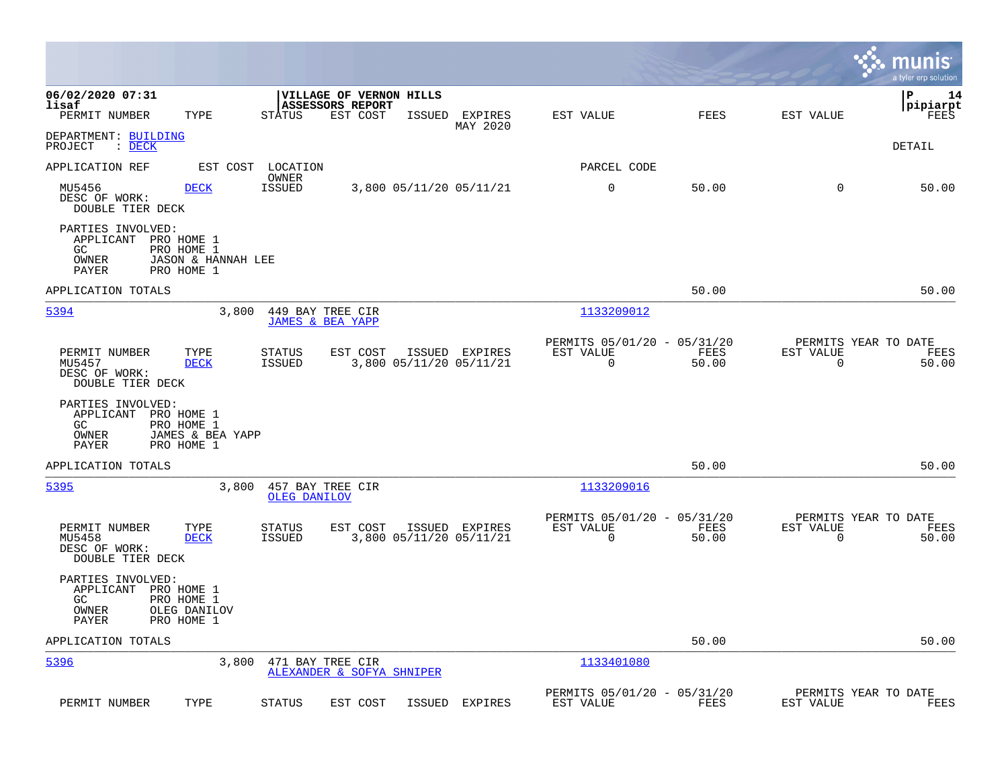|                                                              |                                                              |                         |                                                         |               |                                           |                                                         |               |                          | munis<br>a tyler erp solution         |
|--------------------------------------------------------------|--------------------------------------------------------------|-------------------------|---------------------------------------------------------|---------------|-------------------------------------------|---------------------------------------------------------|---------------|--------------------------|---------------------------------------|
| 06/02/2020 07:31<br>lisaf<br>PERMIT NUMBER                   | TYPE                                                         | <b>STATUS</b>           | VILLAGE OF VERNON HILLS<br>ASSESSORS REPORT<br>EST COST | <b>ISSUED</b> | EXPIRES                                   | EST VALUE                                               | FEES          | EST VALUE                | l P<br>14<br> pipiarpt<br>FEES        |
| DEPARTMENT: BUILDING<br>PROJECT<br>$\therefore$ DECK         |                                                              |                         |                                                         |               | MAY 2020                                  |                                                         |               |                          | DETAIL                                |
| APPLICATION REF                                              | EST COST                                                     | LOCATION                |                                                         |               |                                           | PARCEL CODE                                             |               |                          |                                       |
| MU5456<br>DESC OF WORK:<br><b>DOUBLE TIER DECK</b>           | <b>DECK</b>                                                  | OWNER<br><b>ISSUED</b>  |                                                         |               | 3,800 05/11/20 05/11/21                   | 0                                                       | 50.00         | 0                        | 50.00                                 |
| PARTIES INVOLVED:<br>APPLICANT<br>GC<br>OWNER<br>PAYER       | PRO HOME 1<br>PRO HOME 1<br>JASON & HANNAH LEE<br>PRO HOME 1 |                         |                                                         |               |                                           |                                                         |               |                          |                                       |
| APPLICATION TOTALS                                           |                                                              |                         |                                                         |               |                                           |                                                         | 50.00         |                          | 50.00                                 |
| 5394                                                         | 3,800                                                        |                         | 449 BAY TREE CIR<br><b>JAMES &amp; BEA YAPP</b>         |               |                                           | 1133209012                                              |               |                          |                                       |
| PERMIT NUMBER<br>MU5457<br>DESC OF WORK:<br>DOUBLE TIER DECK | TYPE<br>DECK                                                 | <b>STATUS</b><br>ISSUED | EST COST                                                |               | ISSUED EXPIRES<br>3,800 05/11/20 05/11/21 | PERMITS 05/01/20 - 05/31/20<br>EST VALUE<br>0           | FEES<br>50.00 | EST VALUE<br>$\mathbf 0$ | PERMITS YEAR TO DATE<br>FEES<br>50.00 |
| PARTIES INVOLVED:<br>APPLICANT<br>GC.<br>OWNER<br>PAYER      | PRO HOME 1<br>PRO HOME 1<br>JAMES & BEA YAPP<br>PRO HOME 1   |                         |                                                         |               |                                           |                                                         |               |                          |                                       |
| APPLICATION TOTALS                                           |                                                              |                         |                                                         |               |                                           |                                                         | 50.00         |                          | 50.00                                 |
| 5395                                                         | 3,800                                                        | OLEG DANILOV            | 457 BAY TREE CIR                                        |               |                                           | 1133209016                                              |               |                          |                                       |
| PERMIT NUMBER<br>MU5458<br>DESC OF WORK:<br>DOUBLE TIER DECK | TYPE<br><b>DECK</b>                                          | STATUS<br><b>ISSUED</b> | EST COST                                                |               | ISSUED EXPIRES<br>3,800 05/11/20 05/11/21 | PERMITS 05/01/20 - 05/31/20<br>EST VALUE<br>$\mathbf 0$ | FEES<br>50.00 | EST VALUE<br>0           | PERMITS YEAR TO DATE<br>FEES<br>50.00 |
| PARTIES INVOLVED:<br>APPLICANT<br>GC<br>OWNER<br>PAYER       | PRO HOME 1<br>PRO HOME 1<br>OLEG DANILOV<br>PRO HOME 1       |                         |                                                         |               |                                           |                                                         |               |                          |                                       |
| APPLICATION TOTALS                                           |                                                              |                         |                                                         |               |                                           |                                                         | 50.00         |                          | 50.00                                 |
| 5396                                                         | 3,800                                                        |                         | 471 BAY TREE CIR<br>ALEXANDER & SOFYA SHNIPER           |               |                                           | 1133401080                                              |               |                          |                                       |
| PERMIT NUMBER                                                | TYPE                                                         | STATUS                  | EST COST                                                |               | ISSUED EXPIRES                            | PERMITS 05/01/20 - 05/31/20<br>EST VALUE                | FEES          | EST VALUE                | PERMITS YEAR TO DATE<br>FEES          |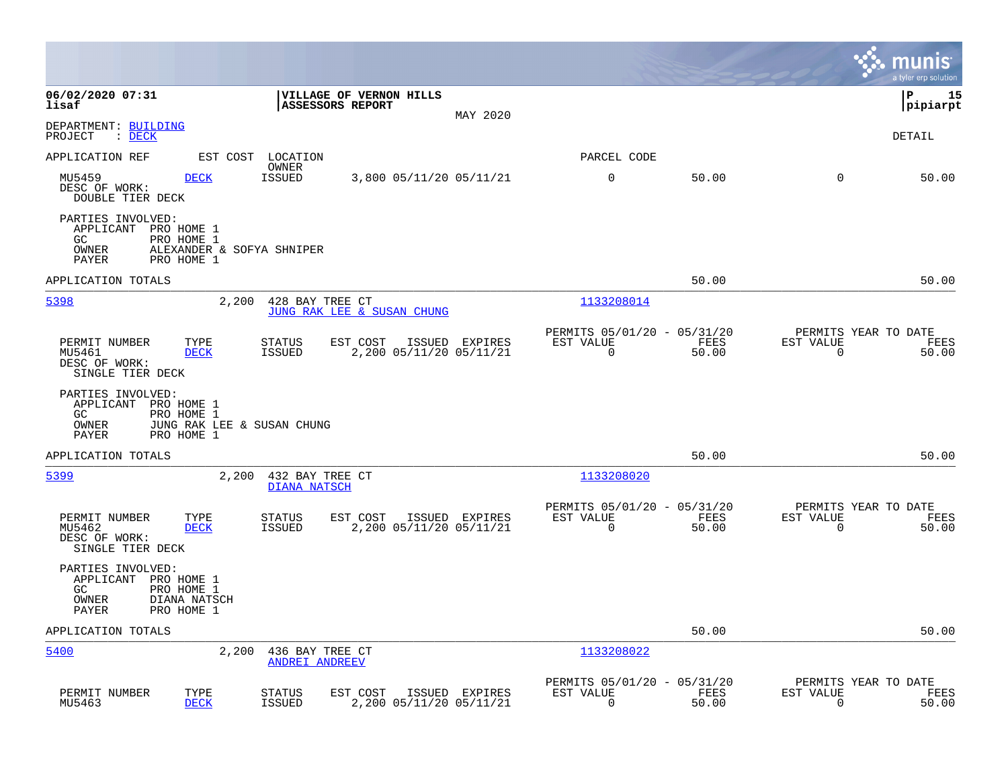|                                                                                                                                                                                |                                                                          | munis<br>a tyler erp solution                                     |
|--------------------------------------------------------------------------------------------------------------------------------------------------------------------------------|--------------------------------------------------------------------------|-------------------------------------------------------------------|
| 06/02/2020 07:31<br>VILLAGE OF VERNON HILLS<br>lisaf<br><b>ASSESSORS REPORT</b><br>MAY 2020                                                                                    |                                                                          | 15<br>∣P<br> pipiarpt                                             |
| DEPARTMENT: BUILDING<br>PROJECT<br>: <u>DECK</u>                                                                                                                               |                                                                          | DETAIL                                                            |
| APPLICATION REF<br>EST COST<br>LOCATION                                                                                                                                        | PARCEL CODE                                                              |                                                                   |
| OWNER<br>MU5459<br><b>DECK</b><br><b>ISSUED</b><br>3,800 05/11/20 05/11/21<br>DESC OF WORK:<br>DOUBLE TIER DECK                                                                | 0<br>50.00                                                               | $\mathbf 0$<br>50.00                                              |
| PARTIES INVOLVED:<br>APPLICANT PRO HOME 1<br>GC<br>PRO HOME 1<br>OWNER<br>ALEXANDER & SOFYA SHNIPER<br>PAYER<br>PRO HOME 1                                                     |                                                                          |                                                                   |
| APPLICATION TOTALS                                                                                                                                                             | 50.00                                                                    | 50.00                                                             |
| 5398<br>2,200<br>428 BAY TREE CT<br>JUNG RAK LEE & SUSAN CHUNG                                                                                                                 | 1133208014                                                               |                                                                   |
| PERMIT NUMBER<br>TYPE<br><b>STATUS</b><br>EST COST<br>ISSUED EXPIRES<br>MU5461<br><b>ISSUED</b><br>2,200 05/11/20 05/11/21<br><b>DECK</b><br>DESC OF WORK:<br>SINGLE TIER DECK | PERMITS 05/01/20 - 05/31/20<br>EST VALUE<br>FEES<br>$\mathbf 0$<br>50.00 | PERMITS YEAR TO DATE<br>EST VALUE<br>FEES<br>$\mathbf 0$<br>50.00 |
| PARTIES INVOLVED:<br>APPLICANT PRO HOME 1<br>GC<br>PRO HOME 1<br>OWNER<br>JUNG RAK LEE & SUSAN CHUNG<br>PAYER<br>PRO HOME 1                                                    |                                                                          |                                                                   |
| APPLICATION TOTALS                                                                                                                                                             | 50.00                                                                    | 50.00                                                             |
| <u>5399</u><br>2,200<br>432 BAY TREE CT<br><b>DIANA NATSCH</b>                                                                                                                 | 1133208020                                                               |                                                                   |
| PERMIT NUMBER<br>TYPE<br><b>STATUS</b><br>EST COST<br>ISSUED EXPIRES<br>2,200 05/11/20 05/11/21<br>MU5462<br><b>DECK</b><br><b>ISSUED</b><br>DESC OF WORK:<br>SINGLE TIER DECK | PERMITS 05/01/20 - 05/31/20<br>EST VALUE<br>FEES<br>$\Omega$<br>50.00    | PERMITS YEAR TO DATE<br>EST VALUE<br>FEES<br>$\Omega$<br>50.00    |
| PARTIES INVOLVED:<br>APPLICANT<br>PRO HOME 1<br>GC.<br>PRO HOME 1<br>OWNER<br>DIANA NATSCH<br>PAYER<br>PRO HOME 1                                                              |                                                                          |                                                                   |
| APPLICATION TOTALS                                                                                                                                                             | 50.00                                                                    | 50.00                                                             |
| 5400<br>2,200<br>436 BAY TREE CT<br><b>ANDREI ANDREEV</b>                                                                                                                      | 1133208022                                                               |                                                                   |
| PERMIT NUMBER<br>TYPE<br>EST COST<br>STATUS<br>ISSUED EXPIRES<br>2,200 05/11/20 05/11/21<br>MU5463<br><b>DECK</b><br><b>ISSUED</b>                                             | PERMITS 05/01/20 - 05/31/20<br>EST VALUE<br>FEES<br>$\Omega$<br>50.00    | PERMITS YEAR TO DATE<br>EST VALUE<br>FEES<br>50.00<br>0           |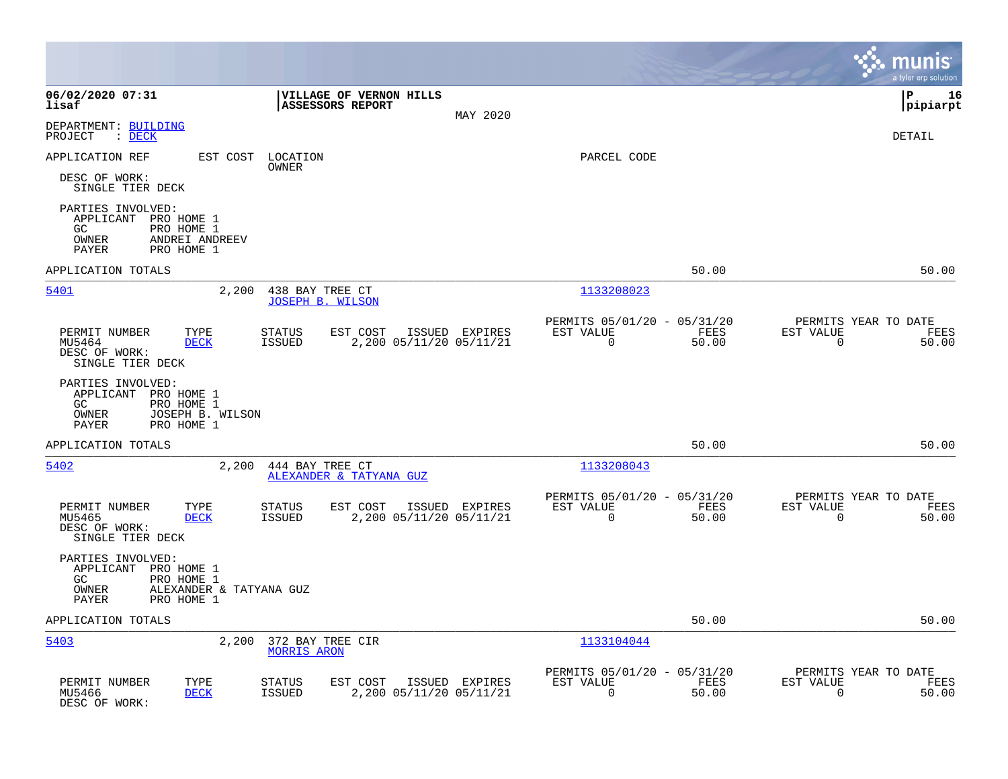|                                                                                                                          |                                                                                         |                                                         |                                           | munis<br>a tyler erp solution         |
|--------------------------------------------------------------------------------------------------------------------------|-----------------------------------------------------------------------------------------|---------------------------------------------------------|-------------------------------------------|---------------------------------------|
| 06/02/2020 07:31<br>lisaf                                                                                                | VILLAGE OF VERNON HILLS<br>ASSESSORS REPORT                                             | MAY 2020                                                |                                           | l P<br>16<br> pipiarpt                |
| DEPARTMENT: BUILDING<br>PROJECT<br>$\therefore$ DECK                                                                     |                                                                                         |                                                         |                                           | DETAIL                                |
| APPLICATION REF<br>EST COST                                                                                              | LOCATION<br>OWNER                                                                       | PARCEL CODE                                             |                                           |                                       |
| DESC OF WORK:<br>SINGLE TIER DECK                                                                                        |                                                                                         |                                                         |                                           |                                       |
| PARTIES INVOLVED:<br>APPLICANT PRO HOME 1<br>PRO HOME 1<br>GC<br>OWNER<br>ANDREI ANDREEV<br>PAYER<br>PRO HOME 1          |                                                                                         |                                                         |                                           |                                       |
| APPLICATION TOTALS                                                                                                       |                                                                                         |                                                         | 50.00                                     | 50.00                                 |
| 5401<br>2,200                                                                                                            | 438 BAY TREE CT<br><b>JOSEPH B. WILSON</b>                                              | 1133208023                                              |                                           |                                       |
| PERMIT NUMBER<br>TYPE<br>MU5464<br><b>DECK</b><br>DESC OF WORK:<br>SINGLE TIER DECK                                      | <b>STATUS</b><br>EST COST<br>ISSUED EXPIRES<br><b>ISSUED</b><br>2,200 05/11/20 05/11/21 | PERMITS 05/01/20 - 05/31/20<br>EST VALUE<br>$\Omega$    | FEES<br>EST VALUE<br>50.00<br>$\Omega$    | PERMITS YEAR TO DATE<br>FEES<br>50.00 |
| PARTIES INVOLVED:<br>APPLICANT<br>PRO HOME 1<br>PRO HOME 1<br>GC<br>OWNER<br>JOSEPH B. WILSON<br>PAYER<br>PRO HOME 1     |                                                                                         |                                                         |                                           |                                       |
| APPLICATION TOTALS                                                                                                       |                                                                                         |                                                         | 50.00                                     | 50.00                                 |
| 5402<br>2,200                                                                                                            | 444 BAY TREE CT<br>ALEXANDER & TATYANA GUZ                                              | 1133208043                                              |                                           |                                       |
| PERMIT NUMBER<br>TYPE<br>MU5465<br><b>DECK</b><br>DESC OF WORK:<br>SINGLE TIER DECK                                      | <b>STATUS</b><br>EST COST<br>ISSUED EXPIRES<br><b>ISSUED</b><br>2,200 05/11/20 05/11/21 | PERMITS 05/01/20 - 05/31/20<br>EST VALUE<br>$\mathbf 0$ | FEES<br>EST VALUE<br>50.00<br>$\mathbf 0$ | PERMITS YEAR TO DATE<br>FEES<br>50.00 |
| PARTIES INVOLVED:<br>APPLICANT PRO HOME 1<br>GC<br>PRO HOME 1<br>ALEXANDER & TATYANA GUZ<br>OWNER<br>PRO HOME 1<br>PAYER |                                                                                         |                                                         |                                           |                                       |
| APPLICATION TOTALS                                                                                                       |                                                                                         |                                                         | 50.00                                     | 50.00                                 |
| 5403<br>2,200                                                                                                            | 372 BAY TREE CIR<br><b>MORRIS ARON</b>                                                  | 1133104044                                              |                                           |                                       |
| PERMIT NUMBER<br>TYPE<br><b>DECK</b><br>MU5466<br>DESC OF WORK:                                                          | <b>STATUS</b><br>EST COST<br>ISSUED EXPIRES<br><b>ISSUED</b><br>2,200 05/11/20 05/11/21 | PERMITS 05/01/20 - 05/31/20<br>EST VALUE<br>$\mathbf 0$ | EST VALUE<br>FEES<br>$\mathbf 0$<br>50.00 | PERMITS YEAR TO DATE<br>FEES<br>50.00 |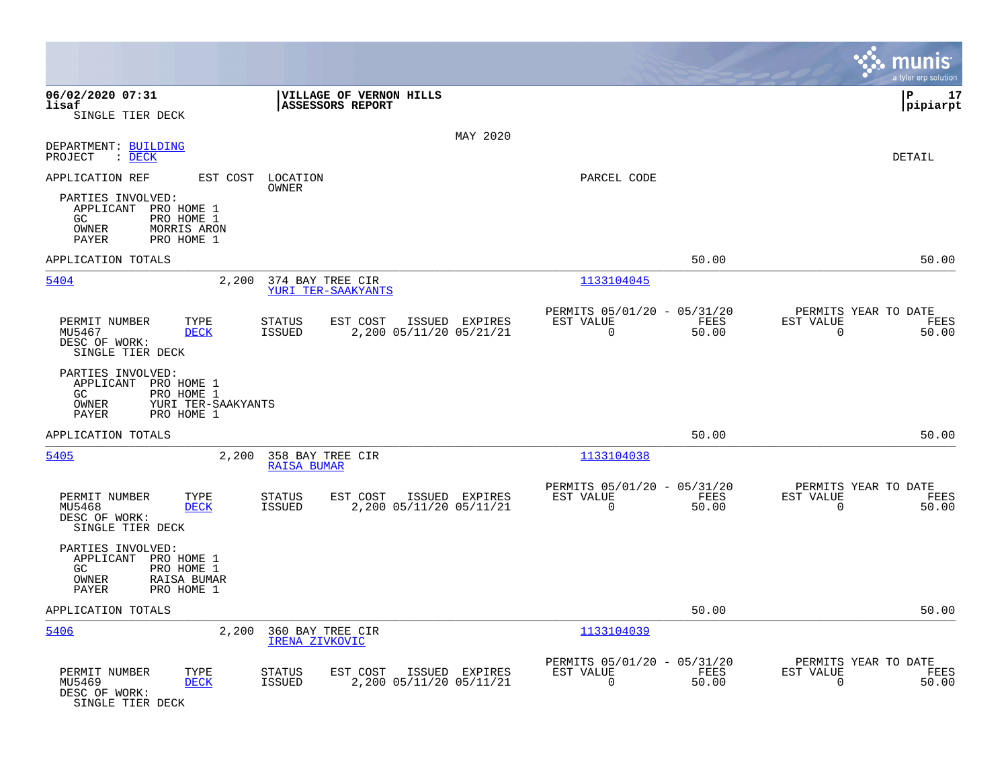|                                                                                                                      |                                                                                         |                                                                          | munis<br>a tyler erp solution                                     |
|----------------------------------------------------------------------------------------------------------------------|-----------------------------------------------------------------------------------------|--------------------------------------------------------------------------|-------------------------------------------------------------------|
| 06/02/2020 07:31<br>lisaf                                                                                            | VILLAGE OF VERNON HILLS<br><b>ASSESSORS REPORT</b>                                      |                                                                          | l P<br>17<br> pipiarpt                                            |
| SINGLE TIER DECK                                                                                                     |                                                                                         |                                                                          |                                                                   |
| DEPARTMENT: BUILDING<br>PROJECT<br>: DECK                                                                            | MAY 2020                                                                                |                                                                          | <b>DETAIL</b>                                                     |
| APPLICATION REF<br>EST COST                                                                                          | LOCATION                                                                                | PARCEL CODE                                                              |                                                                   |
| PARTIES INVOLVED:<br>APPLICANT PRO HOME 1<br>GC.<br>PRO HOME 1<br>OWNER<br>MORRIS ARON<br>PRO HOME 1<br>PAYER        | OWNER                                                                                   |                                                                          |                                                                   |
| APPLICATION TOTALS                                                                                                   |                                                                                         | 50.00                                                                    | 50.00                                                             |
| 5404<br>2,200                                                                                                        | 374 BAY TREE CIR<br>YURI TER-SAAKYANTS                                                  | 1133104045                                                               |                                                                   |
| TYPE<br>PERMIT NUMBER<br>MU5467<br><b>DECK</b><br>DESC OF WORK:<br>SINGLE TIER DECK                                  | EST COST<br>STATUS<br>ISSUED EXPIRES<br>ISSUED<br>2,200 05/11/20 05/21/21               | PERMITS 05/01/20 - 05/31/20<br>EST VALUE<br>FEES<br>0<br>50.00           | PERMITS YEAR TO DATE<br>EST VALUE<br>FEES<br>0<br>50.00           |
| PARTIES INVOLVED:<br>APPLICANT PRO HOME 1<br>GC.<br>PRO HOME 1<br>OWNER<br>YURI TER-SAAKYANTS<br>PAYER<br>PRO HOME 1 |                                                                                         |                                                                          |                                                                   |
| APPLICATION TOTALS                                                                                                   |                                                                                         | 50.00                                                                    | 50.00                                                             |
| 5405<br>2,200                                                                                                        | 358 BAY TREE CIR<br><b>RAISA BUMAR</b>                                                  | 1133104038                                                               |                                                                   |
| PERMIT NUMBER<br>TYPE<br>MU5468<br><b>DECK</b><br>DESC OF WORK:<br>SINGLE TIER DECK                                  | EST COST<br><b>STATUS</b><br>ISSUED EXPIRES<br>2,200 05/11/20 05/11/21<br>ISSUED        | PERMITS 05/01/20 - 05/31/20<br>EST VALUE<br>FEES<br>0<br>50.00           | PERMITS YEAR TO DATE<br>EST VALUE<br>FEES<br>$\mathbf 0$<br>50.00 |
| PARTIES INVOLVED:<br>APPLICANT PRO HOME 1<br>GC<br>PRO HOME 1<br>RAISA BUMAR<br>OWNER<br>PAYER<br>PRO HOME 1         |                                                                                         |                                                                          |                                                                   |
| APPLICATION TOTALS                                                                                                   |                                                                                         | 50.00                                                                    | 50.00                                                             |
| 5406<br>2,200                                                                                                        | 360 BAY TREE CIR<br>IRENA ZIVKOVIC                                                      | 1133104039                                                               |                                                                   |
| PERMIT NUMBER<br>TYPE<br>MU5469<br><b>DECK</b><br>DESC OF WORK:<br>SINGLE TIER DECK                                  | <b>STATUS</b><br>EST COST<br>ISSUED EXPIRES<br>2,200 05/11/20 05/11/21<br><b>ISSUED</b> | PERMITS 05/01/20 - 05/31/20<br>EST VALUE<br>FEES<br>$\mathbf 0$<br>50.00 | PERMITS YEAR TO DATE<br>EST VALUE<br>FEES<br>$\mathbf 0$<br>50.00 |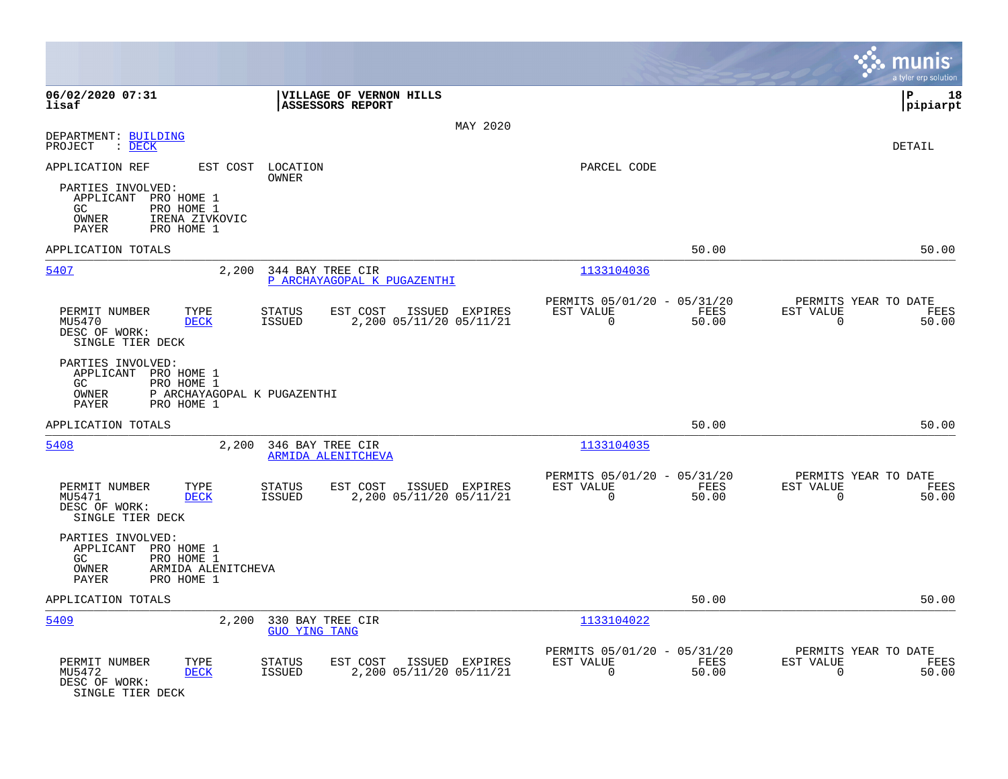|                                                                                                                      |                                                                                         |                                                                          | a tyler erp solution                                              |
|----------------------------------------------------------------------------------------------------------------------|-----------------------------------------------------------------------------------------|--------------------------------------------------------------------------|-------------------------------------------------------------------|
| 06/02/2020 07:31<br>lisaf                                                                                            | VILLAGE OF VERNON HILLS<br>ASSESSORS REPORT                                             |                                                                          | l P<br>18<br> pipiarpt                                            |
|                                                                                                                      | MAY 2020                                                                                |                                                                          |                                                                   |
| DEPARTMENT: BUILDING<br>PROJECT<br>: DECK                                                                            |                                                                                         |                                                                          | <b>DETAIL</b>                                                     |
| APPLICATION REF                                                                                                      | EST COST LOCATION<br><b>OWNER</b>                                                       | PARCEL CODE                                                              |                                                                   |
| PARTIES INVOLVED:<br>APPLICANT PRO HOME 1<br>GC.<br>PRO HOME 1<br>OWNER<br>IRENA ZIVKOVIC<br>PAYER<br>PRO HOME 1     |                                                                                         |                                                                          |                                                                   |
| APPLICATION TOTALS                                                                                                   |                                                                                         | 50.00                                                                    | 50.00                                                             |
| 5407<br>2,200                                                                                                        | 344 BAY TREE CIR<br>P ARCHAYAGOPAL K PUGAZENTHI                                         | 1133104036                                                               |                                                                   |
| PERMIT NUMBER<br>TYPE<br>MU5470<br><b>DECK</b><br>DESC OF WORK:<br>SINGLE TIER DECK                                  | <b>STATUS</b><br>EST COST<br>ISSUED EXPIRES<br><b>ISSUED</b><br>2,200 05/11/20 05/11/21 | PERMITS 05/01/20 - 05/31/20<br>EST VALUE<br>FEES<br>$\Omega$<br>50.00    | PERMITS YEAR TO DATE<br>EST VALUE<br>FEES<br>$\mathbf 0$<br>50.00 |
| PARTIES INVOLVED:<br>APPLICANT PRO HOME 1<br>GC.<br>PRO HOME 1<br>OWNER<br>PAYER<br>PRO HOME 1                       | P ARCHAYAGOPAL K PUGAZENTHI                                                             |                                                                          |                                                                   |
| APPLICATION TOTALS                                                                                                   |                                                                                         | 50.00                                                                    | 50.00                                                             |
| 5408<br>2,200                                                                                                        | 346 BAY TREE CIR<br><b>ARMIDA ALENITCHEVA</b>                                           | 1133104035                                                               |                                                                   |
| PERMIT NUMBER<br>TYPE<br>MU5471<br><b>DECK</b><br>DESC OF WORK:<br>SINGLE TIER DECK                                  | EST COST<br><b>STATUS</b><br>ISSUED EXPIRES<br><b>ISSUED</b><br>2,200 05/11/20 05/11/21 | PERMITS 05/01/20 - 05/31/20<br>EST VALUE<br>FEES<br>$\mathbf 0$<br>50.00 | PERMITS YEAR TO DATE<br>EST VALUE<br>FEES<br>50.00<br>$\mathbf 0$ |
| PARTIES INVOLVED:<br>APPLICANT PRO HOME 1<br>PRO HOME 1<br>GC.<br>OWNER<br>ARMIDA ALENITCHEVA<br>PAYER<br>PRO HOME 1 |                                                                                         |                                                                          |                                                                   |
| APPLICATION TOTALS                                                                                                   |                                                                                         | 50.00                                                                    | 50.00                                                             |
| 5409<br>2,200                                                                                                        | 330 BAY TREE CIR<br><b>GUO YING TANG</b>                                                | 1133104022                                                               |                                                                   |
| PERMIT NUMBER<br>TYPE<br>MU5472<br><b>DECK</b><br>DESC OF WORK:<br>SINGLE TIER DECK                                  | <b>STATUS</b><br>EST COST<br>ISSUED EXPIRES<br>2,200 05/11/20 05/11/21<br><b>ISSUED</b> | PERMITS 05/01/20 - 05/31/20<br>EST VALUE<br>FEES<br>$\mathbf 0$<br>50.00 | PERMITS YEAR TO DATE<br>EST VALUE<br>FEES<br>50.00<br>$\mathbf 0$ |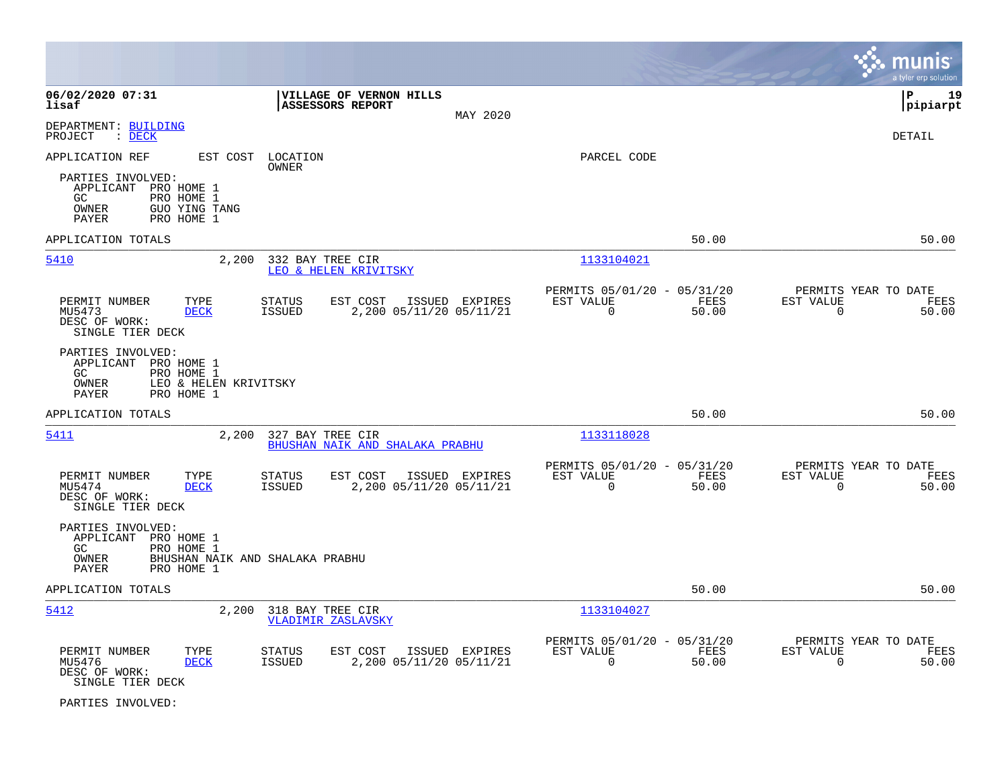|                                                                                                                                     |                                                                                         |                                                                          | munis<br>a tyler erp solution                                     |
|-------------------------------------------------------------------------------------------------------------------------------------|-----------------------------------------------------------------------------------------|--------------------------------------------------------------------------|-------------------------------------------------------------------|
| 06/02/2020 07:31<br>lisaf                                                                                                           | VILLAGE OF VERNON HILLS<br><b>ASSESSORS REPORT</b><br>MAY 2020                          |                                                                          | l P<br>19<br> pipiarpt                                            |
| DEPARTMENT: BUILDING<br>PROJECT<br>$:$ DECK                                                                                         |                                                                                         |                                                                          | <b>DETAIL</b>                                                     |
| APPLICATION REF                                                                                                                     | EST COST LOCATION<br>OWNER                                                              | PARCEL CODE                                                              |                                                                   |
| PARTIES INVOLVED:<br>APPLICANT<br>PRO HOME 1<br>GC.<br>PRO HOME 1<br>OWNER<br>GUO YING TANG<br>PRO HOME 1<br>PAYER                  |                                                                                         |                                                                          |                                                                   |
| APPLICATION TOTALS                                                                                                                  |                                                                                         | 50.00                                                                    | 50.00                                                             |
| 5410<br>2,200                                                                                                                       | 332 BAY TREE CIR<br>LEO & HELEN KRIVITSKY                                               | 1133104021                                                               |                                                                   |
| PERMIT NUMBER<br>TYPE<br>MU5473<br><b>DECK</b><br>DESC OF WORK:<br>SINGLE TIER DECK                                                 | <b>STATUS</b><br>EST COST<br>ISSUED EXPIRES<br>2,200 05/11/20 05/11/21<br><b>ISSUED</b> | PERMITS 05/01/20 - 05/31/20<br>EST VALUE<br>FEES<br>$\mathbf 0$<br>50.00 | PERMITS YEAR TO DATE<br>EST VALUE<br>FEES<br>$\mathbf 0$<br>50.00 |
| PARTIES INVOLVED:<br>APPLICANT<br>PRO HOME 1<br>GC<br>PRO HOME 1<br>LEO & HELEN KRIVITSKY<br>OWNER<br>PAYER<br>PRO HOME 1           |                                                                                         |                                                                          |                                                                   |
| APPLICATION TOTALS                                                                                                                  |                                                                                         | 50.00                                                                    | 50.00                                                             |
| 5411<br>2,200                                                                                                                       | 327 BAY TREE CIR<br>BHUSHAN NAIK AND SHALAKA PRABHU                                     | 1133118028                                                               |                                                                   |
| PERMIT NUMBER<br>TYPE<br>MU5474<br><b>DECK</b><br>DESC OF WORK:<br>SINGLE TIER DECK                                                 | <b>STATUS</b><br>EST COST<br>ISSUED EXPIRES<br>2,200 05/11/20 05/11/21<br><b>ISSUED</b> | PERMITS 05/01/20 - 05/31/20<br>EST VALUE<br>FEES<br>$\mathbf 0$<br>50.00 | PERMITS YEAR TO DATE<br>EST VALUE<br>FEES<br>$\mathbf 0$<br>50.00 |
| PARTIES INVOLVED:<br>APPLICANT<br>PRO HOME 1<br>PRO HOME 1<br>GC<br>OWNER<br>BHUSHAN NAIK AND SHALAKA PRABHU<br>PAYER<br>PRO HOME 1 |                                                                                         |                                                                          |                                                                   |
| APPLICATION TOTALS                                                                                                                  |                                                                                         | 50.00                                                                    | 50.00                                                             |
| 2,200<br>5412                                                                                                                       | 318 BAY TREE CIR<br><b>VLADIMIR ZASLAVSKY</b>                                           | 1133104027                                                               |                                                                   |
| PERMIT NUMBER<br>TYPE<br>MU5476<br><b>DECK</b><br>DESC OF WORK:<br>SINGLE TIER DECK                                                 | <b>STATUS</b><br>EST COST<br>ISSUED EXPIRES<br>2,200 05/11/20 05/11/21<br><b>ISSUED</b> | PERMITS 05/01/20 - 05/31/20<br>EST VALUE<br>FEES<br>$\Omega$<br>50.00    | PERMITS YEAR TO DATE<br>EST VALUE<br>FEES<br>$\Omega$<br>50.00    |

PARTIES INVOLVED: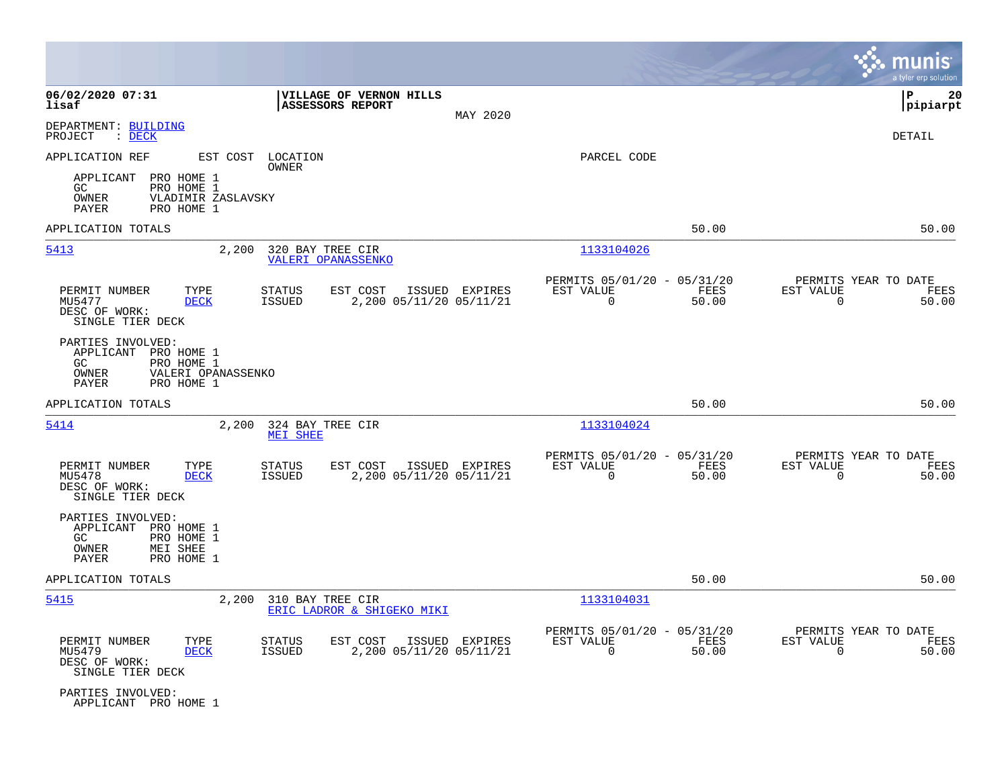|                                                                                                                                   |                                                                                         |                                                                             | munis<br>a tyler erp solution                                     |
|-----------------------------------------------------------------------------------------------------------------------------------|-----------------------------------------------------------------------------------------|-----------------------------------------------------------------------------|-------------------------------------------------------------------|
| 06/02/2020 07:31<br>lisaf                                                                                                         | VILLAGE OF VERNON HILLS<br><b>ASSESSORS REPORT</b><br>MAY 2020                          |                                                                             | lР<br>20<br> pipiarpt                                             |
| DEPARTMENT: BUILDING<br>PROJECT<br>$\therefore$ DECK                                                                              |                                                                                         |                                                                             | <b>DETAIL</b>                                                     |
| APPLICATION REF<br>EST COST<br>APPLICANT<br>PRO HOME 1<br>PRO HOME 1<br>GC.<br>OWNER<br>VLADIMIR ZASLAVSKY<br>PAYER<br>PRO HOME 1 | LOCATION<br>OWNER                                                                       | PARCEL CODE                                                                 |                                                                   |
| APPLICATION TOTALS                                                                                                                |                                                                                         | 50.00                                                                       | 50.00                                                             |
| 5413<br>2,200                                                                                                                     | 320 BAY TREE CIR<br><b>VALERI OPANASSENKO</b>                                           | 1133104026                                                                  |                                                                   |
| PERMIT NUMBER<br>TYPE<br>MU5477<br><b>DECK</b><br>DESC OF WORK:<br>SINGLE TIER DECK                                               | ISSUED EXPIRES<br><b>STATUS</b><br>EST COST<br><b>ISSUED</b><br>2,200 05/11/20 05/11/21 | PERMITS 05/01/20 - 05/31/20<br>FEES<br>EST VALUE<br>$\mathbf 0$<br>50.00    | PERMITS YEAR TO DATE<br>EST VALUE<br>FEES<br>$\mathbf 0$<br>50.00 |
| PARTIES INVOLVED:<br>APPLICANT PRO HOME 1<br>GC<br>PRO HOME 1<br>OWNER<br>VALERI OPANASSENKO<br>PAYER<br>PRO HOME 1               |                                                                                         |                                                                             |                                                                   |
| APPLICATION TOTALS                                                                                                                |                                                                                         | 50.00                                                                       | 50.00                                                             |
| 5414<br>2,200                                                                                                                     | 324 BAY TREE CIR<br><b>MEI SHEE</b>                                                     | 1133104024                                                                  |                                                                   |
| PERMIT NUMBER<br>TYPE<br><b>DECK</b><br>MU5478<br>DESC OF WORK:<br>SINGLE TIER DECK                                               | EST COST<br>ISSUED EXPIRES<br>STATUS<br><b>ISSUED</b><br>2,200 05/11/20 05/11/21        | PERMITS 05/01/20 - 05/31/20<br>EST VALUE<br>FEES<br>$\mathbf 0$<br>50.00    | PERMITS YEAR TO DATE<br>EST VALUE<br>FEES<br>50.00<br>$\mathbf 0$ |
| PARTIES INVOLVED:<br>APPLICANT<br>PRO HOME 1<br>GC<br>PRO HOME 1<br>OWNER<br>MEI SHEE<br>PAYER<br>PRO HOME 1                      |                                                                                         |                                                                             |                                                                   |
| APPLICATION TOTALS                                                                                                                |                                                                                         | 50.00                                                                       | 50.00                                                             |
| 5415<br>2,200                                                                                                                     | 310 BAY TREE CIR<br>ERIC LADROR & SHIGEKO MIKI                                          | 1133104031                                                                  |                                                                   |
| PERMIT NUMBER<br>TYPE<br>MU5479<br><b>DECK</b><br>DESC OF WORK:<br>SINGLE TIER DECK                                               | EST COST<br>STATUS<br>ISSUED EXPIRES<br><b>ISSUED</b><br>2,200 05/11/20 05/11/21        | PERMITS 05/01/20 - 05/31/20<br>EST VALUE<br>FEES<br>$\overline{0}$<br>50.00 | PERMITS YEAR TO DATE<br>EST VALUE<br>FEES<br>$\mathbf 0$<br>50.00 |
| PARTIES INVOLVED:<br>APPLICANT PRO HOME 1                                                                                         |                                                                                         |                                                                             |                                                                   |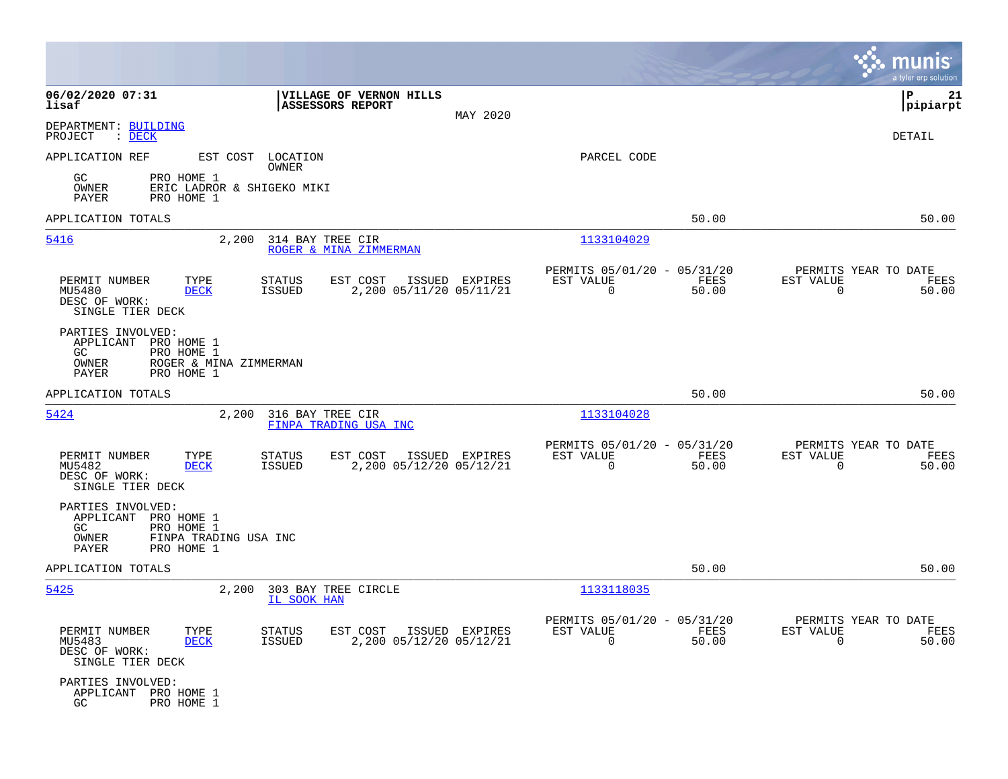|                                                              |                                                                  |                                             |                                                    |                |                                                         |               |                                                  | munis<br>a tyler erp solution |
|--------------------------------------------------------------|------------------------------------------------------------------|---------------------------------------------|----------------------------------------------------|----------------|---------------------------------------------------------|---------------|--------------------------------------------------|-------------------------------|
| 06/02/2020 07:31<br>lisaf                                    |                                                                  | VILLAGE OF VERNON HILLS<br>ASSESSORS REPORT |                                                    | MAY 2020       |                                                         |               |                                                  | P<br>21<br> pipiarpt          |
| DEPARTMENT: BUILDING<br>PROJECT<br>: DECK                    |                                                                  |                                             |                                                    |                |                                                         |               |                                                  | DETAIL                        |
| APPLICATION REF                                              | EST COST LOCATION                                                | OWNER                                       |                                                    |                | PARCEL CODE                                             |               |                                                  |                               |
| GC.<br>OWNER<br>PAYER                                        | PRO HOME 1<br>ERIC LADROR & SHIGEKO MIKI<br>PRO HOME 1           |                                             |                                                    |                |                                                         |               |                                                  |                               |
| APPLICATION TOTALS                                           |                                                                  |                                             |                                                    |                |                                                         | 50.00         |                                                  | 50.00                         |
| 5416                                                         | 2,200                                                            | 314 BAY TREE CIR<br>ROGER & MINA ZIMMERMAN  |                                                    |                | 1133104029                                              |               |                                                  |                               |
| PERMIT NUMBER<br>MU5480<br>DESC OF WORK:<br>SINGLE TIER DECK | TYPE<br><b>DECK</b>                                              | EST COST<br>STATUS<br>ISSUED                | 2,200 05/11/20 05/11/21                            | ISSUED EXPIRES | PERMITS 05/01/20 - 05/31/20<br>EST VALUE<br>0           | FEES<br>50.00 | PERMITS YEAR TO DATE<br>EST VALUE<br>$\mathbf 0$ | FEES<br>50.00                 |
| PARTIES INVOLVED:<br>APPLICANT<br>GC.<br>OWNER<br>PAYER      | PRO HOME 1<br>PRO HOME 1<br>ROGER & MINA ZIMMERMAN<br>PRO HOME 1 |                                             |                                                    |                |                                                         |               |                                                  |                               |
| APPLICATION TOTALS                                           |                                                                  |                                             |                                                    |                |                                                         | 50.00         |                                                  | 50.00                         |
| 5424                                                         | 2,200                                                            | 316 BAY TREE CIR<br>FINPA TRADING USA INC   |                                                    |                | 1133104028                                              |               |                                                  |                               |
| PERMIT NUMBER<br>MU5482<br>DESC OF WORK:<br>SINGLE TIER DECK | TYPE<br><b>DECK</b>                                              | EST COST<br>STATUS<br>ISSUED                | 2,200 05/12/20 05/12/21                            | ISSUED EXPIRES | PERMITS 05/01/20 - 05/31/20<br>EST VALUE<br>$\mathbf 0$ | FEES<br>50.00 | PERMITS YEAR TO DATE<br>EST VALUE<br>$\mathbf 0$ | FEES<br>50.00                 |
| PARTIES INVOLVED:<br>APPLICANT<br>GC.<br>OWNER<br>PAYER      | PRO HOME 1<br>PRO HOME 1<br>FINPA TRADING USA INC<br>PRO HOME 1  |                                             |                                                    |                |                                                         |               |                                                  |                               |
| APPLICATION TOTALS                                           |                                                                  |                                             |                                                    |                |                                                         | 50.00         |                                                  | 50.00                         |
| 5425                                                         | 2,200                                                            | 303 BAY TREE CIRCLE<br>IL SOOK HAN          |                                                    |                | 1133118035                                              |               |                                                  |                               |
| PERMIT NUMBER<br>MU5483<br>DESC OF WORK:<br>SINGLE TIER DECK | TYPE<br><b>DECK</b>                                              | STATUS<br>ISSUED                            | EST COST ISSUED EXPIRES<br>2,200 05/12/20 05/12/21 |                | PERMITS 05/01/20 - 05/31/20<br>EST VALUE<br>$\Omega$    | FEES<br>50.00 | PERMITS YEAR TO DATE<br>EST VALUE<br>$\Omega$    | FEES<br>50.00                 |
| PARTIES INVOLVED:<br>APPLICANT PRO HOME 1<br>GC.             | PRO HOME 1                                                       |                                             |                                                    |                |                                                         |               |                                                  |                               |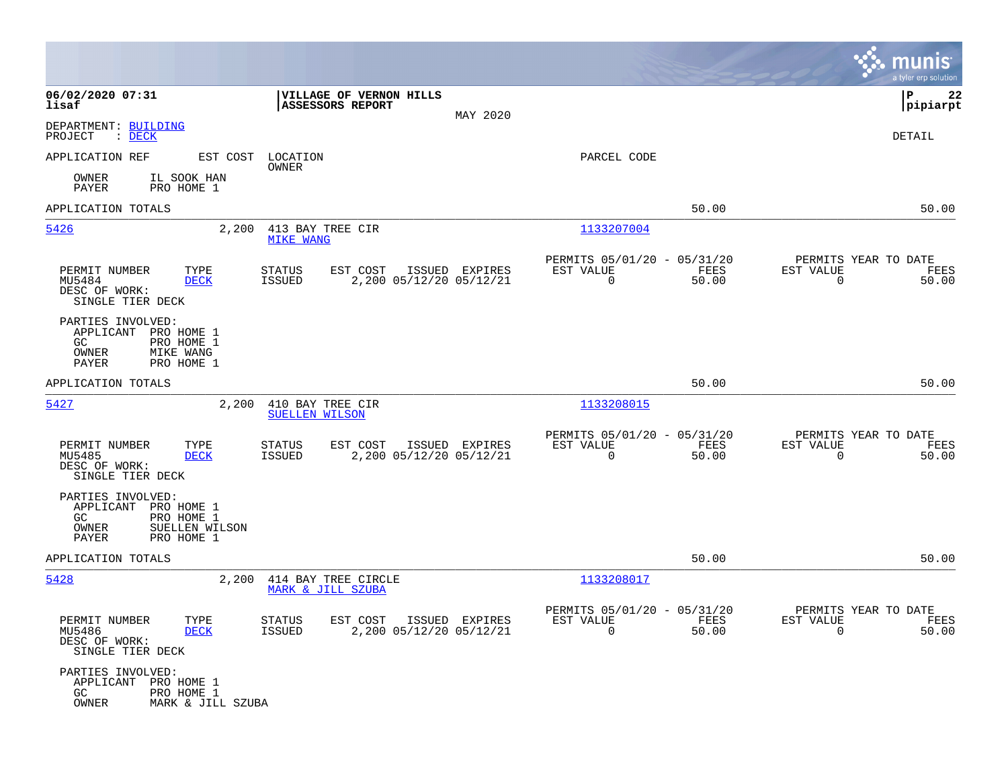|                                                                                                                 |                                                                                         |                                                                          | munis<br>a tyler erp solution                                     |
|-----------------------------------------------------------------------------------------------------------------|-----------------------------------------------------------------------------------------|--------------------------------------------------------------------------|-------------------------------------------------------------------|
| 06/02/2020 07:31<br>lisaf                                                                                       | VILLAGE OF VERNON HILLS<br>ASSESSORS REPORT<br>MAY 2020                                 |                                                                          | P<br>22<br> pipiarpt                                              |
| DEPARTMENT: BUILDING<br>PROJECT<br>$\mathcal{L}$ DECK                                                           |                                                                                         |                                                                          | DETAIL                                                            |
| APPLICATION REF<br>EST COST                                                                                     | LOCATION<br>OWNER                                                                       | PARCEL CODE                                                              |                                                                   |
| OWNER<br>IL SOOK HAN<br>PAYER<br>PRO HOME 1                                                                     |                                                                                         |                                                                          |                                                                   |
| APPLICATION TOTALS                                                                                              |                                                                                         | 50.00                                                                    | 50.00                                                             |
| 5426<br>2,200                                                                                                   | 413 BAY TREE CIR<br><b>MIKE WANG</b>                                                    | 1133207004                                                               |                                                                   |
| PERMIT NUMBER<br>TYPE<br>MU5484<br>DECK<br>DESC OF WORK:<br>SINGLE TIER DECK                                    | <b>STATUS</b><br>EST COST<br>ISSUED EXPIRES<br>2,200 05/12/20 05/12/21<br>ISSUED        | PERMITS 05/01/20 - 05/31/20<br>EST VALUE<br>FEES<br>$\mathbf 0$<br>50.00 | PERMITS YEAR TO DATE<br>EST VALUE<br>FEES<br>$\mathbf 0$<br>50.00 |
| PARTIES INVOLVED:<br>APPLICANT PRO HOME 1<br>GC.<br>PRO HOME 1<br>OWNER<br>MIKE WANG<br>PAYER<br>PRO HOME 1     |                                                                                         |                                                                          |                                                                   |
| APPLICATION TOTALS                                                                                              |                                                                                         | 50.00                                                                    | 50.00                                                             |
| 5427<br>2,200                                                                                                   | 410 BAY TREE CIR<br><b>SUELLEN WILSON</b>                                               | 1133208015                                                               |                                                                   |
| PERMIT NUMBER<br>TYPE<br>MU5485<br>DECK<br>DESC OF WORK:<br>SINGLE TIER DECK                                    | <b>STATUS</b><br>EST COST<br>ISSUED EXPIRES<br>2,200 05/12/20 05/12/21<br><b>ISSUED</b> | PERMITS 05/01/20 - 05/31/20<br>EST VALUE<br>FEES<br>0<br>50.00           | PERMITS YEAR TO DATE<br>EST VALUE<br>FEES<br>$\mathbf 0$<br>50.00 |
| PARTIES INVOLVED:<br>APPLICANT PRO HOME 1<br>GC<br>PRO HOME 1<br>OWNER<br>SUELLEN WILSON<br>PRO HOME 1<br>PAYER |                                                                                         |                                                                          |                                                                   |
| APPLICATION TOTALS                                                                                              |                                                                                         | 50.00                                                                    | 50.00                                                             |
| 5428<br>2,200                                                                                                   | 414 BAY TREE CIRCLE<br>MARK & JILL SZUBA                                                | 1133208017                                                               |                                                                   |
| PERMIT NUMBER<br>TYPE<br>MU5486<br><b>DECK</b><br>DESC OF WORK:<br>SINGLE TIER DECK                             | STATUS<br>EST COST ISSUED EXPIRES<br>ISSUED<br>2,200 05/12/20 05/12/21                  | PERMITS 05/01/20 - 05/31/20<br>EST VALUE<br>FEES<br>$\mathbf 0$<br>50.00 | PERMITS YEAR TO DATE<br>EST VALUE<br>FEES<br>$\Omega$<br>50.00    |
| PARTIES INVOLVED:<br>APPLICANT PRO HOME 1<br>GC<br>PRO HOME 1<br>OWNER<br>MARK & JILL SZUBA                     |                                                                                         |                                                                          |                                                                   |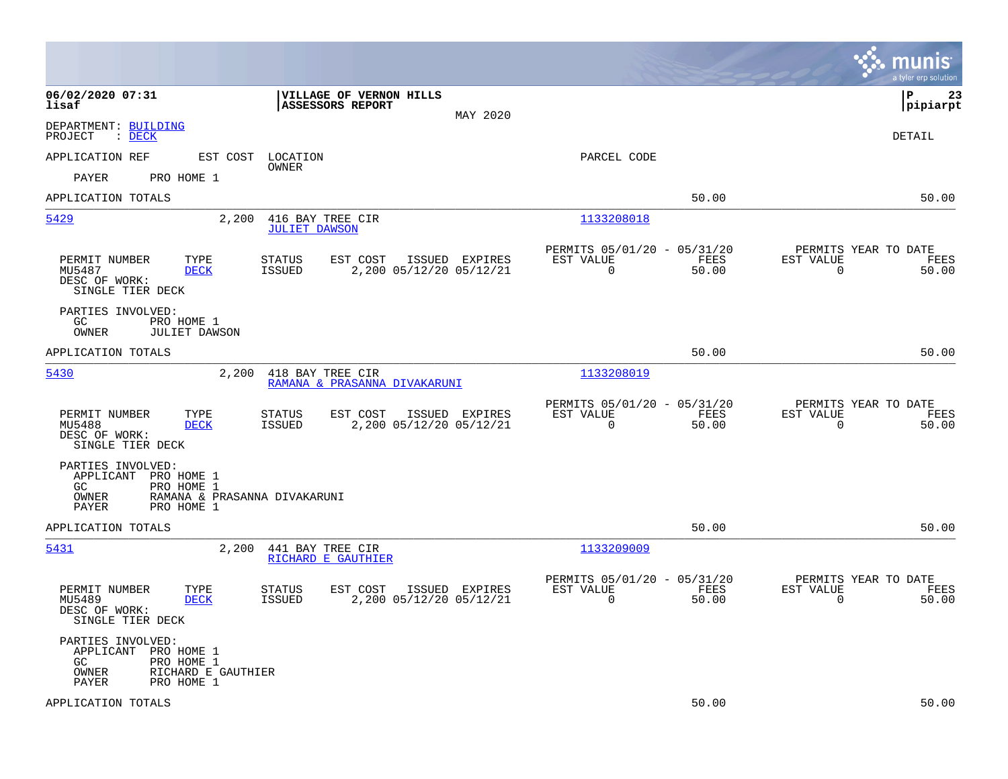|                                                                                                                                  |                                                                                         |                                                                          | munis<br>a tyler erp solution                                     |
|----------------------------------------------------------------------------------------------------------------------------------|-----------------------------------------------------------------------------------------|--------------------------------------------------------------------------|-------------------------------------------------------------------|
| 06/02/2020 07:31<br>lisaf                                                                                                        | VILLAGE OF VERNON HILLS<br><b>ASSESSORS REPORT</b><br>MAY 2020                          |                                                                          | l P<br>23<br> pipiarpt                                            |
| DEPARTMENT: BUILDING<br>PROJECT<br>$\therefore$ DECK                                                                             |                                                                                         |                                                                          | DETAIL                                                            |
| APPLICATION REF<br>EST COST                                                                                                      | LOCATION                                                                                | PARCEL CODE                                                              |                                                                   |
| PAYER<br>PRO HOME 1                                                                                                              | OWNER                                                                                   |                                                                          |                                                                   |
| APPLICATION TOTALS                                                                                                               |                                                                                         | 50.00                                                                    | 50.00                                                             |
| 5429<br>2,200                                                                                                                    | 416 BAY TREE CIR<br><b>JULIET DAWSON</b>                                                | 1133208018                                                               |                                                                   |
| PERMIT NUMBER<br>TYPE<br>MU5487<br><b>DECK</b><br>DESC OF WORK:<br>SINGLE TIER DECK                                              | EST COST<br>ISSUED EXPIRES<br>STATUS<br><b>ISSUED</b><br>2,200 05/12/20 05/12/21        | PERMITS 05/01/20 - 05/31/20<br>EST VALUE<br>FEES<br>$\mathbf 0$<br>50.00 | PERMITS YEAR TO DATE<br>EST VALUE<br>FEES<br>$\mathbf 0$<br>50.00 |
| PARTIES INVOLVED:<br>GC<br>PRO HOME 1<br>OWNER<br><b>JULIET DAWSON</b>                                                           |                                                                                         |                                                                          |                                                                   |
| APPLICATION TOTALS                                                                                                               |                                                                                         | 50.00                                                                    | 50.00                                                             |
| 5430<br>2,200                                                                                                                    | 418 BAY TREE CIR<br>RAMANA & PRASANNA DIVAKARUNI                                        | 1133208019                                                               |                                                                   |
| PERMIT NUMBER<br>TYPE<br>MU5488<br><b>DECK</b><br>DESC OF WORK:<br>SINGLE TIER DECK                                              | EST COST<br><b>STATUS</b><br>ISSUED EXPIRES<br>ISSUED<br>2,200 05/12/20 05/12/21        | PERMITS 05/01/20 - 05/31/20<br>EST VALUE<br>FEES<br>$\mathbf 0$<br>50.00 | PERMITS YEAR TO DATE<br>EST VALUE<br>FEES<br>$\mathbf 0$<br>50.00 |
| PARTIES INVOLVED:<br>APPLICANT<br>PRO HOME 1<br>PRO HOME 1<br>GC<br>OWNER<br>RAMANA & PRASANNA DIVAKARUNI<br>PAYER<br>PRO HOME 1 |                                                                                         |                                                                          |                                                                   |
| APPLICATION TOTALS                                                                                                               |                                                                                         | 50.00                                                                    | 50.00                                                             |
| 5431<br>2,200                                                                                                                    | 441 BAY TREE CIR<br>RICHARD E GAUTHIER                                                  | 1133209009                                                               |                                                                   |
| PERMIT NUMBER<br>TYPE<br>MU5489<br><b>DECK</b><br>DESC OF WORK:<br>SINGLE TIER DECK                                              | <b>STATUS</b><br>EST COST<br>ISSUED EXPIRES<br>2,200 05/12/20 05/12/21<br><b>ISSUED</b> | PERMITS 05/01/20 - 05/31/20<br>EST VALUE<br>FEES<br>$\mathbf 0$<br>50.00 | PERMITS YEAR TO DATE<br>EST VALUE<br>FEES<br>$\mathbf 0$<br>50.00 |
| PARTIES INVOLVED:<br>APPLICANT<br>PRO HOME 1<br>GC.<br>PRO HOME 1<br>OWNER<br>RICHARD E GAUTHIER<br>PAYER<br>PRO HOME 1          |                                                                                         |                                                                          |                                                                   |
| APPLICATION TOTALS                                                                                                               |                                                                                         | 50.00                                                                    | 50.00                                                             |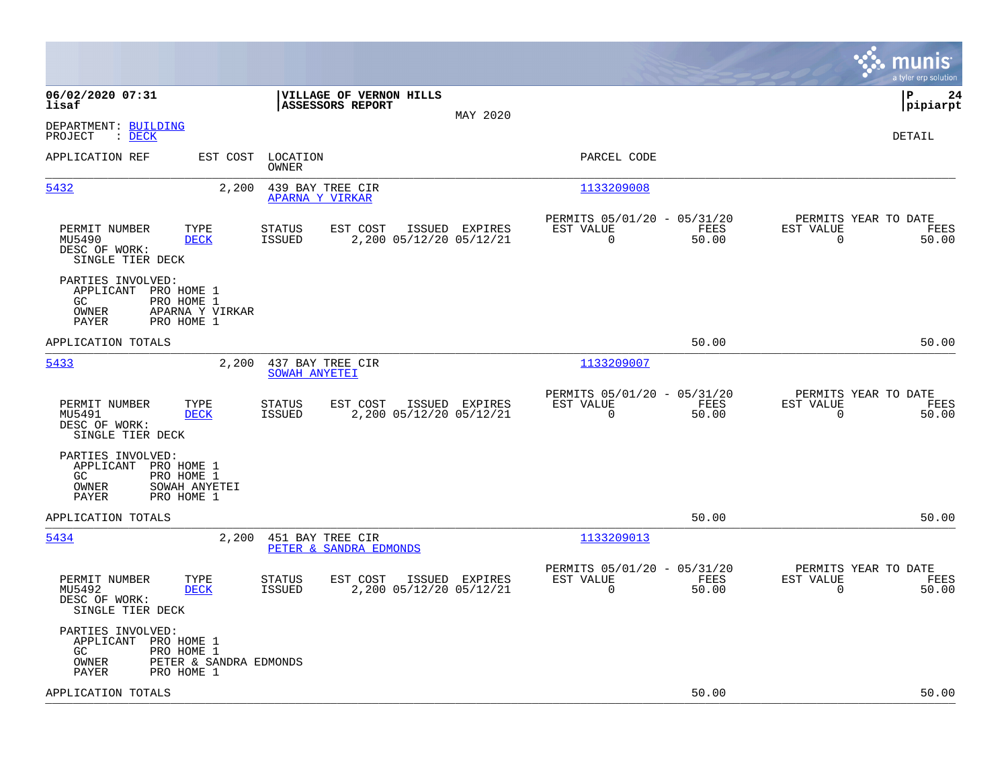|                                                                                                                         |                                                                       |                |                                                         |               |                                                  | munis<br>a tyler erp solution |
|-------------------------------------------------------------------------------------------------------------------------|-----------------------------------------------------------------------|----------------|---------------------------------------------------------|---------------|--------------------------------------------------|-------------------------------|
| 06/02/2020 07:31<br>lisaf                                                                                               | VILLAGE OF VERNON HILLS<br><b>ASSESSORS REPORT</b>                    | MAY 2020       |                                                         |               |                                                  | lР<br>24<br> pipiarpt         |
| DEPARTMENT: BUILDING<br>PROJECT<br>$\therefore$ DECK                                                                    |                                                                       |                |                                                         |               |                                                  | DETAIL                        |
| APPLICATION REF                                                                                                         | EST COST LOCATION<br>OWNER                                            |                | PARCEL CODE                                             |               |                                                  |                               |
| 5432<br>2,200                                                                                                           | 439 BAY TREE CIR<br>APARNA Y VIRKAR                                   |                | 1133209008                                              |               |                                                  |                               |
| PERMIT NUMBER<br>TYPE<br>MU5490<br><b>DECK</b><br>DESC OF WORK:<br>SINGLE TIER DECK                                     | STATUS<br>EST COST<br><b>ISSUED</b><br>2,200 05/12/20 05/12/21        | ISSUED EXPIRES | PERMITS 05/01/20 - 05/31/20<br>EST VALUE<br>$\mathbf 0$ | FEES<br>50.00 | PERMITS YEAR TO DATE<br>EST VALUE<br>$\mathbf 0$ | FEES<br>50.00                 |
| PARTIES INVOLVED:<br>APPLICANT PRO HOME 1<br>GC.<br>PRO HOME 1<br>OWNER<br>APARNA Y VIRKAR<br>PAYER<br>PRO HOME 1       |                                                                       |                |                                                         |               |                                                  |                               |
| APPLICATION TOTALS                                                                                                      |                                                                       |                |                                                         | 50.00         |                                                  | 50.00                         |
| 5433<br>2,200                                                                                                           | 437 BAY TREE CIR<br>SOWAH ANYETEI                                     |                | 1133209007                                              |               |                                                  |                               |
| TYPE<br>PERMIT NUMBER<br>MU5491<br><b>DECK</b><br>DESC OF WORK:<br>SINGLE TIER DECK                                     | EST COST<br><b>STATUS</b><br>2,200 05/12/20 05/12/21<br>ISSUED        | ISSUED EXPIRES | PERMITS 05/01/20 - 05/31/20<br>EST VALUE<br>0           | FEES<br>50.00 | PERMITS YEAR TO DATE<br>EST VALUE<br>0           | FEES<br>50.00                 |
| PARTIES INVOLVED:<br>APPLICANT PRO HOME 1<br>GC.<br>PRO HOME 1<br>SOWAH ANYETEI<br>OWNER<br>PAYER<br>PRO HOME 1         |                                                                       |                |                                                         |               |                                                  |                               |
| APPLICATION TOTALS                                                                                                      |                                                                       |                |                                                         | 50.00         |                                                  | 50.00                         |
| 5434<br>2,200                                                                                                           | 451 BAY TREE CIR<br>PETER & SANDRA EDMONDS                            |                | 1133209013                                              |               |                                                  |                               |
| PERMIT NUMBER<br>TYPE<br>MU5492<br><b>DECK</b><br>DESC OF WORK:<br>SINGLE TIER DECK                                     | EST COST<br><b>STATUS</b><br>2,200 05/12/20 05/12/21<br><b>ISSUED</b> | ISSUED EXPIRES | PERMITS 05/01/20 - 05/31/20<br>EST VALUE<br>$\mathbf 0$ | FEES<br>50.00 | PERMITS YEAR TO DATE<br>EST VALUE<br>$\mathbf 0$ | FEES<br>50.00                 |
| PARTIES INVOLVED:<br>APPLICANT PRO HOME 1<br>GC<br>PRO HOME 1<br>PETER & SANDRA EDMONDS<br>OWNER<br>PAYER<br>PRO HOME 1 |                                                                       |                |                                                         |               |                                                  |                               |
| APPLICATION TOTALS                                                                                                      |                                                                       |                |                                                         | 50.00         |                                                  | 50.00                         |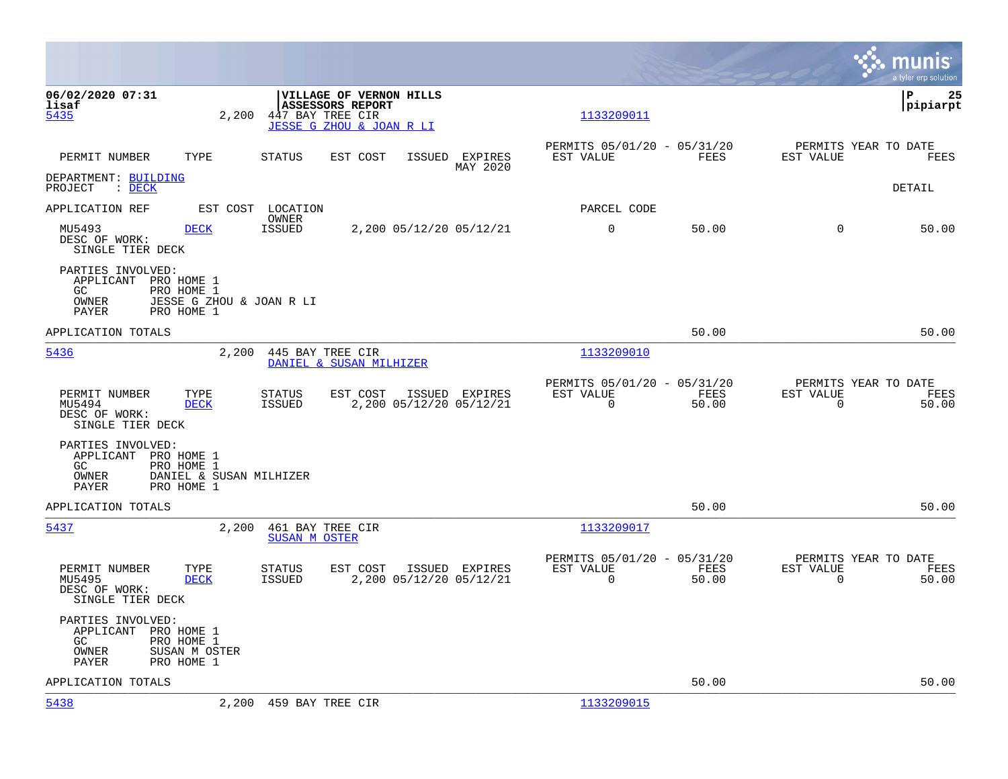|                                                                                                                                                                  | munis<br>a tyler erp solution                                                                                                                    |
|------------------------------------------------------------------------------------------------------------------------------------------------------------------|--------------------------------------------------------------------------------------------------------------------------------------------------|
| 06/02/2020 07:31<br><b>VILLAGE OF VERNON HILLS</b><br><b>ASSESSORS REPORT</b><br>lisaf<br>5435<br>2,200<br>447 BAY TREE CIR<br>JESSE G ZHOU & JOAN R LI          | lР<br>25<br> pipiarpt<br>1133209011                                                                                                              |
| PERMIT NUMBER<br>TYPE<br><b>STATUS</b><br>EST COST<br>ISSUED EXPIRES                                                                                             | PERMITS 05/01/20 - 05/31/20<br>PERMITS YEAR TO DATE<br>FEES<br>EST VALUE<br>EST VALUE<br>FEES<br>MAY 2020                                        |
| DEPARTMENT: BUILDING<br>PROJECT : DECK                                                                                                                           | <b>DETAIL</b>                                                                                                                                    |
| APPLICATION REF<br>EST COST LOCATION<br>OWNER                                                                                                                    | PARCEL CODE                                                                                                                                      |
| MU5493<br><b>DECK</b><br>2,200 05/12/20 05/12/21<br><b>ISSUED</b><br>DESC OF WORK:<br>SINGLE TIER DECK                                                           | $\mathbf 0$<br>50.00<br>50.00<br>$\Omega$                                                                                                        |
| PARTIES INVOLVED:<br>APPLICANT PRO HOME 1<br>GC.<br>PRO HOME 1<br>OWNER<br>JESSE G ZHOU & JOAN R LI<br>PAYER<br>PRO HOME 1                                       |                                                                                                                                                  |
| APPLICATION TOTALS                                                                                                                                               | 50.00<br>50.00                                                                                                                                   |
| 5436<br>2,200<br>445 BAY TREE CIR<br>DANIEL & SUSAN MILHIZER                                                                                                     | 1133209010                                                                                                                                       |
| PERMIT NUMBER<br>STATUS<br>EST COST<br>ISSUED EXPIRES<br>TYPE<br>2,200 05/12/20 05/12/21<br>MU5494<br><b>DECK</b><br>ISSUED<br>DESC OF WORK:<br>SINGLE TIER DECK | PERMITS 05/01/20 - 05/31/20<br>PERMITS YEAR TO DATE<br>EST VALUE<br>FEES<br>EST VALUE<br>FEES<br>$\mathbf 0$<br>$\mathbf 0$<br>50.00<br>50.00    |
| PARTIES INVOLVED:<br>APPLICANT PRO HOME 1<br>GC<br>PRO HOME 1<br>DANIEL & SUSAN MILHIZER<br>OWNER<br>PAYER<br>PRO HOME 1                                         |                                                                                                                                                  |
| APPLICATION TOTALS                                                                                                                                               | 50.00<br>50.00                                                                                                                                   |
| 5437<br>461 BAY TREE CIR<br>2,200<br><b>SUSAN M OSTER</b>                                                                                                        | 1133209017                                                                                                                                       |
| PERMIT NUMBER<br>TYPE<br>STATUS<br>EST COST<br>ISSUED EXPIRES<br>MU5495<br><b>DECK</b><br>2,200 05/12/20 05/12/21<br>ISSUED<br>DESC OF WORK:<br>SINGLE TIER DECK | PERMITS 05/01/20 - 05/31/20<br>PERMITS YEAR TO DATE<br>FEES<br>EST VALUE<br>EST VALUE<br>FEES<br>$\overline{0}$<br>50.00<br>$\mathbf 0$<br>50.00 |
| PARTIES INVOLVED:<br>APPLICANT<br>PRO HOME 1<br>PRO HOME 1<br>GC.<br>OWNER<br>SUSAN M OSTER<br>PRO HOME 1<br>PAYER                                               |                                                                                                                                                  |
| APPLICATION TOTALS                                                                                                                                               | 50.00<br>50.00                                                                                                                                   |
| 5438<br>2,200 459 BAY TREE CIR                                                                                                                                   | 1133209015                                                                                                                                       |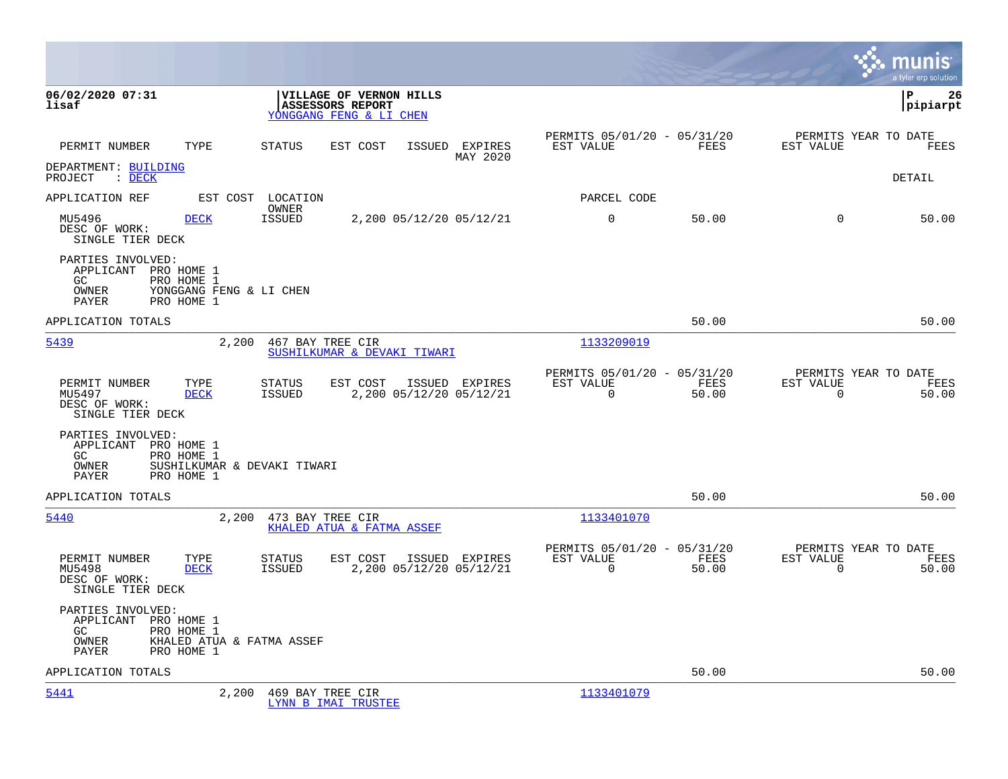|                                                                                                                                  |                                                                                         |                                                                              | a tyler erp solution                                                 |
|----------------------------------------------------------------------------------------------------------------------------------|-----------------------------------------------------------------------------------------|------------------------------------------------------------------------------|----------------------------------------------------------------------|
| 06/02/2020 07:31<br>lisaf                                                                                                        | VILLAGE OF VERNON HILLS<br>ASSESSORS REPORT<br>YONGGANG FENG & LI CHEN                  |                                                                              | lР<br>26<br> pipiarpt                                                |
| PERMIT NUMBER<br>TYPE                                                                                                            | <b>STATUS</b><br>EST COST<br>ISSUED EXPIRES<br>MAY 2020                                 | PERMITS 05/01/20 - 05/31/20<br>FEES<br>EST VALUE                             | PERMITS YEAR TO DATE<br>EST VALUE<br>FEES                            |
| DEPARTMENT: BUILDING<br>PROJECT : DECK                                                                                           |                                                                                         |                                                                              | DETAIL                                                               |
| APPLICATION REF                                                                                                                  | EST COST LOCATION<br>OWNER                                                              | PARCEL CODE                                                                  |                                                                      |
| MU5496<br><b>DECK</b><br>DESC OF WORK:<br>SINGLE TIER DECK                                                                       | <b>ISSUED</b><br>2,200 05/12/20 05/12/21                                                | $\Omega$<br>50.00                                                            | $\Omega$<br>50.00                                                    |
| PARTIES INVOLVED:<br>APPLICANT PRO HOME 1<br>PRO HOME 1<br>GC.<br><b>OWNER</b><br>YONGGANG FENG & LI CHEN<br>PRO HOME 1<br>PAYER |                                                                                         |                                                                              |                                                                      |
| APPLICATION TOTALS                                                                                                               |                                                                                         | 50.00                                                                        | 50.00                                                                |
| 2,200<br>5439                                                                                                                    | 467 BAY TREE CIR<br>SUSHILKUMAR & DEVAKI TIWARI                                         | 1133209019                                                                   |                                                                      |
| PERMIT NUMBER<br>TYPE<br>MU5497<br><b>DECK</b><br>DESC OF WORK:<br>SINGLE TIER DECK                                              | EST COST<br>ISSUED EXPIRES<br><b>STATUS</b><br><b>ISSUED</b><br>2,200 05/12/20 05/12/21 | PERMITS 05/01/20 - 05/31/20<br><b>EST VALUE</b><br>FEES<br>$\Omega$<br>50.00 | PERMITS YEAR TO DATE<br>EST VALUE<br>FEES<br>$\overline{0}$<br>50.00 |
| PARTIES INVOLVED:<br>APPLICANT PRO HOME 1<br>GC<br>PRO HOME 1<br>OWNER<br>SUSHILKUMAR & DEVAKI TIWARI<br>PAYER<br>PRO HOME 1     |                                                                                         |                                                                              |                                                                      |
| APPLICATION TOTALS                                                                                                               |                                                                                         | 50.00                                                                        | 50.00                                                                |
| 5440                                                                                                                             | 2,200 473 BAY TREE CIR<br>KHALED ATUA & FATMA ASSEF                                     | 1133401070                                                                   |                                                                      |
| PERMIT NUMBER<br>TYPE<br>MU5498<br><b>DECK</b><br>DESC OF WORK:<br>SINGLE TIER DECK                                              | STATUS<br>EST COST<br>ISSUED EXPIRES<br>2,200 05/12/20 05/12/21<br>ISSUED               | PERMITS 05/01/20 - 05/31/20<br>EST VALUE<br>FEES<br>$\Omega$<br>50.00        | PERMITS YEAR TO DATE<br>EST VALUE<br>FEES<br>$\Omega$<br>50.00       |
| PARTIES INVOLVED:<br>APPLICANT PRO HOME 1<br>GC<br>PRO HOME 1<br>OWNER<br>KHALED ATUA & FATMA ASSEF<br>PAYER<br>PRO HOME 1       |                                                                                         |                                                                              |                                                                      |
| APPLICATION TOTALS                                                                                                               |                                                                                         | 50.00                                                                        | 50.00                                                                |
| 5441                                                                                                                             | 2,200 469 BAY TREE CIR<br>LYNN B IMAI TRUSTEE                                           | 1133401079                                                                   |                                                                      |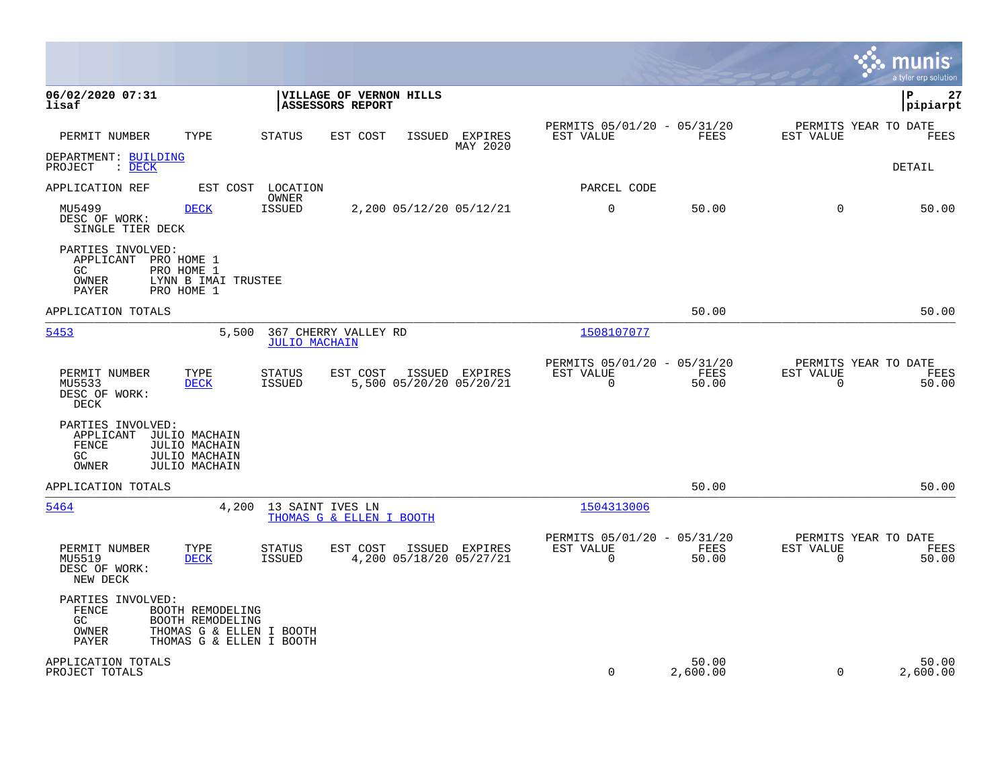|                                                                                                                                          |                                                      |                                                           |                            |                                                            |                   |                          | munis<br>a tyler erp solution         |
|------------------------------------------------------------------------------------------------------------------------------------------|------------------------------------------------------|-----------------------------------------------------------|----------------------------|------------------------------------------------------------|-------------------|--------------------------|---------------------------------------|
| 06/02/2020 07:31<br>lisaf                                                                                                                |                                                      | <b>VILLAGE OF VERNON HILLS</b><br><b>ASSESSORS REPORT</b> |                            |                                                            |                   |                          | l P<br>27<br> pipiarpt                |
| PERMIT NUMBER<br>TYPE                                                                                                                    | <b>STATUS</b>                                        | EST COST                                                  | ISSUED EXPIRES<br>MAY 2020 | PERMITS 05/01/20 - 05/31/20<br>EST VALUE                   | <b>FEES</b>       | EST VALUE                | PERMITS YEAR TO DATE<br>FEES          |
| DEPARTMENT: BUILDING<br>$\therefore$ DECK<br>PROJECT                                                                                     |                                                      |                                                           |                            |                                                            |                   |                          | DETAIL                                |
| APPLICATION REF                                                                                                                          | EST COST LOCATION<br>OWNER                           |                                                           |                            | PARCEL CODE                                                |                   |                          |                                       |
| <b>DECK</b><br>MU5499<br>DESC OF WORK:<br>SINGLE TIER DECK                                                                               | <b>ISSUED</b>                                        | 2,200 05/12/20 05/12/21                                   |                            | $\mathbf 0$                                                | 50.00             | $\mathbf 0$              | 50.00                                 |
| PARTIES INVOLVED:<br>APPLICANT PRO HOME 1<br>GC<br>PRO HOME 1<br>OWNER<br><b>PAYER</b><br>PRO HOME 1                                     | LYNN B IMAI TRUSTEE                                  |                                                           |                            |                                                            |                   |                          |                                       |
| APPLICATION TOTALS                                                                                                                       |                                                      |                                                           |                            |                                                            | 50.00             |                          | 50.00                                 |
| 5453                                                                                                                                     | 5,500<br><b>JULIO MACHAIN</b>                        | 367 CHERRY VALLEY RD                                      |                            | 1508107077                                                 |                   |                          |                                       |
| PERMIT NUMBER<br>TYPE<br>MU5533<br><b>DECK</b><br>DESC OF WORK:<br>DECK                                                                  | STATUS<br><b>ISSUED</b>                              | EST COST<br>5,500 05/20/20 05/20/21                       | ISSUED EXPIRES             | PERMITS 05/01/20 - 05/31/20<br>EST VALUE<br>$\Omega$       | FEES<br>50.00     | EST VALUE<br>$\Omega$    | PERMITS YEAR TO DATE<br>FEES<br>50.00 |
| PARTIES INVOLVED:<br>APPLICANT<br>JULIO MACHAIN<br>FENCE<br><b>JULIO MACHAIN</b><br>GC<br>JULIO MACHAIN<br>OWNER<br><b>JULIO MACHAIN</b> |                                                      |                                                           |                            |                                                            |                   |                          |                                       |
| APPLICATION TOTALS                                                                                                                       |                                                      |                                                           |                            |                                                            | 50.00             |                          | 50.00                                 |
| 5464                                                                                                                                     | 13 SAINT IVES LN<br>4,200                            | THOMAS G & ELLEN I BOOTH                                  |                            | 1504313006                                                 |                   |                          |                                       |
| PERMIT NUMBER<br>TYPE<br>MU5519<br><b>DECK</b><br>DESC OF WORK:<br>NEW DECK                                                              | STATUS<br>ISSUED                                     | EST COST<br>4,200 05/18/20 05/27/21                       | ISSUED EXPIRES             | PERMITS 05/01/20 - 05/31/20<br>EST VALUE<br>$\overline{0}$ | FEES<br>50.00     | EST VALUE<br>$\mathbf 0$ | PERMITS YEAR TO DATE<br>FEES<br>50.00 |
| PARTIES INVOLVED:<br>FENCE<br>BOOTH REMODELING<br>GC<br>BOOTH REMODELING<br>OWNER<br>PAYER                                               | THOMAS G & ELLEN I BOOTH<br>THOMAS G & ELLEN I BOOTH |                                                           |                            |                                                            |                   |                          |                                       |
| APPLICATION TOTALS<br>PROJECT TOTALS                                                                                                     |                                                      |                                                           |                            | $\mathbf 0$                                                | 50.00<br>2,600.00 | $\mathbf 0$              | 50.00<br>2,600.00                     |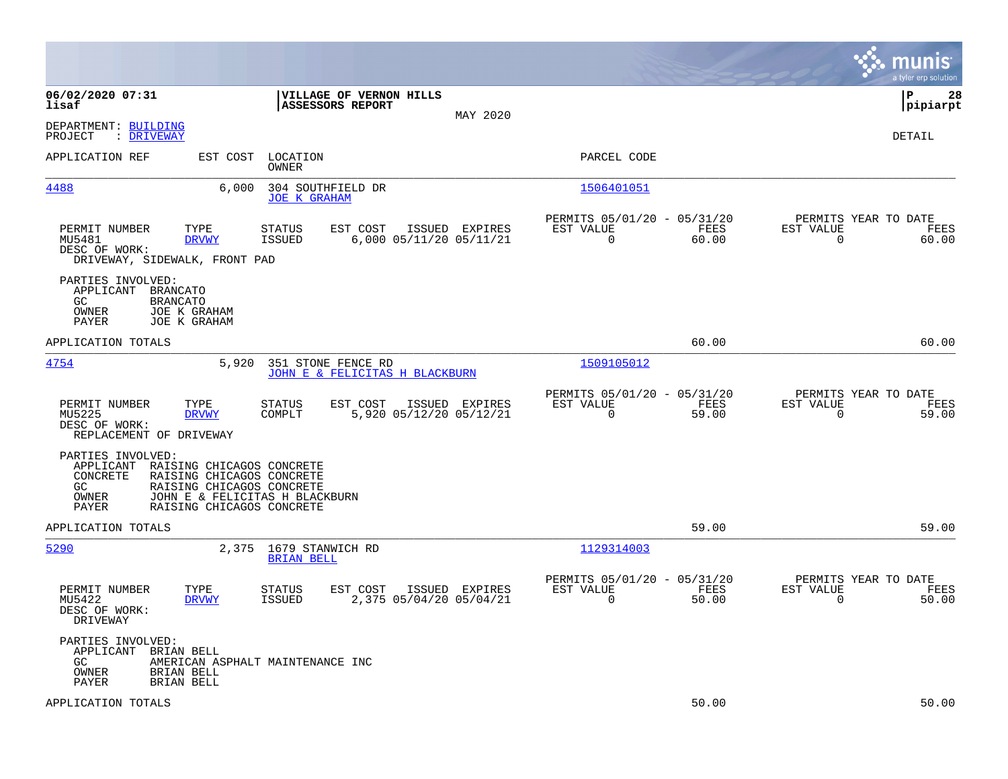|                                                                                                                                                                                             |                                                                                         |                                                                          | munis<br>a tyler erp solution                                     |
|---------------------------------------------------------------------------------------------------------------------------------------------------------------------------------------------|-----------------------------------------------------------------------------------------|--------------------------------------------------------------------------|-------------------------------------------------------------------|
| 06/02/2020 07:31<br>lisaf                                                                                                                                                                   | VILLAGE OF VERNON HILLS<br><b>ASSESSORS REPORT</b><br>MAY 2020                          |                                                                          | ΙP<br>28<br> pipiarpt                                             |
| DEPARTMENT: BUILDING<br>PROJECT<br>: DRIVEWAY                                                                                                                                               |                                                                                         |                                                                          | DETAIL                                                            |
| APPLICATION REF<br>EST COST                                                                                                                                                                 | LOCATION<br>OWNER                                                                       | PARCEL CODE                                                              |                                                                   |
| 4488                                                                                                                                                                                        | 6,000<br>304 SOUTHFIELD DR<br><b>JOE K GRAHAM</b>                                       | 1506401051                                                               |                                                                   |
| PERMIT NUMBER<br>TYPE<br>MU5481<br><b>DRVWY</b><br>DESC OF WORK:<br>DRIVEWAY, SIDEWALK, FRONT PAD                                                                                           | EST COST<br>STATUS<br>ISSUED EXPIRES<br><b>ISSUED</b><br>6,000 05/11/20 05/11/21        | PERMITS 05/01/20 - 05/31/20<br>EST VALUE<br>FEES<br>$\mathbf 0$<br>60.00 | PERMITS YEAR TO DATE<br>EST VALUE<br>FEES<br>60.00<br>0           |
| PARTIES INVOLVED:<br>APPLICANT<br>BRANCATO<br>GC<br><b>BRANCATO</b><br>OWNER<br>JOE K GRAHAM<br>PAYER<br>JOE K GRAHAM                                                                       |                                                                                         |                                                                          |                                                                   |
| APPLICATION TOTALS                                                                                                                                                                          |                                                                                         | 60.00                                                                    | 60.00                                                             |
| 4754                                                                                                                                                                                        | 5,920<br>351 STONE FENCE RD<br>JOHN E & FELICITAS H BLACKBURN                           | 1509105012                                                               |                                                                   |
| PERMIT NUMBER<br>TYPE<br>MU5225<br><b>DRVWY</b><br>DESC OF WORK:<br>REPLACEMENT OF DRIVEWAY                                                                                                 | <b>STATUS</b><br>EST COST<br>ISSUED EXPIRES<br>5,920 05/12/20 05/12/21<br>COMPLT        | PERMITS 05/01/20 - 05/31/20<br>EST VALUE<br>FEES<br>$\Omega$<br>59.00    | PERMITS YEAR TO DATE<br>EST VALUE<br>FEES<br>$\mathbf 0$<br>59.00 |
| PARTIES INVOLVED:<br>APPLICANT RAISING CHICAGOS CONCRETE<br><b>CONCRETE</b><br>RAISING CHICAGOS CONCRETE<br>RAISING CHICAGOS CONCRETE<br>GC.<br>OWNER<br>RAISING CHICAGOS CONCRETE<br>PAYER | JOHN E & FELICITAS H BLACKBURN                                                          |                                                                          |                                                                   |
| APPLICATION TOTALS                                                                                                                                                                          |                                                                                         | 59.00                                                                    | 59.00                                                             |
| 5290                                                                                                                                                                                        | 2,375<br>1679 STANWICH RD<br><b>BRIAN BELL</b>                                          | 1129314003                                                               |                                                                   |
| PERMIT NUMBER<br>TYPE<br>MU5422<br><b>DRVWY</b><br>DESC OF WORK:<br>DRIVEWAY                                                                                                                | <b>STATUS</b><br>EST COST<br>ISSUED EXPIRES<br><b>ISSUED</b><br>2,375 05/04/20 05/04/21 | PERMITS 05/01/20 - 05/31/20<br>EST VALUE<br>FEES<br>$\mathbf 0$<br>50.00 | PERMITS YEAR TO DATE<br>EST VALUE<br>FEES<br>$\mathbf 0$<br>50.00 |
| PARTIES INVOLVED:<br>APPLICANT<br>BRIAN BELL<br>GC.<br>OWNER<br>BRIAN BELL<br>PAYER<br>BRIAN BELL                                                                                           | AMERICAN ASPHALT MAINTENANCE INC                                                        |                                                                          |                                                                   |
| APPLICATION TOTALS                                                                                                                                                                          |                                                                                         | 50.00                                                                    | 50.00                                                             |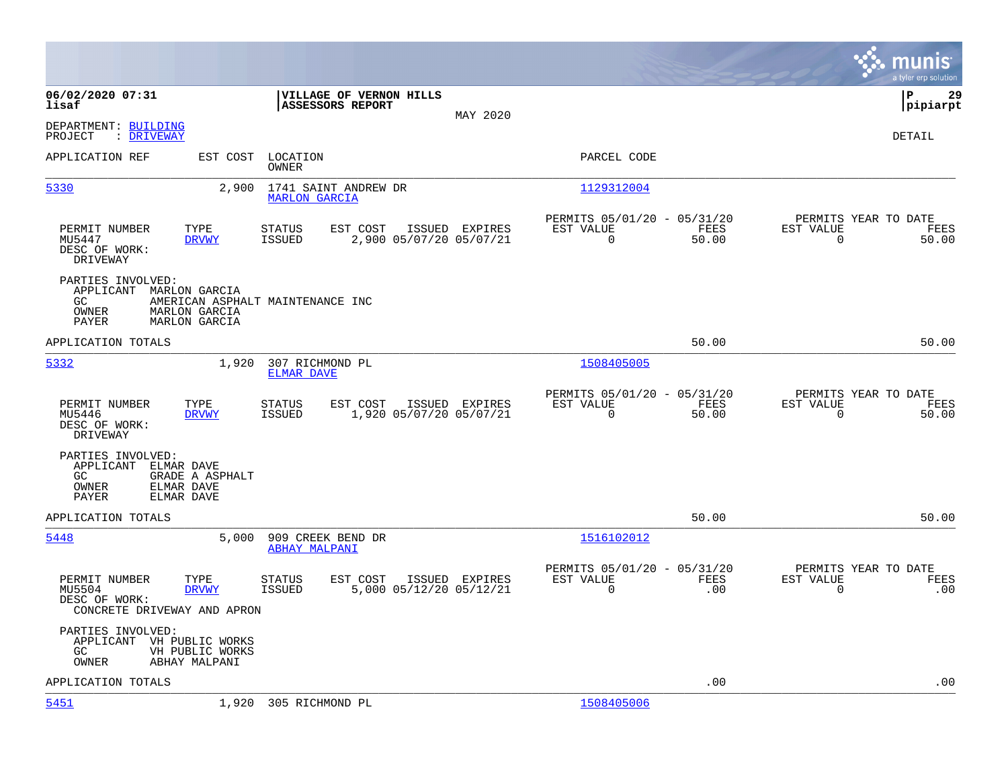|                                                                                                                      |                                                                                         |                                                                            | munis<br>a tyler erp solution                                     |
|----------------------------------------------------------------------------------------------------------------------|-----------------------------------------------------------------------------------------|----------------------------------------------------------------------------|-------------------------------------------------------------------|
| 06/02/2020 07:31<br>lisaf                                                                                            | VILLAGE OF VERNON HILLS<br>ASSESSORS REPORT<br>MAY 2020                                 |                                                                            | l P<br>29<br> pipiarpt                                            |
| DEPARTMENT: BUILDING<br>PROJECT<br>: DRIVEWAY                                                                        |                                                                                         |                                                                            | DETAIL                                                            |
| APPLICATION REF                                                                                                      | EST COST<br>LOCATION<br><b>OWNER</b>                                                    | PARCEL CODE                                                                |                                                                   |
| 5330                                                                                                                 | 2,900<br>1741 SAINT ANDREW DR<br><b>MARLON GARCIA</b>                                   | 1129312004                                                                 |                                                                   |
| PERMIT NUMBER<br>TYPE<br>MU5447<br><b>DRVWY</b><br>DESC OF WORK:<br>DRIVEWAY                                         | EST COST<br><b>STATUS</b><br>ISSUED EXPIRES<br>ISSUED<br>2,900 05/07/20 05/07/21        | PERMITS 05/01/20 - 05/31/20<br>EST VALUE<br>FEES<br>0<br>50.00             | PERMITS YEAR TO DATE<br>EST VALUE<br>FEES<br>$\mathbf 0$<br>50.00 |
| PARTIES INVOLVED:<br>APPLICANT<br>MARLON GARCIA<br>GC<br>OWNER<br>MARLON GARCIA<br><b>MARLON GARCIA</b><br>PAYER     | AMERICAN ASPHALT MAINTENANCE INC                                                        |                                                                            |                                                                   |
| APPLICATION TOTALS                                                                                                   |                                                                                         | 50.00                                                                      | 50.00                                                             |
| 5332                                                                                                                 | 1,920<br>307 RICHMOND PL<br><b>ELMAR DAVE</b>                                           | 1508405005                                                                 |                                                                   |
| PERMIT NUMBER<br>TYPE<br>MU5446<br><b>DRVWY</b><br>DESC OF WORK:<br>DRIVEWAY                                         | <b>STATUS</b><br>EST COST<br>ISSUED EXPIRES<br>1,920 05/07/20 05/07/21<br>ISSUED        | PERMITS 05/01/20 - 05/31/20<br>EST VALUE<br>FEES<br>$\Omega$<br>50.00      | PERMITS YEAR TO DATE<br>EST VALUE<br>FEES<br>$\Omega$<br>50.00    |
| PARTIES INVOLVED:<br>APPLICANT<br>ELMAR DAVE<br>GC.<br>GRADE A ASPHALT<br>OWNER<br>ELMAR DAVE<br>PAYER<br>ELMAR DAVE |                                                                                         |                                                                            |                                                                   |
| APPLICATION TOTALS                                                                                                   |                                                                                         | 50.00                                                                      | 50.00                                                             |
| 5448                                                                                                                 | 5,000<br>909 CREEK BEND DR<br><b>ABHAY MALPANI</b>                                      | 1516102012                                                                 |                                                                   |
| PERMIT NUMBER<br>TYPE<br>MU5504<br><b>DRVWY</b><br>DESC OF WORK:<br>CONCRETE DRIVEWAY AND APRON                      | EST COST<br>ISSUED EXPIRES<br><b>STATUS</b><br><b>ISSUED</b><br>5,000 05/12/20 05/12/21 | PERMITS 05/01/20 - 05/31/20<br>EST VALUE<br><b>FEES</b><br>$\Omega$<br>.00 | PERMITS YEAR TO DATE<br>EST VALUE<br>FEES<br>$\mathbf 0$<br>.00   |
| PARTIES INVOLVED:<br>APPLICANT VH PUBLIC WORKS<br>GC.<br>VH PUBLIC WORKS<br>OWNER<br>ABHAY MALPANI                   |                                                                                         |                                                                            |                                                                   |
| APPLICATION TOTALS                                                                                                   |                                                                                         | .00                                                                        | .00                                                               |
| 5451                                                                                                                 | 1,920 305 RICHMOND PL                                                                   | 1508405006                                                                 |                                                                   |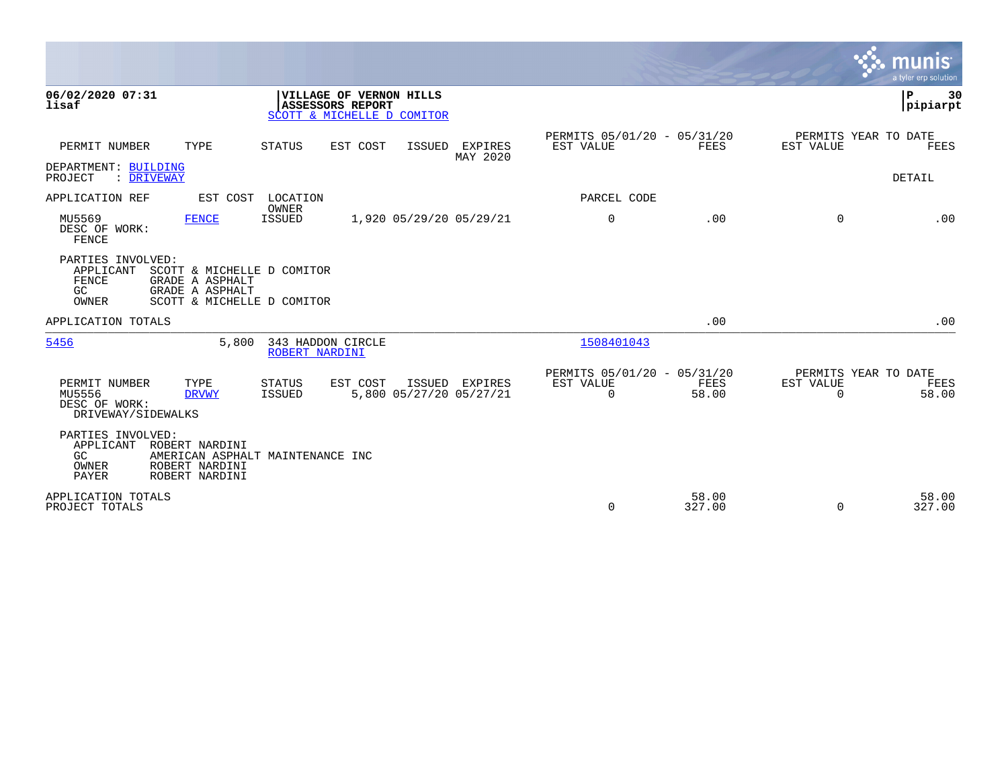|                                                                                                                                                          |                                                                                  |                                           |                     |                                                         |                 |                                               | munis<br>a tyler erp solution |
|----------------------------------------------------------------------------------------------------------------------------------------------------------|----------------------------------------------------------------------------------|-------------------------------------------|---------------------|---------------------------------------------------------|-----------------|-----------------------------------------------|-------------------------------|
| 06/02/2020 07:31<br>lisaf                                                                                                                                | VILLAGE OF VERNON HILLS<br><b>ASSESSORS REPORT</b><br>SCOTT & MICHELLE D COMITOR |                                           |                     |                                                         |                 |                                               | ΙP<br>30<br> pipiarpt         |
| TYPE<br>PERMIT NUMBER                                                                                                                                    | <b>STATUS</b><br>EST COST                                                        | ISSUED                                    | EXPIRES<br>MAY 2020 | PERMITS 05/01/20 - 05/31/20<br>EST VALUE                | FEES            | PERMITS YEAR TO DATE<br>EST VALUE             | FEES                          |
| DEPARTMENT: BUILDING<br>PROJECT<br>: DRIVEWAY                                                                                                            |                                                                                  |                                           |                     |                                                         |                 |                                               | <b>DETAIL</b>                 |
| APPLICATION REF                                                                                                                                          | EST COST LOCATION                                                                |                                           |                     | PARCEL CODE                                             |                 |                                               |                               |
| MU5569<br>FENCE<br>DESC OF WORK:<br>FENCE                                                                                                                | OWNER<br><b>ISSUED</b>                                                           | 1,920 05/29/20 05/29/21                   |                     | $\mathbf 0$                                             | .00             | $\Omega$                                      | .00                           |
| PARTIES INVOLVED:<br>APPLICANT<br>SCOTT & MICHELLE D COMITOR<br>FENCE<br>GRADE A ASPHALT<br>GC<br>GRADE A ASPHALT<br>OWNER<br>SCOTT & MICHELLE D COMITOR |                                                                                  |                                           |                     |                                                         |                 |                                               |                               |
| APPLICATION TOTALS                                                                                                                                       |                                                                                  |                                           |                     |                                                         | .00             |                                               | .00                           |
| 5456<br>5,800                                                                                                                                            | 343 HADDON CIRCLE<br>ROBERT NARDINI                                              |                                           |                     | 1508401043                                              |                 |                                               |                               |
| PERMIT NUMBER<br>TYPE<br>MU5556<br><b>DRVWY</b><br>DESC OF WORK:<br>DRIVEWAY/SIDEWALKS                                                                   | <b>STATUS</b><br>EST COST<br>ISSUED                                              | ISSUED EXPIRES<br>5,800 05/27/20 05/27/21 |                     | PERMITS 05/01/20 - 05/31/20<br>EST VALUE<br>$\mathbf 0$ | FEES<br>58.00   | PERMITS YEAR TO DATE<br>EST VALUE<br>$\Omega$ | FEES<br>58.00                 |
| PARTIES INVOLVED:<br>APPLICANT<br>ROBERT NARDINI<br>GC<br>ROBERT NARDINI<br>OWNER<br>PAYER<br>ROBERT NARDINI                                             | AMERICAN ASPHALT MAINTENANCE INC                                                 |                                           |                     |                                                         |                 |                                               |                               |
| APPLICATION TOTALS<br>PROJECT TOTALS                                                                                                                     |                                                                                  |                                           |                     | 0                                                       | 58.00<br>327.00 | $\Omega$                                      | 58.00<br>327.00               |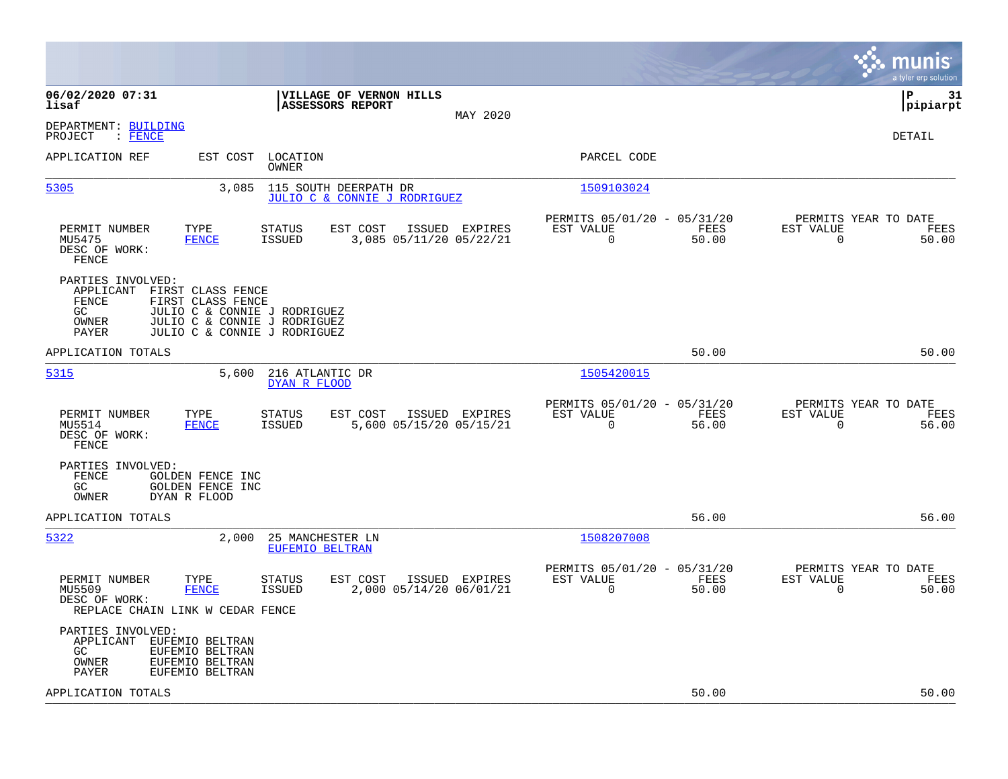|                                                                                                                                                                                                           |                                                                          | munis<br>a tyler erp solution                                     |
|-----------------------------------------------------------------------------------------------------------------------------------------------------------------------------------------------------------|--------------------------------------------------------------------------|-------------------------------------------------------------------|
| 06/02/2020 07:31<br>VILLAGE OF VERNON HILLS<br>ASSESSORS REPORT<br>lisaf<br>MAY 2020                                                                                                                      |                                                                          | l P<br>31<br> pipiarpt                                            |
| DEPARTMENT: BUILDING<br>PROJECT<br>$\colon$ FENCE                                                                                                                                                         |                                                                          | DETAIL                                                            |
| APPLICATION REF<br>EST COST<br>LOCATION<br>OWNER                                                                                                                                                          | PARCEL CODE                                                              |                                                                   |
| 5305<br>3,085<br>115 SOUTH DEERPATH DR<br>JULIO C & CONNIE J RODRIGUEZ                                                                                                                                    | 1509103024                                                               |                                                                   |
| PERMIT NUMBER<br>TYPE<br>EST COST<br><b>STATUS</b><br>ISSUED EXPIRES<br>MU5475<br><b>FENCE</b><br><b>ISSUED</b><br>3,085 05/11/20 05/22/21<br>DESC OF WORK:<br>FENCE                                      | PERMITS 05/01/20 - 05/31/20<br>EST VALUE<br>FEES<br>$\Omega$<br>50.00    | PERMITS YEAR TO DATE<br>EST VALUE<br>FEES<br>$\Omega$<br>50.00    |
| PARTIES INVOLVED:<br>APPLICANT<br>FIRST CLASS FENCE<br>FENCE<br>FIRST CLASS FENCE<br>GC<br>JULIO C & CONNIE J RODRIGUEZ<br>OWNER<br>JULIO C & CONNIE J RODRIGUEZ<br>JULIO C & CONNIE J RODRIGUEZ<br>PAYER |                                                                          |                                                                   |
| APPLICATION TOTALS                                                                                                                                                                                        | 50.00                                                                    | 50.00                                                             |
| 5315<br>216 ATLANTIC DR<br>5,600<br>DYAN R FLOOD                                                                                                                                                          | 1505420015                                                               |                                                                   |
| PERMIT NUMBER<br>TYPE<br><b>STATUS</b><br>EST COST<br>ISSUED EXPIRES<br>MU5514<br><b>FENCE</b><br><b>ISSUED</b><br>5,600 05/15/20 05/15/21<br>DESC OF WORK:<br>FENCE                                      | PERMITS 05/01/20 - 05/31/20<br>EST VALUE<br>FEES<br>$\mathbf 0$<br>56.00 | PERMITS YEAR TO DATE<br>EST VALUE<br>FEES<br>$\Omega$<br>56.00    |
| PARTIES INVOLVED:<br>FENCE<br>GOLDEN FENCE INC<br>GOLDEN FENCE INC<br>GC<br>OWNER<br>DYAN R FLOOD                                                                                                         |                                                                          |                                                                   |
| APPLICATION TOTALS                                                                                                                                                                                        | 56.00                                                                    | 56.00                                                             |
| 5322<br>2,000<br>25 MANCHESTER LN<br>EUFEMIO BELTRAN                                                                                                                                                      | 1508207008                                                               |                                                                   |
| PERMIT NUMBER<br>TYPE<br><b>STATUS</b><br>EST COST<br>ISSUED EXPIRES<br>2,000 05/14/20 06/01/21<br>MU5509<br><b>FENCE</b><br><b>ISSUED</b><br>DESC OF WORK:<br>REPLACE CHAIN LINK W CEDAR FENCE           | PERMITS 05/01/20 - 05/31/20<br>EST VALUE<br>FEES<br>0<br>50.00           | PERMITS YEAR TO DATE<br>EST VALUE<br>FEES<br>$\mathbf 0$<br>50.00 |
| PARTIES INVOLVED:<br>APPLICANT EUFEMIO BELTRAN<br>GC<br>EUFEMIO BELTRAN<br>EUFEMIO BELTRAN<br>OWNER<br>PAYER<br>EUFEMIO BELTRAN                                                                           |                                                                          |                                                                   |
| APPLICATION TOTALS                                                                                                                                                                                        | 50.00                                                                    | 50.00                                                             |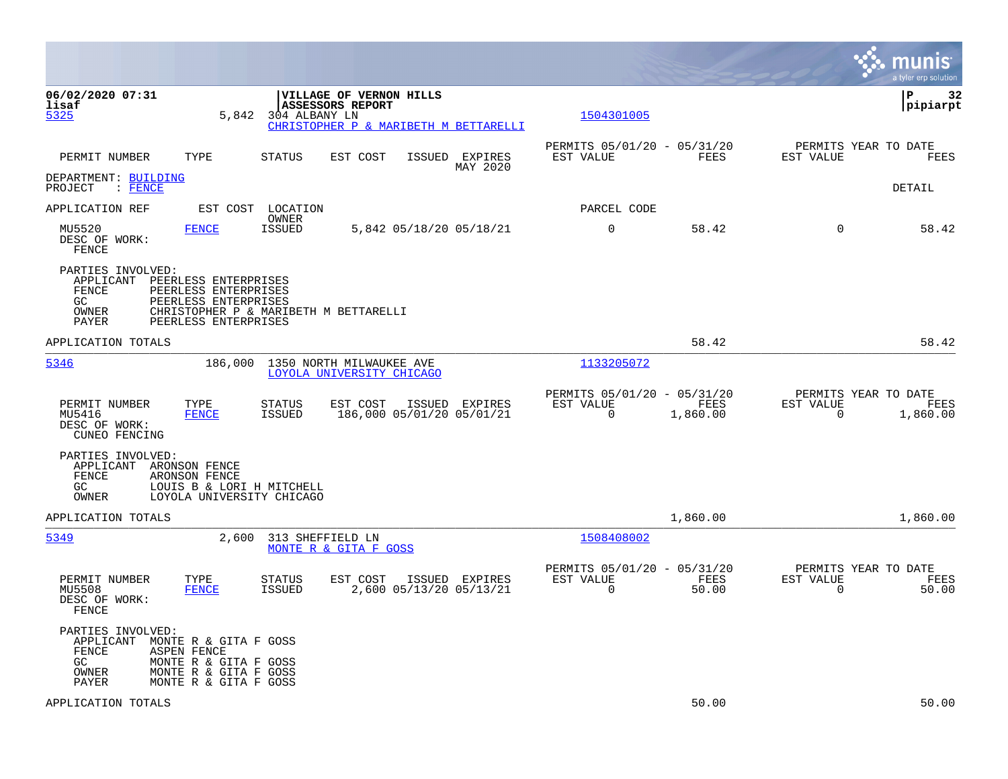|                                                                        |                                                                                                                                       |                                |                                                       |                                             |                                                         |                  |                                                  | munis<br>a tyler erp solution |
|------------------------------------------------------------------------|---------------------------------------------------------------------------------------------------------------------------------------|--------------------------------|-------------------------------------------------------|---------------------------------------------|---------------------------------------------------------|------------------|--------------------------------------------------|-------------------------------|
| 06/02/2020 07:31<br>lisaf<br>5325                                      | 5,842                                                                                                                                 | 304 ALBANY LN                  | VILLAGE OF VERNON HILLS<br>ASSESSORS REPORT           | CHRISTOPHER P & MARIBETH M BETTARELLI       | 1504301005                                              |                  |                                                  | 32<br>IΡ<br> pipiarpt         |
| PERMIT NUMBER                                                          | TYPE                                                                                                                                  | <b>STATUS</b>                  | EST COST                                              | ISSUED EXPIRES<br>MAY 2020                  | PERMITS 05/01/20 - 05/31/20<br>EST VALUE                | FEES             | PERMITS YEAR TO DATE<br>EST VALUE                | FEES                          |
| DEPARTMENT: BUILDING<br>PROJECT<br>$\colon$ FENCE                      |                                                                                                                                       |                                |                                                       |                                             |                                                         |                  |                                                  | DETAIL                        |
| APPLICATION REF                                                        | EST COST                                                                                                                              | LOCATION<br>OWNER              |                                                       |                                             | PARCEL CODE                                             |                  |                                                  |                               |
| MU5520<br>DESC OF WORK:<br>FENCE                                       | <b>FENCE</b>                                                                                                                          | <b>ISSUED</b>                  |                                                       | 5,842 05/18/20 05/18/21                     | 0                                                       | 58.42            | $\mathbf 0$                                      | 58.42                         |
| PARTIES INVOLVED:<br>APPLICANT<br><b>FENCE</b><br>GC<br>OWNER<br>PAYER | PEERLESS ENTERPRISES<br>PEERLESS ENTERPRISES<br>PEERLESS ENTERPRISES<br>CHRISTOPHER P & MARIBETH M BETTARELLI<br>PEERLESS ENTERPRISES |                                |                                                       |                                             |                                                         |                  |                                                  |                               |
| APPLICATION TOTALS                                                     |                                                                                                                                       |                                |                                                       |                                             |                                                         | 58.42            |                                                  | 58.42                         |
| 5346                                                                   | 186,000                                                                                                                               |                                | 1350 NORTH MILWAUKEE AVE<br>LOYOLA UNIVERSITY CHICAGO |                                             | 1133205072                                              |                  |                                                  |                               |
| PERMIT NUMBER<br>MU5416<br>DESC OF WORK:<br>CUNEO FENCING              | TYPE<br><b>FENCE</b>                                                                                                                  | <b>STATUS</b><br><b>ISSUED</b> | EST COST                                              | ISSUED EXPIRES<br>186,000 05/01/20 05/01/21 | PERMITS 05/01/20 - 05/31/20<br>EST VALUE<br>0           | FEES<br>1,860.00 | PERMITS YEAR TO DATE<br>EST VALUE<br>$\mathbf 0$ | FEES<br>1,860.00              |
| PARTIES INVOLVED:<br>APPLICANT ARONSON FENCE<br>FENCE<br>GC.<br>OWNER  | ARONSON FENCE<br>LOUIS B & LORI H MITCHELL<br>LOYOLA UNIVERSITY CHICAGO                                                               |                                |                                                       |                                             |                                                         |                  |                                                  |                               |
| APPLICATION TOTALS                                                     |                                                                                                                                       |                                |                                                       |                                             |                                                         | 1,860.00         |                                                  | 1,860.00                      |
| 5349                                                                   | 2,600                                                                                                                                 | 313 SHEFFIELD LN               | MONTE R & GITA F GOSS                                 |                                             | 1508408002                                              |                  |                                                  |                               |
| PERMIT NUMBER<br>MU5508<br>DESC OF WORK:<br>FENCE                      | TYPE<br><b>FENCE</b>                                                                                                                  | <b>STATUS</b><br><b>ISSUED</b> | EST COST                                              | ISSUED EXPIRES<br>2,600 05/13/20 05/13/21   | PERMITS 05/01/20 - 05/31/20<br>EST VALUE<br>$\mathbf 0$ | FEES<br>50.00    | PERMITS YEAR TO DATE<br>EST VALUE<br>$\mathbf 0$ | FEES<br>50.00                 |
| PARTIES INVOLVED:<br>APPLICANT<br>FENCE<br>GC<br>OWNER<br>PAYER        | MONTE R & GITA F GOSS<br><b>ASPEN FENCE</b><br>MONTE R & GITA F GOSS<br>MONTE R & GITA F GOSS<br>MONTE R & GITA F GOSS                |                                |                                                       |                                             |                                                         |                  |                                                  |                               |
| APPLICATION TOTALS                                                     |                                                                                                                                       |                                |                                                       |                                             |                                                         | 50.00            |                                                  | 50.00                         |

**College**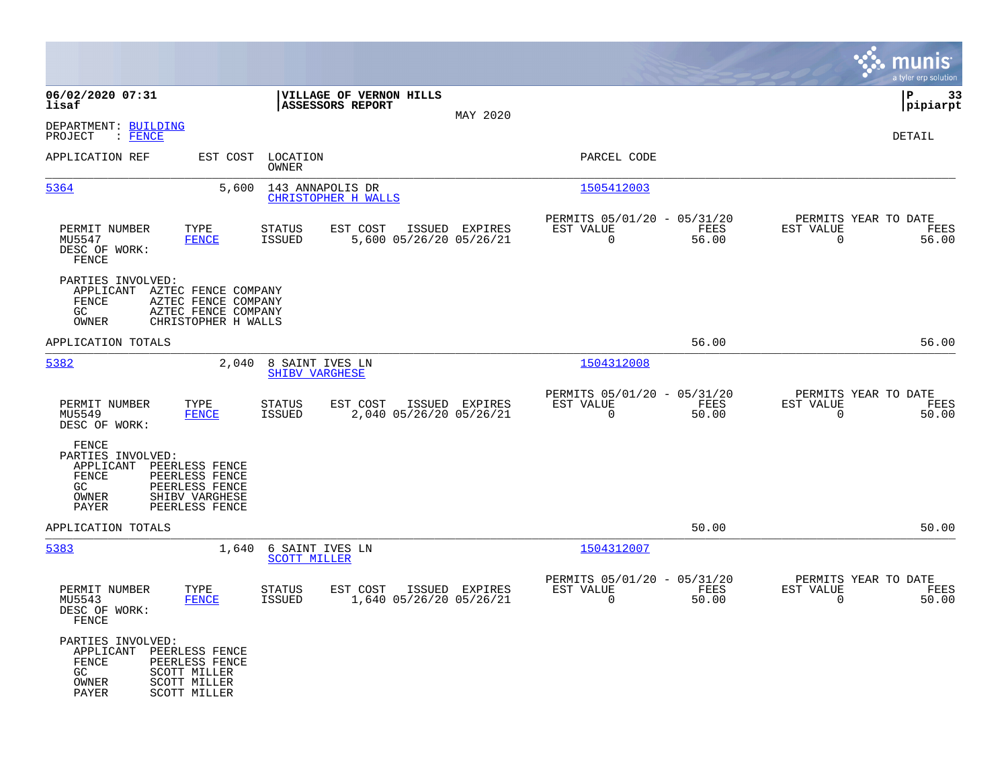|                                                                                                                                                                     |                                                                                         |                                                                | munis<br>a tyler erp solution                                     |
|---------------------------------------------------------------------------------------------------------------------------------------------------------------------|-----------------------------------------------------------------------------------------|----------------------------------------------------------------|-------------------------------------------------------------------|
| 06/02/2020 07:31<br>lisaf                                                                                                                                           | VILLAGE OF VERNON HILLS<br>ASSESSORS REPORT                                             |                                                                | P<br>33<br> pipiarpt                                              |
| DEPARTMENT: BUILDING<br>$:$ FENCE<br>PROJECT                                                                                                                        | MAY 2020                                                                                |                                                                | DETAIL                                                            |
| APPLICATION REF<br>EST COST                                                                                                                                         | LOCATION<br><b>OWNER</b>                                                                | PARCEL CODE                                                    |                                                                   |
| 5364<br>5,600                                                                                                                                                       | 143 ANNAPOLIS DR<br>CHRISTOPHER H WALLS                                                 | 1505412003                                                     |                                                                   |
| PERMIT NUMBER<br>TYPE<br>MU5547<br><b>FENCE</b><br>DESC OF WORK:<br>FENCE                                                                                           | EST COST<br>ISSUED EXPIRES<br>STATUS<br><b>ISSUED</b><br>5,600 05/26/20 05/26/21        | PERMITS 05/01/20 - 05/31/20<br>EST VALUE<br>FEES<br>0<br>56.00 | PERMITS YEAR TO DATE<br>EST VALUE<br>FEES<br>56.00<br>0           |
| PARTIES INVOLVED:<br>APPLICANT AZTEC FENCE COMPANY<br>FENCE<br>AZTEC FENCE COMPANY<br>GC<br>AZTEC FENCE COMPANY<br>OWNER<br>CHRISTOPHER H WALLS                     |                                                                                         |                                                                |                                                                   |
| APPLICATION TOTALS                                                                                                                                                  |                                                                                         | 56.00                                                          | 56.00                                                             |
| 5382<br>2,040                                                                                                                                                       | 8 SAINT IVES LN<br><b>SHIBV VARGHESE</b>                                                | 1504312008                                                     |                                                                   |
| TYPE<br>PERMIT NUMBER<br>MU5549<br><b>FENCE</b><br>DESC OF WORK:                                                                                                    | EST COST<br>ISSUED EXPIRES<br><b>STATUS</b><br>2,040 05/26/20 05/26/21<br><b>ISSUED</b> | PERMITS 05/01/20 - 05/31/20<br>EST VALUE<br>FEES<br>0<br>50.00 | PERMITS YEAR TO DATE<br>EST VALUE<br>FEES<br>$\mathbf 0$<br>50.00 |
| FENCE<br>PARTIES INVOLVED:<br>APPLICANT<br>PEERLESS FENCE<br>FENCE<br>PEERLESS FENCE<br>GC.<br>PEERLESS FENCE<br>SHIBV VARGHESE<br>OWNER<br>PAYER<br>PEERLESS FENCE |                                                                                         |                                                                |                                                                   |
| APPLICATION TOTALS                                                                                                                                                  |                                                                                         | 50.00                                                          | 50.00                                                             |
| 5383<br>1,640                                                                                                                                                       | 6 SAINT IVES LN<br><b>SCOTT MILLER</b>                                                  | 1504312007                                                     |                                                                   |
| PERMIT NUMBER<br>TYPE<br>MU5543<br><b>FENCE</b><br>DESC OF WORK:<br>FENCE                                                                                           | <b>STATUS</b><br>EST COST<br>ISSUED EXPIRES<br>1,640 05/26/20 05/26/21<br>ISSUED        | PERMITS 05/01/20 - 05/31/20<br>EST VALUE<br>FEES<br>0<br>50.00 | PERMITS YEAR TO DATE<br>EST VALUE<br>FEES<br>$\mathbf 0$<br>50.00 |
| PARTIES INVOLVED:<br>APPLICANT<br>PEERLESS FENCE<br>FENCE<br>PEERLESS FENCE<br>GC.<br>SCOTT MILLER<br><b>SCOTT MILLER</b><br>OWNER<br>SCOTT MILLER<br>PAYER         |                                                                                         |                                                                |                                                                   |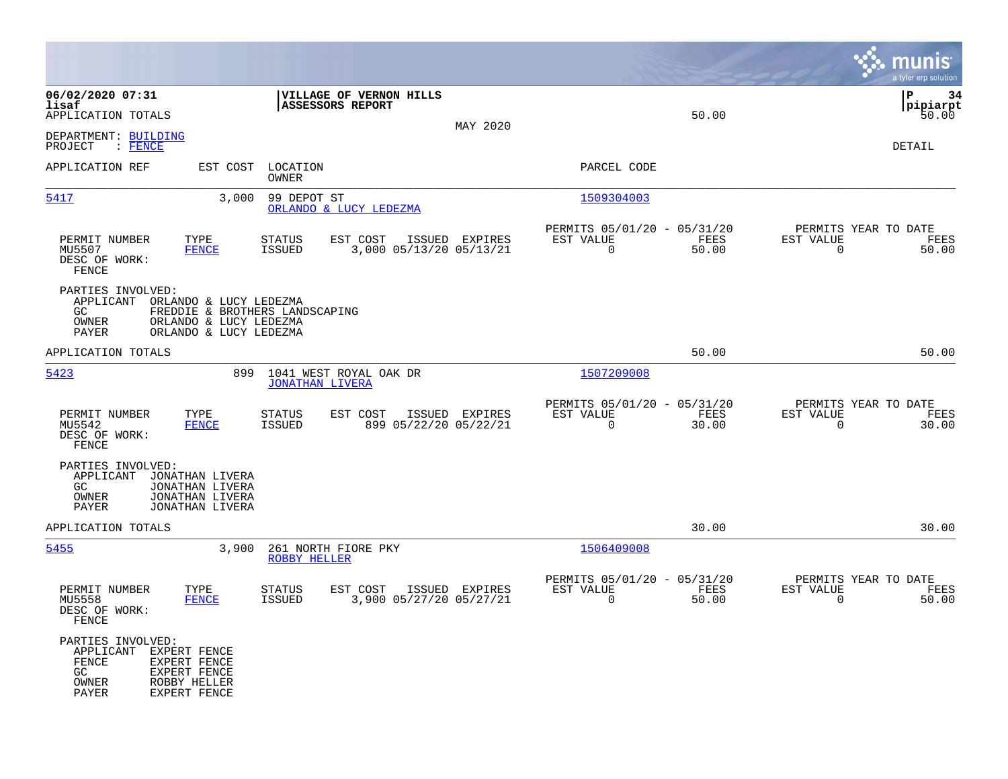|                                                                 |                                                                                                              |                                   |                                             |                |                                                            |                      |                                                  | munis<br>a tyler erp solution   |
|-----------------------------------------------------------------|--------------------------------------------------------------------------------------------------------------|-----------------------------------|---------------------------------------------|----------------|------------------------------------------------------------|----------------------|--------------------------------------------------|---------------------------------|
| 06/02/2020 07:31<br>lisaf<br>APPLICATION TOTALS                 |                                                                                                              |                                   | VILLAGE OF VERNON HILLS<br>ASSESSORS REPORT | MAY 2020       |                                                            | 50.00                |                                                  | l P<br>34<br> pipiarpt<br>50.00 |
| DEPARTMENT: BUILDING<br>PROJECT<br>: FENCE                      |                                                                                                              |                                   |                                             |                |                                                            |                      |                                                  | DETAIL                          |
| APPLICATION REF                                                 |                                                                                                              | EST COST LOCATION<br><b>OWNER</b> |                                             |                | PARCEL CODE                                                |                      |                                                  |                                 |
| 5417                                                            | 3,000                                                                                                        | 99 DEPOT ST                       | ORLANDO & LUCY LEDEZMA                      |                | 1509304003                                                 |                      |                                                  |                                 |
| PERMIT NUMBER<br>MU5507<br>DESC OF WORK:<br>FENCE               | TYPE<br><b>FENCE</b>                                                                                         | STATUS<br><b>ISSUED</b>           | EST COST<br>3,000 05/13/20 05/13/21         | ISSUED EXPIRES | PERMITS 05/01/20 - 05/31/20<br>EST VALUE<br>$\overline{0}$ | FEES<br>50.00        | PERMITS YEAR TO DATE<br>EST VALUE<br>$\mathbf 0$ | FEES<br>50.00                   |
| PARTIES INVOLVED:<br>APPLICANT<br>GC<br>OWNER<br>PAYER          | ORLANDO & LUCY LEDEZMA<br>FREDDIE & BROTHERS LANDSCAPING<br>ORLANDO & LUCY LEDEZMA<br>ORLANDO & LUCY LEDEZMA |                                   |                                             |                |                                                            |                      |                                                  |                                 |
| APPLICATION TOTALS                                              |                                                                                                              |                                   |                                             |                |                                                            | 50.00                |                                                  | 50.00                           |
| 5423                                                            | 899                                                                                                          | <b>JONATHAN LIVERA</b>            | 1041 WEST ROYAL OAK DR                      |                | 1507209008                                                 |                      |                                                  |                                 |
| PERMIT NUMBER<br>MU5542<br>DESC OF WORK:<br>FENCE               | TYPE<br><b>FENCE</b>                                                                                         | <b>STATUS</b><br>ISSUED           | EST COST<br>899 05/22/20 05/22/21           | ISSUED EXPIRES | PERMITS 05/01/20 - 05/31/20<br>EST VALUE<br>$\mathbf 0$    | <b>FEES</b><br>30.00 | PERMITS YEAR TO DATE<br>EST VALUE<br>$\mathbf 0$ | FEES<br>30.00                   |
| PARTIES INVOLVED:<br>APPLICANT<br>GC.<br>OWNER<br>PAYER         | JONATHAN LIVERA<br>JONATHAN LIVERA<br>JONATHAN LIVERA<br>JONATHAN LIVERA                                     |                                   |                                             |                |                                                            |                      |                                                  |                                 |
| APPLICATION TOTALS                                              |                                                                                                              |                                   |                                             |                |                                                            | 30.00                |                                                  | 30.00                           |
| 5455                                                            | 3,900                                                                                                        | ROBBY HELLER                      | 261 NORTH FIORE PKY                         |                | 1506409008                                                 |                      |                                                  |                                 |
| PERMIT NUMBER<br>MU5558<br>DESC OF WORK:<br>FENCE               | TYPE<br><b>FENCE</b>                                                                                         | <b>STATUS</b><br>ISSUED           | EST COST<br>3,900 05/27/20 05/27/21         | ISSUED EXPIRES | PERMITS 05/01/20 - 05/31/20<br>EST VALUE<br>$\Omega$       | FEES<br>50.00        | PERMITS YEAR TO DATE<br>EST VALUE<br>$\mathbf 0$ | FEES<br>50.00                   |
| PARTIES INVOLVED:<br>APPLICANT<br>FENCE<br>GC<br>OWNER<br>PAYER | EXPERT FENCE<br>EXPERT FENCE<br>EXPERT FENCE<br>ROBBY HELLER<br>EXPERT FENCE                                 |                                   |                                             |                |                                                            |                      |                                                  |                                 |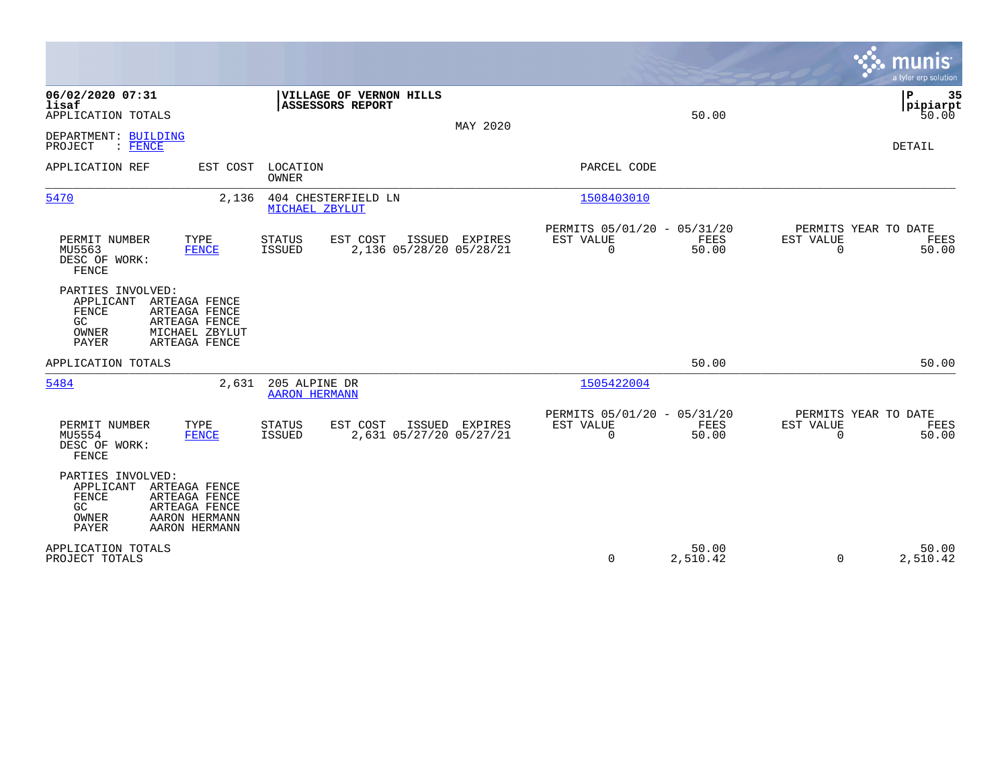|                                                                        |                                                                                    |                                       |                                                    |                                           |                                                         |                   |                          | munis<br>a tyler erp solution         |
|------------------------------------------------------------------------|------------------------------------------------------------------------------------|---------------------------------------|----------------------------------------------------|-------------------------------------------|---------------------------------------------------------|-------------------|--------------------------|---------------------------------------|
| 06/02/2020 07:31<br>lisaf<br>APPLICATION TOTALS                        |                                                                                    |                                       | VILLAGE OF VERNON HILLS<br><b>ASSESSORS REPORT</b> | MAY 2020                                  |                                                         | 50.00             |                          | P<br>35<br> pipiarpt<br>50.00         |
| DEPARTMENT: BUILDING<br>PROJECT<br>$:$ FENCE                           |                                                                                    |                                       |                                                    |                                           |                                                         |                   |                          | <b>DETAIL</b>                         |
| APPLICATION REF                                                        | EST COST                                                                           | LOCATION<br>OWNER                     |                                                    |                                           | PARCEL CODE                                             |                   |                          |                                       |
| 5470                                                                   | 2,136                                                                              | MICHAEL ZBYLUT                        | 404 CHESTERFIELD LN                                |                                           | 1508403010                                              |                   |                          |                                       |
| PERMIT NUMBER<br>MU5563<br>DESC OF WORK:<br>FENCE                      | TYPE<br><b>FENCE</b>                                                               | <b>STATUS</b><br>ISSUED               | EST COST                                           | ISSUED EXPIRES<br>2,136 05/28/20 05/28/21 | PERMITS 05/01/20 - 05/31/20<br>EST VALUE<br>$\mathbf 0$ | FEES<br>50.00     | EST VALUE<br>$\Omega$    | PERMITS YEAR TO DATE<br>FEES<br>50.00 |
| PARTIES INVOLVED:<br>APPLICANT<br>FENCE<br>GC<br>OWNER<br><b>PAYER</b> | ARTEAGA FENCE<br>ARTEAGA FENCE<br>ARTEAGA FENCE<br>MICHAEL ZBYLUT<br>ARTEAGA FENCE |                                       |                                                    |                                           |                                                         |                   |                          |                                       |
| APPLICATION TOTALS                                                     |                                                                                    |                                       |                                                    |                                           |                                                         | 50.00             |                          | 50.00                                 |
| 5484                                                                   | 2,631                                                                              | 205 ALPINE DR<br><b>AARON HERMANN</b> |                                                    |                                           | 1505422004                                              |                   |                          |                                       |
| PERMIT NUMBER<br>MU5554<br>DESC OF WORK:<br>FENCE                      | TYPE<br><b>FENCE</b>                                                               | <b>STATUS</b><br><b>ISSUED</b>        | EST COST                                           | ISSUED EXPIRES<br>2,631 05/27/20 05/27/21 | PERMITS 05/01/20 - 05/31/20<br>EST VALUE<br>0           | FEES<br>50.00     | EST VALUE<br>$\mathbf 0$ | PERMITS YEAR TO DATE<br>FEES<br>50.00 |
| PARTIES INVOLVED:<br>APPLICANT<br>FENCE<br>GC<br>OWNER<br>PAYER        | ARTEAGA FENCE<br>ARTEAGA FENCE<br>ARTEAGA FENCE<br>AARON HERMANN<br>AARON HERMANN  |                                       |                                                    |                                           |                                                         |                   |                          |                                       |
| APPLICATION TOTALS<br>PROJECT TOTALS                                   |                                                                                    |                                       |                                                    |                                           | 0                                                       | 50.00<br>2,510.42 | $\mathbf 0$              | 50.00<br>2,510.42                     |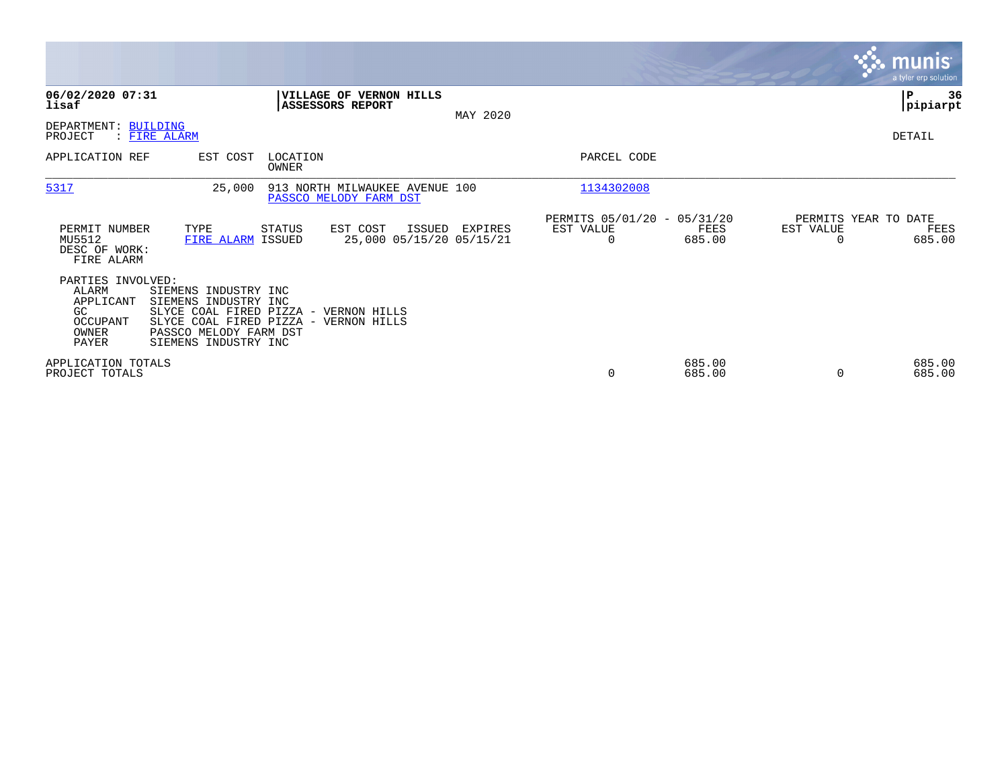|                                                                             |                                                                                                                                                                   |                   |                                                          |          |                                                      |                  |           | <b>munis</b><br>a tyler erp solution   |
|-----------------------------------------------------------------------------|-------------------------------------------------------------------------------------------------------------------------------------------------------------------|-------------------|----------------------------------------------------------|----------|------------------------------------------------------|------------------|-----------|----------------------------------------|
| 06/02/2020 07:31<br>lisaf                                                   |                                                                                                                                                                   |                   | VILLAGE OF VERNON HILLS<br>ASSESSORS REPORT              | MAY 2020 |                                                      |                  |           | 36<br>  P<br> pipiarpt                 |
| DEPARTMENT: BUILDING<br>PROJECT                                             | : FIRE ALARM                                                                                                                                                      |                   |                                                          |          |                                                      |                  |           | DETAIL                                 |
| APPLICATION REF                                                             | EST COST                                                                                                                                                          | LOCATION<br>OWNER |                                                          |          | PARCEL CODE                                          |                  |           |                                        |
| 5317                                                                        | 25,000                                                                                                                                                            |                   | 913 NORTH MILWAUKEE AVENUE 100<br>PASSCO MELODY FARM DST |          | 1134302008                                           |                  |           |                                        |
| PERMIT NUMBER<br>MU5512<br>DESC OF WORK:<br>FIRE ALARM                      | TYPE<br>FIRE ALARM ISSUED                                                                                                                                         | STATUS            | EST COST<br>ISSUED<br>25,000 05/15/20 05/15/21           | EXPIRES  | PERMITS 05/01/20 - 05/31/20<br>EST VALUE<br>$\Omega$ | FEES<br>685.00   | EST VALUE | PERMITS YEAR TO DATE<br>FEES<br>685.00 |
| PARTIES INVOLVED:<br>ALARM<br>APPLICANT<br>GC<br>OCCUPANT<br>OWNER<br>PAYER | SIEMENS INDUSTRY INC<br>SIEMENS INDUSTRY INC<br>SLYCE COAL FIRED PIZZA - VERNON HILLS<br>SLYCE COAL FIRED PIZZA<br>PASSCO MELODY FARM DST<br>SIEMENS INDUSTRY INC |                   | - VERNON HILLS                                           |          |                                                      |                  |           |                                        |
| APPLICATION TOTALS<br>PROJECT TOTALS                                        |                                                                                                                                                                   |                   |                                                          |          | 0                                                    | 685.00<br>685.00 | $\Omega$  | 685.00<br>685.00                       |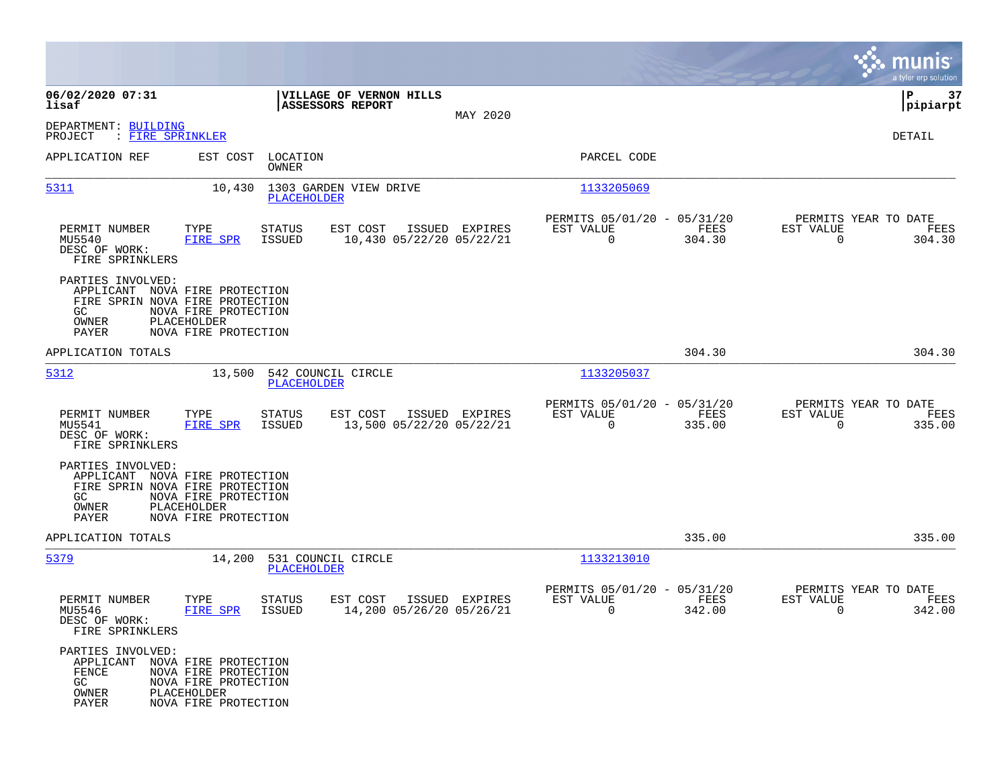|                                                                                                                 |                                                                                     |                                |                                                    |                |                                                            |                |                                                     | munis<br>a tyler erp solution |
|-----------------------------------------------------------------------------------------------------------------|-------------------------------------------------------------------------------------|--------------------------------|----------------------------------------------------|----------------|------------------------------------------------------------|----------------|-----------------------------------------------------|-------------------------------|
| 06/02/2020 07:31<br>lisaf                                                                                       |                                                                                     |                                | VILLAGE OF VERNON HILLS<br><b>ASSESSORS REPORT</b> |                |                                                            |                |                                                     | 37<br>P<br> pipiarpt          |
| DEPARTMENT: BUILDING<br>PROJECT<br>: FIRE SPRINKLER                                                             |                                                                                     |                                |                                                    | MAY 2020       |                                                            |                |                                                     | DETAIL                        |
| APPLICATION REF                                                                                                 | EST COST                                                                            | LOCATION<br>OWNER              |                                                    |                | PARCEL CODE                                                |                |                                                     |                               |
| 5311                                                                                                            | 10,430                                                                              | PLACEHOLDER                    | 1303 GARDEN VIEW DRIVE                             |                | 1133205069                                                 |                |                                                     |                               |
| PERMIT NUMBER<br>MU5540<br>DESC OF WORK:<br>FIRE SPRINKLERS                                                     | TYPE<br>FIRE SPR                                                                    | STATUS<br>ISSUED               | EST COST<br>10,430 05/22/20 05/22/21               | ISSUED EXPIRES | PERMITS 05/01/20 - 05/31/20<br>EST VALUE<br>$\overline{0}$ | FEES<br>304.30 | PERMITS YEAR TO DATE<br>EST VALUE<br>$\overline{0}$ | FEES<br>304.30                |
| PARTIES INVOLVED:<br>APPLICANT NOVA FIRE PROTECTION<br>FIRE SPRIN NOVA FIRE PROTECTION<br>GC<br>OWNER<br>PAYER  | NOVA FIRE PROTECTION<br>PLACEHOLDER<br>NOVA FIRE PROTECTION                         |                                |                                                    |                |                                                            |                |                                                     |                               |
| APPLICATION TOTALS                                                                                              |                                                                                     |                                |                                                    |                |                                                            | 304.30         |                                                     | 304.30                        |
| 5312                                                                                                            | 13,500                                                                              | PLACEHOLDER                    | 542 COUNCIL CIRCLE                                 |                | 1133205037                                                 |                |                                                     |                               |
| PERMIT NUMBER<br>MU5541<br>DESC OF WORK:<br>FIRE SPRINKLERS                                                     | TYPE<br>FIRE SPR                                                                    | STATUS<br>ISSUED               | EST COST<br>13,500 05/22/20 05/22/21               | ISSUED EXPIRES | PERMITS 05/01/20 - 05/31/20<br>EST VALUE<br>$\overline{0}$ | FEES<br>335.00 | PERMITS YEAR TO DATE<br>EST VALUE<br>$\Omega$       | FEES<br>335.00                |
| PARTIES INVOLVED:<br>APPLICANT NOVA FIRE PROTECTION<br>FIRE SPRIN NOVA FIRE PROTECTION<br>GC.<br>OWNER<br>PAYER | NOVA FIRE PROTECTION<br>PLACEHOLDER<br>NOVA FIRE PROTECTION                         |                                |                                                    |                |                                                            |                |                                                     |                               |
| APPLICATION TOTALS                                                                                              |                                                                                     |                                |                                                    |                |                                                            | 335.00         |                                                     | 335.00                        |
| 5379                                                                                                            |                                                                                     | PLACEHOLDER                    | 14,200 531 COUNCIL CIRCLE                          |                | 1133213010                                                 |                |                                                     |                               |
| PERMIT NUMBER<br>MU5546<br>DESC OF WORK:<br>FIRE SPRINKLERS                                                     | TYPE<br><b>FIRE SPR</b>                                                             | <b>STATUS</b><br><b>ISSUED</b> | EST COST<br>14,200 05/26/20 05/26/21               | ISSUED EXPIRES | PERMITS 05/01/20 - 05/31/20<br>EST VALUE<br>0              | FEES<br>342.00 | PERMITS YEAR TO DATE<br>EST VALUE<br>0              | FEES<br>342.00                |
| PARTIES INVOLVED:<br>APPLICANT NOVA FIRE PROTECTION<br>FENCE<br>GC<br>OWNER<br>PAYER                            | NOVA FIRE PROTECTION<br>NOVA FIRE PROTECTION<br>PLACEHOLDER<br>NOVA FIRE PROTECTION |                                |                                                    |                |                                                            |                |                                                     |                               |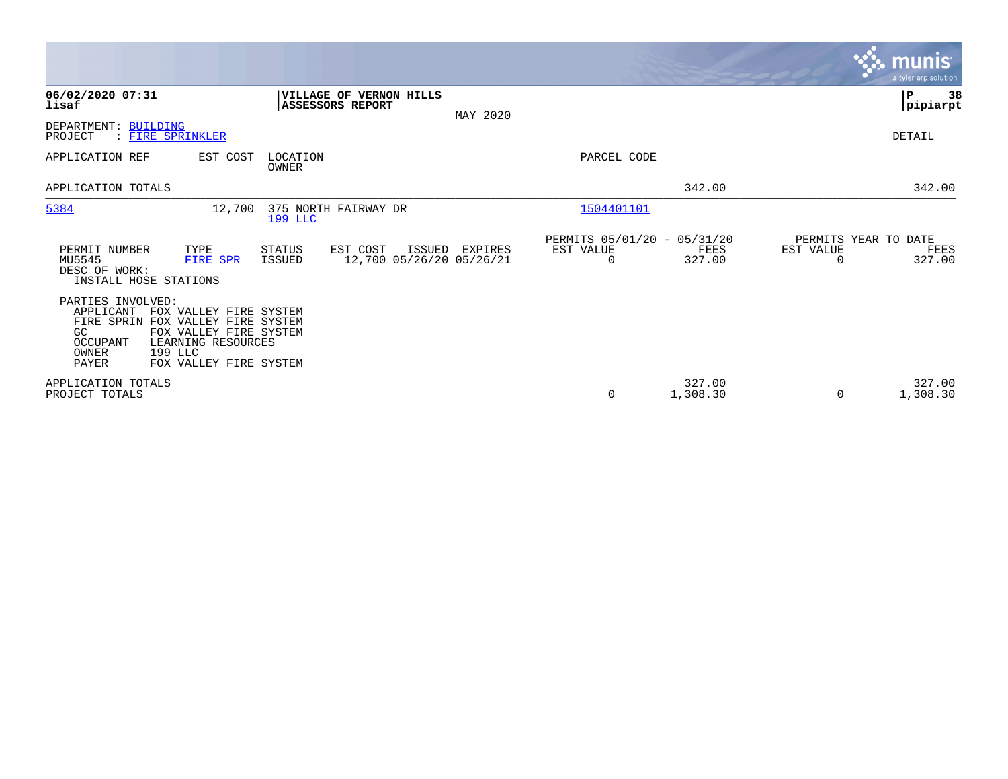|                                                                                                                                                                                                                         |                                                                    |          |                                               |                    | munis <sup>®</sup><br>a tyler erp solution                      |    |
|-------------------------------------------------------------------------------------------------------------------------------------------------------------------------------------------------------------------------|--------------------------------------------------------------------|----------|-----------------------------------------------|--------------------|-----------------------------------------------------------------|----|
| 06/02/2020 07:31<br>lisaf                                                                                                                                                                                               | VILLAGE OF VERNON HILLS<br>ASSESSORS REPORT                        | MAY 2020 |                                               |                    | ∣P<br> pipiarpt                                                 | 38 |
| DEPARTMENT: BUILDING<br>: FIRE SPRINKLER<br>PROJECT                                                                                                                                                                     |                                                                    |          |                                               |                    | DETAIL                                                          |    |
| APPLICATION REF<br>EST COST                                                                                                                                                                                             | LOCATION<br>OWNER                                                  |          | PARCEL CODE                                   |                    |                                                                 |    |
| APPLICATION TOTALS                                                                                                                                                                                                      |                                                                    |          |                                               | 342.00             | 342.00                                                          |    |
| 5384<br>12,700                                                                                                                                                                                                          | 375 NORTH FAIRWAY DR<br><b>199 LLC</b>                             |          | 1504401101                                    |                    |                                                                 |    |
| PERMIT NUMBER<br>TYPE<br>MU5545<br>FIRE SPR<br>DESC OF WORK:<br>INSTALL HOSE STATIONS                                                                                                                                   | EST COST<br>ISSUED<br>STATUS<br>12,700 05/26/20 05/26/21<br>ISSUED | EXPIRES  | PERMITS 05/01/20 - 05/31/20<br>EST VALUE<br>0 | FEES<br>327.00     | PERMITS YEAR TO DATE<br>EST VALUE<br>FEES<br>327.00<br>$\Omega$ |    |
| PARTIES INVOLVED:<br>APPLICANT<br>FOX VALLEY FIRE SYSTEM<br>FIRE SPRIN FOX VALLEY FIRE SYSTEM<br>FOX VALLEY FIRE SYSTEM<br>GC.<br>LEARNING RESOURCES<br>OCCUPANT<br>199 LLC<br>OWNER<br>PAYER<br>FOX VALLEY FIRE SYSTEM |                                                                    |          |                                               |                    |                                                                 |    |
| APPLICATION TOTALS<br>PROJECT TOTALS                                                                                                                                                                                    |                                                                    |          | $\mathbf 0$                                   | 327.00<br>1,308.30 | 327.00<br>0<br>1,308.30                                         |    |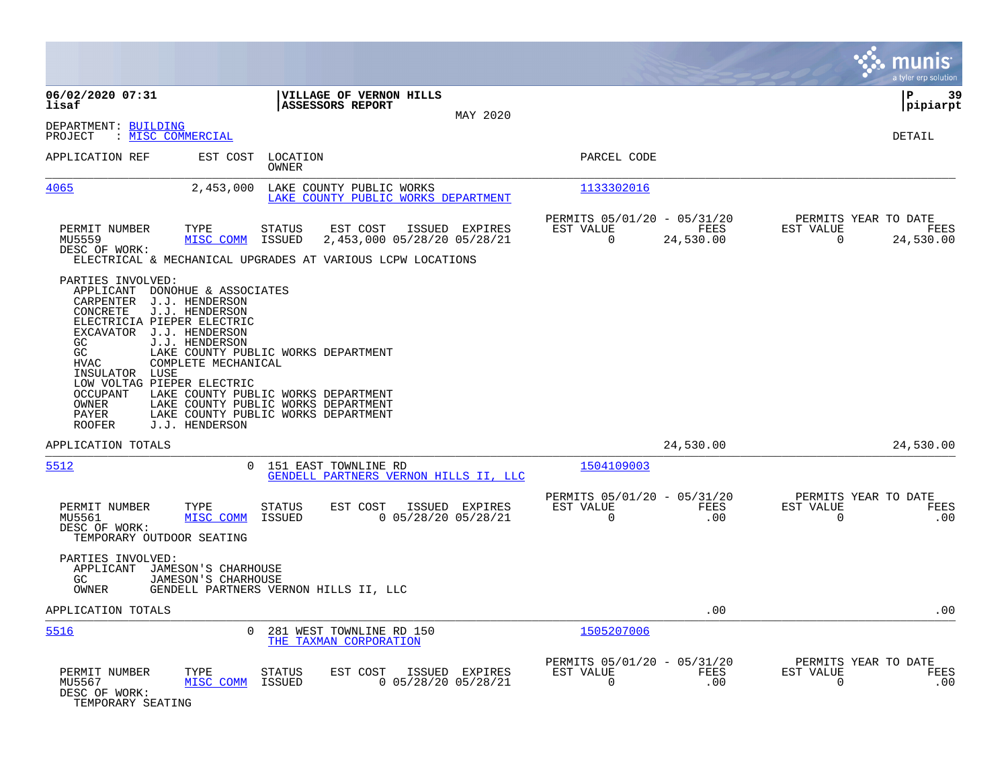|                                                                                                                                                                                                                                                                                                                                                                        |                                                                                                                                                          |                                                                              | munis<br>a tyler erp solution                                            |
|------------------------------------------------------------------------------------------------------------------------------------------------------------------------------------------------------------------------------------------------------------------------------------------------------------------------------------------------------------------------|----------------------------------------------------------------------------------------------------------------------------------------------------------|------------------------------------------------------------------------------|--------------------------------------------------------------------------|
| 06/02/2020 07:31<br>lisaf                                                                                                                                                                                                                                                                                                                                              | VILLAGE OF VERNON HILLS<br>ASSESSORS REPORT                                                                                                              |                                                                              | ΙP<br>39<br> pipiarpt                                                    |
| DEPARTMENT: BUILDING<br>: MISC COMMERCIAL<br>PROJECT                                                                                                                                                                                                                                                                                                                   | MAY 2020                                                                                                                                                 |                                                                              | DETAIL                                                                   |
| APPLICATION REF<br>EST COST                                                                                                                                                                                                                                                                                                                                            | LOCATION<br>OWNER                                                                                                                                        | PARCEL CODE                                                                  |                                                                          |
| 4065<br>2,453,000                                                                                                                                                                                                                                                                                                                                                      | LAKE COUNTY PUBLIC WORKS<br>LAKE COUNTY PUBLIC WORKS DEPARTMENT                                                                                          | 1133302016                                                                   |                                                                          |
| PERMIT NUMBER<br>TYPE<br>MU5559<br>MISC COMM<br>DESC OF WORK:                                                                                                                                                                                                                                                                                                          | EST COST<br>ISSUED EXPIRES<br>STATUS<br>2,453,000 05/28/20 05/28/21<br>ISSUED<br>ELECTRICAL & MECHANICAL UPGRADES AT VARIOUS LCPW LOCATIONS              | PERMITS 05/01/20 - 05/31/20<br>EST VALUE<br>FEES<br>$\mathbf 0$<br>24,530.00 | PERMITS YEAR TO DATE<br>EST VALUE<br>FEES<br>24,530.00<br>$\overline{0}$ |
| PARTIES INVOLVED:<br>APPLICANT DONOHUE & ASSOCIATES<br>J.J. HENDERSON<br>CARPENTER<br>CONCRETE<br>J.J. HENDERSON<br>ELECTRICIA PIEPER ELECTRIC<br>EXCAVATOR J.J. HENDERSON<br>GC<br>J.J. HENDERSON<br>GC<br><b>HVAC</b><br>COMPLETE MECHANICAL<br>INSULATOR LUSE<br>LOW VOLTAG PIEPER ELECTRIC<br><b>OCCUPANT</b><br>OWNER<br>PAYER<br>J.J. HENDERSON<br><b>ROOFER</b> | LAKE COUNTY PUBLIC WORKS DEPARTMENT<br>LAKE COUNTY PUBLIC WORKS DEPARTMENT<br>LAKE COUNTY PUBLIC WORKS DEPARTMENT<br>LAKE COUNTY PUBLIC WORKS DEPARTMENT |                                                                              |                                                                          |
| APPLICATION TOTALS                                                                                                                                                                                                                                                                                                                                                     |                                                                                                                                                          | 24,530.00                                                                    | 24,530.00                                                                |
| 5512                                                                                                                                                                                                                                                                                                                                                                   | 151 EAST TOWNLINE RD<br>$\Omega$<br>GENDELL PARTNERS VERNON HILLS II, LLC                                                                                | 1504109003                                                                   |                                                                          |
| PERMIT NUMBER<br>TYPE<br>MISC COMM<br>MU5561<br>DESC OF WORK:<br>TEMPORARY OUTDOOR SEATING                                                                                                                                                                                                                                                                             | STATUS<br>EST COST<br>ISSUED EXPIRES<br>$0$ 05/28/20 05/28/21<br>ISSUED                                                                                  | PERMITS 05/01/20 - 05/31/20<br>FEES<br>EST VALUE<br>$\Omega$<br>.00          | PERMITS YEAR TO DATE<br>EST VALUE<br>FEES<br>$\Omega$<br>.00             |
| PARTIES INVOLVED:<br>APPLICANT<br>JAMESON'S CHARHOUSE<br>GC<br>JAMESON'S CHARHOUSE<br>OWNER                                                                                                                                                                                                                                                                            | GENDELL PARTNERS VERNON HILLS II, LLC                                                                                                                    |                                                                              |                                                                          |
| APPLICATION TOTALS                                                                                                                                                                                                                                                                                                                                                     |                                                                                                                                                          | .00                                                                          | .00                                                                      |
| 5516                                                                                                                                                                                                                                                                                                                                                                   | $\Omega$<br>281 WEST TOWNLINE RD 150<br>THE TAXMAN CORPORATION                                                                                           | 1505207006                                                                   |                                                                          |
| PERMIT NUMBER<br>TYPE<br>MU5567<br>MISC COMM<br>DESC OF WORK:<br>TEMPORARY SEATING                                                                                                                                                                                                                                                                                     | EST COST<br>ISSUED EXPIRES<br>STATUS<br>ISSUED<br>$0$ 05/28/20 05/28/21                                                                                  | PERMITS 05/01/20 - 05/31/20<br>EST VALUE<br>FEES<br>.00<br>0                 | PERMITS YEAR TO DATE<br>EST VALUE<br>FEES<br>.00<br>0                    |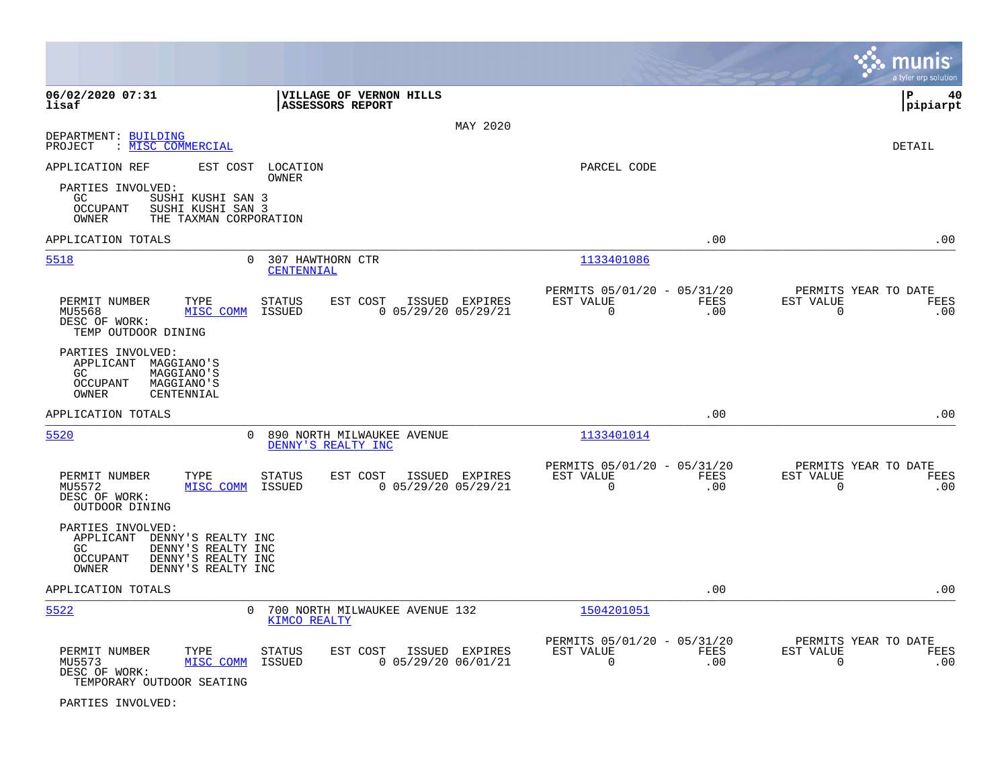|                                                                                                                                                    |                                                                                       |                                                         |             | munis<br>a tyler erp solution                                   |
|----------------------------------------------------------------------------------------------------------------------------------------------------|---------------------------------------------------------------------------------------|---------------------------------------------------------|-------------|-----------------------------------------------------------------|
| 06/02/2020 07:31<br>lisaf                                                                                                                          | VILLAGE OF VERNON HILLS<br>ASSESSORS REPORT                                           |                                                         |             | l P<br>40<br> pipiarpt                                          |
| DEPARTMENT: BUILDING                                                                                                                               |                                                                                       | MAY 2020                                                |             |                                                                 |
| PROJECT<br>: MISC COMMERCIAL                                                                                                                       |                                                                                       |                                                         |             | DETAIL                                                          |
| APPLICATION REF<br>EST COST                                                                                                                        | LOCATION<br><b>OWNER</b>                                                              | PARCEL CODE                                             |             |                                                                 |
| PARTIES INVOLVED:<br>GC.<br>SUSHI KUSHI SAN 3<br>OCCUPANT<br>SUSHI KUSHI SAN 3<br>OWNER<br>THE TAXMAN CORPORATION                                  |                                                                                       |                                                         |             |                                                                 |
| APPLICATION TOTALS                                                                                                                                 |                                                                                       |                                                         | .00         | .00                                                             |
| 5518                                                                                                                                               | $\Omega$<br>307 HAWTHORN CTR<br>CENTENNIAL                                            | 1133401086                                              |             |                                                                 |
| PERMIT NUMBER<br>TYPE<br>MISC COMM<br>MU5568<br>DESC OF WORK:<br>TEMP OUTDOOR DINING                                                               | <b>STATUS</b><br>EST COST<br>ISSUED EXPIRES<br>$0$ 05/29/20 05/29/21<br>ISSUED        | PERMITS 05/01/20 - 05/31/20<br>EST VALUE<br>$\mathbf 0$ | FEES<br>.00 | PERMITS YEAR TO DATE<br>EST VALUE<br>FEES<br>.00<br>$\mathbf 0$ |
| PARTIES INVOLVED:<br>APPLICANT<br>MAGGIANO'S<br>GC<br><b>MAGGIANO'S</b><br>OCCUPANT<br><b>MAGGIANO'S</b><br>OWNER<br>CENTENNIAL                    |                                                                                       |                                                         |             |                                                                 |
| APPLICATION TOTALS                                                                                                                                 |                                                                                       |                                                         | .00         | .00                                                             |
| 5520                                                                                                                                               | 890 NORTH MILWAUKEE AVENUE<br>$\Omega$<br>DENNY'S REALTY INC                          | 1133401014                                              |             |                                                                 |
| PERMIT NUMBER<br>TYPE<br>MISC COMM<br>MU5572<br>DESC OF WORK:<br>OUTDOOR DINING                                                                    | <b>STATUS</b><br>EST COST<br>ISSUED EXPIRES<br>ISSUED<br>$0$ 05/29/20 05/29/21        | PERMITS 05/01/20 - 05/31/20<br>EST VALUE<br>$\mathbf 0$ | FEES<br>.00 | PERMITS YEAR TO DATE<br>EST VALUE<br>FEES<br>.00<br>$\mathbf 0$ |
| PARTIES INVOLVED:<br>APPLICANT<br>DENNY'S REALTY INC<br>DENNY'S REALTY INC<br>GC.<br>OCCUPANT<br>DENNY'S REALTY INC<br>OWNER<br>DENNY'S REALTY INC |                                                                                       |                                                         |             |                                                                 |
| APPLICATION TOTALS                                                                                                                                 |                                                                                       |                                                         | .00         | .00                                                             |
| 5522                                                                                                                                               | 700 NORTH MILWAUKEE AVENUE 132<br>0<br>KIMCO REALTY                                   | 1504201051                                              |             |                                                                 |
| PERMIT NUMBER<br>TYPE<br>MU5573<br>MISC COMM<br>DESC OF WORK:<br>TEMPORARY OUTDOOR SEATING                                                         | <b>STATUS</b><br>EST COST<br>ISSUED EXPIRES<br>$0$ 05/29/20 06/01/21<br><b>ISSUED</b> | PERMITS 05/01/20 - 05/31/20<br>EST VALUE<br>$\mathbf 0$ | FEES<br>.00 | PERMITS YEAR TO DATE<br>EST VALUE<br>FEES<br>$\mathbf 0$<br>.00 |

PARTIES INVOLVED: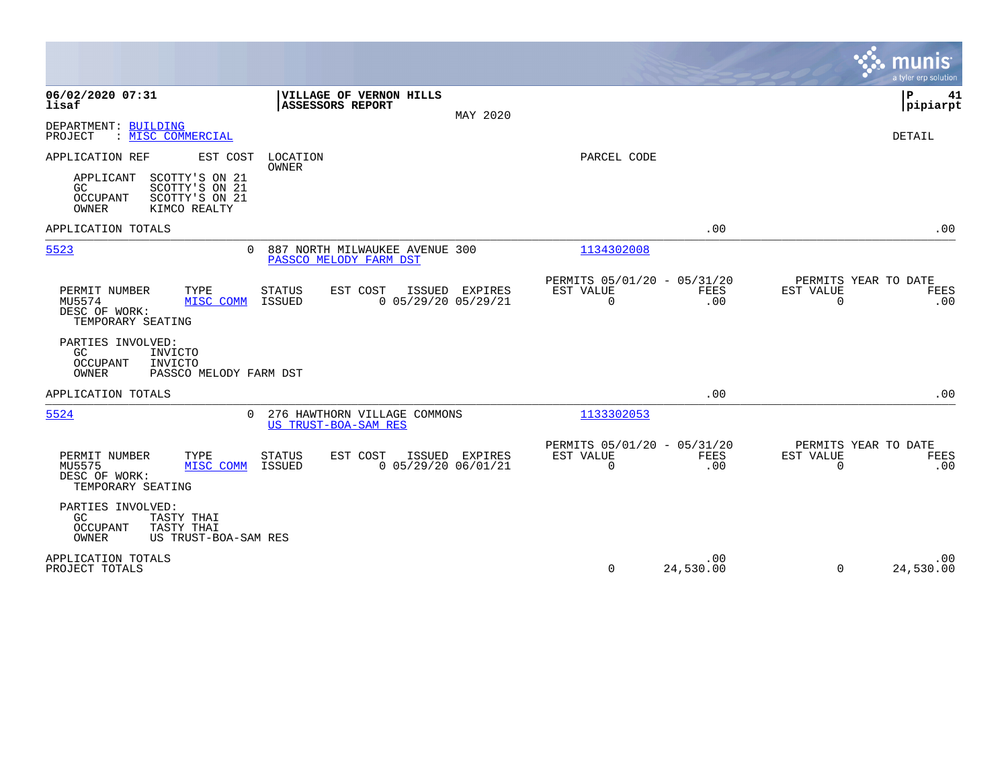|                                                                                                             |                                                                                |                                                                        | munis<br>a tyler erp solution                                   |
|-------------------------------------------------------------------------------------------------------------|--------------------------------------------------------------------------------|------------------------------------------------------------------------|-----------------------------------------------------------------|
| 06/02/2020 07:31<br>lisaf                                                                                   | VILLAGE OF VERNON HILLS<br>ASSESSORS REPORT<br>MAY 2020                        |                                                                        | ΙP<br>41<br> pipiarpt                                           |
| DEPARTMENT: BUILDING<br>: MISC COMMERCIAL<br>PROJECT                                                        |                                                                                |                                                                        | DETAIL                                                          |
| APPLICATION REF<br>EST COST                                                                                 | LOCATION<br>OWNER                                                              | PARCEL CODE                                                            |                                                                 |
| SCOTTY'S ON 21<br>APPLICANT<br>GC.<br>SCOTTY'S ON 21<br>SCOTTY'S ON 21<br>OCCUPANT<br>OWNER<br>KIMCO REALTY |                                                                                |                                                                        |                                                                 |
| APPLICATION TOTALS                                                                                          |                                                                                | .00                                                                    | .00                                                             |
| 5523                                                                                                        | 0 887 NORTH MILWAUKEE AVENUE 300<br>PASSCO MELODY FARM DST                     | 1134302008                                                             |                                                                 |
| PERMIT NUMBER<br>TYPE<br>MU5574<br>MISC COMM<br>DESC OF WORK:<br>TEMPORARY SEATING                          | <b>STATUS</b><br>EST COST<br>ISSUED EXPIRES<br>$0$ 05/29/20 05/29/21<br>ISSUED | PERMITS 05/01/20 - 05/31/20<br>EST VALUE<br>FEES<br>$\Omega$<br>.00    | PERMITS YEAR TO DATE<br>EST VALUE<br>FEES<br>$\Omega$<br>.00    |
| PARTIES INVOLVED:<br>GC<br>INVICTO<br>OCCUPANT<br>INVICTO<br>OWNER<br>PASSCO MELODY FARM DST                |                                                                                |                                                                        |                                                                 |
| APPLICATION TOTALS                                                                                          |                                                                                | .00                                                                    | .00                                                             |
| 5524                                                                                                        | 0 276 HAWTHORN VILLAGE COMMONS<br>US TRUST-BOA-SAM RES                         | 1133302053                                                             |                                                                 |
| PERMIT NUMBER<br>TYPE<br>MISC COMM<br>MU5575<br>DESC OF WORK:<br>TEMPORARY SEATING                          | STATUS<br>EST COST<br>ISSUED EXPIRES<br>$0$ 05/29/20 06/01/21<br>ISSUED        | PERMITS 05/01/20 - 05/31/20<br>EST VALUE<br>FEES<br>$\mathbf 0$<br>.00 | PERMITS YEAR TO DATE<br>EST VALUE<br>FEES<br>$\mathbf 0$<br>.00 |
| PARTIES INVOLVED:<br>GC.<br>TASTY THAI<br>TASTY THAI<br>OCCUPANT<br>OWNER<br>US TRUST-BOA-SAM RES           |                                                                                |                                                                        |                                                                 |
| APPLICATION TOTALS<br>PROJECT TOTALS                                                                        |                                                                                | .00<br>0<br>24,530.00                                                  | .00<br>24,530.00<br>$\Omega$                                    |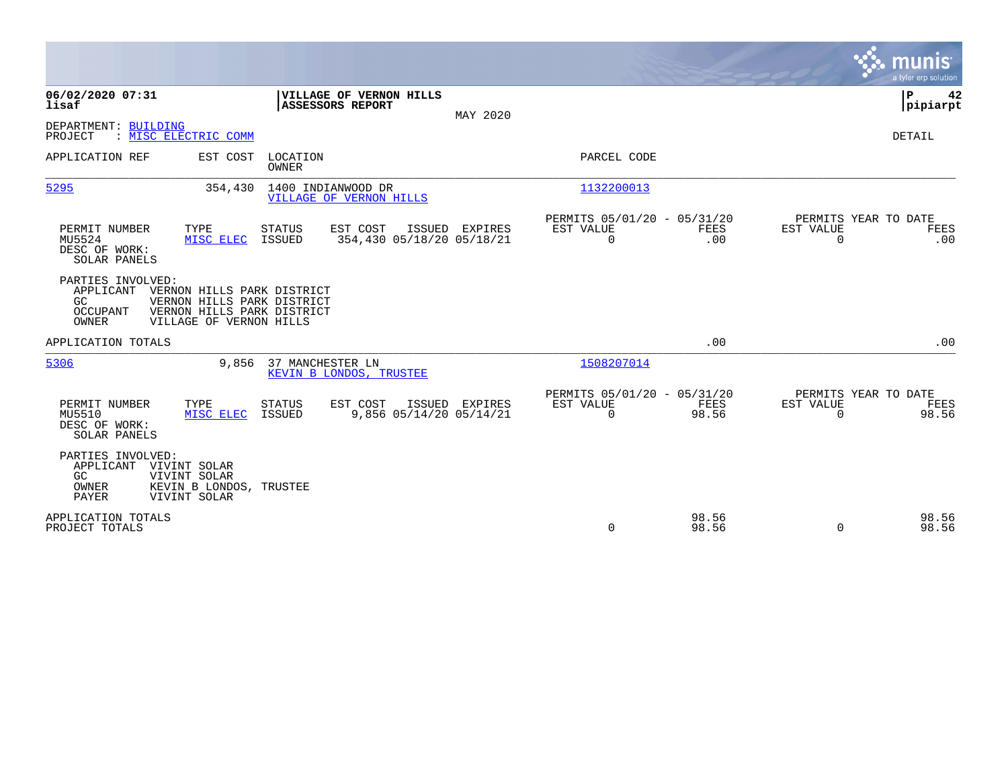|                                                                                                                                                                                              | munis<br>a tyler erp solution                                                                                                                 |
|----------------------------------------------------------------------------------------------------------------------------------------------------------------------------------------------|-----------------------------------------------------------------------------------------------------------------------------------------------|
| 06/02/2020 07:31<br>VILLAGE OF VERNON HILLS<br>lisaf<br><b>ASSESSORS REPORT</b>                                                                                                              | P<br>42<br> pipiarpt<br>MAY 2020                                                                                                              |
| DEPARTMENT: BUILDING<br>: MISC ELECTRIC COMM<br>PROJECT                                                                                                                                      | DETAIL                                                                                                                                        |
| APPLICATION REF<br>EST COST<br>LOCATION<br><b>OWNER</b>                                                                                                                                      | PARCEL CODE                                                                                                                                   |
| 5295<br>1400 INDIANWOOD DR<br>354,430<br>VILLAGE OF VERNON HILLS                                                                                                                             | 1132200013                                                                                                                                    |
| PERMIT NUMBER<br>TYPE<br><b>STATUS</b><br>EST COST<br>ISSUED EXPIRES<br>354,430 05/18/20 05/18/21<br>MU5524<br><b>ISSUED</b><br>MISC ELEC<br>DESC OF WORK:<br>SOLAR PANELS                   | PERMITS 05/01/20 - 05/31/20<br>PERMITS YEAR TO DATE<br>EST VALUE<br><b>FEES</b><br>EST VALUE<br>FEES<br>$\mathbf 0$<br>$\Omega$<br>.00<br>.00 |
| PARTIES INVOLVED:<br>APPLICANT<br>VERNON HILLS PARK DISTRICT<br>GC<br>VERNON HILLS PARK DISTRICT<br>VERNON HILLS PARK DISTRICT<br><b>OCCUPANT</b><br><b>OWNER</b><br>VILLAGE OF VERNON HILLS |                                                                                                                                               |
| APPLICATION TOTALS                                                                                                                                                                           | .00<br>.00                                                                                                                                    |
| 5306<br>37 MANCHESTER LN<br>9,856<br>KEVIN B LONDOS, TRUSTEE                                                                                                                                 | 1508207014                                                                                                                                    |
| PERMIT NUMBER<br>TYPE<br><b>STATUS</b><br>EST COST<br>ISSUED EXPIRES<br>9,856 05/14/20 05/14/21<br>MU5510<br>MISC ELEC<br>ISSUED<br>DESC OF WORK:<br>SOLAR PANELS                            | PERMITS 05/01/20 - 05/31/20<br>PERMITS YEAR TO DATE<br>EST VALUE<br>FEES<br>EST VALUE<br>FEES<br>98.56<br>98.56<br>$\mathbf 0$<br>$\mathbf 0$ |
| PARTIES INVOLVED:<br>APPLICANT<br>VIVINT SOLAR<br>GC<br>VIVINT SOLAR<br>OWNER<br>KEVIN B LONDOS, TRUSTEE<br>PAYER<br>VIVINT SOLAR                                                            |                                                                                                                                               |
| APPLICATION TOTALS<br>PROJECT TOTALS                                                                                                                                                         | 98.56<br>98.56<br>0<br>98.56<br>98.56<br>$\Omega$                                                                                             |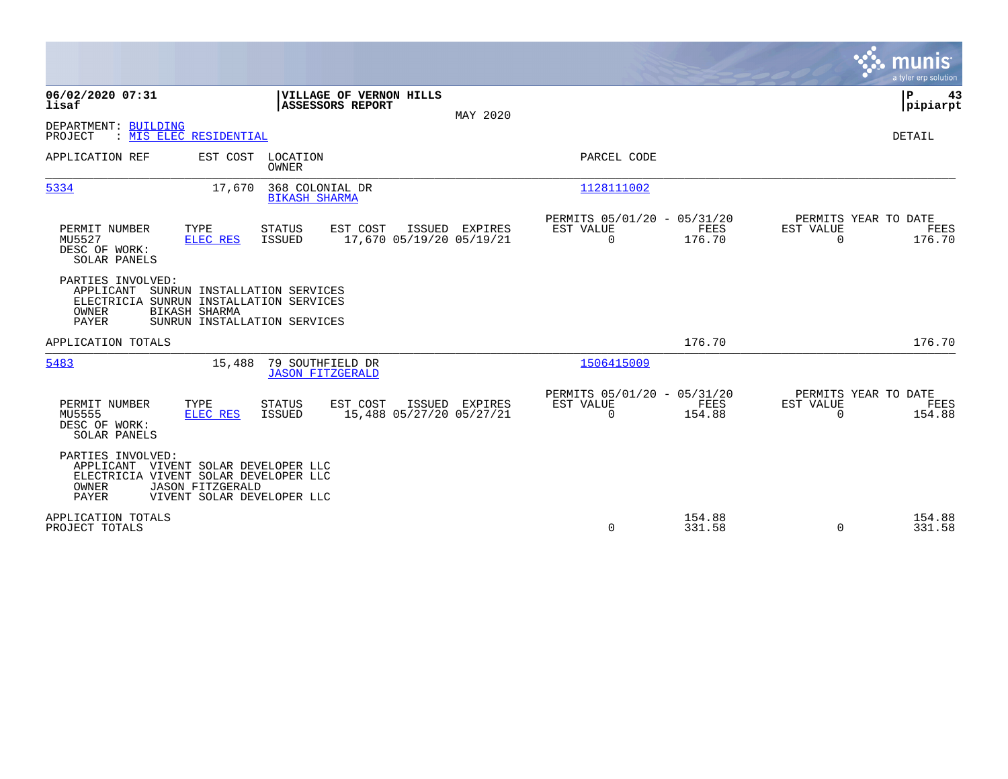|                                                                                                                                                                                     |                                                                                                 | munis<br>a tyler erp solution          |
|-------------------------------------------------------------------------------------------------------------------------------------------------------------------------------------|-------------------------------------------------------------------------------------------------|----------------------------------------|
| 06/02/2020 07:31<br>VILLAGE OF VERNON HILLS<br>lisaf<br>ASSESSORS REPORT                                                                                                            | MAY 2020                                                                                        | P<br>43<br> pipiarpt                   |
| DEPARTMENT: BUILDING<br>: MIS ELEC RESIDENTIAL<br>PROJECT                                                                                                                           |                                                                                                 | DETAIL                                 |
| APPLICATION REF<br>EST COST<br>LOCATION<br><b>OWNER</b>                                                                                                                             | PARCEL CODE                                                                                     |                                        |
| 5334<br>17,670<br>368 COLONIAL DR<br><b>BIKASH SHARMA</b>                                                                                                                           | 1128111002                                                                                      |                                        |
| PERMIT NUMBER<br>TYPE<br>STATUS<br>EST COST<br>ISSUED EXPIRES<br>MU5527<br>17,670 05/19/20 05/19/21<br><b>ISSUED</b><br>ELEC RES<br>DESC OF WORK:<br>SOLAR PANELS                   | PERMITS 05/01/20 - 05/31/20<br>FEES<br>EST VALUE<br>EST VALUE<br>$\Omega$<br>176.70<br>$\Omega$ | PERMITS YEAR TO DATE<br>FEES<br>176.70 |
| PARTIES INVOLVED:<br>APPLICANT<br>SUNRUN INSTALLATION SERVICES<br>ELECTRICIA SUNRUN INSTALLATION SERVICES<br>OWNER<br>BIKASH SHARMA<br><b>PAYER</b><br>SUNRUN INSTALLATION SERVICES |                                                                                                 |                                        |
| APPLICATION TOTALS                                                                                                                                                                  | 176.70                                                                                          | 176.70                                 |
| 5483<br>79 SOUTHFIELD DR<br>15,488<br><b>JASON FITZGERALD</b>                                                                                                                       | 1506415009                                                                                      |                                        |
| PERMIT NUMBER<br>TYPE<br>EST COST<br>ISSUED EXPIRES<br>STATUS<br>MU5555<br>15,488 05/27/20 05/27/21<br><b>ELEC RES</b><br><b>ISSUED</b><br>DESC OF WORK:<br>SOLAR PANELS            | PERMITS 05/01/20 - 05/31/20<br>FEES<br>EST VALUE<br>EST VALUE<br>$\Omega$<br>154.88<br>$\Omega$ | PERMITS YEAR TO DATE<br>FEES<br>154.88 |
| PARTIES INVOLVED:<br>APPLICANT VIVENT SOLAR DEVELOPER LLC<br>ELECTRICIA VIVENT SOLAR DEVELOPER LLC<br>OWNER<br><b>JASON FITZGERALD</b><br>PAYER<br>VIVENT SOLAR DEVELOPER LLC       |                                                                                                 |                                        |
| APPLICATION TOTALS<br>PROJECT TOTALS                                                                                                                                                | 154.88<br>$\mathbf 0$<br>331.58<br>$\Omega$                                                     | 154.88<br>331.58                       |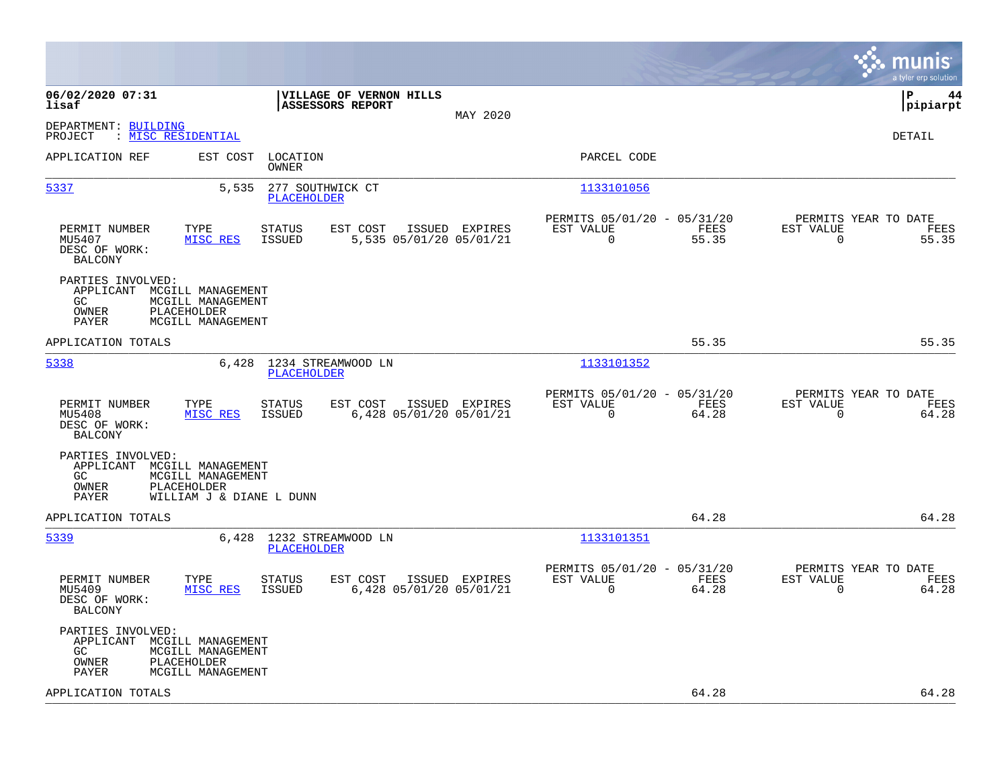|                                                                                                                                                                    |                                                                          | munis<br>a tyler erp solution                                        |
|--------------------------------------------------------------------------------------------------------------------------------------------------------------------|--------------------------------------------------------------------------|----------------------------------------------------------------------|
| 06/02/2020 07:31<br>VILLAGE OF VERNON HILLS<br>ASSESSORS REPORT<br>lisaf<br>MAY 2020                                                                               |                                                                          | lР<br>44<br> pipiarpt                                                |
| DEPARTMENT: BUILDING<br>PROJECT<br>: MISC RESIDENTIAL                                                                                                              |                                                                          | DETAIL                                                               |
| APPLICATION REF<br>EST COST<br>LOCATION<br>OWNER                                                                                                                   | PARCEL CODE                                                              |                                                                      |
| 5337<br>5,535<br>277 SOUTHWICK CT<br><b>PLACEHOLDER</b>                                                                                                            | 1133101056                                                               |                                                                      |
| PERMIT NUMBER<br>TYPE<br><b>STATUS</b><br>EST COST<br>ISSUED EXPIRES<br>MU5407<br>MISC RES<br>ISSUED<br>5,535 05/01/20 05/01/21<br>DESC OF WORK:<br><b>BALCONY</b> | PERMITS 05/01/20 - 05/31/20<br>EST VALUE<br>FEES<br>$\mathbf 0$<br>55.35 | PERMITS YEAR TO DATE<br>EST VALUE<br>FEES<br>$\overline{0}$<br>55.35 |
| PARTIES INVOLVED:<br>APPLICANT<br>MCGILL MANAGEMENT<br>GC<br>MCGILL MANAGEMENT<br>PLACEHOLDER<br>OWNER<br>PAYER<br>MCGILL MANAGEMENT                               |                                                                          |                                                                      |
| APPLICATION TOTALS                                                                                                                                                 | 55.35                                                                    | 55.35                                                                |
| 5338<br>6,428 1234 STREAMWOOD LN<br><b>PLACEHOLDER</b>                                                                                                             | 1133101352                                                               |                                                                      |
| TYPE<br>EST COST<br>ISSUED EXPIRES<br>PERMIT NUMBER<br><b>STATUS</b><br>MISC RES<br>6,428 05/01/20 05/01/21<br>MU5408<br>ISSUED<br>DESC OF WORK:<br><b>BALCONY</b> | PERMITS 05/01/20 - 05/31/20<br>EST VALUE<br>FEES<br>$\mathbf 0$<br>64.28 | PERMITS YEAR TO DATE<br>EST VALUE<br>FEES<br>$\mathbf 0$<br>64.28    |
| PARTIES INVOLVED:<br>APPLICANT MCGILL MANAGEMENT<br>GC<br>MCGILL MANAGEMENT<br>OWNER<br>PLACEHOLDER<br>PAYER<br>WILLIAM J & DIANE L DUNN                           |                                                                          |                                                                      |
| APPLICATION TOTALS                                                                                                                                                 | 64.28                                                                    | 64.28                                                                |
| 5339<br>6,428 1232 STREAMWOOD LN<br><b>PLACEHOLDER</b>                                                                                                             | 1133101351                                                               |                                                                      |
| TYPE<br>EST COST<br>ISSUED EXPIRES<br>PERMIT NUMBER<br><b>STATUS</b><br>MU5409<br>MISC RES<br>ISSUED<br>6,428 05/01/20 05/01/21<br>DESC OF WORK:<br><b>BALCONY</b> | PERMITS 05/01/20 - 05/31/20<br>EST VALUE<br>FEES<br>$\mathbf 0$<br>64.28 | PERMITS YEAR TO DATE<br>EST VALUE<br>FEES<br>$\mathbf 0$<br>64.28    |
| PARTIES INVOLVED:<br>APPLICANT MCGILL MANAGEMENT<br>GC.<br>MCGILL MANAGEMENT<br>PLACEHOLDER<br>OWNER<br>PAYER<br>MCGILL MANAGEMENT                                 |                                                                          |                                                                      |
| APPLICATION TOTALS                                                                                                                                                 | 64.28                                                                    | 64.28                                                                |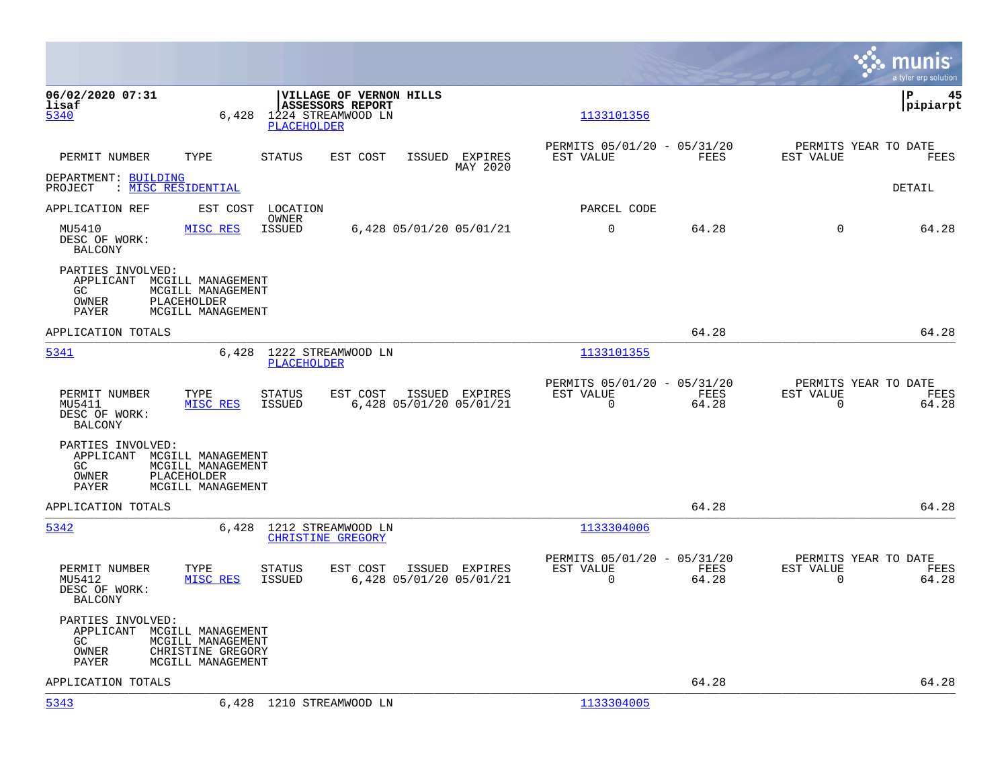|                                                                          |                                                                                  |                                                |                                                           |                            |                                                            |                      |                                                     | munis<br>a tyler erp solution |
|--------------------------------------------------------------------------|----------------------------------------------------------------------------------|------------------------------------------------|-----------------------------------------------------------|----------------------------|------------------------------------------------------------|----------------------|-----------------------------------------------------|-------------------------------|
| 06/02/2020 07:31<br>lisaf<br>5340                                        | 6,428                                                                            | 1224 STREAMWOOD LN<br>PLACEHOLDER              | <b>VILLAGE OF VERNON HILLS</b><br><b>ASSESSORS REPORT</b> |                            | 1133101356                                                 |                      |                                                     | l P<br>45<br> pipiarpt        |
| PERMIT NUMBER                                                            | TYPE                                                                             | <b>STATUS</b>                                  | EST COST                                                  | ISSUED EXPIRES<br>MAY 2020 | PERMITS 05/01/20 - 05/31/20<br>EST VALUE                   | FEES                 | PERMITS YEAR TO DATE<br>EST VALUE                   | FEES                          |
| DEPARTMENT: BUILDING<br>PROJECT                                          | : <u>MISC RESIDENTIAL</u>                                                        |                                                |                                                           |                            |                                                            |                      |                                                     | DETAIL                        |
| APPLICATION REF                                                          | EST COST                                                                         | LOCATION<br>OWNER                              |                                                           |                            | PARCEL CODE                                                |                      |                                                     |                               |
| MU5410<br>DESC OF WORK:<br><b>BALCONY</b>                                | MISC RES                                                                         | ISSUED                                         | 6,428 05/01/20 05/01/21                                   |                            | $\mathbf 0$                                                | 64.28                | $\Omega$                                            | 64.28                         |
| PARTIES INVOLVED:<br>APPLICANT MCGILL MANAGEMENT<br>GC<br>OWNER<br>PAYER | MCGILL MANAGEMENT<br>PLACEHOLDER<br>MCGILL MANAGEMENT                            |                                                |                                                           |                            |                                                            |                      |                                                     |                               |
| APPLICATION TOTALS                                                       |                                                                                  |                                                |                                                           |                            |                                                            | 64.28                |                                                     | 64.28                         |
| 5341                                                                     | 6,428                                                                            | 1222 STREAMWOOD LN<br><b>PLACEHOLDER</b>       |                                                           |                            | 1133101355                                                 |                      |                                                     |                               |
| PERMIT NUMBER<br>MU5411<br>DESC OF WORK:<br><b>BALCONY</b>               | TYPE<br>MISC RES                                                                 | <b>STATUS</b><br>ISSUED                        | EST COST<br>6,428 05/01/20 05/01/21                       | ISSUED EXPIRES             | PERMITS 05/01/20 - 05/31/20<br>EST VALUE<br>$\overline{0}$ | FEES<br>64.28        | PERMITS YEAR TO DATE<br>EST VALUE<br>$\mathbf 0$    | FEES<br>64.28                 |
| PARTIES INVOLVED:<br>APPLICANT MCGILL MANAGEMENT<br>GC<br>OWNER<br>PAYER | MCGILL MANAGEMENT<br>PLACEHOLDER<br>MCGILL MANAGEMENT                            |                                                |                                                           |                            |                                                            |                      |                                                     |                               |
| APPLICATION TOTALS                                                       |                                                                                  |                                                |                                                           |                            |                                                            | 64.28                |                                                     | 64.28                         |
| 5342                                                                     | 6,428                                                                            | 1212 STREAMWOOD LN<br><b>CHRISTINE GREGORY</b> |                                                           |                            | 1133304006                                                 |                      |                                                     |                               |
| PERMIT NUMBER<br>MU5412<br>DESC OF WORK:<br><b>BALCONY</b>               | TYPE<br>MISC RES                                                                 | <b>STATUS</b><br><b>ISSUED</b>                 | EST COST<br>6,428 05/01/20 05/01/21                       | ISSUED EXPIRES             | PERMITS 05/01/20 - 05/31/20<br>EST VALUE<br>$\mathbf 0$    | <b>FEES</b><br>64.28 | PERMITS YEAR TO DATE<br>EST VALUE<br>$\overline{0}$ | FEES<br>64.28                 |
| PARTIES INVOLVED:<br>APPLICANT<br>GC.<br>OWNER<br>PAYER                  | MCGILL MANAGEMENT<br>MCGILL MANAGEMENT<br>CHRISTINE GREGORY<br>MCGILL MANAGEMENT |                                                |                                                           |                            |                                                            |                      |                                                     |                               |
| APPLICATION TOTALS                                                       |                                                                                  |                                                |                                                           |                            |                                                            | 64.28                |                                                     | 64.28                         |
| 5343                                                                     |                                                                                  | 6,428 1210 STREAMWOOD LN                       |                                                           |                            | 1133304005                                                 |                      |                                                     |                               |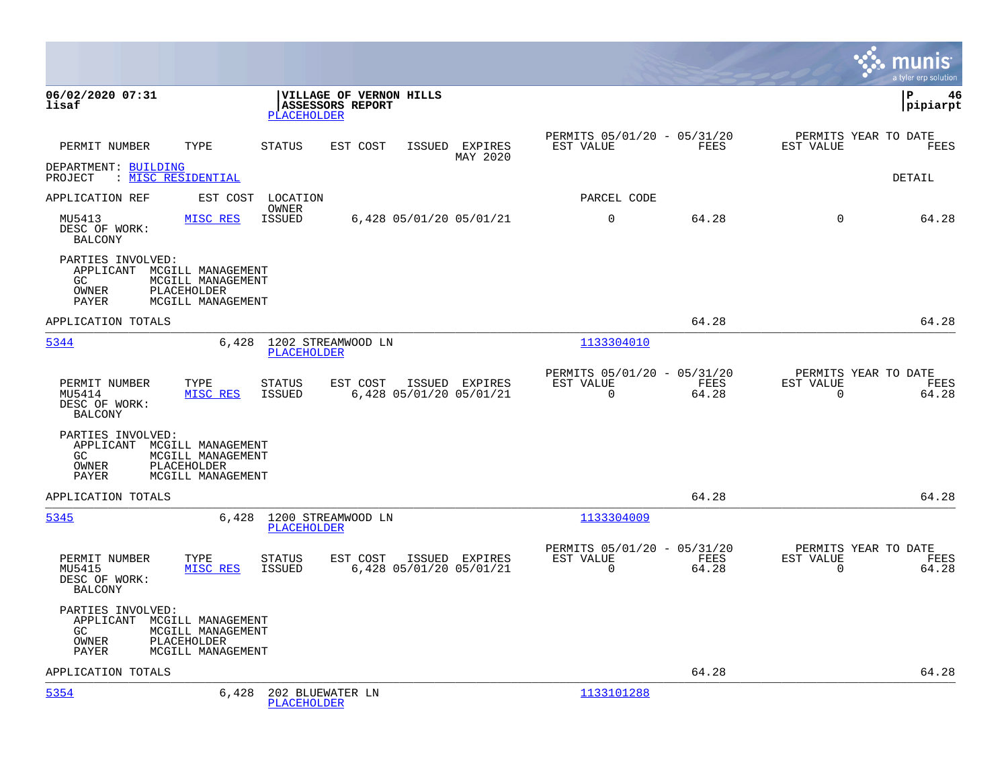|                                                                                                                                   |                                                                          |                                                    |                            |                                                      |               |                                               | munis<br>a tyler erp solution |
|-----------------------------------------------------------------------------------------------------------------------------------|--------------------------------------------------------------------------|----------------------------------------------------|----------------------------|------------------------------------------------------|---------------|-----------------------------------------------|-------------------------------|
| 06/02/2020 07:31<br>lisaf                                                                                                         | VILLAGE OF VERNON HILLS<br><b>ASSESSORS REPORT</b><br><b>PLACEHOLDER</b> |                                                    |                            |                                                      |               |                                               | l P<br>46<br> pipiarpt        |
| TYPE<br>PERMIT NUMBER                                                                                                             | STATUS<br>EST COST                                                       |                                                    | ISSUED EXPIRES<br>MAY 2020 | PERMITS 05/01/20 - 05/31/20<br>EST VALUE             | FEES          | PERMITS YEAR TO DATE<br>EST VALUE             | FEES                          |
| DEPARTMENT: BUILDING<br>PROJECT : MISC RESIDENTIAL                                                                                |                                                                          |                                                    |                            |                                                      |               |                                               | DETAIL                        |
| APPLICATION REF                                                                                                                   | EST COST LOCATION<br>OWNER                                               |                                                    |                            | PARCEL CODE                                          |               |                                               |                               |
| MU5413<br>MISC RES<br>DESC OF WORK:<br>BALCONY                                                                                    | ISSUED                                                                   | 6,428 05/01/20 05/01/21                            |                            | $\mathbf 0$                                          | 64.28         | $\Omega$                                      | 64.28                         |
| PARTIES INVOLVED:<br>APPLICANT MCGILL MANAGEMENT<br>GC<br>MCGILL MANAGEMENT<br>OWNER<br>PLACEHOLDER<br>MCGILL MANAGEMENT<br>PAYER |                                                                          |                                                    |                            |                                                      |               |                                               |                               |
| APPLICATION TOTALS                                                                                                                |                                                                          |                                                    |                            |                                                      | 64.28         |                                               | 64.28                         |
| 5344                                                                                                                              | 6,428 1202 STREAMWOOD LN<br>PLACEHOLDER                                  |                                                    |                            | 1133304010                                           |               |                                               |                               |
| PERMIT NUMBER<br>TYPE<br>MU5414<br>MISC RES<br>DESC OF WORK:<br><b>BALCONY</b>                                                    | STATUS<br>ISSUED                                                         | EST COST ISSUED EXPIRES<br>6,428 05/01/20 05/01/21 |                            | PERMITS 05/01/20 - 05/31/20<br>EST VALUE<br>$\Omega$ | FEES<br>64.28 | PERMITS YEAR TO DATE<br>EST VALUE<br>$\Omega$ | FEES<br>64.28                 |
| PARTIES INVOLVED:<br>APPLICANT MCGILL MANAGEMENT<br>MCGILL MANAGEMENT<br>GC<br>PLACEHOLDER<br>OWNER<br>PAYER<br>MCGILL MANAGEMENT |                                                                          |                                                    |                            |                                                      |               |                                               |                               |
| APPLICATION TOTALS                                                                                                                |                                                                          |                                                    |                            |                                                      | 64.28         |                                               | 64.28                         |
| 5345                                                                                                                              | 6,428 1200 STREAMWOOD LN<br><b>PLACEHOLDER</b>                           |                                                    |                            | 1133304009                                           |               |                                               |                               |
| TYPE<br>PERMIT NUMBER<br>MISC RES<br>MU5415<br>DESC OF WORK:<br><b>BALCONY</b>                                                    | STATUS<br><b>ISSUED</b>                                                  | EST COST ISSUED EXPIRES<br>6,428 05/01/20 05/01/21 |                            | PERMITS 05/01/20 - 05/31/20<br>EST VALUE<br>$\Omega$ | FEES<br>64.28 | PERMITS YEAR TO DATE<br>EST VALUE<br>$\Omega$ | FEES<br>64.28                 |
| PARTIES INVOLVED:<br>APPLICANT MCGILL MANAGEMENT<br>GC<br>MCGILL MANAGEMENT<br>PLACEHOLDER<br>OWNER<br>MCGILL MANAGEMENT<br>PAYER |                                                                          |                                                    |                            |                                                      |               |                                               |                               |
| APPLICATION TOTALS                                                                                                                |                                                                          |                                                    |                            |                                                      | 64.28         |                                               | 64.28                         |
| 5354<br>6,428                                                                                                                     | 202 BLUEWATER LN<br><b>PLACEHOLDER</b>                                   |                                                    |                            | 1133101288                                           |               |                                               |                               |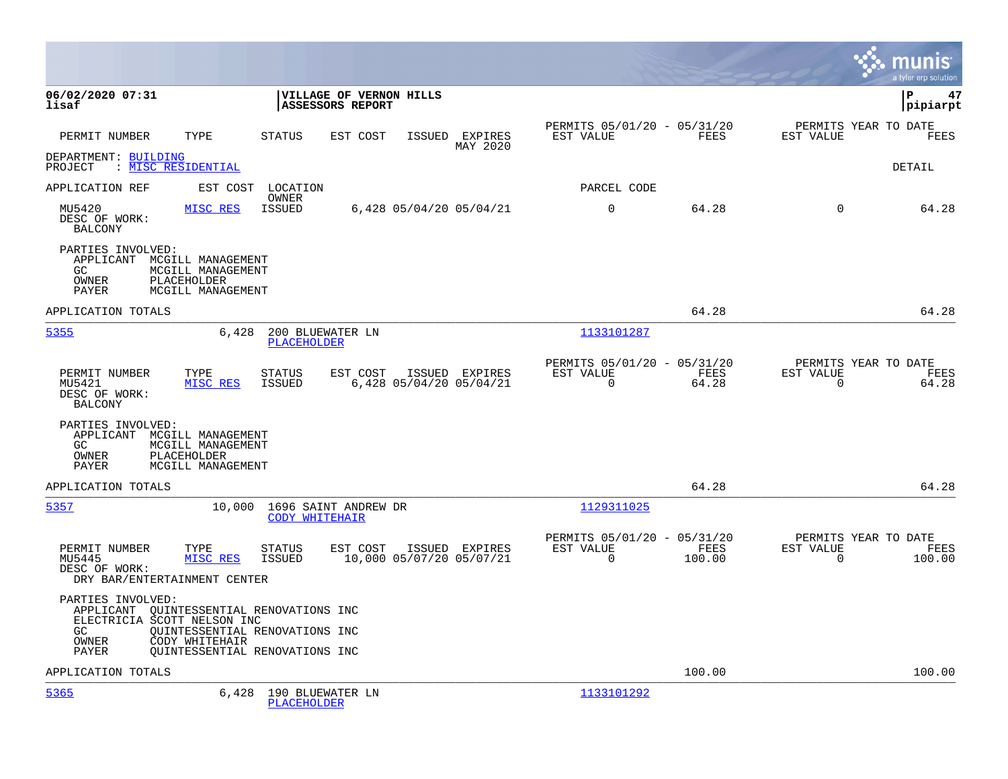|                                                                                                                                                                                                             |                                                                                   |                                                                          | munis<br>a tyler erp solution                                   |
|-------------------------------------------------------------------------------------------------------------------------------------------------------------------------------------------------------------|-----------------------------------------------------------------------------------|--------------------------------------------------------------------------|-----------------------------------------------------------------|
| 06/02/2020 07:31<br>lisaf                                                                                                                                                                                   | <b>VILLAGE OF VERNON HILLS</b><br><b>ASSESSORS REPORT</b>                         |                                                                          | l P<br>47<br> pipiarpt                                          |
| PERMIT NUMBER<br>TYPE                                                                                                                                                                                       | STATUS<br>EST COST<br>ISSUED EXPIRES<br>MAY 2020                                  | PERMITS 05/01/20 - 05/31/20<br>EST VALUE<br>FEES                         | PERMITS YEAR TO DATE<br>EST VALUE<br>FEES                       |
| DEPARTMENT: BUILDING<br>: <u>MISC RESIDENTIAL</u><br>PROJECT                                                                                                                                                |                                                                                   |                                                                          | DETAIL                                                          |
| APPLICATION REF<br>EST COST                                                                                                                                                                                 | LOCATION                                                                          | PARCEL CODE                                                              |                                                                 |
| MU5420<br>MISC RES<br>DESC OF WORK:<br><b>BALCONY</b>                                                                                                                                                       | OWNER<br><b>ISSUED</b><br>6,428 05/04/20 05/04/21                                 | $\mathbf 0$<br>64.28                                                     | $\mathbf 0$<br>64.28                                            |
| PARTIES INVOLVED:<br>APPLICANT MCGILL MANAGEMENT<br>MCGILL MANAGEMENT<br>GC.<br>OWNER<br>PLACEHOLDER<br>PAYER<br>MCGILL MANAGEMENT                                                                          |                                                                                   |                                                                          |                                                                 |
| APPLICATION TOTALS                                                                                                                                                                                          |                                                                                   | 64.28                                                                    | 64.28                                                           |
| 5355<br>6,428                                                                                                                                                                                               | 200 BLUEWATER LN<br><b>PLACEHOLDER</b>                                            | 1133101287                                                               |                                                                 |
| PERMIT NUMBER<br>TYPE<br>MU5421<br>MISC RES<br>DESC OF WORK:<br><b>BALCONY</b>                                                                                                                              | EST COST<br>STATUS<br>ISSUED EXPIRES<br><b>ISSUED</b><br>6,428 05/04/20 05/04/21  | PERMITS 05/01/20 - 05/31/20<br>EST VALUE<br>FEES<br>$\mathbf 0$<br>64.28 | PERMITS YEAR TO DATE<br>EST VALUE<br>FEES<br>0<br>64.28         |
| PARTIES INVOLVED:<br>APPLICANT<br>MCGILL MANAGEMENT<br>GC.<br>MCGILL MANAGEMENT<br>PLACEHOLDER<br>OWNER<br>PAYER<br>MCGILL MANAGEMENT                                                                       |                                                                                   |                                                                          |                                                                 |
| APPLICATION TOTALS                                                                                                                                                                                          |                                                                                   | 64.28                                                                    | 64.28                                                           |
| 5357<br>10,000                                                                                                                                                                                              | 1696 SAINT ANDREW DR<br><b>CODY WHITEHAIR</b>                                     | 1129311025                                                               |                                                                 |
| PERMIT NUMBER<br>TYPE<br>MU5445<br>MISC RES<br>DESC OF WORK:<br>DRY BAR/ENTERTAINMENT CENTER                                                                                                                | <b>STATUS</b><br>EST COST<br>ISSUED EXPIRES<br>ISSUED<br>10,000 05/07/20 05/07/21 | PERMITS 05/01/20 - 05/31/20<br>FEES<br>EST VALUE<br>$\Omega$<br>100.00   | PERMITS YEAR TO DATE<br>EST VALUE<br>FEES<br>$\Omega$<br>100.00 |
| PARTIES INVOLVED:<br>APPLICANT OUINTESSENTIAL RENOVATIONS INC<br>ELECTRICIA SCOTT NELSON INC<br>GC.<br>OUINTESSENTIAL RENOVATIONS INC<br>OWNER<br>CODY WHITEHAIR<br>OUINTESSENTIAL RENOVATIONS INC<br>PAYER |                                                                                   |                                                                          |                                                                 |
| APPLICATION TOTALS                                                                                                                                                                                          |                                                                                   | 100.00                                                                   | 100.00                                                          |
| 5365<br>6,428                                                                                                                                                                                               | 190 BLUEWATER LN<br><b>PLACEHOLDER</b>                                            | 1133101292                                                               |                                                                 |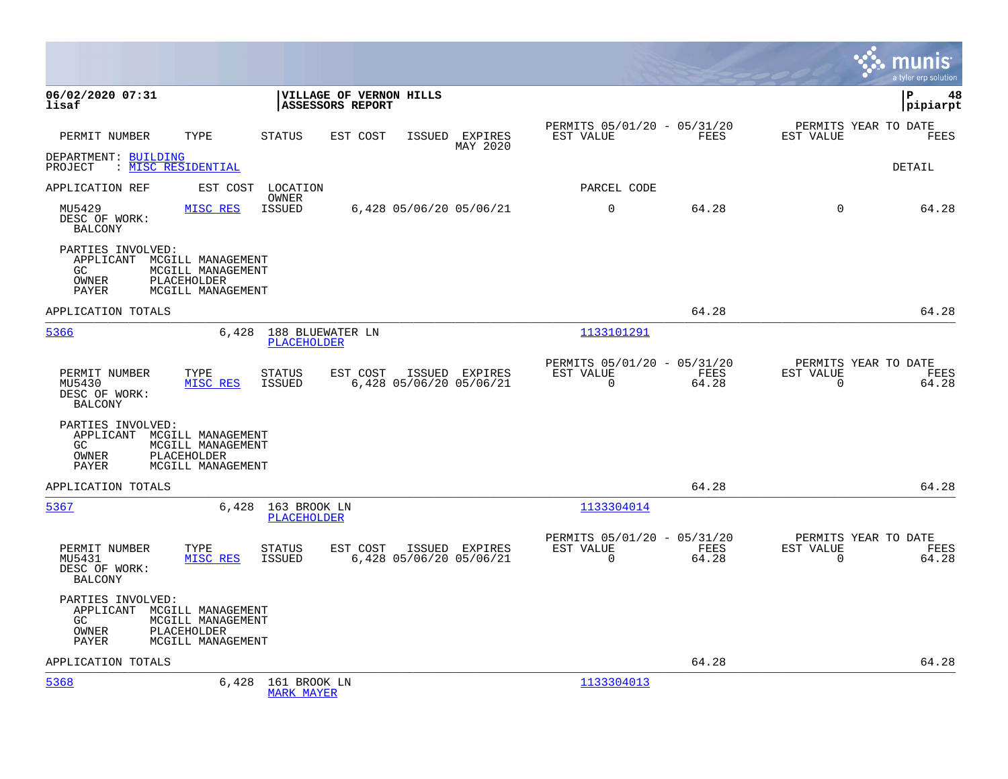|                                                                                                                                                  |                                            |                                                    |                            |                                                         |               | munis<br>a tyler erp solution                                     |    |
|--------------------------------------------------------------------------------------------------------------------------------------------------|--------------------------------------------|----------------------------------------------------|----------------------------|---------------------------------------------------------|---------------|-------------------------------------------------------------------|----|
| 06/02/2020 07:31<br>lisaf                                                                                                                        |                                            | VILLAGE OF VERNON HILLS<br><b>ASSESSORS REPORT</b> |                            |                                                         |               | l P<br> pipiarpt                                                  | 48 |
| PERMIT NUMBER<br>TYPE                                                                                                                            | <b>STATUS</b>                              | EST COST                                           | ISSUED EXPIRES<br>MAY 2020 | PERMITS 05/01/20 - 05/31/20<br>EST VALUE                | FEES          | PERMITS YEAR TO DATE<br>EST VALUE<br>FEES                         |    |
| DEPARTMENT: BUILDING<br>: <u>MISC RESIDENTIAL</u><br>PROJECT                                                                                     |                                            |                                                    |                            |                                                         |               | DETAIL                                                            |    |
| APPLICATION REF                                                                                                                                  | EST COST<br>LOCATION                       |                                                    |                            | PARCEL CODE                                             |               |                                                                   |    |
| MU5429<br>DESC OF WORK:<br><b>BALCONY</b>                                                                                                        | OWNER<br>MISC RES<br>ISSUED                | 6,428 05/06/20 05/06/21                            |                            | $\mathbf 0$                                             | 64.28         | $\Omega$<br>64.28                                                 |    |
| PARTIES INVOLVED:<br>APPLICANT MCGILL MANAGEMENT<br>GC<br>MCGILL MANAGEMENT<br>OWNER<br>PLACEHOLDER<br>PAYER<br>MCGILL MANAGEMENT                |                                            |                                                    |                            |                                                         |               |                                                                   |    |
| APPLICATION TOTALS                                                                                                                               |                                            |                                                    |                            |                                                         | 64.28         | 64.28                                                             |    |
| 5366                                                                                                                                             | 6,428 188 BLUEWATER LN<br>PLACEHOLDER      |                                                    |                            | 1133101291                                              |               |                                                                   |    |
| PERMIT NUMBER<br>TYPE<br>MU5430<br>DESC OF WORK:<br><b>BALCONY</b>                                                                               | <b>STATUS</b><br>ISSUED<br>MISC RES        | EST COST<br>6,428 05/06/20 05/06/21                | ISSUED EXPIRES             | PERMITS 05/01/20 - 05/31/20<br>EST VALUE<br>$\mathbf 0$ | FEES<br>64.28 | PERMITS YEAR TO DATE<br>EST VALUE<br>FEES<br>64.28<br>0           |    |
| PARTIES INVOLVED:<br>APPLICANT MCGILL MANAGEMENT<br>GC<br>MCGILL MANAGEMENT<br>OWNER<br>PLACEHOLDER<br>PAYER<br>MCGILL MANAGEMENT                |                                            |                                                    |                            |                                                         |               |                                                                   |    |
| APPLICATION TOTALS                                                                                                                               |                                            |                                                    |                            |                                                         | 64.28         | 64.28                                                             |    |
| 5367                                                                                                                                             | 6,428 163 BROOK LN<br><b>PLACEHOLDER</b>   |                                                    |                            | 1133304014                                              |               |                                                                   |    |
| PERMIT NUMBER<br>TYPE<br>MU5431<br>DESC OF WORK:<br><b>BALCONY</b>                                                                               | <b>STATUS</b><br>MISC RES<br>ISSUED        | EST COST<br>6,428 05/06/20 05/06/21                | ISSUED EXPIRES             | PERMITS 05/01/20 - 05/31/20<br>EST VALUE<br>$\mathbf 0$ | FEES<br>64.28 | PERMITS YEAR TO DATE<br>EST VALUE<br>FEES<br>$\mathbf 0$<br>64.28 |    |
| PARTIES INVOLVED:<br>APPLICANT MCGILL MANAGEMENT<br>MCGILL MANAGEMENT<br>GC.<br><b>PLACEHOLDER</b><br>OWNER<br><b>PAYER</b><br>MCGILL MANAGEMENT |                                            |                                                    |                            |                                                         |               |                                                                   |    |
| APPLICATION TOTALS                                                                                                                               |                                            |                                                    |                            |                                                         | 64.28         | 64.28                                                             |    |
| 5368                                                                                                                                             | 6,428<br>161 BROOK LN<br><b>MARK MAYER</b> |                                                    |                            | 1133304013                                              |               |                                                                   |    |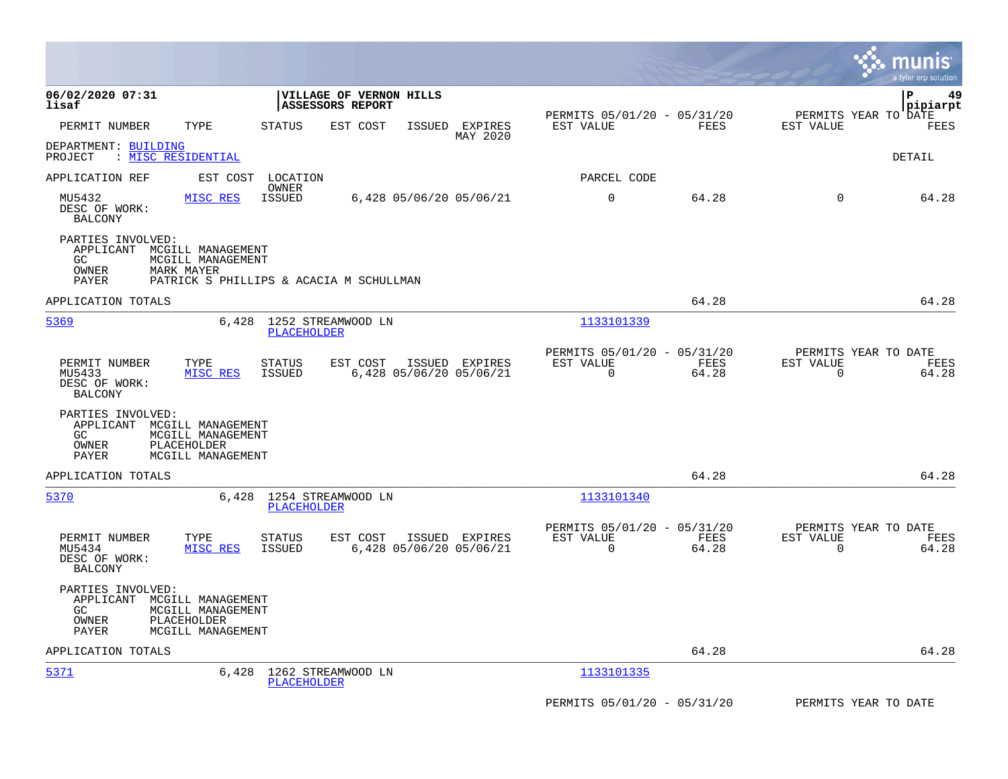|                                                                                                                                           |                                                                                         |                                                                       | munis<br>a tyler erp solution                                     |
|-------------------------------------------------------------------------------------------------------------------------------------------|-----------------------------------------------------------------------------------------|-----------------------------------------------------------------------|-------------------------------------------------------------------|
| 06/02/2020 07:31<br>lisaf                                                                                                                 | VILLAGE OF VERNON HILLS<br>ASSESSORS REPORT                                             | PERMITS 05/01/20 - 05/31/20                                           | lР<br>49<br> pipiarpt<br>PERMITS YEAR TO DATE                     |
| TYPE<br>PERMIT NUMBER                                                                                                                     | <b>STATUS</b><br>EST COST<br>ISSUED<br>EXPIRES<br>MAY 2020                              | FEES<br>EST VALUE                                                     | EST VALUE<br>FEES                                                 |
| DEPARTMENT: BUILDING<br>: MISC RESIDENTIAL<br>PROJECT                                                                                     |                                                                                         |                                                                       | DETAIL                                                            |
| APPLICATION REF<br>EST COST                                                                                                               | LOCATION<br>OWNER                                                                       | PARCEL CODE                                                           |                                                                   |
| MU5432<br>MISC RES<br>DESC OF WORK:<br><b>BALCONY</b>                                                                                     | <b>ISSUED</b><br>6,428 05/06/20 05/06/21                                                | $\mathbf 0$<br>64.28                                                  | $\overline{0}$<br>64.28                                           |
| PARTIES INVOLVED:<br>APPLICANT MCGILL MANAGEMENT<br>GC<br>MCGILL MANAGEMENT<br>OWNER<br>MARK MAYER<br>PAYER                               | PATRICK S PHILLIPS & ACACIA M SCHULLMAN                                                 |                                                                       |                                                                   |
| APPLICATION TOTALS                                                                                                                        |                                                                                         | 64.28                                                                 | 64.28                                                             |
| 5369                                                                                                                                      | 1252 STREAMWOOD LN<br>6,428<br><b>PLACEHOLDER</b>                                       | 1133101339                                                            |                                                                   |
| PERMIT NUMBER<br>TYPE<br>MU5433<br>MISC RES<br>DESC OF WORK:<br><b>BALCONY</b>                                                            | EST COST<br>ISSUED EXPIRES<br><b>STATUS</b><br><b>ISSUED</b><br>6,428 05/06/20 05/06/21 | PERMITS 05/01/20 - 05/31/20<br>EST VALUE<br>FEES<br>$\Omega$<br>64.28 | PERMITS YEAR TO DATE<br>EST VALUE<br>FEES<br>$\Omega$<br>64.28    |
| PARTIES INVOLVED:<br>APPLICANT MCGILL MANAGEMENT<br>MCGILL MANAGEMENT<br>GC.<br>OWNER<br><b>PLACEHOLDER</b><br>PAYER<br>MCGILL MANAGEMENT |                                                                                         |                                                                       |                                                                   |
| APPLICATION TOTALS                                                                                                                        |                                                                                         | 64.28                                                                 | 64.28                                                             |
| 5370                                                                                                                                      | 6,428 1254 STREAMWOOD LN<br><b>PLACEHOLDER</b>                                          | 1133101340                                                            |                                                                   |
| PERMIT NUMBER<br>TYPE<br>MU5434<br>MISC RES<br>DESC OF WORK:<br>BALCONY                                                                   | <b>STATUS</b><br>EST COST<br>ISSUED EXPIRES<br><b>ISSUED</b><br>6,428 05/06/20 05/06/21 | PERMITS 05/01/20 - 05/31/20<br>EST VALUE<br>FEES<br>0<br>64.28        | PERMITS YEAR TO DATE<br>EST VALUE<br>FEES<br>$\mathbf 0$<br>64.28 |
| PARTIES INVOLVED:<br>APPLICANT MCGILL MANAGEMENT<br>GC.<br>MCGILL MANAGEMENT<br>PLACEHOLDER<br>OWNER<br>PAYER<br>MCGILL MANAGEMENT        |                                                                                         |                                                                       |                                                                   |
| APPLICATION TOTALS                                                                                                                        |                                                                                         | 64.28                                                                 | 64.28                                                             |
| 5371                                                                                                                                      | 1262 STREAMWOOD LN<br>6,428<br><b>PLACEHOLDER</b>                                       | 1133101335                                                            |                                                                   |
|                                                                                                                                           |                                                                                         | PERMITS 05/01/20 - 05/31/20                                           | PERMITS YEAR TO DATE                                              |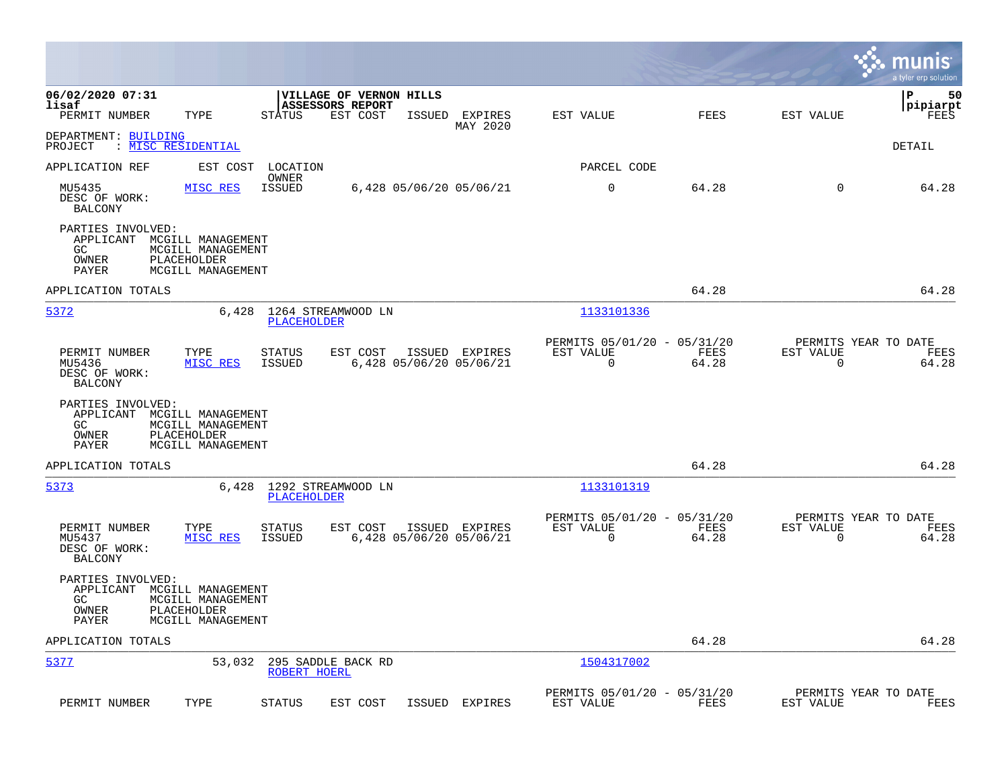|                                                                                                                                    |                                         |                                                         |                |                                                         |               |                                                  | munis<br>a tyler erp solution |
|------------------------------------------------------------------------------------------------------------------------------------|-----------------------------------------|---------------------------------------------------------|----------------|---------------------------------------------------------|---------------|--------------------------------------------------|-------------------------------|
| 06/02/2020 07:31<br>lisaf<br>TYPE<br>PERMIT NUMBER                                                                                 | <b>STATUS</b>                           | VILLAGE OF VERNON HILLS<br>ASSESSORS REPORT<br>EST COST | ISSUED EXPIRES | EST VALUE                                               | FEES          | EST VALUE                                        | ΙP<br>50<br> pipiarpt<br>FEES |
| DEPARTMENT: BUILDING<br>: MISC RESIDENTIAL<br>PROJECT                                                                              |                                         |                                                         | MAY 2020       |                                                         |               |                                                  | DETAIL                        |
| APPLICATION REF                                                                                                                    | EST COST<br>LOCATION                    |                                                         |                | PARCEL CODE                                             |               |                                                  |                               |
| MU5435<br>MISC RES<br>DESC OF WORK:<br><b>BALCONY</b>                                                                              | OWNER<br>ISSUED                         | 6,428 05/06/20 05/06/21                                 |                | $\mathbf 0$                                             | 64.28         | $\Omega$                                         | 64.28                         |
| PARTIES INVOLVED:<br>APPLICANT MCGILL MANAGEMENT<br>GC.<br>MCGILL MANAGEMENT<br>OWNER<br>PLACEHOLDER<br>PAYER<br>MCGILL MANAGEMENT |                                         |                                                         |                |                                                         |               |                                                  |                               |
| APPLICATION TOTALS                                                                                                                 |                                         |                                                         |                |                                                         | 64.28         |                                                  | 64.28                         |
| 5372                                                                                                                               | 6,428<br>PLACEHOLDER                    | 1264 STREAMWOOD LN                                      |                | 1133101336                                              |               |                                                  |                               |
| PERMIT NUMBER<br>TYPE<br>MU5436<br>MISC RES<br>DESC OF WORK:<br><b>BALCONY</b>                                                     | <b>STATUS</b><br>ISSUED                 | EST COST<br>6,428 05/06/20 05/06/21                     | ISSUED EXPIRES | PERMITS 05/01/20 - 05/31/20<br>EST VALUE<br>$\mathbf 0$ | FEES<br>64.28 | PERMITS YEAR TO DATE<br>EST VALUE<br>$\mathbf 0$ | FEES<br>64.28                 |
| PARTIES INVOLVED:<br>APPLICANT MCGILL MANAGEMENT<br>GC.<br>MCGILL MANAGEMENT<br>OWNER<br>PLACEHOLDER<br>PAYER<br>MCGILL MANAGEMENT |                                         |                                                         |                |                                                         |               |                                                  |                               |
| APPLICATION TOTALS                                                                                                                 |                                         |                                                         |                |                                                         | 64.28         |                                                  | 64.28                         |
| 5373                                                                                                                               | 6,428 1292 STREAMWOOD LN<br>PLACEHOLDER |                                                         |                | 1133101319                                              |               |                                                  |                               |
| PERMIT NUMBER<br>TYPE<br>MU5437<br>MISC RES<br>DESC OF WORK:<br><b>BALCONY</b>                                                     | STATUS<br>ISSUED                        | EST COST<br>6,428 05/06/20 05/06/21                     | ISSUED EXPIRES | PERMITS 05/01/20 - 05/31/20<br>EST VALUE<br>0           | FEES<br>64.28 | PERMITS YEAR TO DATE<br>EST VALUE<br>0           | FEES<br>64.28                 |
| PARTIES INVOLVED:<br>APPLICANT MCGILL MANAGEMENT<br>GC.<br>MCGILL MANAGEMENT<br>PLACEHOLDER<br>OWNER<br>MCGILL MANAGEMENT<br>PAYER |                                         |                                                         |                |                                                         |               |                                                  |                               |
| APPLICATION TOTALS                                                                                                                 |                                         |                                                         |                |                                                         | 64.28         |                                                  | 64.28                         |
| 5377                                                                                                                               | 53,032<br>ROBERT HOERL                  | 295 SADDLE BACK RD                                      |                | 1504317002                                              |               |                                                  |                               |
| TYPE<br>PERMIT NUMBER                                                                                                              | <b>STATUS</b>                           | EST COST<br>ISSUED                                      | EXPIRES        | PERMITS 05/01/20 - 05/31/20<br>EST VALUE                | FEES          | PERMITS YEAR TO DATE<br>EST VALUE                | FEES                          |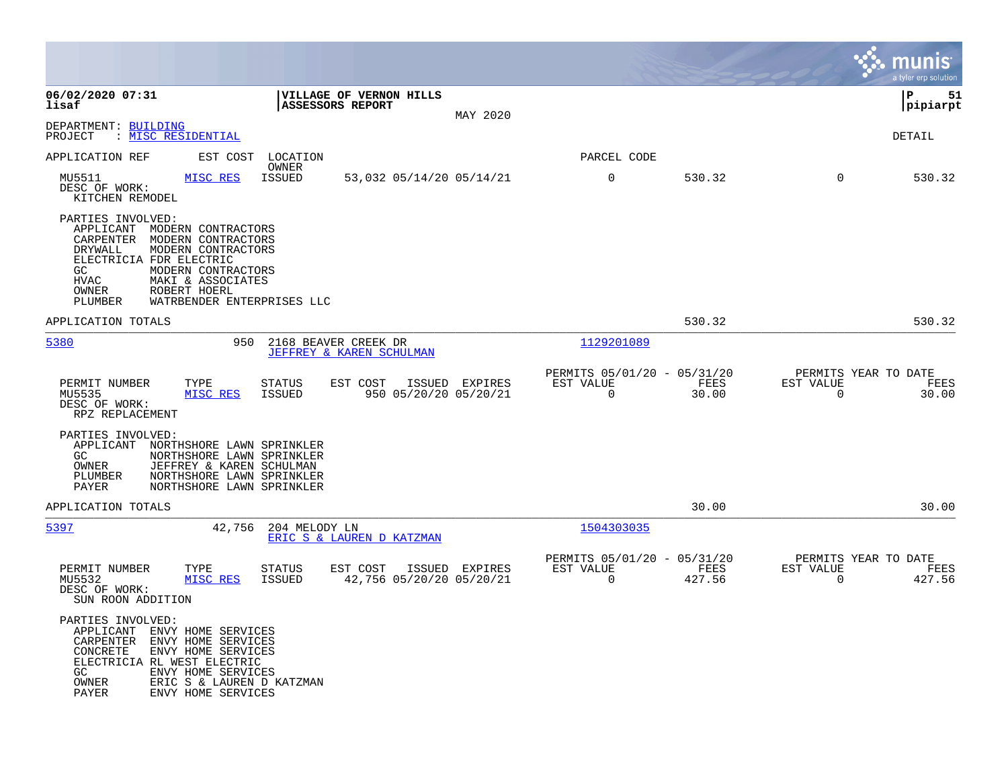|                                                                                                                                                                                                                                                                              |                                                                        |                |                                                         |                |                                                  | munis<br>a tyler erp solution |
|------------------------------------------------------------------------------------------------------------------------------------------------------------------------------------------------------------------------------------------------------------------------------|------------------------------------------------------------------------|----------------|---------------------------------------------------------|----------------|--------------------------------------------------|-------------------------------|
| 06/02/2020 07:31<br>lisaf                                                                                                                                                                                                                                                    | VILLAGE OF VERNON HILLS<br><b>ASSESSORS REPORT</b>                     | MAY 2020       |                                                         |                |                                                  | l P<br>51<br> pipiarpt        |
| DEPARTMENT: BUILDING<br>: MISC RESIDENTIAL<br>PROJECT                                                                                                                                                                                                                        |                                                                        |                |                                                         |                |                                                  | <b>DETAIL</b>                 |
| EST COST<br>APPLICATION REF                                                                                                                                                                                                                                                  | LOCATION<br>OWNER                                                      |                | PARCEL CODE                                             |                |                                                  |                               |
| MU5511<br>MISC RES<br>DESC OF WORK:<br>KITCHEN REMODEL                                                                                                                                                                                                                       | ISSUED<br>53,032 05/14/20 05/14/21                                     |                | $\mathbf 0$                                             | 530.32         | $\Omega$                                         | 530.32                        |
| PARTIES INVOLVED:<br>APPLICANT MODERN CONTRACTORS<br>CARPENTER<br>MODERN CONTRACTORS<br>DRYWALL<br>MODERN CONTRACTORS<br>ELECTRICIA FDR ELECTRIC<br>MODERN CONTRACTORS<br>GC.<br>HVAC<br>MAKI & ASSOCIATES<br>OWNER<br>ROBERT HOERL<br>WATRBENDER ENTERPRISES LLC<br>PLUMBER |                                                                        |                |                                                         |                |                                                  |                               |
| APPLICATION TOTALS                                                                                                                                                                                                                                                           |                                                                        |                |                                                         | 530.32         |                                                  | 530.32                        |
| 5380<br>950                                                                                                                                                                                                                                                                  | 2168 BEAVER CREEK DR<br>JEFFREY & KAREN SCHULMAN                       |                | 1129201089                                              |                |                                                  |                               |
| PERMIT NUMBER<br>TYPE<br>MISC RES<br>MU5535<br>DESC OF WORK:<br>RPZ REPLACEMENT                                                                                                                                                                                              | EST COST<br>STATUS<br>ISSUED<br>950 05/20/20 05/20/21                  | ISSUED EXPIRES | PERMITS 05/01/20 - 05/31/20<br>EST VALUE<br>$\mathbf 0$ | FEES<br>30.00  | PERMITS YEAR TO DATE<br>EST VALUE<br>$\mathbf 0$ | FEES<br>30.00                 |
| PARTIES INVOLVED:<br>APPLICANT<br>NORTHSHORE LAWN SPRINKLER<br>GC<br>NORTHSHORE LAWN SPRINKLER<br>OWNER<br>JEFFREY & KAREN SCHULMAN<br>PLUMBER<br>NORTHSHORE LAWN SPRINKLER<br>NORTHSHORE LAWN SPRINKLER<br>PAYER                                                            |                                                                        |                |                                                         |                |                                                  |                               |
| APPLICATION TOTALS                                                                                                                                                                                                                                                           |                                                                        |                |                                                         | 30.00          |                                                  | 30.00                         |
| 5397<br>42,756                                                                                                                                                                                                                                                               | 204 MELODY LN<br>ERIC S & LAUREN D KATZMAN                             |                | 1504303035                                              |                |                                                  |                               |
| PERMIT NUMBER<br>TYPE<br>MISC RES<br>MU5532<br>DESC OF WORK:<br>SUN ROON ADDITION                                                                                                                                                                                            | <b>STATUS</b><br>EST COST<br><b>ISSUED</b><br>42,756 05/20/20 05/20/21 | ISSUED EXPIRES | PERMITS 05/01/20 - 05/31/20<br>EST VALUE<br>$\mathbf 0$ | FEES<br>427.56 | PERMITS YEAR TO DATE<br>EST VALUE<br>$\mathbf 0$ | FEES<br>427.56                |
| PARTIES INVOLVED:<br>APPLICANT<br>ENVY HOME SERVICES<br>ENVY HOME SERVICES<br>CARPENTER<br>ENVY HOME SERVICES<br>CONCRETE<br>ELECTRICIA RL WEST ELECTRIC<br>ENVY HOME SERVICES<br>GC.<br>OWNER<br>ERIC S & LAUREN D KATZMAN<br>PAYER<br>ENVY HOME SERVICES                   |                                                                        |                |                                                         |                |                                                  |                               |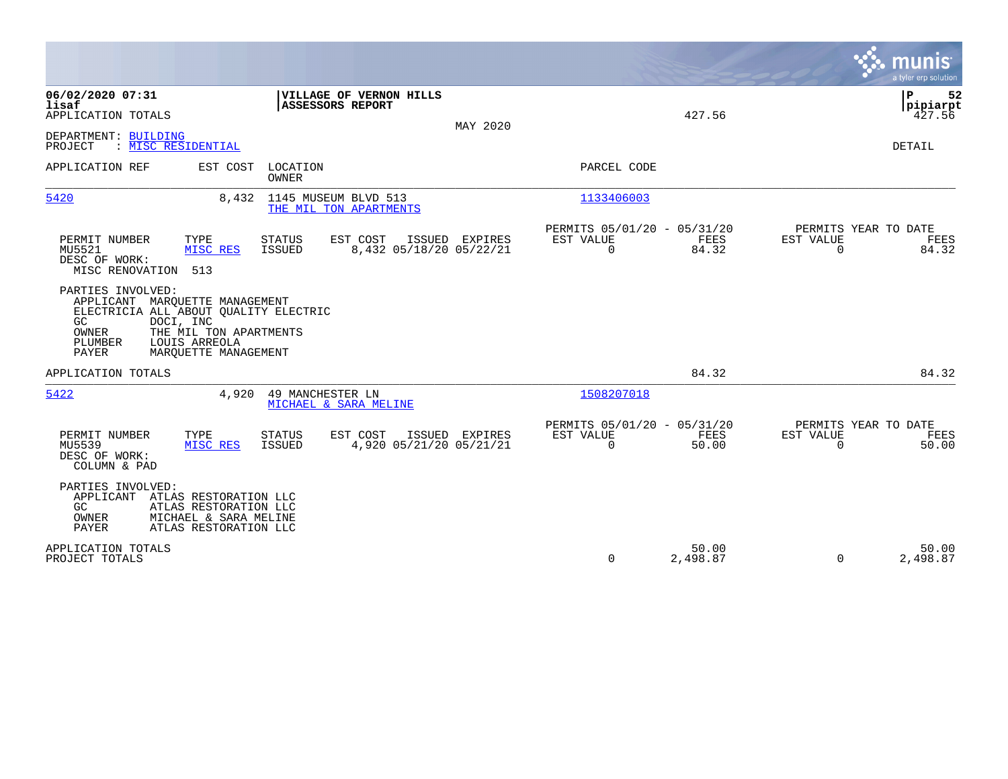|                                                                                                                                                                                                                         |                                                                                         |                                                                          | a tyler erp solution                                              |
|-------------------------------------------------------------------------------------------------------------------------------------------------------------------------------------------------------------------------|-----------------------------------------------------------------------------------------|--------------------------------------------------------------------------|-------------------------------------------------------------------|
| 06/02/2020 07:31<br>lisaf<br>APPLICATION TOTALS                                                                                                                                                                         | VILLAGE OF VERNON HILLS<br>ASSESSORS REPORT<br>MAY 2020                                 | 427.56                                                                   | ΙP<br>52<br> pipiarpt<br>427.56                                   |
| DEPARTMENT: BUILDING<br>: MISC RESIDENTIAL<br>PROJECT                                                                                                                                                                   |                                                                                         |                                                                          | <b>DETAIL</b>                                                     |
| EST COST<br>APPLICATION REF                                                                                                                                                                                             | LOCATION<br>OWNER                                                                       | PARCEL CODE                                                              |                                                                   |
| 5420<br>8,432                                                                                                                                                                                                           | 1145 MUSEUM BLVD 513<br>THE MIL TON APARTMENTS                                          | 1133406003                                                               |                                                                   |
| PERMIT NUMBER<br>TYPE<br>MU5521<br>MISC RES<br>DESC OF WORK:<br>MISC RENOVATION<br>513                                                                                                                                  | STATUS<br>EST COST<br>ISSUED EXPIRES<br><b>ISSUED</b><br>8,432 05/18/20 05/22/21        | PERMITS 05/01/20 - 05/31/20<br>FEES<br>EST VALUE<br>84.32<br>$\Omega$    | PERMITS YEAR TO DATE<br>EST VALUE<br>FEES<br>84.32<br>$\Omega$    |
| PARTIES INVOLVED:<br>APPLICANT MAROUETTE MANAGEMENT<br>ELECTRICIA ALL ABOUT QUALITY ELECTRIC<br>DOCI, INC<br>GC.<br>OWNER<br>THE MIL TON APARTMENTS<br>PLUMBER<br>LOUIS ARREOLA<br><b>PAYER</b><br>MAROUETTE MANAGEMENT |                                                                                         |                                                                          |                                                                   |
| APPLICATION TOTALS                                                                                                                                                                                                      |                                                                                         | 84.32                                                                    | 84.32                                                             |
| 5422<br>4,920                                                                                                                                                                                                           | 49 MANCHESTER LN<br>MICHAEL & SARA MELINE                                               | 1508207018                                                               |                                                                   |
| PERMIT NUMBER<br>TYPE<br>MU5539<br>MISC RES<br>DESC OF WORK:<br>COLUMN & PAD                                                                                                                                            | <b>STATUS</b><br>EST COST<br>ISSUED EXPIRES<br><b>ISSUED</b><br>4,920 05/21/20 05/21/21 | PERMITS 05/01/20 - 05/31/20<br>EST VALUE<br>FEES<br>$\mathbf 0$<br>50.00 | PERMITS YEAR TO DATE<br>EST VALUE<br>FEES<br>$\mathbf 0$<br>50.00 |
| PARTIES INVOLVED:<br>APPLICANT<br>ATLAS RESTORATION LLC<br>ATLAS RESTORATION LLC<br>GC.<br>MICHAEL & SARA MELINE<br>OWNER<br><b>PAYER</b><br>ATLAS RESTORATION LLC                                                      |                                                                                         |                                                                          |                                                                   |
| APPLICATION TOTALS<br>PROJECT TOTALS                                                                                                                                                                                    |                                                                                         | 50.00<br>$\mathbf 0$<br>2,498.87                                         | 50.00<br>$\Omega$<br>2,498.87                                     |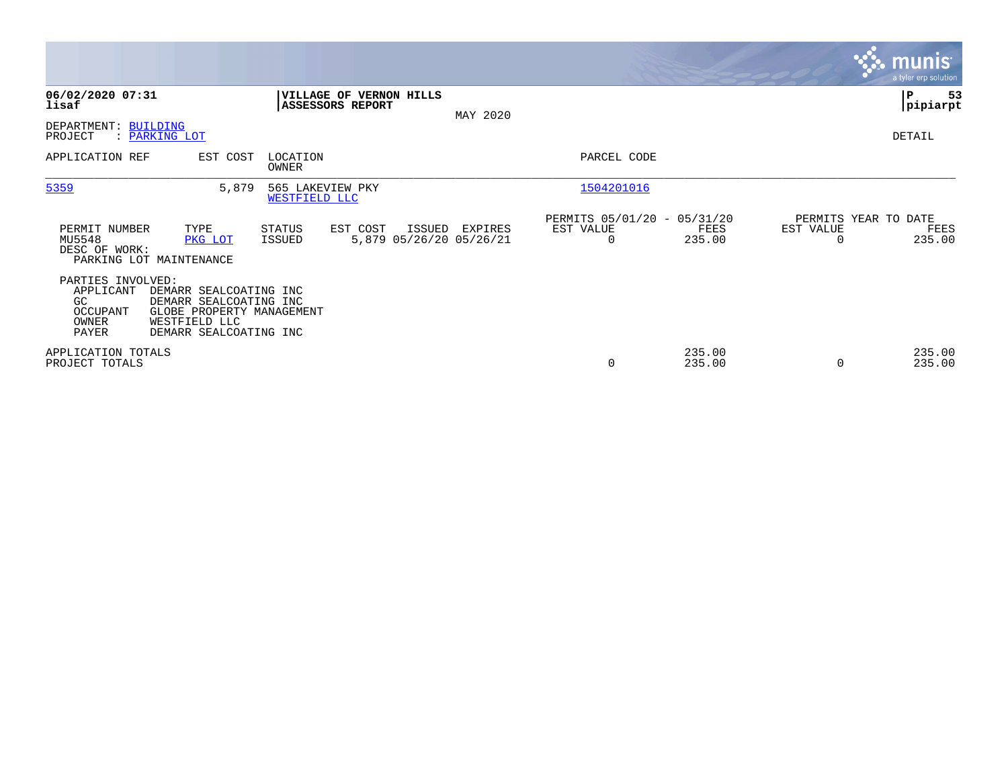|                                                                    |                                                                                                                          |                                   |                         |        |                                    |                                                      |                  |                                   | <b>munis</b><br>a tyler erp solution |
|--------------------------------------------------------------------|--------------------------------------------------------------------------------------------------------------------------|-----------------------------------|-------------------------|--------|------------------------------------|------------------------------------------------------|------------------|-----------------------------------|--------------------------------------|
| 06/02/2020 07:31<br>lisaf                                          |                                                                                                                          | <b>ASSESSORS REPORT</b>           | VILLAGE OF VERNON HILLS |        | MAY 2020                           |                                                      |                  |                                   | ∣P<br>53<br> pipiarpt                |
| DEPARTMENT: BUILDING<br>PROJECT                                    | : PARKING LOT                                                                                                            |                                   |                         |        |                                    |                                                      |                  |                                   | DETAIL                               |
| APPLICATION REF                                                    | EST COST                                                                                                                 | LOCATION<br>OWNER                 |                         |        |                                    | PARCEL CODE                                          |                  |                                   |                                      |
| 5359                                                               | 5,879                                                                                                                    | 565 LAKEVIEW PKY<br>WESTFIELD LLC |                         |        |                                    | 1504201016                                           |                  |                                   |                                      |
| PERMIT NUMBER<br>MU5548<br>DESC OF WORK:                           | TYPE<br>PKG LOT<br>PARKING LOT MAINTENANCE                                                                               | STATUS<br>ISSUED                  | EST COST                | ISSUED | EXPIRES<br>5,879 05/26/20 05/26/21 | PERMITS 05/01/20 - 05/31/20<br>EST VALUE<br>$\Omega$ | FEES<br>235.00   | PERMITS YEAR TO DATE<br>EST VALUE | FEES<br>235.00                       |
| PARTIES INVOLVED:<br>APPLICANT<br>GC<br>OCCUPANT<br>OWNER<br>PAYER | DEMARR SEALCOATING INC<br>DEMARR SEALCOATING INC<br>GLOBE PROPERTY MANAGEMENT<br>WESTFIELD LLC<br>DEMARR SEALCOATING INC |                                   |                         |        |                                    |                                                      |                  |                                   |                                      |
| APPLICATION TOTALS<br>PROJECT TOTALS                               |                                                                                                                          |                                   |                         |        |                                    | 0                                                    | 235.00<br>235.00 |                                   | 235.00<br>235.00                     |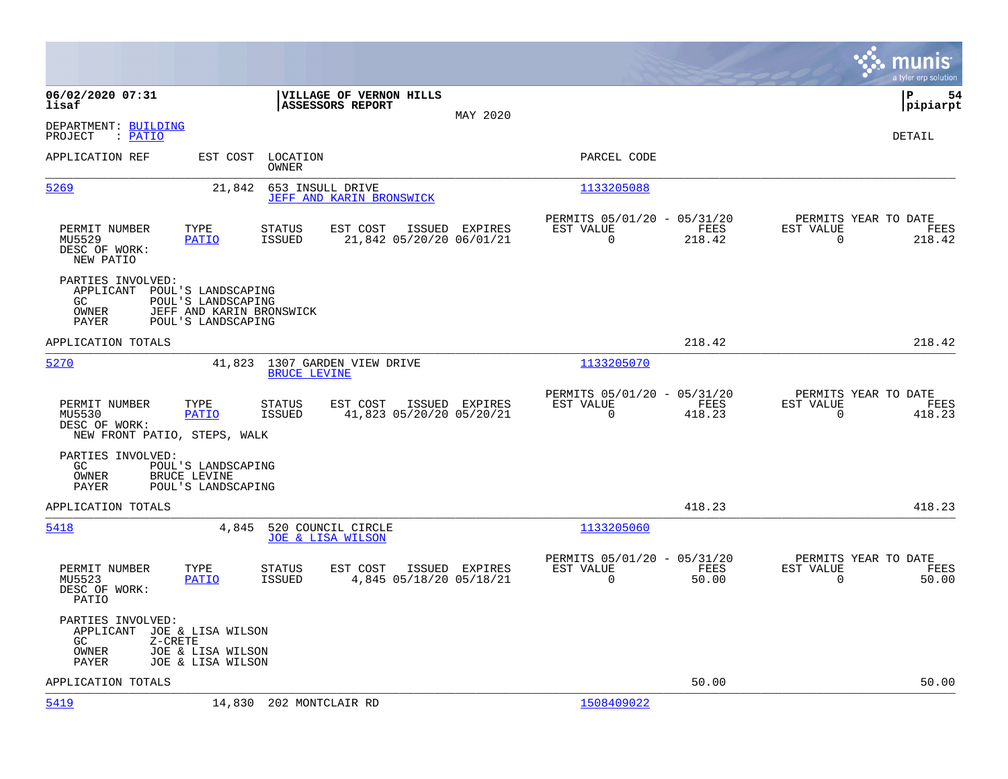|                                                                                      |                                                                                            |                                                    |                |                                                         |                |                                                  | munis<br>a tyler erp solution |
|--------------------------------------------------------------------------------------|--------------------------------------------------------------------------------------------|----------------------------------------------------|----------------|---------------------------------------------------------|----------------|--------------------------------------------------|-------------------------------|
| 06/02/2020 07:31<br>lisaf                                                            |                                                                                            | VILLAGE OF VERNON HILLS<br><b>ASSESSORS REPORT</b> | MAY 2020       |                                                         |                |                                                  | l P<br>54<br> pipiarpt        |
| DEPARTMENT: BUILDING<br>PROJECT<br>: PATIO                                           |                                                                                            |                                                    |                |                                                         |                |                                                  | DETAIL                        |
| APPLICATION REF                                                                      | EST COST LOCATION<br>OWNER                                                                 |                                                    |                | PARCEL CODE                                             |                |                                                  |                               |
| 5269                                                                                 | 21,842                                                                                     | 653 INSULL DRIVE<br>JEFF AND KARIN BRONSWICK       |                | 1133205088                                              |                |                                                  |                               |
| PERMIT NUMBER<br>MU5529<br>DESC OF WORK:<br>NEW PATIO                                | TYPE<br><b>STATUS</b><br><b>PATIO</b><br>ISSUED                                            | EST COST<br>21,842 05/20/20 06/01/21               | ISSUED EXPIRES | PERMITS 05/01/20 - 05/31/20<br>EST VALUE<br>$\mathbf 0$ | FEES<br>218.42 | PERMITS YEAR TO DATE<br>EST VALUE<br>$\mathbf 0$ | FEES<br>218.42                |
| PARTIES INVOLVED:<br>APPLICANT<br>GC.<br>OWNER<br>PAYER                              | POUL'S LANDSCAPING<br>POUL'S LANDSCAPING<br>JEFF AND KARIN BRONSWICK<br>POUL'S LANDSCAPING |                                                    |                |                                                         |                |                                                  |                               |
| APPLICATION TOTALS                                                                   |                                                                                            |                                                    |                |                                                         | 218.42         |                                                  | 218.42                        |
| 5270                                                                                 | 41,823 1307 GARDEN VIEW DRIVE<br><b>BRUCE LEVINE</b>                                       |                                                    |                | 1133205070                                              |                |                                                  |                               |
| PERMIT NUMBER<br>MU5530<br>DESC OF WORK:<br>NEW FRONT PATIO, STEPS, WALK             | TYPE<br><b>STATUS</b><br><b>PATIO</b><br>ISSUED                                            | EST COST<br>41,823 05/20/20 05/20/21               | ISSUED EXPIRES | PERMITS 05/01/20 - 05/31/20<br>EST VALUE<br>$\Omega$    | FEES<br>418.23 | PERMITS YEAR TO DATE<br>EST VALUE<br>$\Omega$    | FEES<br>418.23                |
| PARTIES INVOLVED:<br>GC<br>OWNER<br>PAYER                                            | POUL'S LANDSCAPING<br><b>BRUCE LEVINE</b><br>POUL'S LANDSCAPING                            |                                                    |                |                                                         |                |                                                  |                               |
| APPLICATION TOTALS                                                                   |                                                                                            |                                                    |                |                                                         | 418.23         |                                                  | 418.23                        |
| 5418                                                                                 | 4,845                                                                                      | 520 COUNCIL CIRCLE<br><b>JOE &amp; LISA WILSON</b> |                | 1133205060                                              |                |                                                  |                               |
| PERMIT NUMBER<br>MU5523<br>DESC OF WORK:<br>PATIO                                    | TYPE<br><b>STATUS</b><br><b>PATIO</b><br>ISSUED                                            | EST COST<br>4,845 05/18/20 05/18/21                | ISSUED EXPIRES | PERMITS 05/01/20 - 05/31/20<br>EST VALUE<br>$\mathbf 0$ | FEES<br>50.00  | PERMITS YEAR TO DATE<br>EST VALUE<br>$\mathbf 0$ | FEES<br>50.00                 |
| PARTIES INVOLVED:<br>APPLICANT JOE & LISA WILSON<br>GC.<br>Z-CRETE<br>OWNER<br>PAYER | JOE & LISA WILSON<br>JOE & LISA WILSON                                                     |                                                    |                |                                                         |                |                                                  |                               |
| APPLICATION TOTALS                                                                   |                                                                                            |                                                    |                |                                                         | 50.00          |                                                  | 50.00                         |
| 5419                                                                                 | 14,830 202 MONTCLAIR RD                                                                    |                                                    |                | 1508409022                                              |                |                                                  |                               |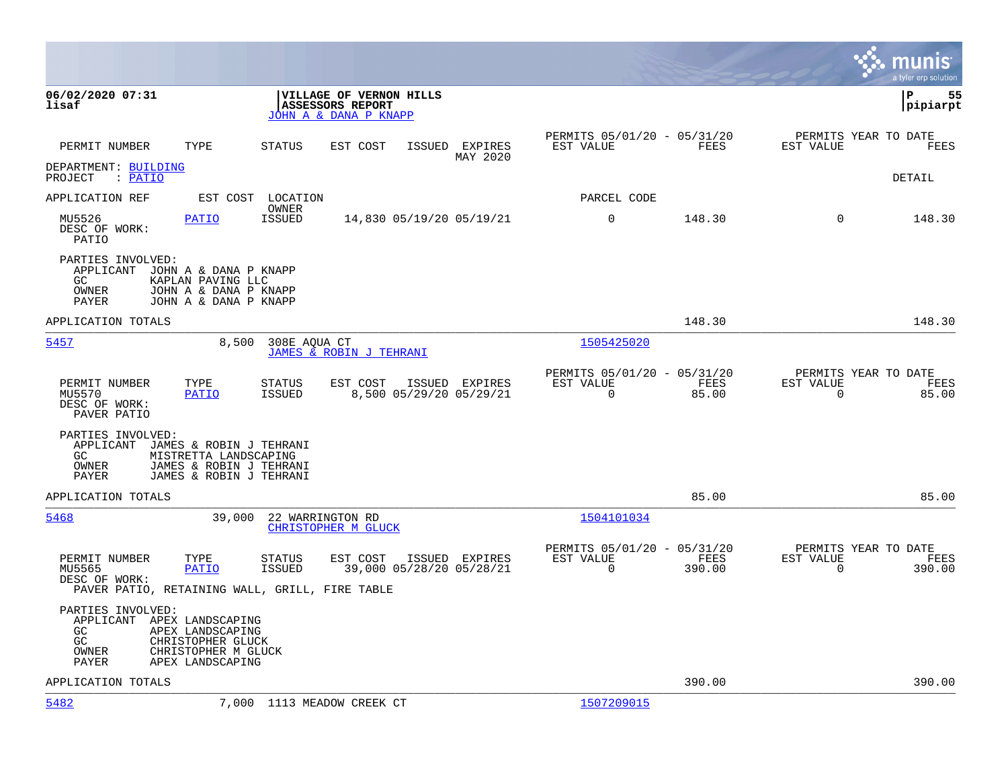|                                                                                                                                                                       |                                                                                   |                                                                           | munis<br>a tyler erp solution                                             |
|-----------------------------------------------------------------------------------------------------------------------------------------------------------------------|-----------------------------------------------------------------------------------|---------------------------------------------------------------------------|---------------------------------------------------------------------------|
| 06/02/2020 07:31<br>lisaf                                                                                                                                             | VILLAGE OF VERNON HILLS<br><b>ASSESSORS REPORT</b><br>JOHN A & DANA P KNAPP       |                                                                           | l P<br>55<br> pipiarpt                                                    |
| TYPE<br>PERMIT NUMBER                                                                                                                                                 | STATUS<br>EST COST<br>ISSUED EXPIRES<br>MAY 2020                                  | PERMITS 05/01/20 - 05/31/20<br>EST VALUE                                  | PERMITS YEAR TO DATE<br>FEES<br>EST VALUE<br>FEES                         |
| DEPARTMENT: BUILDING<br>PROJECT : PATIO                                                                                                                               |                                                                                   |                                                                           | <b>DETAIL</b>                                                             |
| APPLICATION REF                                                                                                                                                       | EST COST LOCATION                                                                 | PARCEL CODE                                                               |                                                                           |
| MU5526<br><b>PATIO</b><br>DESC OF WORK:<br>PATIO                                                                                                                      | OWNER<br>ISSUED<br>14,830 05/19/20 05/19/21                                       | $\mathbf 0$<br>148.30                                                     | $\Omega$<br>148.30                                                        |
| PARTIES INVOLVED:<br>APPLICANT JOHN A & DANA P KNAPP<br>KAPLAN PAVING LLC<br>GC.<br>OWNER<br>JOHN A & DANA P KNAPP<br>JOHN A & DANA P KNAPP<br>PAYER                  |                                                                                   |                                                                           |                                                                           |
| APPLICATION TOTALS                                                                                                                                                    |                                                                                   | 148.30                                                                    | 148.30                                                                    |
| 5457<br>8,500                                                                                                                                                         | 308E AOUA CT<br>JAMES & ROBIN J TEHRANI                                           | 1505425020                                                                |                                                                           |
| PERMIT NUMBER<br>TYPE<br><b>PATIO</b><br>MU5570<br>DESC OF WORK:<br>PAVER PATIO                                                                                       | STATUS<br>EST COST<br>ISSUED EXPIRES<br>ISSUED<br>8,500 05/29/20 05/29/21         | PERMITS 05/01/20 - 05/31/20<br>EST VALUE<br>$\mathbf 0$<br>85.00          | PERMITS YEAR TO DATE<br>FEES<br>EST VALUE<br>FEES<br>$\mathbf 0$<br>85.00 |
| PARTIES INVOLVED:<br>APPLICANT JAMES & ROBIN J TEHRANI<br>GC.<br>MISTRETTA LANDSCAPING<br>JAMES & ROBIN J TEHRANI<br>OWNER<br><b>PAYER</b><br>JAMES & ROBIN J TEHRANI |                                                                                   |                                                                           |                                                                           |
| APPLICATION TOTALS                                                                                                                                                    |                                                                                   | 85.00                                                                     | 85.00                                                                     |
| 39,000<br>5468                                                                                                                                                        | 22 WARRINGTON RD<br>CHRISTOPHER M GLUCK                                           | 1504101034                                                                |                                                                           |
| PERMIT NUMBER<br>TYPE<br><b>PATIO</b><br>MU5565<br>DESC OF WORK:<br>PAVER PATIO, RETAINING WALL, GRILL, FIRE TABLE                                                    | STATUS<br>EST COST<br>ISSUED EXPIRES<br><b>ISSUED</b><br>39,000 05/28/20 05/28/21 | PERMITS 05/01/20 - 05/31/20<br>FEES<br>EST VALUE<br>$\mathbf 0$<br>390.00 | PERMITS YEAR TO DATE<br>EST VALUE<br>FEES<br>$\Omega$<br>390.00           |
| PARTIES INVOLVED:<br>APPLICANT APEX LANDSCAPING<br>GC<br>APEX LANDSCAPING<br>GC<br>CHRISTOPHER GLUCK<br>CHRISTOPHER M GLUCK<br>OWNER<br>PAYER<br>APEX LANDSCAPING     |                                                                                   |                                                                           |                                                                           |
| APPLICATION TOTALS                                                                                                                                                    |                                                                                   | 390.00                                                                    | 390.00                                                                    |
| 5482                                                                                                                                                                  | 7,000 1113 MEADOW CREEK CT                                                        | 1507209015                                                                |                                                                           |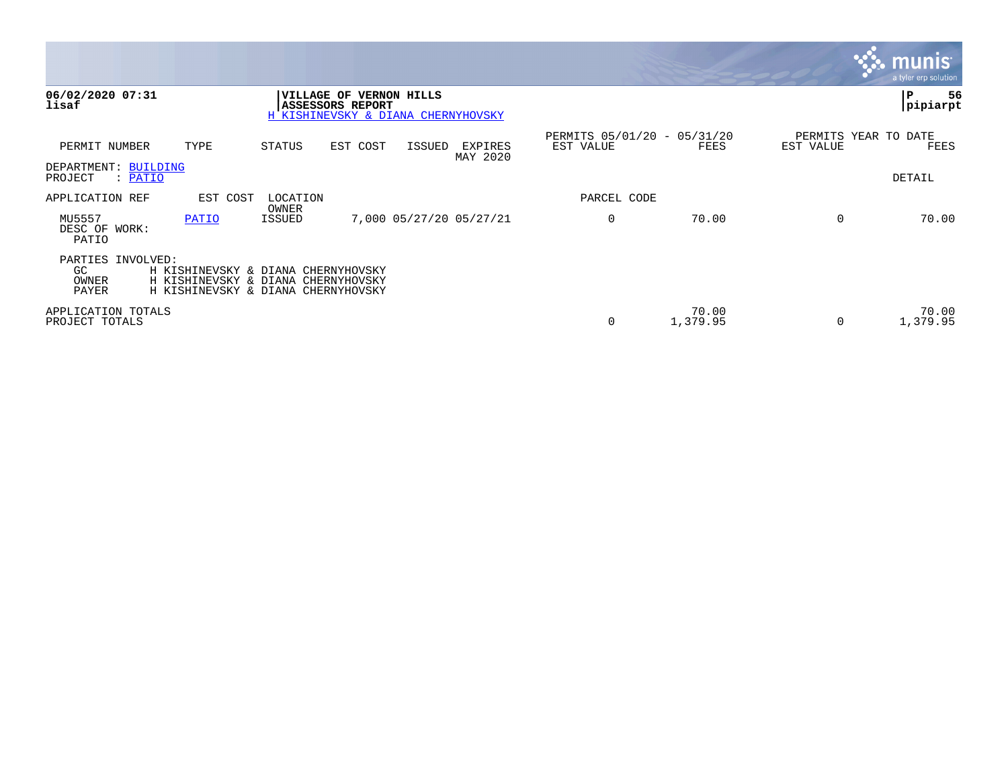|                                                  |                                                                                                                |                   |                                                                                          |        |                         |                                          |                   |                                   | munıs<br>a tyler erp solution |
|--------------------------------------------------|----------------------------------------------------------------------------------------------------------------|-------------------|------------------------------------------------------------------------------------------|--------|-------------------------|------------------------------------------|-------------------|-----------------------------------|-------------------------------|
| 06/02/2020 07:31<br>lisaf                        |                                                                                                                |                   | VILLAGE OF VERNON HILLS<br><b>ASSESSORS REPORT</b><br>H KISHINEVSKY & DIANA CHERNYHOVSKY |        |                         |                                          |                   |                                   | ${\bf P}$<br>56<br>pipiarpt   |
| PERMIT NUMBER                                    | TYPE                                                                                                           | STATUS            | EST COST                                                                                 | ISSUED | EXPIRES<br>MAY 2020     | PERMITS 05/01/20 - 05/31/20<br>EST VALUE | FEES              | PERMITS YEAR TO DATE<br>EST VALUE | FEES                          |
| DEPARTMENT: BUILDING<br>PROJECT<br>: PATIO       |                                                                                                                |                   |                                                                                          |        |                         |                                          |                   |                                   | DETAIL                        |
| APPLICATION REF                                  | EST COST                                                                                                       | LOCATION<br>OWNER |                                                                                          |        |                         | PARCEL CODE                              |                   |                                   |                               |
| MU5557<br>DESC OF WORK:<br>PATIO                 | PATIO                                                                                                          | ISSUED            |                                                                                          |        | 7,000 05/27/20 05/27/21 | $\mathbf 0$                              | 70.00             | $\Omega$                          | 70.00                         |
| PARTIES INVOLVED:<br>GC<br>OWNER<br><b>PAYER</b> | H KISHINEVSKY & DIANA CHERNYHOVSKY<br>H KISHINEVSKY & DIANA CHERNYHOVSKY<br>H KISHINEVSKY & DIANA CHERNYHOVSKY |                   |                                                                                          |        |                         |                                          |                   |                                   |                               |
| APPLICATION TOTALS<br>PROJECT TOTALS             |                                                                                                                |                   |                                                                                          |        |                         | 0                                        | 70.00<br>1,379.95 | $\Omega$                          | 70.00<br>1,379.95             |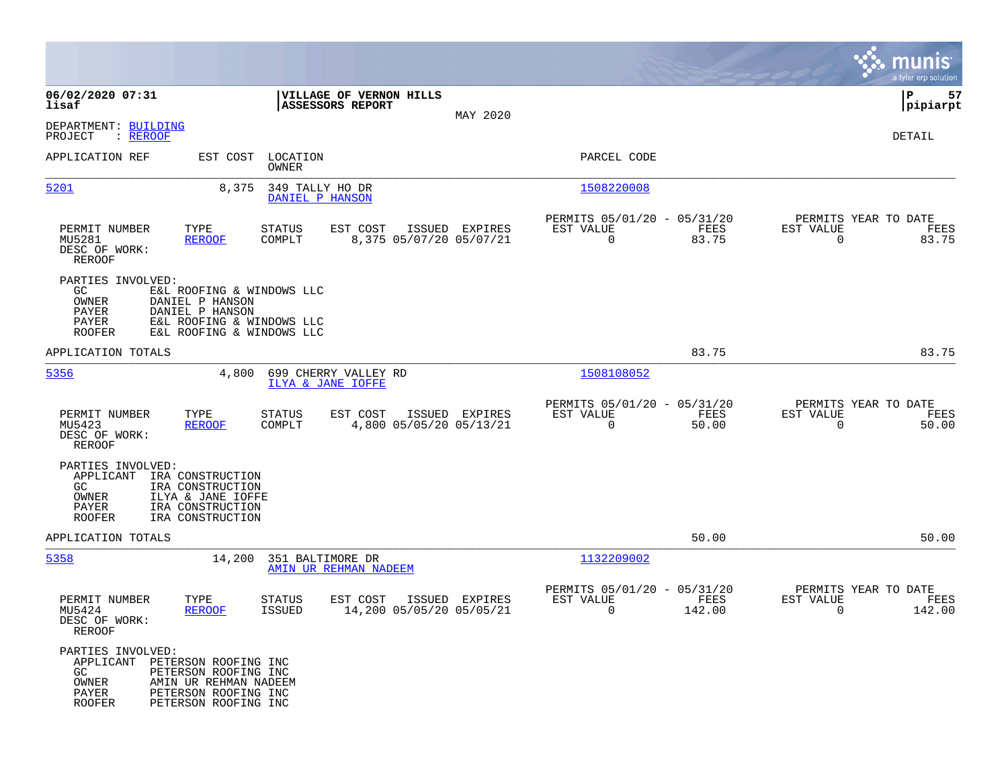|                                                                                              |                                                                                                                           |                                    |                                             |                                           |                                                         |                       |                                                  | munis<br>a tyler erp solution |
|----------------------------------------------------------------------------------------------|---------------------------------------------------------------------------------------------------------------------------|------------------------------------|---------------------------------------------|-------------------------------------------|---------------------------------------------------------|-----------------------|--------------------------------------------------|-------------------------------|
| 06/02/2020 07:31<br>lisaf                                                                    |                                                                                                                           |                                    | VILLAGE OF VERNON HILLS<br>ASSESSORS REPORT |                                           |                                                         |                       |                                                  | 57<br>IΡ<br> pipiarpt         |
| DEPARTMENT: BUILDING<br>PROJECT<br>: <u>REROOF</u>                                           |                                                                                                                           |                                    |                                             | MAY 2020                                  |                                                         |                       |                                                  | DETAIL                        |
| APPLICATION REF                                                                              |                                                                                                                           | EST COST LOCATION<br>OWNER         |                                             |                                           | PARCEL CODE                                             |                       |                                                  |                               |
| 5201                                                                                         | 8,375                                                                                                                     | 349 TALLY HO DR<br>DANIEL P HANSON |                                             |                                           | 1508220008                                              |                       |                                                  |                               |
| PERMIT NUMBER<br>MU5281<br>DESC OF WORK:<br>REROOF                                           | TYPE<br><b>REROOF</b>                                                                                                     | <b>STATUS</b><br>COMPLT            | EST COST                                    | ISSUED EXPIRES<br>8,375 05/07/20 05/07/21 | PERMITS 05/01/20 - 05/31/20<br>EST VALUE<br>$\mathbf 0$ | FEES<br>83.75         | PERMITS YEAR TO DATE<br>EST VALUE<br>$\mathbf 0$ | FEES<br>83.75                 |
| PARTIES INVOLVED:<br>GC.<br>OWNER<br>PAYER<br>PAYER<br><b>ROOFER</b>                         | E&L ROOFING & WINDOWS LLC<br>DANIEL P HANSON<br>DANIEL P HANSON<br>E&L ROOFING & WINDOWS LLC<br>E&L ROOFING & WINDOWS LLC |                                    |                                             |                                           |                                                         |                       |                                                  |                               |
| APPLICATION TOTALS                                                                           |                                                                                                                           |                                    |                                             |                                           |                                                         | 83.75                 |                                                  | 83.75                         |
| 5356                                                                                         | 4,800                                                                                                                     | ILYA & JANE IOFFE                  | 699 CHERRY VALLEY RD                        |                                           | 1508108052                                              |                       |                                                  |                               |
| PERMIT NUMBER<br>MU5423<br>DESC OF WORK:<br><b>REROOF</b>                                    | TYPE<br><b>REROOF</b>                                                                                                     | <b>STATUS</b><br>COMPLT            | EST COST                                    | ISSUED EXPIRES<br>4,800 05/05/20 05/13/21 | PERMITS 05/01/20 - 05/31/20<br>EST VALUE<br>0           | FEES<br>50.00         | PERMITS YEAR TO DATE<br>EST VALUE<br>$\mathbf 0$ | FEES<br>50.00                 |
| PARTIES INVOLVED:<br>APPLICANT<br>GC.<br>OWNER<br>PAYER<br><b>ROOFER</b>                     | IRA CONSTRUCTION<br>IRA CONSTRUCTION<br>ILYA & JANE IOFFE<br>IRA CONSTRUCTION<br>IRA CONSTRUCTION                         |                                    |                                             |                                           |                                                         |                       |                                                  |                               |
| APPLICATION TOTALS                                                                           |                                                                                                                           |                                    |                                             |                                           |                                                         | 50.00                 |                                                  | 50.00                         |
| 5358                                                                                         | 14,200                                                                                                                    | 351 BALTIMORE DR                   | AMIN UR REHMAN NADEEM                       |                                           | 1132209002                                              |                       |                                                  |                               |
| PERMIT NUMBER<br>MU5424<br>DESC OF WORK:<br>REROOF                                           | TYPE<br><b>REROOF</b>                                                                                                     | <b>STATUS</b><br><b>ISSUED</b>     | EST COST<br>14,200 05/05/20 05/05/21        | ISSUED EXPIRES                            | PERMITS 05/01/20 - 05/31/20<br>EST VALUE<br>0           | <b>FEES</b><br>142.00 | PERMITS YEAR TO DATE<br>EST VALUE<br>0           | FEES<br>142.00                |
| PARTIES INVOLVED:<br>APPLICANT PETERSON ROOFING INC<br>GC<br>OWNER<br>PAYER<br><b>ROOFER</b> | PETERSON ROOFING INC<br>AMIN UR REHMAN NADEEM<br>PETERSON ROOFING INC<br>PETERSON ROOFING INC                             |                                    |                                             |                                           |                                                         |                       |                                                  |                               |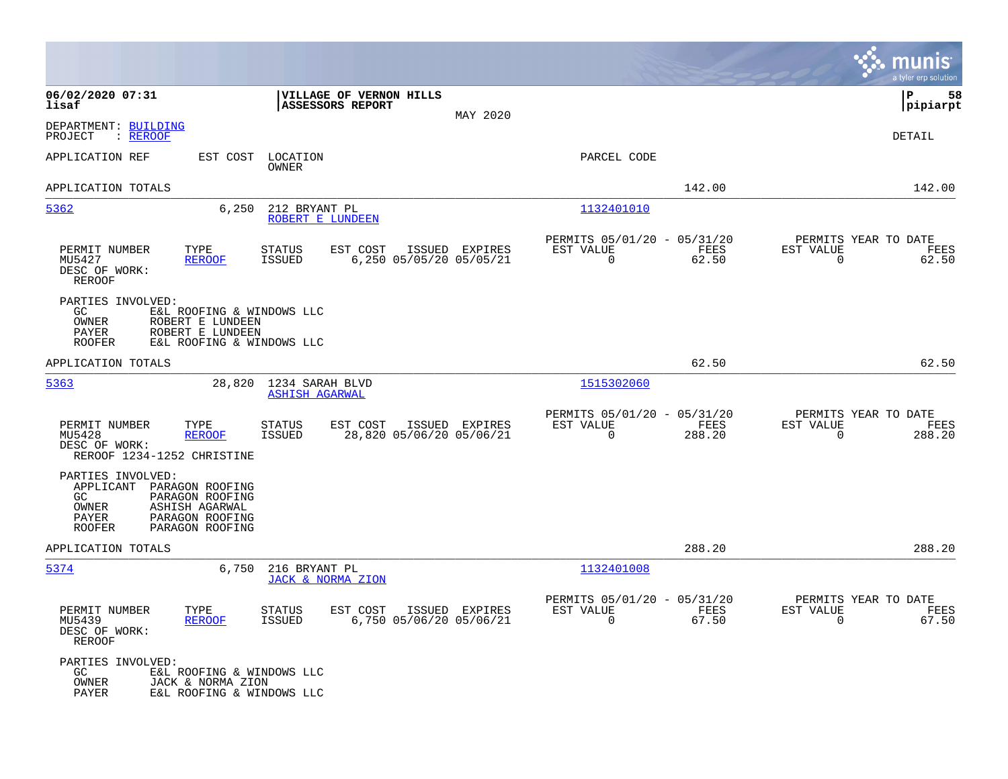|                                                                                                                                                                      |                                                                                          |          |                                                                               | munis<br>a tyler erp solution                                   |
|----------------------------------------------------------------------------------------------------------------------------------------------------------------------|------------------------------------------------------------------------------------------|----------|-------------------------------------------------------------------------------|-----------------------------------------------------------------|
| 06/02/2020 07:31<br>lisaf                                                                                                                                            | VILLAGE OF VERNON HILLS<br><b>ASSESSORS REPORT</b>                                       | MAY 2020 |                                                                               | l P<br>58<br> pipiarpt                                          |
| DEPARTMENT: BUILDING<br>PROJECT<br>: REROOF                                                                                                                          |                                                                                          |          |                                                                               | DETAIL                                                          |
| APPLICATION REF<br>EST COST                                                                                                                                          | LOCATION<br>OWNER                                                                        |          | PARCEL CODE                                                                   |                                                                 |
| APPLICATION TOTALS                                                                                                                                                   |                                                                                          |          | 142.00                                                                        | 142.00                                                          |
| 5362<br>6,250                                                                                                                                                        | 212 BRYANT PL<br>ROBERT E LUNDEEN                                                        |          | 1132401010                                                                    |                                                                 |
| PERMIT NUMBER<br>TYPE<br>MU5427<br><b>REROOF</b><br>DESC OF WORK:<br><b>REROOF</b>                                                                                   | EST COST<br>ISSUED EXPIRES<br><b>STATUS</b><br>6,250 05/05/20 05/05/21<br><b>ISSUED</b>  |          | PERMITS 05/01/20 - 05/31/20<br>EST VALUE<br>FEES<br>$\Omega$<br>62.50         | PERMITS YEAR TO DATE<br>EST VALUE<br>FEES<br>$\Omega$<br>62.50  |
| PARTIES INVOLVED:<br>GC.<br>E&L ROOFING & WINDOWS LLC<br>OWNER<br>ROBERT E LUNDEEN<br><b>PAYER</b><br>ROBERT E LUNDEEN<br><b>ROOFER</b><br>E&L ROOFING & WINDOWS LLC |                                                                                          |          |                                                                               |                                                                 |
| APPLICATION TOTALS                                                                                                                                                   |                                                                                          |          | 62.50                                                                         | 62.50                                                           |
| 5363<br>28,820                                                                                                                                                       | 1234 SARAH BLVD<br><b>ASHISH AGARWAL</b>                                                 |          | 1515302060                                                                    |                                                                 |
| PERMIT NUMBER<br>TYPE<br>MU5428<br><b>REROOF</b><br>DESC OF WORK:<br>REROOF 1234-1252 CHRISTINE                                                                      | <b>STATUS</b><br>EST COST<br>ISSUED EXPIRES<br>28,820 05/06/20 05/06/21<br><b>ISSUED</b> |          | PERMITS 05/01/20 - 05/31/20<br>EST VALUE<br><b>FEES</b><br>$\Omega$<br>288.20 | PERMITS YEAR TO DATE<br>EST VALUE<br>FEES<br>$\Omega$<br>288.20 |
| PARTIES INVOLVED:<br>APPLICANT PARAGON ROOFING<br>PARAGON ROOFING<br>GC.<br>OWNER<br>ASHISH AGARWAL<br>PAYER<br>PARAGON ROOFING<br><b>ROOFER</b><br>PARAGON ROOFING  |                                                                                          |          |                                                                               |                                                                 |
| APPLICATION TOTALS                                                                                                                                                   |                                                                                          |          | 288.20                                                                        | 288.20                                                          |
| 5374<br>6,750                                                                                                                                                        | 216 BRYANT PL<br>JACK & NORMA ZION                                                       |          | 1132401008                                                                    |                                                                 |
| PERMIT NUMBER<br>TYPE<br>MU5439<br><b>REROOF</b><br>DESC OF WORK:<br>REROOF                                                                                          | EST COST<br>ISSUED EXPIRES<br><b>STATUS</b><br><b>ISSUED</b><br>6,750 05/06/20 05/06/21  |          | PERMITS 05/01/20 - 05/31/20<br>EST VALUE<br>FEES<br>$\Omega$<br>67.50         | PERMITS YEAR TO DATE<br>EST VALUE<br>FEES<br>67.50<br>$\Omega$  |
| PARTIES INVOLVED:<br>GC.<br>E&L ROOFING & WINDOWS LLC<br>OWNER<br>JACK & NORMA ZION<br>PAYER<br>E&L ROOFING & WINDOWS LLC                                            |                                                                                          |          |                                                                               |                                                                 |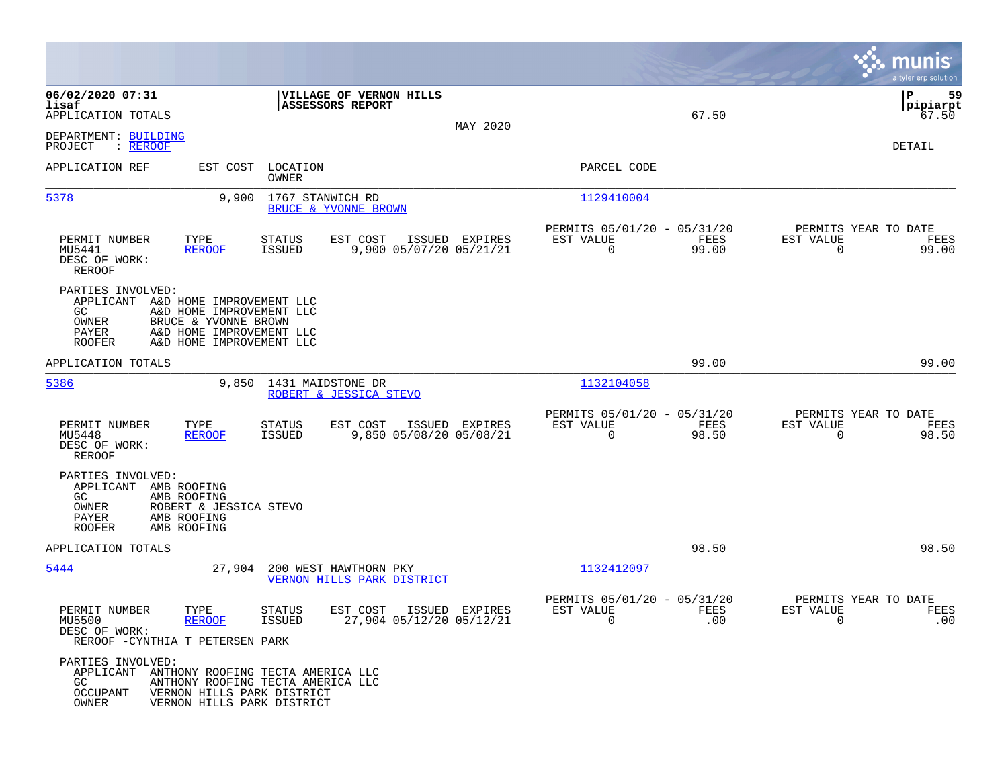|                                                                                             |                                                                                                                                      |                                |                                                           |                |                                                         |               |                                                  | munis<br>a tyler erp solution  |
|---------------------------------------------------------------------------------------------|--------------------------------------------------------------------------------------------------------------------------------------|--------------------------------|-----------------------------------------------------------|----------------|---------------------------------------------------------|---------------|--------------------------------------------------|--------------------------------|
| 06/02/2020 07:31<br>lisaf<br>APPLICATION TOTALS                                             |                                                                                                                                      |                                | <b>VILLAGE OF VERNON HILLS</b><br><b>ASSESSORS REPORT</b> | MAY 2020       |                                                         | 67.50         |                                                  | 59<br>ΙP<br> pipiarpt<br>67.50 |
| DEPARTMENT: BUILDING<br>: REROOF<br>PROJECT                                                 |                                                                                                                                      |                                |                                                           |                |                                                         |               |                                                  | DETAIL                         |
| APPLICATION REF                                                                             | EST COST                                                                                                                             | LOCATION<br>OWNER              |                                                           |                | PARCEL CODE                                             |               |                                                  |                                |
| 5378                                                                                        | 9,900                                                                                                                                | 1767 STANWICH RD               | BRUCE & YVONNE BROWN                                      |                | 1129410004                                              |               |                                                  |                                |
| PERMIT NUMBER<br>MU5441<br>DESC OF WORK:<br><b>REROOF</b>                                   | TYPE<br><b>REROOF</b>                                                                                                                | STATUS<br><b>ISSUED</b>        | EST COST<br>9,900 05/07/20 05/21/21                       | ISSUED EXPIRES | PERMITS 05/01/20 - 05/31/20<br>EST VALUE<br>$\mathbf 0$ | FEES<br>99.00 | PERMITS YEAR TO DATE<br>EST VALUE<br>$\mathbf 0$ | FEES<br>99.00                  |
| PARTIES INVOLVED:<br>APPLICANT<br>GC<br>OWNER<br>PAYER<br><b>ROOFER</b>                     | A&D HOME IMPROVEMENT LLC<br>A&D HOME IMPROVEMENT LLC<br>BRUCE & YVONNE BROWN<br>A&D HOME IMPROVEMENT LLC<br>A&D HOME IMPROVEMENT LLC |                                |                                                           |                |                                                         |               |                                                  |                                |
| APPLICATION TOTALS                                                                          |                                                                                                                                      |                                |                                                           |                |                                                         | 99.00         |                                                  | 99.00                          |
| 5386                                                                                        | 9,850                                                                                                                                | 1431 MAIDSTONE DR              | ROBERT & JESSICA STEVO                                    |                | 1132104058                                              |               |                                                  |                                |
| PERMIT NUMBER<br>MU5448<br>DESC OF WORK:<br>REROOF                                          | TYPE<br><b>REROOF</b>                                                                                                                | STATUS<br><b>ISSUED</b>        | EST COST<br>9,850 05/08/20 05/08/21                       | ISSUED EXPIRES | PERMITS 05/01/20 - 05/31/20<br>EST VALUE<br>$\mathbf 0$ | FEES<br>98.50 | PERMITS YEAR TO DATE<br>EST VALUE<br>0           | FEES<br>98.50                  |
| PARTIES INVOLVED:<br>APPLICANT AMB ROOFING<br>GC<br>OWNER<br>PAYER<br><b>ROOFER</b>         | AMB ROOFING<br>ROBERT & JESSICA STEVO<br>AMB ROOFING<br>AMB ROOFING                                                                  |                                |                                                           |                |                                                         |               |                                                  |                                |
| APPLICATION TOTALS                                                                          |                                                                                                                                      |                                |                                                           |                |                                                         | 98.50         |                                                  | 98.50                          |
| 5444                                                                                        | 27,904                                                                                                                               |                                | 200 WEST HAWTHORN PKY<br>VERNON HILLS PARK DISTRICT       |                | 1132412097                                              |               |                                                  |                                |
| PERMIT NUMBER<br>MU5500<br>DESC OF WORK:<br>REROOF - CYNTHIA T PETERSEN PARK                | TYPE<br><b>REROOF</b>                                                                                                                | <b>STATUS</b><br><b>ISSUED</b> | EST COST<br>27,904 05/12/20 05/12/21                      | ISSUED EXPIRES | PERMITS 05/01/20 - 05/31/20<br>EST VALUE                | FEES<br>.00   | PERMITS YEAR TO DATE<br>EST VALUE                | FEES<br>.00                    |
| PARTIES INVOLVED:<br>APPLICANT ANTHONY ROOFING TECTA AMERICA LLC<br>GC<br>OCCUPANT<br>OWNER | ANTHONY ROOFING TECTA AMERICA LLC<br>VERNON HILLS PARK DISTRICT<br>VERNON HILLS PARK DISTRICT                                        |                                |                                                           |                |                                                         |               |                                                  |                                |

**Contract**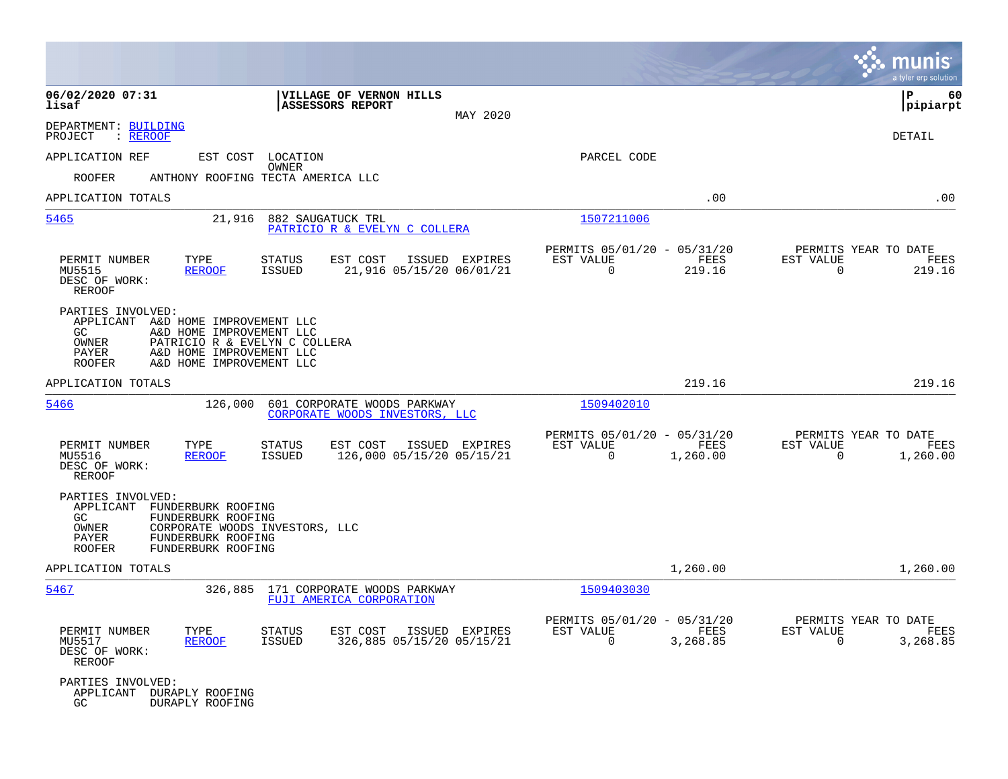|                                                                                                                                                                                                                 |                                             |                                                         |                  |                                                     | munis<br>a tyler erp solution |
|-----------------------------------------------------------------------------------------------------------------------------------------------------------------------------------------------------------------|---------------------------------------------|---------------------------------------------------------|------------------|-----------------------------------------------------|-------------------------------|
| VILLAGE OF VERNON HILLS<br>06/02/2020 07:31<br>ASSESSORS REPORT<br>lisaf                                                                                                                                        | MAY 2020                                    |                                                         |                  |                                                     | ΙP<br>60<br> pipiarpt         |
| DEPARTMENT: BUILDING<br>PROJECT<br>: REROOF                                                                                                                                                                     |                                             |                                                         |                  |                                                     | DETAIL                        |
| APPLICATION REF<br>EST COST<br>LOCATION                                                                                                                                                                         |                                             | PARCEL CODE                                             |                  |                                                     |                               |
| OWNER<br><b>ROOFER</b><br>ANTHONY ROOFING TECTA AMERICA LLC                                                                                                                                                     |                                             |                                                         |                  |                                                     |                               |
| APPLICATION TOTALS                                                                                                                                                                                              |                                             |                                                         | .00              |                                                     | .00                           |
| 5465<br>21,916<br>882 SAUGATUCK TRL<br>PATRICIO R & EVELYN C COLLERA                                                                                                                                            |                                             | 1507211006                                              |                  |                                                     |                               |
| PERMIT NUMBER<br>TYPE<br><b>STATUS</b><br>EST COST<br>MU5515<br><b>REROOF</b><br>ISSUED<br>DESC OF WORK:<br>REROOF                                                                                              | ISSUED EXPIRES<br>21,916 05/15/20 06/01/21  | PERMITS 05/01/20 - 05/31/20<br>EST VALUE<br>$\mathbf 0$ | FEES<br>219.16   | PERMITS YEAR TO DATE<br>EST VALUE<br>$\mathbf 0$    | FEES<br>219.16                |
| PARTIES INVOLVED:<br>APPLICANT A&D HOME IMPROVEMENT LLC<br>GC.<br>A&D HOME IMPROVEMENT LLC<br>OWNER<br>PATRICIO R & EVELYN C COLLERA<br>A&D HOME IMPROVEMENT LLC<br>PAYER<br>ROOFER<br>A&D HOME IMPROVEMENT LLC |                                             |                                                         |                  |                                                     |                               |
| APPLICATION TOTALS                                                                                                                                                                                              |                                             |                                                         | 219.16           |                                                     | 219.16                        |
| 5466<br>126,000<br>601 CORPORATE WOODS PARKWAY<br>CORPORATE WOODS INVESTORS, LLC                                                                                                                                |                                             | 1509402010                                              |                  |                                                     |                               |
| PERMIT NUMBER<br>EST COST<br>TYPE<br>STATUS<br>MU5516<br><b>REROOF</b><br><b>ISSUED</b><br>DESC OF WORK:<br><b>REROOF</b>                                                                                       | ISSUED EXPIRES<br>126,000 05/15/20 05/15/21 | PERMITS 05/01/20 - 05/31/20<br>EST VALUE<br>$\Omega$    | FEES<br>1,260.00 | PERMITS YEAR TO DATE<br>EST VALUE<br>0              | FEES<br>1,260.00              |
| PARTIES INVOLVED:<br>APPLICANT FUNDERBURK ROOFING<br>GC.<br>FUNDERBURK ROOFING<br>OWNER<br>CORPORATE WOODS INVESTORS, LLC<br>PAYER<br>FUNDERBURK ROOFING<br>ROOFER<br>FUNDERBURK ROOFING                        |                                             |                                                         |                  |                                                     |                               |
| APPLICATION TOTALS                                                                                                                                                                                              |                                             |                                                         | 1,260.00         |                                                     | 1,260.00                      |
| 5467<br>326,885<br>171 CORPORATE WOODS PARKWAY<br>FUJI AMERICA CORPORATION                                                                                                                                      |                                             | 1509403030                                              |                  |                                                     |                               |
| PERMIT NUMBER<br>TYPE<br><b>STATUS</b><br>EST COST<br>MU5517<br><b>REROOF</b><br><b>ISSUED</b><br>DESC OF WORK:<br>REROOF                                                                                       | ISSUED EXPIRES<br>326,885 05/15/20 05/15/21 | PERMITS 05/01/20 - 05/31/20<br>EST VALUE<br>$\mathbf 0$ | FEES<br>3,268.85 | PERMITS YEAR TO DATE<br>EST VALUE<br>$\overline{0}$ | FEES<br>3,268.85              |
| PARTIES INVOLVED:<br>APPLICANT DURAPLY ROOFING<br>GC.<br>DURAPLY ROOFING                                                                                                                                        |                                             |                                                         |                  |                                                     |                               |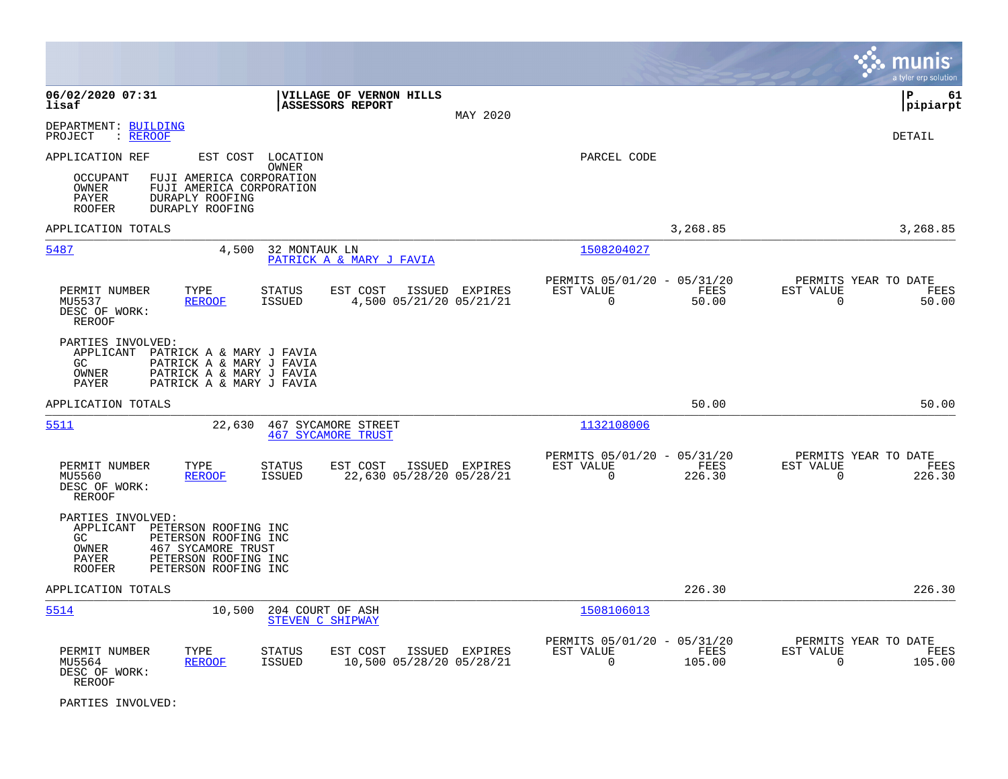|                                                                                                                                                                                                       |                                                                        |                             |                                                              | a tyler erp solution                                               |
|-------------------------------------------------------------------------------------------------------------------------------------------------------------------------------------------------------|------------------------------------------------------------------------|-----------------------------|--------------------------------------------------------------|--------------------------------------------------------------------|
| 06/02/2020 07:31<br>lisaf                                                                                                                                                                             | VILLAGE OF VERNON HILLS<br><b>ASSESSORS REPORT</b>                     | MAY 2020                    |                                                              | lР<br>61<br> pipiarpt                                              |
| DEPARTMENT: BUILDING<br>PROJECT<br>: REROOF                                                                                                                                                           |                                                                        |                             |                                                              | <b>DETAIL</b>                                                      |
| APPLICATION REF                                                                                                                                                                                       | EST COST LOCATION<br><b>OWNER</b>                                      |                             | PARCEL CODE                                                  |                                                                    |
| <b>OCCUPANT</b><br>FUJI AMERICA CORPORATION<br>OWNER<br>FUJI AMERICA CORPORATION<br>PAYER<br>DURAPLY ROOFING<br>DURAPLY ROOFING<br><b>ROOFER</b>                                                      |                                                                        |                             |                                                              |                                                                    |
| APPLICATION TOTALS                                                                                                                                                                                    |                                                                        |                             | 3,268.85                                                     | 3,268.85                                                           |
| 5487<br>4,500                                                                                                                                                                                         | 32 MONTAUK LN<br>PATRICK A & MARY J FAVIA                              |                             | 1508204027                                                   |                                                                    |
| PERMIT NUMBER<br>TYPE<br>MU5537<br><b>REROOF</b><br>DESC OF WORK:<br><b>REROOF</b>                                                                                                                    | <b>STATUS</b><br>EST COST<br>4,500 05/21/20 05/21/21<br><b>ISSUED</b>  | ISSUED EXPIRES<br>EST VALUE | PERMITS 05/01/20 - 05/31/20<br>FEES<br>0<br>50.00            | PERMITS YEAR TO DATE<br>EST VALUE<br>FEES<br>$\mathbf 0$<br>50.00  |
| PARTIES INVOLVED:<br>APPLICANT<br>PATRICK A & MARY J FAVIA<br>GC<br>PATRICK A & MARY J FAVIA<br>PATRICK A & MARY J FAVIA<br>OWNER<br>PAYER<br>PATRICK A & MARY J FAVIA                                |                                                                        |                             |                                                              |                                                                    |
| APPLICATION TOTALS                                                                                                                                                                                    |                                                                        |                             | 50.00                                                        | 50.00                                                              |
| 5511                                                                                                                                                                                                  | 22,630 467 SYCAMORE STREET<br><b>467 SYCAMORE TRUST</b>                |                             | 1132108006                                                   |                                                                    |
| PERMIT NUMBER<br>TYPE<br>MU5560<br><b>REROOF</b><br>DESC OF WORK:<br><b>REROOF</b>                                                                                                                    | <b>STATUS</b><br>EST COST<br><b>ISSUED</b><br>22,630 05/28/20 05/28/21 | EST VALUE<br>ISSUED EXPIRES | PERMITS 05/01/20 - 05/31/20<br>FEES<br>$\mathbf 0$<br>226.30 | PERMITS YEAR TO DATE<br>EST VALUE<br>FEES<br>226.30<br>$\mathbf 0$ |
| PARTIES INVOLVED:<br>APPLICANT<br>PETERSON ROOFING INC<br>PETERSON ROOFING INC<br>GC.<br>467 SYCAMORE TRUST<br>OWNER<br><b>PAYER</b><br>PETERSON ROOFING INC<br><b>ROOFER</b><br>PETERSON ROOFING INC |                                                                        |                             |                                                              |                                                                    |
| APPLICATION TOTALS                                                                                                                                                                                    |                                                                        |                             | 226.30                                                       | 226.30                                                             |
| 5514<br>10,500                                                                                                                                                                                        | 204 COURT OF ASH<br>STEVEN C SHIPWAY                                   |                             | 1508106013                                                   |                                                                    |
| PERMIT NUMBER<br>TYPE<br>MU5564<br><b>REROOF</b><br>DESC OF WORK:<br><b>REROOF</b>                                                                                                                    | <b>STATUS</b><br>EST COST<br>10,500 05/28/20 05/28/21<br><b>ISSUED</b> | EST VALUE<br>ISSUED EXPIRES | PERMITS 05/01/20 - 05/31/20<br><b>FEES</b><br>0<br>105.00    | PERMITS YEAR TO DATE<br>EST VALUE<br>FEES<br>0<br>105.00           |

PARTIES INVOLVED: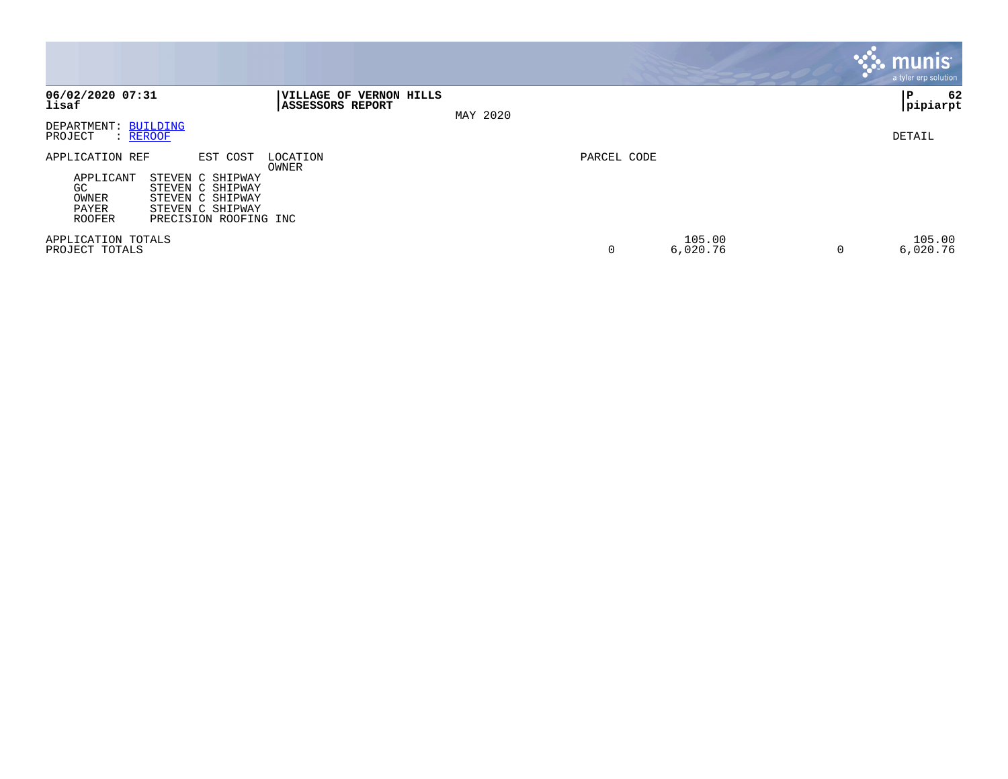|                                                                |                                                                                                                   |                                                    |          |             |                    |   | <b>munis</b><br>a tyler erp solution |
|----------------------------------------------------------------|-------------------------------------------------------------------------------------------------------------------|----------------------------------------------------|----------|-------------|--------------------|---|--------------------------------------|
| 06/02/2020 07:31<br>lisaf                                      |                                                                                                                   | VILLAGE OF VERNON HILLS<br><b>ASSESSORS REPORT</b> | MAY 2020 |             |                    |   | 62<br>ΙP<br>pipiarpt                 |
| DEPARTMENT: BUILDING<br>PROJECT<br>: REROOF                    |                                                                                                                   |                                                    |          |             |                    |   | DETAIL                               |
| APPLICATION REF<br>APPLICANT<br>GC<br>OWNER<br>PAYER<br>ROOFER | EST COST<br>STEVEN C SHIPWAY<br>STEVEN C SHIPWAY<br>STEVEN C SHIPWAY<br>STEVEN C SHIPWAY<br>PRECISION ROOFING INC | LOCATION<br>OWNER                                  |          | PARCEL CODE |                    |   |                                      |
| APPLICATION TOTALS<br>PROJECT TOTALS                           |                                                                                                                   |                                                    |          | 0           | 105.00<br>6,020.76 | 0 | 105.00<br>6,020.76                   |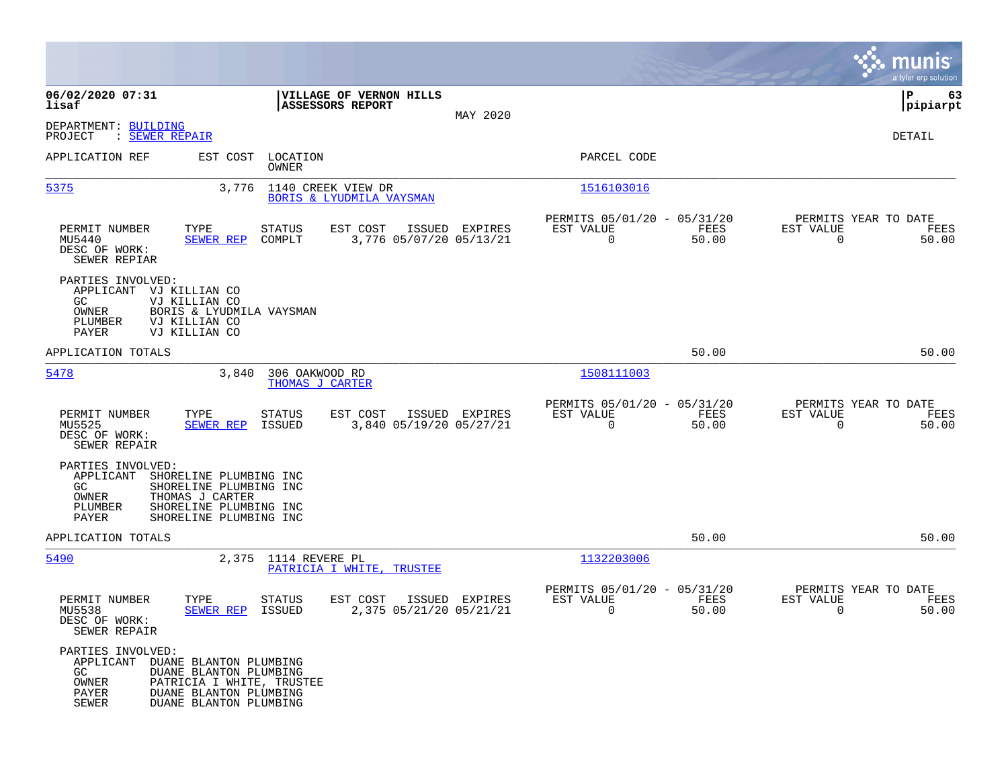|                                                                                                                                                                                                          |                                                                |                |                                                                          | munis<br>a tyler erp solution                                     |
|----------------------------------------------------------------------------------------------------------------------------------------------------------------------------------------------------------|----------------------------------------------------------------|----------------|--------------------------------------------------------------------------|-------------------------------------------------------------------|
| 06/02/2020 07:31<br>lisaf                                                                                                                                                                                | VILLAGE OF VERNON HILLS<br><b>ASSESSORS REPORT</b>             |                |                                                                          | 63<br>IΡ<br> pipiarpt                                             |
| DEPARTMENT: BUILDING<br>: SEWER REPAIR<br>PROJECT                                                                                                                                                        |                                                                | MAY 2020       |                                                                          | DETAIL                                                            |
| APPLICATION REF                                                                                                                                                                                          | EST COST LOCATION<br>OWNER                                     |                | PARCEL CODE                                                              |                                                                   |
| 5375                                                                                                                                                                                                     | 3,776 1140 CREEK VIEW DR<br>BORIS & LYUDMILA VAYSMAN           |                | 1516103016                                                               |                                                                   |
| TYPE<br>PERMIT NUMBER<br>MU5440<br>SEWER REP<br>DESC OF WORK:<br>SEWER REPIAR                                                                                                                            | <b>STATUS</b><br>EST COST<br>3,776 05/07/20 05/13/21<br>COMPLT | ISSUED EXPIRES | PERMITS 05/01/20 - 05/31/20<br>FEES<br>EST VALUE<br>$\mathbf 0$<br>50.00 | PERMITS YEAR TO DATE<br>EST VALUE<br>FEES<br>$\mathbf 0$<br>50.00 |
| PARTIES INVOLVED:<br>APPLICANT VJ KILLIAN CO<br>VJ KILLIAN CO<br>GC.<br>BORIS & LYUDMILA VAYSMAN<br>OWNER<br>PLUMBER<br>VJ KILLIAN CO<br>PAYER<br>VJ KILLIAN CO                                          |                                                                |                |                                                                          |                                                                   |
| APPLICATION TOTALS                                                                                                                                                                                       |                                                                |                | 50.00                                                                    | 50.00                                                             |
| 5478<br>3,840                                                                                                                                                                                            | 306 OAKWOOD RD<br>THOMAS J CARTER                              |                | 1508111003                                                               |                                                                   |
| PERMIT NUMBER<br>TYPE<br>MU5525<br><b>SEWER REP</b><br>DESC OF WORK:<br>SEWER REPAIR                                                                                                                     | EST COST<br>STATUS<br>3,840 05/19/20 05/27/21<br>ISSUED        | ISSUED EXPIRES | PERMITS 05/01/20 - 05/31/20<br>EST VALUE<br>FEES<br>$\mathbf 0$<br>50.00 | PERMITS YEAR TO DATE<br>EST VALUE<br>FEES<br>$\Omega$<br>50.00    |
| PARTIES INVOLVED:<br>APPLICANT<br>SHORELINE PLUMBING INC<br>SHORELINE PLUMBING INC<br>GC.<br>THOMAS J CARTER<br>OWNER<br>PLUMBER<br>SHORELINE PLUMBING INC<br>PAYER<br>SHORELINE PLUMBING INC            |                                                                |                |                                                                          |                                                                   |
| APPLICATION TOTALS                                                                                                                                                                                       |                                                                |                | 50.00                                                                    | 50.00                                                             |
| 5490                                                                                                                                                                                                     | 2,375 1114 REVERE PL<br>PATRICIA I WHITE, TRUSTEE              |                | 1132203006                                                               |                                                                   |
| PERMIT NUMBER<br>TYPE<br>MU5538<br>SEWER REP<br>DESC OF WORK:<br>SEWER REPAIR                                                                                                                            | <b>STATUS</b><br>EST COST<br>2,375 05/21/20 05/21/21<br>ISSUED | ISSUED EXPIRES | PERMITS 05/01/20 - 05/31/20<br>EST VALUE<br>FEES<br>0<br>50.00           | PERMITS YEAR TO DATE<br>EST VALUE<br>FEES<br>0<br>50.00           |
| PARTIES INVOLVED:<br>APPLICANT DUANE BLANTON PLUMBING<br>GC<br>DUANE BLANTON PLUMBING<br>OWNER<br>PATRICIA I WHITE, TRUSTEE<br>DUANE BLANTON PLUMBING<br>PAYER<br><b>SEWER</b><br>DUANE BLANTON PLUMBING |                                                                |                |                                                                          |                                                                   |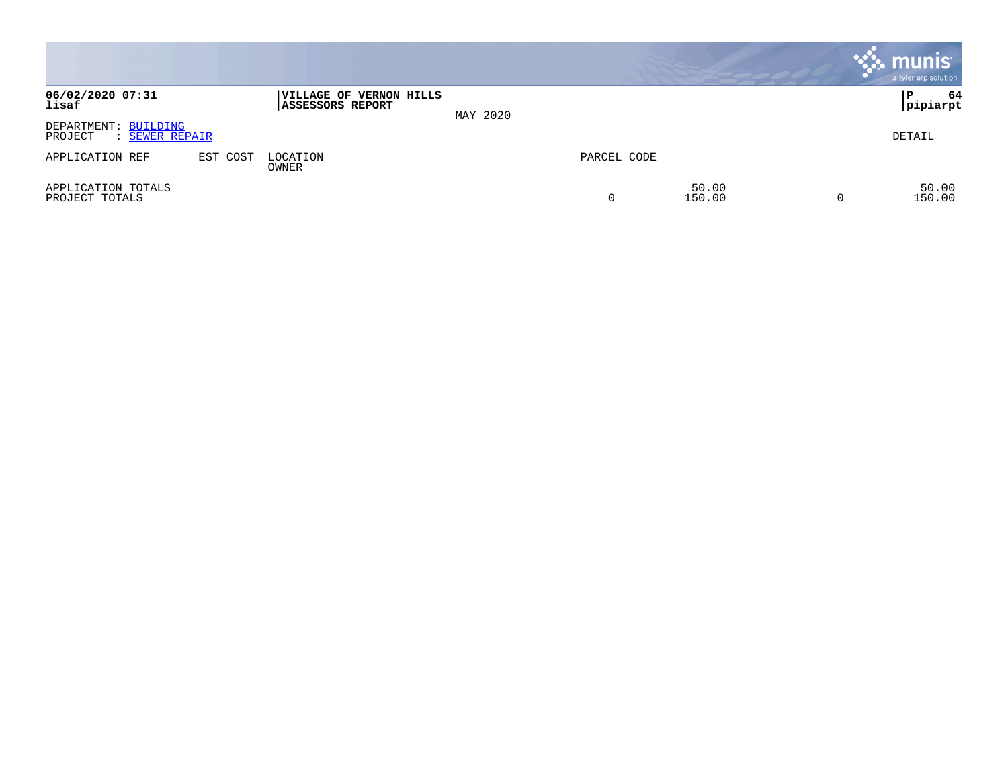|                                                   |          |                                                    |          |             |                 | $\cdot$ munis $\cdot$<br>a tyler erp solution |
|---------------------------------------------------|----------|----------------------------------------------------|----------|-------------|-----------------|-----------------------------------------------|
| 06/02/2020 07:31<br>lisaf                         |          | VILLAGE OF VERNON HILLS<br><b>ASSESSORS REPORT</b> | MAY 2020 |             |                 | 64<br>ΙP<br> pipiarpt                         |
| DEPARTMENT: BUILDING<br>PROJECT<br>: SEWER REPAIR |          |                                                    |          |             |                 | DETAIL                                        |
| APPLICATION REF                                   | EST COST | LOCATION<br>OWNER                                  |          | PARCEL CODE |                 |                                               |
| APPLICATION TOTALS<br>PROJECT TOTALS              |          |                                                    |          | 0           | 50.00<br>150.00 | 50.00<br>150.00                               |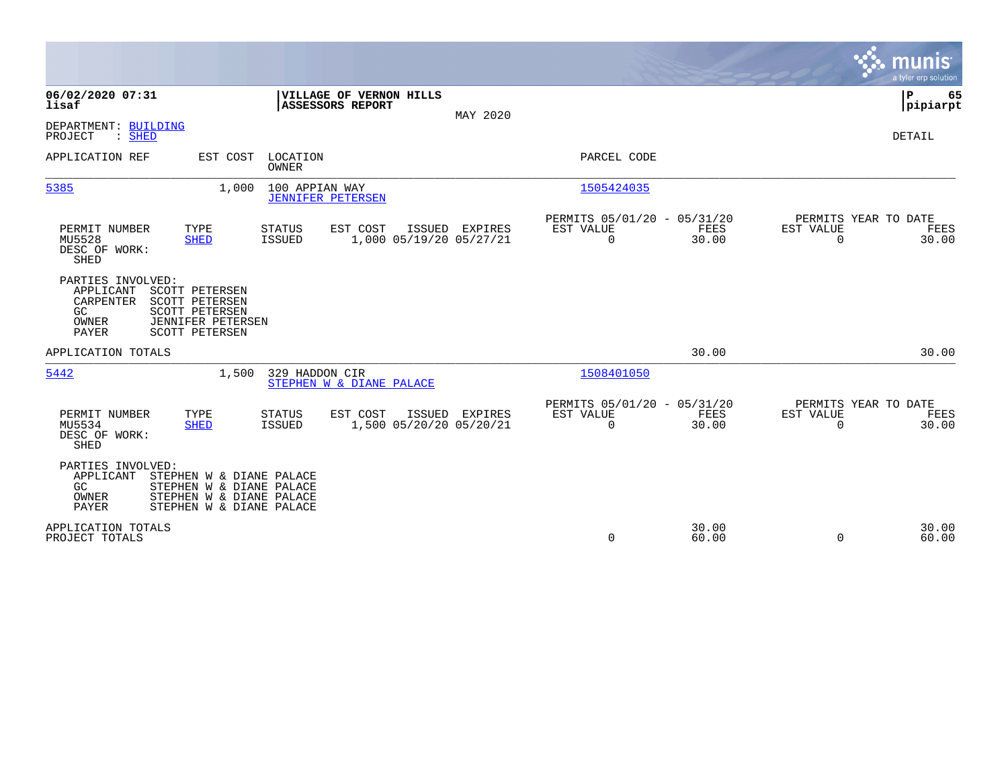|                                                                                                                                                                                              | munis<br>a tyler erp solution                                                                                                                      |
|----------------------------------------------------------------------------------------------------------------------------------------------------------------------------------------------|----------------------------------------------------------------------------------------------------------------------------------------------------|
| 06/02/2020 07:31<br>VILLAGE OF VERNON HILLS<br>lisaf<br><b>ASSESSORS REPORT</b>                                                                                                              | P<br>65<br> pipiarpt<br>MAY 2020                                                                                                                   |
| DEPARTMENT: BUILDING<br>$:$ SHED<br>PROJECT                                                                                                                                                  | DETAIL                                                                                                                                             |
| APPLICATION REF<br>EST COST<br>LOCATION<br>OWNER                                                                                                                                             | PARCEL CODE                                                                                                                                        |
| 100 APPIAN WAY<br>5385<br>1,000<br><b>JENNIFER PETERSEN</b>                                                                                                                                  | 1505424035                                                                                                                                         |
| PERMIT NUMBER<br>TYPE<br>EST COST<br>ISSUED<br><b>STATUS</b><br>MU5528<br><b>SHED</b><br><b>ISSUED</b><br>1,000 05/19/20 05/27/21<br>DESC OF WORK:<br>SHED                                   | PERMITS 05/01/20 - 05/31/20<br>PERMITS YEAR TO DATE<br>EST VALUE<br>FEES<br>EST VALUE<br>FEES<br>EXPIRES<br>30.00<br>0<br>$\mathbf 0$<br>30.00     |
| PARTIES INVOLVED:<br>APPLICANT<br><b>SCOTT PETERSEN</b><br>CARPENTER<br>SCOTT PETERSEN<br>GC<br><b>SCOTT PETERSEN</b><br>OWNER<br><b>JENNIFER PETERSEN</b><br>PAYER<br><b>SCOTT PETERSEN</b> |                                                                                                                                                    |
| APPLICATION TOTALS                                                                                                                                                                           | 30.00<br>30.00                                                                                                                                     |
| 5442<br>329 HADDON CIR<br>1,500<br>STEPHEN W & DIANE PALACE                                                                                                                                  | 1508401050                                                                                                                                         |
| PERMIT NUMBER<br>TYPE<br>EST COST<br>ISSUED<br>STATUS<br>MU5534<br>1,500 05/20/20 05/20/21<br><b>SHED</b><br>ISSUED<br>DESC OF WORK:<br><b>SHED</b>                                          | PERMITS 05/01/20 - 05/31/20<br>PERMITS YEAR TO DATE<br>EST VALUE<br>FEES<br>EXPIRES<br>EST VALUE<br>FEES<br>$\Omega$<br>30.00<br>30.00<br>$\Omega$ |
| PARTIES INVOLVED:<br>APPLICANT<br>STEPHEN W & DIANE PALACE<br><b>GC</b><br>STEPHEN W & DIANE PALACE<br>STEPHEN W & DIANE PALACE<br>OWNER<br>PAYER<br>STEPHEN W & DIANE PALACE                |                                                                                                                                                    |
| APPLICATION TOTALS<br>PROJECT TOTALS                                                                                                                                                         | 30.00<br>30.00<br>0<br>60.00<br>60.00<br>$\Omega$                                                                                                  |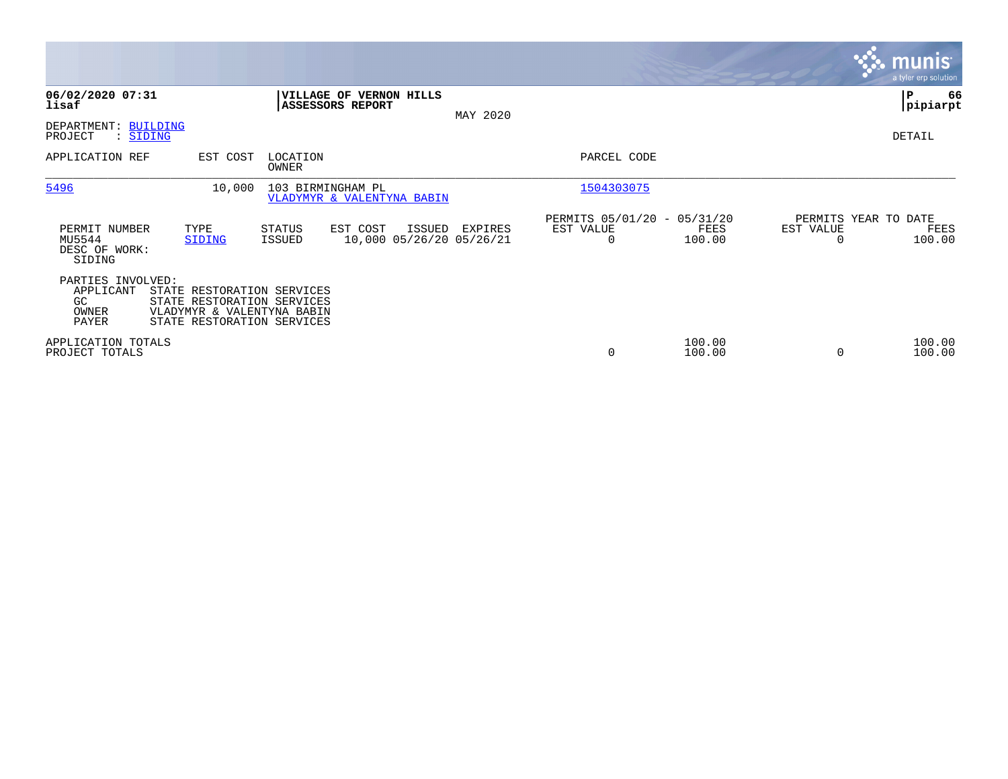|                                                        |                                                                                                                      |                   |                                                 |        |                                     |                                                      |                  |           | <b>munis</b><br>a tyler erp solution   |
|--------------------------------------------------------|----------------------------------------------------------------------------------------------------------------------|-------------------|-------------------------------------------------|--------|-------------------------------------|------------------------------------------------------|------------------|-----------|----------------------------------------|
| 06/02/2020 07:31<br>lisaf                              |                                                                                                                      |                   | VILLAGE OF VERNON HILLS<br>ASSESSORS REPORT     |        | MAY 2020                            |                                                      |                  |           | P<br>66<br> pipiarpt                   |
| DEPARTMENT: BUILDING<br>PROJECT<br>: SIDING            |                                                                                                                      |                   |                                                 |        |                                     |                                                      |                  |           | DETAIL                                 |
| APPLICATION REF                                        | EST COST                                                                                                             | LOCATION<br>OWNER |                                                 |        |                                     | PARCEL CODE                                          |                  |           |                                        |
| 5496                                                   | 10,000                                                                                                               |                   | 103 BIRMINGHAM PL<br>VLADYMYR & VALENTYNA BABIN |        |                                     | 1504303075                                           |                  |           |                                        |
| PERMIT NUMBER<br>MU5544<br>DESC OF WORK:<br>SIDING     | TYPE<br>SIDING                                                                                                       | STATUS<br>ISSUED  | EST COST                                        | ISSUED | EXPIRES<br>10,000 05/26/20 05/26/21 | PERMITS 05/01/20 - 05/31/20<br>EST VALUE<br>$\Omega$ | FEES<br>100.00   | EST VALUE | PERMITS YEAR TO DATE<br>FEES<br>100.00 |
| PARTIES INVOLVED:<br>APPLICANT<br>GC<br>OWNER<br>PAYER | STATE RESTORATION SERVICES<br>STATE RESTORATION SERVICES<br>VLADYMYR & VALENTYNA BABIN<br>STATE RESTORATION SERVICES |                   |                                                 |        |                                     |                                                      |                  |           |                                        |
| APPLICATION TOTALS<br>PROJECT TOTALS                   |                                                                                                                      |                   |                                                 |        |                                     | 0                                                    | 100.00<br>100.00 |           | 100.00<br>100.00                       |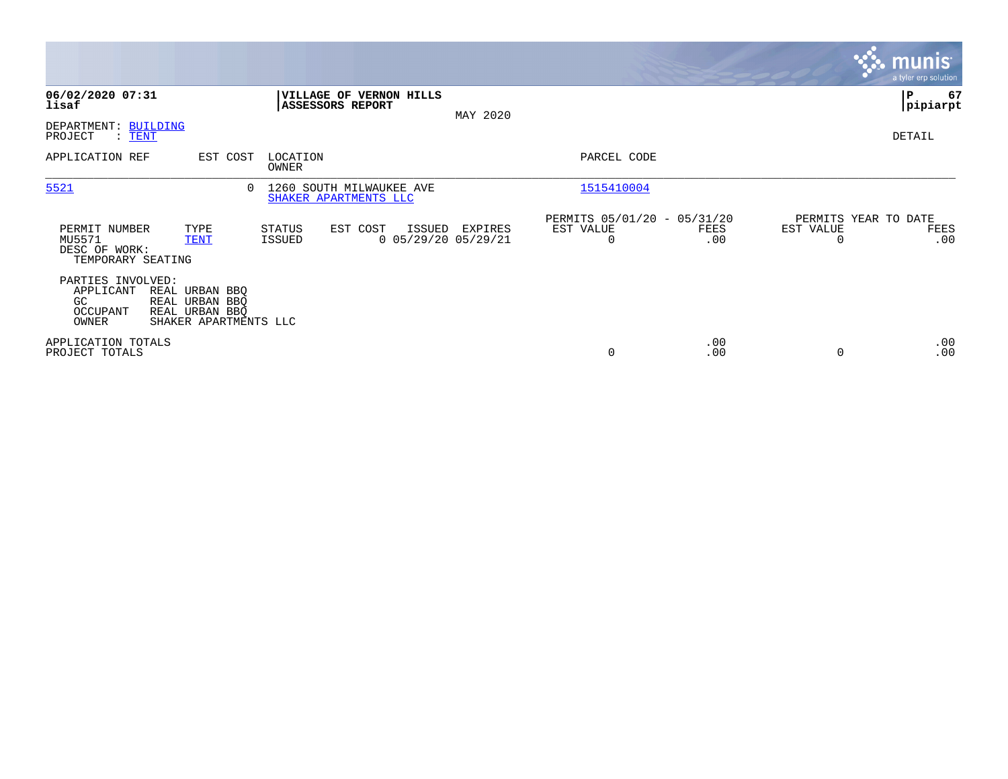|                                                               |                                                                             |                   |                                                           |          |                                               |             |                       | <b>munis</b><br>a tyler erp solution |
|---------------------------------------------------------------|-----------------------------------------------------------------------------|-------------------|-----------------------------------------------------------|----------|-----------------------------------------------|-------------|-----------------------|--------------------------------------|
| 06/02/2020 07:31<br>lisaf                                     |                                                                             |                   | <b>VILLAGE OF VERNON HILLS</b><br><b>ASSESSORS REPORT</b> | MAY 2020 |                                               |             |                       | P<br>67<br> pipiarpt                 |
| DEPARTMENT: BUILDING<br>PROJECT<br>$:$ TENT                   |                                                                             |                   |                                                           |          |                                               |             |                       | DETAIL                               |
| APPLICATION REF                                               | EST COST                                                                    | LOCATION<br>OWNER |                                                           |          | PARCEL CODE                                   |             |                       |                                      |
| 5521                                                          |                                                                             | $\Omega$          | 1260 SOUTH MILWAUKEE AVE<br>SHAKER APARTMENTS LLC         |          | 1515410004                                    |             |                       |                                      |
| PERMIT NUMBER<br>MU5571<br>DESC OF WORK:<br>TEMPORARY SEATING | TYPE<br><b>TENT</b>                                                         | STATUS<br>ISSUED  | EST COST<br>ISSUED<br>$0$ 05/29/20 05/29/21               | EXPIRES  | PERMITS 05/01/20 - 05/31/20<br>EST VALUE<br>0 | FEES<br>.00 | EST VALUE<br>$\Omega$ | PERMITS YEAR TO DATE<br>FEES<br>.00  |
| PARTIES INVOLVED:<br>APPLICANT<br>GC<br>OCCUPANT<br>OWNER     | REAL URBAN BBQ<br>REAL URBAN BBQ<br>REAL URBAN BBQ<br>SHAKER APARTMENTS LLC |                   |                                                           |          |                                               |             |                       |                                      |
| APPLICATION TOTALS<br>PROJECT TOTALS                          |                                                                             |                   |                                                           |          | 0                                             | .00<br>.00  | 0                     | .00<br>.00                           |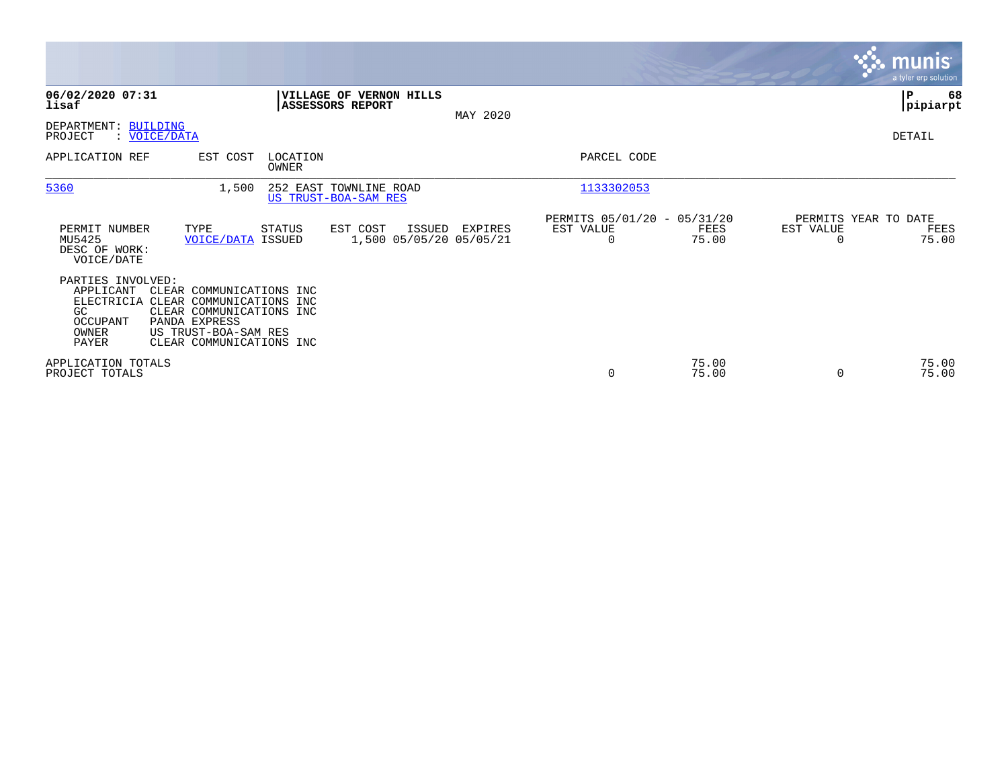|                                                                                                                                                                                                                                        |                                                                |          |                                               |                |                                   | <b>munis</b><br>a tyler erp solution |
|----------------------------------------------------------------------------------------------------------------------------------------------------------------------------------------------------------------------------------------|----------------------------------------------------------------|----------|-----------------------------------------------|----------------|-----------------------------------|--------------------------------------|
| 06/02/2020 07:31<br>lisaf                                                                                                                                                                                                              | VILLAGE OF VERNON HILLS<br>ASSESSORS REPORT                    | MAY 2020 |                                               |                |                                   | ∣₽<br>68<br> pipiarpt                |
| DEPARTMENT: BUILDING<br>: VOICE/DATA<br>PROJECT                                                                                                                                                                                        |                                                                |          |                                               |                |                                   | DETAIL                               |
| APPLICATION REF<br>EST COST                                                                                                                                                                                                            | LOCATION<br>OWNER                                              |          | PARCEL CODE                                   |                |                                   |                                      |
| 5360<br>1,500                                                                                                                                                                                                                          | 252 EAST TOWNLINE ROAD<br>US TRUST-BOA-SAM RES                 |          | 1133302053                                    |                |                                   |                                      |
| PERMIT NUMBER<br>TYPE<br>MU5425<br><b>VOICE/DATA ISSUED</b><br>DESC OF WORK:<br>VOICE/DATE                                                                                                                                             | <b>STATUS</b><br>EST COST<br>ISSUED<br>1,500 05/05/20 05/05/21 | EXPIRES  | PERMITS 05/01/20 - 05/31/20<br>EST VALUE<br>0 | FEES<br>75.00  | PERMITS YEAR TO DATE<br>EST VALUE | FEES<br>75.00                        |
| PARTIES INVOLVED:<br>APPLICANT<br>CLEAR COMMUNICATIONS INC<br>ELECTRICIA CLEAR COMMUNICATIONS INC<br>GC<br>CLEAR COMMUNICATIONS INC<br>OCCUPANT<br>PANDA EXPRESS<br>US TRUST-BOA-SAM RES<br>OWNER<br>PAYER<br>CLEAR COMMUNICATIONS INC |                                                                |          |                                               |                |                                   |                                      |
| APPLICATION TOTALS<br>PROJECT TOTALS                                                                                                                                                                                                   |                                                                |          | $\mathbf 0$                                   | 75.00<br>75.00 |                                   | 75.00<br>75.00                       |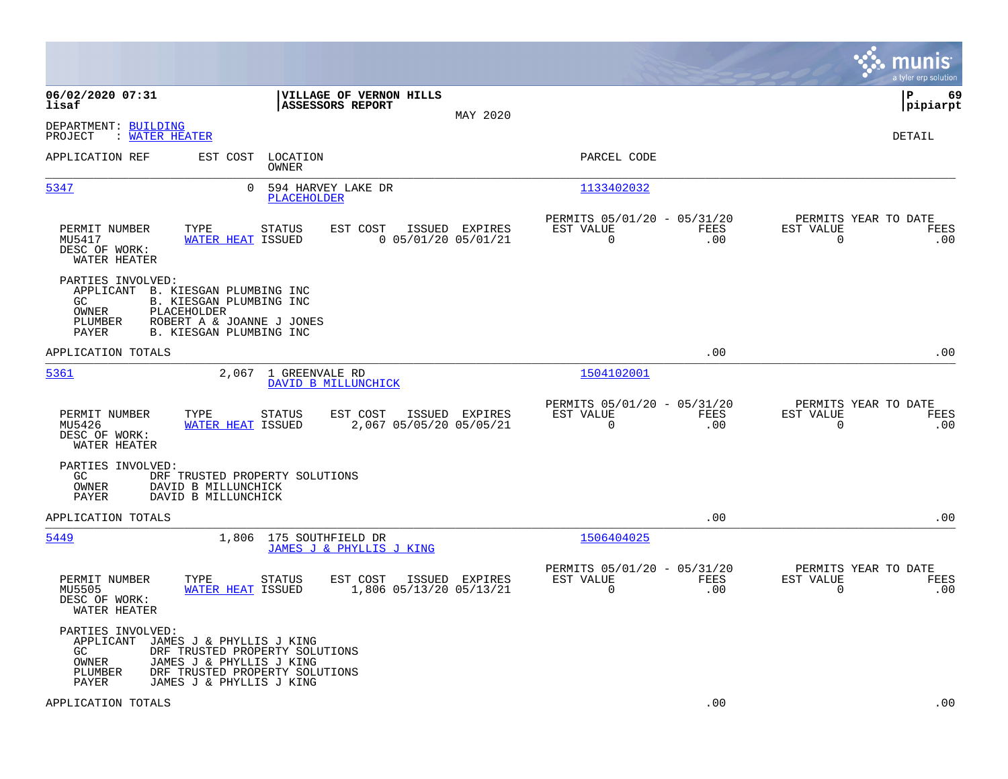|                                                                                                                                                                                                                         |                                                                        |                                                            |                    |                                                     | munis<br>a tyler erp solution |
|-------------------------------------------------------------------------------------------------------------------------------------------------------------------------------------------------------------------------|------------------------------------------------------------------------|------------------------------------------------------------|--------------------|-----------------------------------------------------|-------------------------------|
| 06/02/2020 07:31<br>lisaf                                                                                                                                                                                               | VILLAGE OF VERNON HILLS<br><b>ASSESSORS REPORT</b>                     | MAY 2020                                                   |                    |                                                     | P<br>69<br> pipiarpt          |
| DEPARTMENT: BUILDING<br>: WATER HEATER<br>PROJECT                                                                                                                                                                       |                                                                        |                                                            |                    |                                                     | <b>DETAIL</b>                 |
| EST COST LOCATION<br>APPLICATION REF                                                                                                                                                                                    | OWNER                                                                  | PARCEL CODE                                                |                    |                                                     |                               |
| 5347<br>$\Omega$                                                                                                                                                                                                        | 594 HARVEY LAKE DR<br>PLACEHOLDER                                      | 1133402032                                                 |                    |                                                     |                               |
| PERMIT NUMBER<br>TYPE<br>MU5417<br>WATER HEAT ISSUED<br>DESC OF WORK:<br>WATER HEATER                                                                                                                                   | STATUS<br>EST COST<br>ISSUED EXPIRES<br>$0$ 05/01/20 05/01/21          | PERMITS 05/01/20 - 05/31/20<br>EST VALUE<br>$\mathbf 0$    | FEES<br>.00        | PERMITS YEAR TO DATE<br>EST VALUE<br>0              | FEES<br>.00                   |
| PARTIES INVOLVED:<br>APPLICANT B. KIESGAN PLUMBING INC<br>B. KIESGAN PLUMBING INC<br>GC<br>PLACEHOLDER<br>OWNER<br>ROBERT A & JOANNE J JONES<br>PLUMBER<br>PAYER<br>B. KIESGAN PLUMBING INC                             |                                                                        |                                                            |                    |                                                     |                               |
| APPLICATION TOTALS                                                                                                                                                                                                      |                                                                        |                                                            | .00                |                                                     | .00                           |
| 5361                                                                                                                                                                                                                    | 2,067 1 GREENVALE RD<br>DAVID B MILLUNCHICK                            | 1504102001                                                 |                    |                                                     |                               |
| PERMIT NUMBER<br>TYPE<br>MU5426<br>WATER HEAT ISSUED<br>DESC OF WORK:<br>WATER HEATER                                                                                                                                   | ISSUED EXPIRES<br>STATUS<br>EST COST<br>2,067 05/05/20 05/05/21        | PERMITS 05/01/20 - 05/31/20<br>EST VALUE<br>$\overline{0}$ | <b>FEES</b><br>.00 | PERMITS YEAR TO DATE<br>EST VALUE<br>$\overline{0}$ | FEES<br>.00                   |
| PARTIES INVOLVED:<br>GC<br>DRF TRUSTED PROPERTY SOLUTIONS<br>OWNER<br>DAVID B MILLUNCHICK<br>DAVID B MILLUNCHICK<br>PAYER                                                                                               |                                                                        |                                                            |                    |                                                     |                               |
| APPLICATION TOTALS                                                                                                                                                                                                      |                                                                        |                                                            | .00                |                                                     | .00                           |
| 5449                                                                                                                                                                                                                    | 1,806 175 SOUTHFIELD DR<br>JAMES J & PHYLLIS J KING                    | 1506404025                                                 |                    |                                                     |                               |
| PERMIT NUMBER<br>TYPE<br>MU5505<br>WATER HEAT ISSUED<br>DESC OF WORK:<br>WATER HEATER                                                                                                                                   | <b>STATUS</b><br>EST COST<br>ISSUED EXPIRES<br>1,806 05/13/20 05/13/21 | PERMITS 05/01/20 - 05/31/20<br>EST VALUE<br>$\Omega$       | FEES<br>.00        | PERMITS YEAR TO DATE<br>EST VALUE<br>0              | FEES<br>.00                   |
| PARTIES INVOLVED:<br>APPLICANT JAMES J & PHYLLIS J KING<br>GC.<br>DRF TRUSTED PROPERTY SOLUTIONS<br>OWNER<br>JAMES J & PHYLLIS J KING<br>PLUMBER<br>DRF TRUSTED PROPERTY SOLUTIONS<br>JAMES J & PHYLLIS J KING<br>PAYER |                                                                        |                                                            |                    |                                                     |                               |
| APPLICATION TOTALS                                                                                                                                                                                                      |                                                                        |                                                            | .00                |                                                     | .00                           |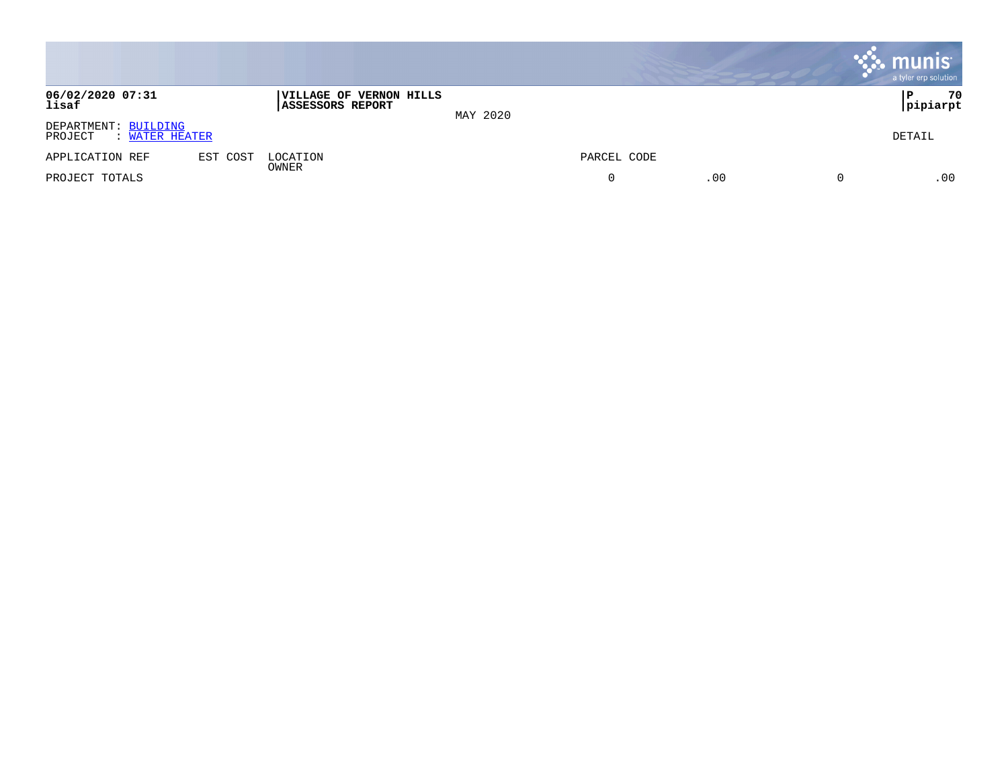|                                                   |          |                                                           |          |             |     | <b>munis</b><br>a tyler erp solution |
|---------------------------------------------------|----------|-----------------------------------------------------------|----------|-------------|-----|--------------------------------------|
| 06/02/2020 07:31<br>lisaf                         |          | <b>VILLAGE OF VERNON HILLS</b><br><b>ASSESSORS REPORT</b> | MAY 2020 |             |     | 70<br>P<br> pipiarpt                 |
| DEPARTMENT: BUILDING<br>PROJECT<br>: WATER HEATER |          |                                                           |          |             |     | DETAIL                               |
| APPLICATION REF                                   | EST COST | LOCATION                                                  |          | PARCEL CODE |     |                                      |
| PROJECT TOTALS                                    |          | OWNER                                                     |          | 0           | .00 | .00                                  |